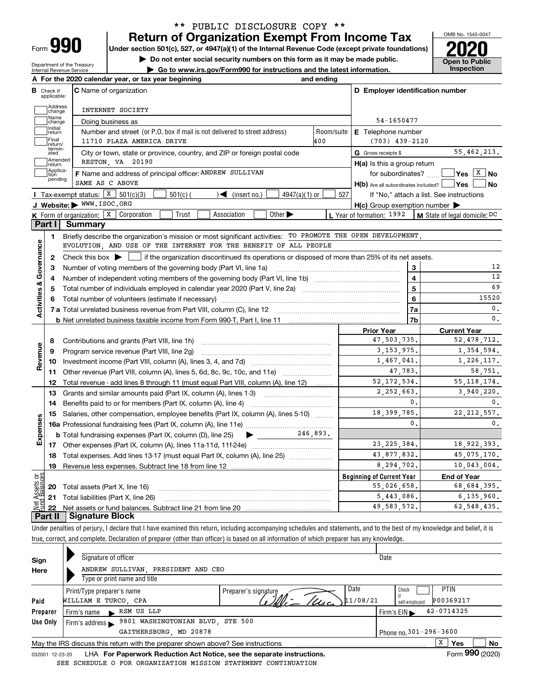| -orm |  |
|------|--|

Department of the Treasury Internal Revenue Service

### **Return of Organization Exempt From Income Tax** \*\* PUBLIC DISCLOSURE COPY \*\*

**Under section 501(c), 527, or 4947(a)(1) of the Internal Revenue Code (except private foundations) 2020**

**| Do not enter social security numbers on this form as it may be made public.**

**| Go to www.irs.gov/Form990 for instructions and the latest information. Inspection**



|                          |                         | A For the 2020 calendar year, or tax year beginning                                                                                                 | and ending     |                                                     |                                                                                           |
|--------------------------|-------------------------|-----------------------------------------------------------------------------------------------------------------------------------------------------|----------------|-----------------------------------------------------|-------------------------------------------------------------------------------------------|
| В                        | Check if<br>applicable: | <b>C</b> Name of organization                                                                                                                       |                | D Employer identification number                    |                                                                                           |
|                          | Address<br>change       | INTERNET SOCIETY                                                                                                                                    |                |                                                     |                                                                                           |
|                          | Name<br>change          | Doing business as                                                                                                                                   |                | 54-1650477                                          |                                                                                           |
|                          | Initial<br>return       | Number and street (or P.O. box if mail is not delivered to street address)                                                                          | Room/suite     | <b>E</b> Telephone number                           |                                                                                           |
|                          | Final<br>return/        | 11710 PLAZA AMERICA DRIVE                                                                                                                           | 400            | $(703)$ 439-2120                                    |                                                                                           |
|                          | termin-<br>ated         | City or town, state or province, country, and ZIP or foreign postal code                                                                            |                | G Gross receipts \$                                 | 55.462.213.                                                                               |
|                          | Amended<br>return       | RESTON, VA 20190                                                                                                                                    |                | H(a) Is this a group return                         |                                                                                           |
|                          | Applica-<br>tion        | F Name and address of principal officer: ANDREW SULLIVAN                                                                                            |                | for subordinates? $\Box$                            | $Yes \quad X \quad No$                                                                    |
|                          | pending                 | SAME AS C ABOVE                                                                                                                                     |                | $H(b)$ Are all subordinates included? $\Box$ Yes    | No                                                                                        |
|                          |                         | Tax-exempt status: $X \over 301(c)(3)$<br>$4947(a)(1)$ or<br>$501(c)$ (<br>$\sqrt{\frac{1}{1}}$ (insert no.)                                        | 527            |                                                     | If "No," attach a list. See instructions                                                  |
|                          |                         | J Website: WWW.ISOC.ORG                                                                                                                             |                | $H(c)$ Group exemption number $\blacktriangleright$ |                                                                                           |
|                          |                         | <b>K</b> Form of organization: $\boxed{\textbf{X}}$ Corporation<br>Trust<br>Association<br>Other $\blacktriangleright$                              |                | L Year of formation: 1992                           | M State of legal domicile: DC                                                             |
|                          | Part I                  | <b>Summary</b>                                                                                                                                      |                |                                                     |                                                                                           |
|                          | 1.                      | Briefly describe the organization's mission or most significant activities: TO PROMOTE THE OPEN DEVELOPMENT,                                        |                |                                                     |                                                                                           |
| Activities & Governance  |                         | EVOLUTION, AND USE OF THE INTERNET FOR THE BENEFIT OF ALL PEOPLE                                                                                    |                |                                                     |                                                                                           |
|                          | $\mathbf{2}$            | Check this box $\blacktriangleright$ $\blacksquare$ if the organization discontinued its operations or disposed of more than 25% of its net assets. |                |                                                     |                                                                                           |
|                          | 3                       | Number of voting members of the governing body (Part VI, line 1a)                                                                                   |                | 3                                                   | 12                                                                                        |
|                          | 4                       |                                                                                                                                                     | $\overline{4}$ | 12                                                  |                                                                                           |
|                          | 5                       |                                                                                                                                                     | 5              | 69                                                  |                                                                                           |
|                          | 6                       |                                                                                                                                                     |                | 6                                                   | 15520                                                                                     |
|                          |                         |                                                                                                                                                     |                | 7a                                                  | 0.                                                                                        |
|                          |                         |                                                                                                                                                     |                | 7b                                                  | $\mathbf{0}$ .                                                                            |
|                          |                         |                                                                                                                                                     |                | <b>Prior Year</b>                                   | <b>Current Year</b>                                                                       |
|                          | 8                       | Contributions and grants (Part VIII, line 1h)                                                                                                       |                | 47,503,735.                                         | 52,478,712.                                                                               |
|                          | 9                       | Program service revenue (Part VIII, line 2g)                                                                                                        |                | 3, 153, 975.                                        | 1,354,594.                                                                                |
| Revenue                  | 10                      |                                                                                                                                                     |                | 1,467,041.                                          | 1,226,117.                                                                                |
|                          | 11                      | Other revenue (Part VIII, column (A), lines 5, 6d, 8c, 9c, 10c, and 11e)                                                                            |                | 47,783.                                             | 58,751.                                                                                   |
|                          | 12                      | Total revenue - add lines 8 through 11 (must equal Part VIII, column (A), line 12)                                                                  |                | 52, 172, 534.                                       | 55, 118, 174.                                                                             |
|                          | 13                      | Grants and similar amounts paid (Part IX, column (A), lines 1-3)                                                                                    |                | 2,252,663.                                          | 3,940,220.                                                                                |
|                          | 14                      |                                                                                                                                                     |                | 0.                                                  | 0.                                                                                        |
|                          | 15                      | Salaries, other compensation, employee benefits (Part IX, column (A), lines 5-10)                                                                   |                | 18, 399, 785.                                       | 22.212.557.                                                                               |
|                          |                         |                                                                                                                                                     |                | 0.                                                  | $\mathbf{0}$ .                                                                            |
|                          |                         |                                                                                                                                                     |                |                                                     |                                                                                           |
|                          |                         | $\bullet$ 246,893.<br><b>b</b> Total fundraising expenses (Part IX, column (D), line 25)                                                            |                |                                                     |                                                                                           |
|                          |                         |                                                                                                                                                     |                | 23, 225, 384.                                       |                                                                                           |
|                          | 18                      | Total expenses. Add lines 13-17 (must equal Part IX, column (A), line 25) <i></i>                                                                   |                | 43,877,832.                                         |                                                                                           |
|                          | 19                      |                                                                                                                                                     |                | 8,294,702.                                          |                                                                                           |
|                          |                         |                                                                                                                                                     |                | <b>Beginning of Current Year</b>                    | <b>End of Year</b>                                                                        |
|                          |                         | <b>20</b> Total assets (Part X, line 16)                                                                                                            |                | 55,026,658.                                         |                                                                                           |
| Expenses<br>ăğ<br>Assets |                         | 21 Total liabilities (Part X, line 26)                                                                                                              |                | 5,443,086.<br>49.583.572.                           | 18, 922, 393.<br>45,075,170.<br>10,043,004.<br>68,684,395.<br>6, 135, 960.<br>62.548.435. |

Under penalties of perjury, I declare that I have examined this return, including accompanying schedules and statements, and to the best of my knowledge and belief, it is true, correct, and complete. Declaration of preparer (other than officer) is based on all information of which preparer has any knowledge.

| Sign            | Signature of officer                                                                                     |                              | Date                                               |  |  |  |  |  |
|-----------------|----------------------------------------------------------------------------------------------------------|------------------------------|----------------------------------------------------|--|--|--|--|--|
| Here            | ANDREW SULLIVAN, PRESIDENT AND CEO                                                                       |                              |                                                    |  |  |  |  |  |
|                 | Type or print name and title                                                                             |                              |                                                    |  |  |  |  |  |
|                 | Print/Type preparer's name                                                                               | Date<br>Preparer's signature | <b>PTIN</b><br>Check                               |  |  |  |  |  |
| Paid            | WILLIAM E TURCO, CPA                                                                                     | $(u_c)^{11/08/21}$           | P00369217<br>self-employed                         |  |  |  |  |  |
| Preparer        | RSM US LLP<br>Firm's name<br>$\blacksquare$                                                              |                              | $42 - 0714325$<br>Firm's $EIN \blacktriangleright$ |  |  |  |  |  |
| Use Only        | 9801 WASHINGTONIAN BLVD, STE 500<br>Firm's address $\blacktriangleright$                                 |                              |                                                    |  |  |  |  |  |
|                 | GAITHERSBURG, MD 20878                                                                                   |                              | Phone no. 301-296-3600                             |  |  |  |  |  |
|                 | х<br><b>No</b><br>Yes<br>May the IRS discuss this return with the preparer shown above? See instructions |                              |                                                    |  |  |  |  |  |
| 032001 12-23-20 | LHA For Paperwork Reduction Act Notice, see the separate instructions.                                   |                              | Form 990 (2020)                                    |  |  |  |  |  |
|                 | SEE SCHEDULE O FOR ORGANIZATION MISSION STATEMENT CONTINUATION                                           |                              |                                                    |  |  |  |  |  |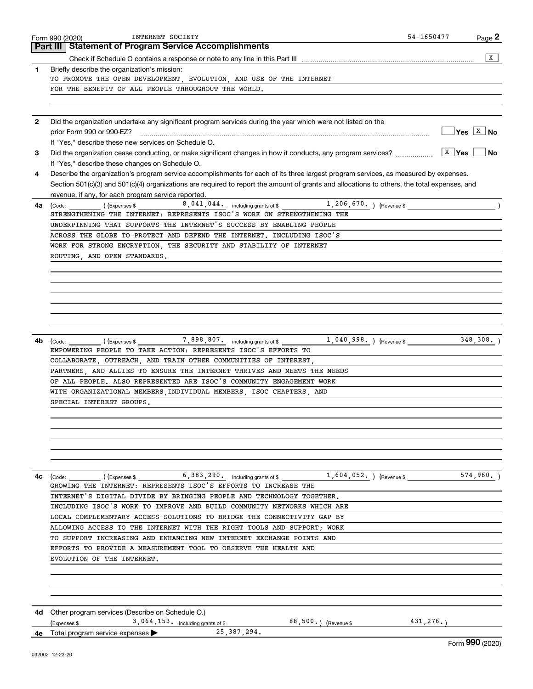| <b>Part III Statement of Program Service Accomplishments</b><br>Briefly describe the organization's mission:<br>1<br>TO PROMOTE THE OPEN DEVELOPMENT, EVOLUTION, AND USE OF THE INTERNET<br>FOR THE BENEFIT OF ALL PEOPLE THROUGHOUT THE WORLD.<br>Did the organization undertake any significant program services during the year which were not listed on the<br>$\mathbf{2}$<br>If "Yes," describe these new services on Schedule O.<br>Did the organization cease conducting, or make significant changes in how it conducts, any program services? $\frac{X}{1}$ Yes<br>3<br>If "Yes," describe these changes on Schedule O.<br>Describe the organization's program service accomplishments for each of its three largest program services, as measured by expenses.<br>4<br>Section 501(c)(3) and 501(c)(4) organizations are required to report the amount of grants and allocations to others, the total expenses, and<br>revenue, if any, for each program service reported.<br>$\frac{1}{2}$ (Code: $\frac{1}{2}$ ) (Expenses \$ $\frac{8}{2}$ , 041, 044, including grants of \$ 1, 206, 670. ) (Revenue \$<br>4a<br>STRENGTHENING THE INTERNET: REPRESENTS ISOC'S WORK ON STRENGTHENING THE<br>UNDERPINNING THAT SUPPORTS THE INTERNET'S SUCCESS BY ENABLING PEOPLE<br>ACROSS THE GLOBE TO PROTECT AND DEFEND THE INTERNET. INCLUDING ISOC'S<br>WORK FOR STRONG ENCRYPTION. THE SECURITY AND STABILITY OF INTERNET<br>ROUTING, AND OPEN STANDARDS.<br>$\frac{1}{2}$ (Code: $\frac{1}{2}$ ) (Expenses \$ 7,898,807. including grants of \$ 1,040,998.) (Revenue \$<br>EMPOWERING PEOPLE TO TAKE ACTION: REPRESENTS ISOC'S EFFORTS TO<br>COLLABORATE, OUTREACH, AND TRAIN OTHER COMMUNITIES OF INTEREST,<br>PARTNERS, AND ALLIES TO ENSURE THE INTERNET THRIVES AND MEETS THE NEEDS | x                         |
|-----------------------------------------------------------------------------------------------------------------------------------------------------------------------------------------------------------------------------------------------------------------------------------------------------------------------------------------------------------------------------------------------------------------------------------------------------------------------------------------------------------------------------------------------------------------------------------------------------------------------------------------------------------------------------------------------------------------------------------------------------------------------------------------------------------------------------------------------------------------------------------------------------------------------------------------------------------------------------------------------------------------------------------------------------------------------------------------------------------------------------------------------------------------------------------------------------------------------------------------------------------------------------------------------------------------------------------------------------------------------------------------------------------------------------------------------------------------------------------------------------------------------------------------------------------------------------------------------------------------------------------------------------------------------------------------------------------------------------------------------------------------------------------------------|---------------------------|
|                                                                                                                                                                                                                                                                                                                                                                                                                                                                                                                                                                                                                                                                                                                                                                                                                                                                                                                                                                                                                                                                                                                                                                                                                                                                                                                                                                                                                                                                                                                                                                                                                                                                                                                                                                                               |                           |
|                                                                                                                                                                                                                                                                                                                                                                                                                                                                                                                                                                                                                                                                                                                                                                                                                                                                                                                                                                                                                                                                                                                                                                                                                                                                                                                                                                                                                                                                                                                                                                                                                                                                                                                                                                                               |                           |
|                                                                                                                                                                                                                                                                                                                                                                                                                                                                                                                                                                                                                                                                                                                                                                                                                                                                                                                                                                                                                                                                                                                                                                                                                                                                                                                                                                                                                                                                                                                                                                                                                                                                                                                                                                                               |                           |
|                                                                                                                                                                                                                                                                                                                                                                                                                                                                                                                                                                                                                                                                                                                                                                                                                                                                                                                                                                                                                                                                                                                                                                                                                                                                                                                                                                                                                                                                                                                                                                                                                                                                                                                                                                                               |                           |
|                                                                                                                                                                                                                                                                                                                                                                                                                                                                                                                                                                                                                                                                                                                                                                                                                                                                                                                                                                                                                                                                                                                                                                                                                                                                                                                                                                                                                                                                                                                                                                                                                                                                                                                                                                                               |                           |
|                                                                                                                                                                                                                                                                                                                                                                                                                                                                                                                                                                                                                                                                                                                                                                                                                                                                                                                                                                                                                                                                                                                                                                                                                                                                                                                                                                                                                                                                                                                                                                                                                                                                                                                                                                                               |                           |
|                                                                                                                                                                                                                                                                                                                                                                                                                                                                                                                                                                                                                                                                                                                                                                                                                                                                                                                                                                                                                                                                                                                                                                                                                                                                                                                                                                                                                                                                                                                                                                                                                                                                                                                                                                                               | $Yes \ \overline{X}\ $ No |
|                                                                                                                                                                                                                                                                                                                                                                                                                                                                                                                                                                                                                                                                                                                                                                                                                                                                                                                                                                                                                                                                                                                                                                                                                                                                                                                                                                                                                                                                                                                                                                                                                                                                                                                                                                                               | <b>No</b>                 |
|                                                                                                                                                                                                                                                                                                                                                                                                                                                                                                                                                                                                                                                                                                                                                                                                                                                                                                                                                                                                                                                                                                                                                                                                                                                                                                                                                                                                                                                                                                                                                                                                                                                                                                                                                                                               |                           |
|                                                                                                                                                                                                                                                                                                                                                                                                                                                                                                                                                                                                                                                                                                                                                                                                                                                                                                                                                                                                                                                                                                                                                                                                                                                                                                                                                                                                                                                                                                                                                                                                                                                                                                                                                                                               |                           |
|                                                                                                                                                                                                                                                                                                                                                                                                                                                                                                                                                                                                                                                                                                                                                                                                                                                                                                                                                                                                                                                                                                                                                                                                                                                                                                                                                                                                                                                                                                                                                                                                                                                                                                                                                                                               |                           |
|                                                                                                                                                                                                                                                                                                                                                                                                                                                                                                                                                                                                                                                                                                                                                                                                                                                                                                                                                                                                                                                                                                                                                                                                                                                                                                                                                                                                                                                                                                                                                                                                                                                                                                                                                                                               |                           |
|                                                                                                                                                                                                                                                                                                                                                                                                                                                                                                                                                                                                                                                                                                                                                                                                                                                                                                                                                                                                                                                                                                                                                                                                                                                                                                                                                                                                                                                                                                                                                                                                                                                                                                                                                                                               |                           |
| 4b                                                                                                                                                                                                                                                                                                                                                                                                                                                                                                                                                                                                                                                                                                                                                                                                                                                                                                                                                                                                                                                                                                                                                                                                                                                                                                                                                                                                                                                                                                                                                                                                                                                                                                                                                                                            |                           |
|                                                                                                                                                                                                                                                                                                                                                                                                                                                                                                                                                                                                                                                                                                                                                                                                                                                                                                                                                                                                                                                                                                                                                                                                                                                                                                                                                                                                                                                                                                                                                                                                                                                                                                                                                                                               |                           |
|                                                                                                                                                                                                                                                                                                                                                                                                                                                                                                                                                                                                                                                                                                                                                                                                                                                                                                                                                                                                                                                                                                                                                                                                                                                                                                                                                                                                                                                                                                                                                                                                                                                                                                                                                                                               |                           |
|                                                                                                                                                                                                                                                                                                                                                                                                                                                                                                                                                                                                                                                                                                                                                                                                                                                                                                                                                                                                                                                                                                                                                                                                                                                                                                                                                                                                                                                                                                                                                                                                                                                                                                                                                                                               |                           |
|                                                                                                                                                                                                                                                                                                                                                                                                                                                                                                                                                                                                                                                                                                                                                                                                                                                                                                                                                                                                                                                                                                                                                                                                                                                                                                                                                                                                                                                                                                                                                                                                                                                                                                                                                                                               |                           |
|                                                                                                                                                                                                                                                                                                                                                                                                                                                                                                                                                                                                                                                                                                                                                                                                                                                                                                                                                                                                                                                                                                                                                                                                                                                                                                                                                                                                                                                                                                                                                                                                                                                                                                                                                                                               |                           |
|                                                                                                                                                                                                                                                                                                                                                                                                                                                                                                                                                                                                                                                                                                                                                                                                                                                                                                                                                                                                                                                                                                                                                                                                                                                                                                                                                                                                                                                                                                                                                                                                                                                                                                                                                                                               | 348,308.                  |
|                                                                                                                                                                                                                                                                                                                                                                                                                                                                                                                                                                                                                                                                                                                                                                                                                                                                                                                                                                                                                                                                                                                                                                                                                                                                                                                                                                                                                                                                                                                                                                                                                                                                                                                                                                                               |                           |
|                                                                                                                                                                                                                                                                                                                                                                                                                                                                                                                                                                                                                                                                                                                                                                                                                                                                                                                                                                                                                                                                                                                                                                                                                                                                                                                                                                                                                                                                                                                                                                                                                                                                                                                                                                                               |                           |
|                                                                                                                                                                                                                                                                                                                                                                                                                                                                                                                                                                                                                                                                                                                                                                                                                                                                                                                                                                                                                                                                                                                                                                                                                                                                                                                                                                                                                                                                                                                                                                                                                                                                                                                                                                                               |                           |
| OF ALL PEOPLE. ALSO REPRESENTED ARE ISOC'S COMMUNITY ENGAGEMENT WORK                                                                                                                                                                                                                                                                                                                                                                                                                                                                                                                                                                                                                                                                                                                                                                                                                                                                                                                                                                                                                                                                                                                                                                                                                                                                                                                                                                                                                                                                                                                                                                                                                                                                                                                          |                           |
| WITH ORGANIZATIONAL MEMBERS INDIVIDUAL MEMBERS ISOC CHAPTERS AND                                                                                                                                                                                                                                                                                                                                                                                                                                                                                                                                                                                                                                                                                                                                                                                                                                                                                                                                                                                                                                                                                                                                                                                                                                                                                                                                                                                                                                                                                                                                                                                                                                                                                                                              |                           |
| SPECIAL INTEREST GROUPS.                                                                                                                                                                                                                                                                                                                                                                                                                                                                                                                                                                                                                                                                                                                                                                                                                                                                                                                                                                                                                                                                                                                                                                                                                                                                                                                                                                                                                                                                                                                                                                                                                                                                                                                                                                      |                           |
|                                                                                                                                                                                                                                                                                                                                                                                                                                                                                                                                                                                                                                                                                                                                                                                                                                                                                                                                                                                                                                                                                                                                                                                                                                                                                                                                                                                                                                                                                                                                                                                                                                                                                                                                                                                               |                           |
|                                                                                                                                                                                                                                                                                                                                                                                                                                                                                                                                                                                                                                                                                                                                                                                                                                                                                                                                                                                                                                                                                                                                                                                                                                                                                                                                                                                                                                                                                                                                                                                                                                                                                                                                                                                               |                           |
|                                                                                                                                                                                                                                                                                                                                                                                                                                                                                                                                                                                                                                                                                                                                                                                                                                                                                                                                                                                                                                                                                                                                                                                                                                                                                                                                                                                                                                                                                                                                                                                                                                                                                                                                                                                               |                           |
|                                                                                                                                                                                                                                                                                                                                                                                                                                                                                                                                                                                                                                                                                                                                                                                                                                                                                                                                                                                                                                                                                                                                                                                                                                                                                                                                                                                                                                                                                                                                                                                                                                                                                                                                                                                               | 574,960.                  |
| 4с<br>GROWING THE INTERNET: REPRESENTS ISOC'S EFFORTS TO INCREASE THE                                                                                                                                                                                                                                                                                                                                                                                                                                                                                                                                                                                                                                                                                                                                                                                                                                                                                                                                                                                                                                                                                                                                                                                                                                                                                                                                                                                                                                                                                                                                                                                                                                                                                                                         |                           |
| INTERNET'S DIGITAL DIVIDE BY BRINGING PEOPLE AND TECHNOLOGY TOGETHER.                                                                                                                                                                                                                                                                                                                                                                                                                                                                                                                                                                                                                                                                                                                                                                                                                                                                                                                                                                                                                                                                                                                                                                                                                                                                                                                                                                                                                                                                                                                                                                                                                                                                                                                         |                           |
| INCLUDING ISOC'S WORK TO IMPROVE AND BUILD COMMUNITY NETWORKS WHICH ARE                                                                                                                                                                                                                                                                                                                                                                                                                                                                                                                                                                                                                                                                                                                                                                                                                                                                                                                                                                                                                                                                                                                                                                                                                                                                                                                                                                                                                                                                                                                                                                                                                                                                                                                       |                           |
| LOCAL COMPLEMENTARY ACCESS SOLUTIONS TO BRIDGE THE CONNECTIVITY GAP BY                                                                                                                                                                                                                                                                                                                                                                                                                                                                                                                                                                                                                                                                                                                                                                                                                                                                                                                                                                                                                                                                                                                                                                                                                                                                                                                                                                                                                                                                                                                                                                                                                                                                                                                        |                           |
| ALLOWING ACCESS TO THE INTERNET WITH THE RIGHT TOOLS AND SUPPORT; WORK                                                                                                                                                                                                                                                                                                                                                                                                                                                                                                                                                                                                                                                                                                                                                                                                                                                                                                                                                                                                                                                                                                                                                                                                                                                                                                                                                                                                                                                                                                                                                                                                                                                                                                                        |                           |
| TO SUPPORT INCREASING AND ENHANCING NEW INTERNET EXCHANGE POINTS AND                                                                                                                                                                                                                                                                                                                                                                                                                                                                                                                                                                                                                                                                                                                                                                                                                                                                                                                                                                                                                                                                                                                                                                                                                                                                                                                                                                                                                                                                                                                                                                                                                                                                                                                          |                           |
| EFFORTS TO PROVIDE A MEASUREMENT TOOL TO OBSERVE THE HEALTH AND                                                                                                                                                                                                                                                                                                                                                                                                                                                                                                                                                                                                                                                                                                                                                                                                                                                                                                                                                                                                                                                                                                                                                                                                                                                                                                                                                                                                                                                                                                                                                                                                                                                                                                                               |                           |
| EVOLUTION OF THE INTERNET.                                                                                                                                                                                                                                                                                                                                                                                                                                                                                                                                                                                                                                                                                                                                                                                                                                                                                                                                                                                                                                                                                                                                                                                                                                                                                                                                                                                                                                                                                                                                                                                                                                                                                                                                                                    |                           |
|                                                                                                                                                                                                                                                                                                                                                                                                                                                                                                                                                                                                                                                                                                                                                                                                                                                                                                                                                                                                                                                                                                                                                                                                                                                                                                                                                                                                                                                                                                                                                                                                                                                                                                                                                                                               |                           |
| Other program services (Describe on Schedule O.)<br>4d                                                                                                                                                                                                                                                                                                                                                                                                                                                                                                                                                                                                                                                                                                                                                                                                                                                                                                                                                                                                                                                                                                                                                                                                                                                                                                                                                                                                                                                                                                                                                                                                                                                                                                                                        |                           |
| 3,064,153. including grants of \$<br>88,500.) (Revenue \$<br>431, 276.<br>(Expenses \$                                                                                                                                                                                                                                                                                                                                                                                                                                                                                                                                                                                                                                                                                                                                                                                                                                                                                                                                                                                                                                                                                                                                                                                                                                                                                                                                                                                                                                                                                                                                                                                                                                                                                                        |                           |
| 25, 387, 294.<br>4e Total program service expenses                                                                                                                                                                                                                                                                                                                                                                                                                                                                                                                                                                                                                                                                                                                                                                                                                                                                                                                                                                                                                                                                                                                                                                                                                                                                                                                                                                                                                                                                                                                                                                                                                                                                                                                                            |                           |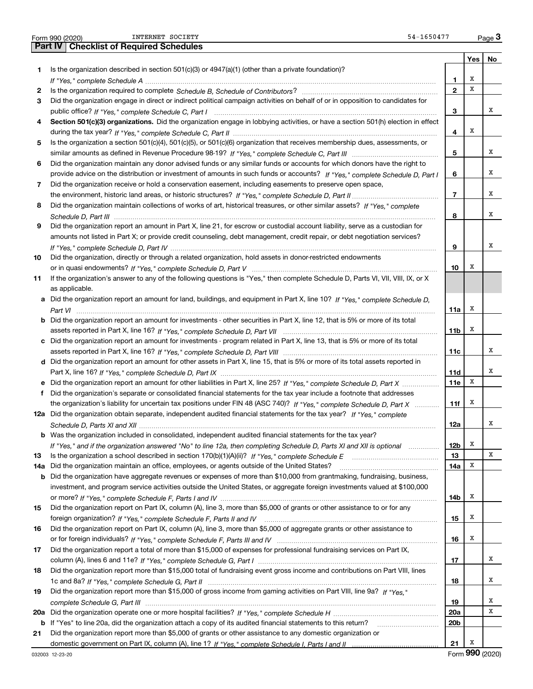|     |                                                                                                                                       |                 |   | Yes   No |
|-----|---------------------------------------------------------------------------------------------------------------------------------------|-----------------|---|----------|
| 1.  | Is the organization described in section $501(c)(3)$ or $4947(a)(1)$ (other than a private foundation)?                               |                 |   |          |
|     |                                                                                                                                       | 1.              | х |          |
| 2   |                                                                                                                                       | $\mathbf{2}$    | x |          |
| 3   | Did the organization engage in direct or indirect political campaign activities on behalf of or in opposition to candidates for       |                 |   |          |
|     |                                                                                                                                       | 3               |   | x        |
| 4   | Section 501(c)(3) organizations. Did the organization engage in lobbying activities, or have a section 501(h) election in effect      |                 |   |          |
|     |                                                                                                                                       | 4               | х |          |
| 5   | Is the organization a section 501(c)(4), 501(c)(5), or 501(c)(6) organization that receives membership dues, assessments, or          |                 |   |          |
|     |                                                                                                                                       | 5               |   | x        |
| 6   | Did the organization maintain any donor advised funds or any similar funds or accounts for which donors have the right to             |                 |   |          |
|     | provide advice on the distribution or investment of amounts in such funds or accounts? If "Yes," complete Schedule D, Part I          | 6               |   | х        |
| 7   | Did the organization receive or hold a conservation easement, including easements to preserve open space,                             |                 |   |          |
|     |                                                                                                                                       | 7               |   | x        |
| 8   | Did the organization maintain collections of works of art, historical treasures, or other similar assets? If "Yes," complete          |                 |   |          |
|     |                                                                                                                                       | 8               |   | х        |
| 9   | Did the organization report an amount in Part X, line 21, for escrow or custodial account liability, serve as a custodian for         |                 |   |          |
|     | amounts not listed in Part X; or provide credit counseling, debt management, credit repair, or debt negotiation services?             |                 |   |          |
|     |                                                                                                                                       |                 |   | х        |
|     |                                                                                                                                       | 9               |   |          |
| 10  | Did the organization, directly or through a related organization, hold assets in donor-restricted endowments                          |                 | х |          |
|     |                                                                                                                                       | 10              |   |          |
| 11  | If the organization's answer to any of the following questions is "Yes," then complete Schedule D, Parts VI, VII, VIII, IX, or X      |                 |   |          |
|     | as applicable.                                                                                                                        |                 |   |          |
|     | a Did the organization report an amount for land, buildings, and equipment in Part X, line 10? If "Yes," complete Schedule D,         |                 |   |          |
|     |                                                                                                                                       | 11a             | х |          |
|     | <b>b</b> Did the organization report an amount for investments - other securities in Part X, line 12, that is 5% or more of its total |                 |   |          |
|     |                                                                                                                                       | 11 <sub>b</sub> | х |          |
|     | c Did the organization report an amount for investments - program related in Part X, line 13, that is 5% or more of its total         |                 |   |          |
|     |                                                                                                                                       | 11c             |   | х        |
|     | d Did the organization report an amount for other assets in Part X, line 15, that is 5% or more of its total assets reported in       |                 |   |          |
|     |                                                                                                                                       | <b>11d</b>      |   | х        |
|     | e Did the organization report an amount for other liabilities in Part X, line 25? If "Yes," complete Schedule D, Part X               | 11e             | х |          |
|     | f Did the organization's separate or consolidated financial statements for the tax year include a footnote that addresses             |                 |   |          |
|     | the organization's liability for uncertain tax positions under FIN 48 (ASC 740)? If "Yes," complete Schedule D, Part X                | 11f             | х |          |
|     | 12a Did the organization obtain separate, independent audited financial statements for the tax year? If "Yes." complete               |                 |   |          |
|     |                                                                                                                                       | 12a             |   | х        |
|     | <b>b</b> Was the organization included in consolidated, independent audited financial statements for the tax year?                    |                 |   |          |
|     | If "Yes," and if the organization answered "No" to line 12a, then completing Schedule D, Parts XI and XII is optional                 | 12 <sub>b</sub> | x |          |
| 13  |                                                                                                                                       | 13              |   | x        |
| 14a | Did the organization maintain an office, employees, or agents outside of the United States?                                           | 14a             | X |          |
|     | <b>b</b> Did the organization have aggregate revenues or expenses of more than \$10,000 from grantmaking, fundraising, business,      |                 |   |          |
|     | investment, and program service activities outside the United States, or aggregate foreign investments valued at \$100,000            |                 |   |          |
|     |                                                                                                                                       | 14b             | X |          |
| 15  | Did the organization report on Part IX, column (A), line 3, more than \$5,000 of grants or other assistance to or for any             |                 |   |          |
|     |                                                                                                                                       | 15              | X |          |
| 16  | Did the organization report on Part IX, column (A), line 3, more than \$5,000 of aggregate grants or other assistance to              |                 |   |          |
|     |                                                                                                                                       | 16              | х |          |
| 17  | Did the organization report a total of more than \$15,000 of expenses for professional fundraising services on Part IX,               |                 |   |          |
|     |                                                                                                                                       | 17              |   | x        |
| 18  | Did the organization report more than \$15,000 total of fundraising event gross income and contributions on Part VIII, lines          |                 |   |          |
|     |                                                                                                                                       | 18              |   | x        |
| 19  | Did the organization report more than \$15,000 of gross income from gaming activities on Part VIII, line 9a? If "Yes."                |                 |   |          |
|     |                                                                                                                                       | 19              |   | х        |
|     |                                                                                                                                       | 20a             |   | х        |
| 20a |                                                                                                                                       | 20 <sub>b</sub> |   |          |
| b   | If "Yes" to line 20a, did the organization attach a copy of its audited financial statements to this return?                          |                 |   |          |
| 21  | Did the organization report more than \$5,000 of grants or other assistance to any domestic organization or                           |                 | X |          |
|     |                                                                                                                                       | 21              |   |          |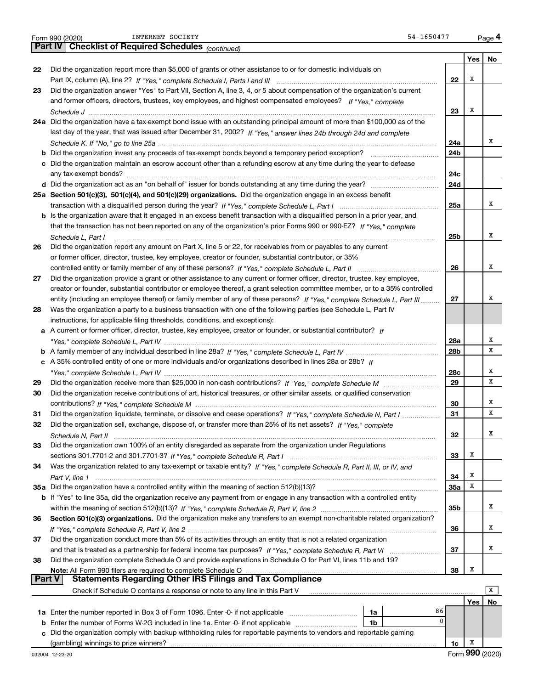|  | Form 990 (2020) |
|--|-----------------|
|  |                 |

INTERNET SOCIETY 54-1650477

|    | INTERNET SOCIETY<br>Form 990 (2020)                                                                                          | 54-1650477 |     | Page 4 |
|----|------------------------------------------------------------------------------------------------------------------------------|------------|-----|--------|
|    | Part IV<br><b>Checklist of Required Schedules (continued)</b>                                                                |            |     |        |
|    |                                                                                                                              |            | Yes | No     |
| 22 | Did the organization report more than \$5,000 of grants or other assistance to or for domestic individuals on                |            |     |        |
|    |                                                                                                                              | 22         | х   |        |
| 23 | Did the organization answer "Yes" to Part VII, Section A, line 3, 4, or 5 about compensation of the organization's current   |            |     |        |
|    | and former officers, directors, trustees, key employees, and highest compensated employees? If "Yes," complete               |            |     |        |
|    |                                                                                                                              | 23         | х   |        |
|    | 24a Did the organization have a tax-exempt bond issue with an outstanding principal amount of more than \$100,000 as of the  |            |     |        |
|    | last day of the year, that was issued after December 31, 2002? If "Yes," answer lines 24b through 24d and complete           |            |     |        |
|    |                                                                                                                              | 24a        |     | х      |
| b  | Did the organization invest any proceeds of tax-exempt bonds beyond a temporary period exception?                            | 24b        |     |        |
|    | c Did the organization maintain an escrow account other than a refunding escrow at any time during the year to defease       |            |     |        |
|    |                                                                                                                              | 24c        |     |        |
|    |                                                                                                                              | 24d        |     |        |
|    | 25a Section 501(c)(3), 501(c)(4), and 501(c)(29) organizations. Did the organization engage in an excess benefit             |            |     |        |
|    |                                                                                                                              | 25a        |     | х      |
|    | b Is the organization aware that it engaged in an excess benefit transaction with a disqualified person in a prior year, and |            |     |        |
|    | that the transaction has not been reported on any of the organization's prior Forms 990 or 990-EZ? If "Yes," complete        |            |     |        |
|    | Schedule L. Part I                                                                                                           | 25b        |     | Χ      |
| 26 | Did the organization report any amount on Part X, line 5 or 22, for receivables from or payables to any current              |            |     |        |
|    | or former officer, director, trustee, key employee, creator or founder, substantial contributor, or 35%                      |            |     |        |
|    |                                                                                                                              | 26         |     | х      |
| 27 | Did the organization provide a grant or other assistance to any current or former officer, director, trustee, key employee,  |            |     |        |
|    | creator or founder, substantial contributor or employee thereof, a grant selection committee member, or to a 35% controlled  |            |     |        |
|    | entity (including an employee thereof) or family member of any of these persons? If "Yes," complete Schedule L, Part III     | 27         |     | х      |
| 28 | Was the organization a party to a business transaction with one of the following parties (see Schedule L, Part IV            |            |     |        |
|    | instructions, for applicable filing thresholds, conditions, and exceptions):                                                 |            |     |        |
|    | a A current or former officer, director, trustee, key employee, creator or founder, or substantial contributor? If           |            |     |        |
|    |                                                                                                                              | 28a        |     | х      |
|    |                                                                                                                              | 28b        |     | х      |
|    | c A 35% controlled entity of one or more individuals and/or organizations described in lines 28a or 28b? If                  |            |     |        |
|    |                                                                                                                              | 28c        |     | Χ      |
| 29 |                                                                                                                              | 29         |     | х      |
| 30 | Did the organization receive contributions of art, historical treasures, or other similar assets, or qualified conservation  |            |     |        |
|    |                                                                                                                              | 30         |     | х      |
| 31 | Did the organization liquidate, terminate, or dissolve and cease operations? If "Yes," complete Schedule N, Part I           | 31         |     | X      |
| 32 | Did the organization sell, exchange, dispose of, or transfer more than 25% of its net assets? If "Yes," complete             |            |     |        |
|    |                                                                                                                              | 32         |     | х      |
| 33 | Did the organization own 100% of an entity disregarded as separate from the organization under Regulations                   |            |     |        |
|    |                                                                                                                              | 33         | х   |        |
| 34 | Was the organization related to any tax-exempt or taxable entity? If "Yes," complete Schedule R, Part II, III, or IV, and    |            |     |        |
|    | Part V, line 1                                                                                                               | 34         | x   |        |
|    | 35a Did the organization have a controlled entity within the meaning of section 512(b)(13)?                                  | 35a        | X   |        |
|    | b If "Yes" to line 35a, did the organization receive any payment from or engage in any transaction with a controlled entity  |            |     |        |
|    |                                                                                                                              | 35b        |     | х      |
| 36 | Section 501(c)(3) organizations. Did the organization make any transfers to an exempt non-charitable related organization?   |            |     |        |
|    |                                                                                                                              | 36         |     | х      |
| 37 | Did the organization conduct more than 5% of its activities through an entity that is not a related organization             |            |     |        |
|    |                                                                                                                              | 37         |     | x      |
| 38 | Did the organization complete Schedule O and provide explanations in Schedule O for Part VI, lines 11b and 19?               |            |     |        |
|    | Note: All Form 990 filers are required to complete Schedule O                                                                | 38         | x   |        |
|    | <b>Statements Regarding Other IRS Filings and Tax Compliance</b><br>Part V                                                   |            |     |        |
|    | Check if Schedule O contains a response or note to any line in this Part V                                                   |            |     | X      |
|    |                                                                                                                              |            | Yes | No     |
|    | 1a                                                                                                                           | 86         |     |        |
|    | <b>b</b> Enter the number of Forms W-2G included in line 1a. Enter -0- if not applicable<br>1b                               | $\Omega$   |     |        |
|    | c Did the organization comply with backup withholding rules for reportable payments to vendors and reportable gaming         |            |     |        |

(gambling) winnings to prize winners?

**1c** X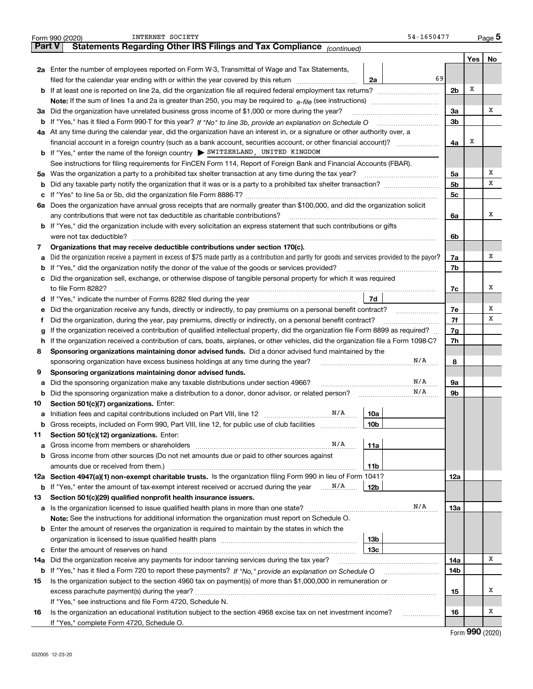|        | 54-1650477<br>INTERNET SOCIETY<br>Form 990 (2020)                                                                                               |                |     | $_{\text{Page}}$ 5 |
|--------|-------------------------------------------------------------------------------------------------------------------------------------------------|----------------|-----|--------------------|
| Part V | Statements Regarding Other IRS Filings and Tax Compliance (continued)                                                                           |                |     |                    |
|        |                                                                                                                                                 |                | Yes | No                 |
|        | 2a Enter the number of employees reported on Form W-3, Transmittal of Wage and Tax Statements,                                                  |                |     |                    |
|        | 69<br>filed for the calendar year ending with or within the year covered by this return<br>2a                                                   |                |     |                    |
|        | <b>b</b> If at least one is reported on line 2a, did the organization file all required federal employment tax returns?                         | 2 <sub>b</sub> | Х   |                    |
|        | <b>Note:</b> If the sum of lines 1a and 2a is greater than 250, you may be required to $e$ -file (see instructions) <i>manimummmmmm</i>         |                |     |                    |
|        | 3a Did the organization have unrelated business gross income of \$1,000 or more during the year?                                                | 3a             |     | х                  |
|        | b If "Yes," has it filed a Form 990-T for this year? If "No" to line 3b, provide an explanation on Schedule O                                   | 3 <sub>b</sub> |     |                    |
|        | 4a At any time during the calendar year, did the organization have an interest in, or a signature or other authority over, a                    |                |     |                    |
|        | financial account in a foreign country (such as a bank account, securities account, or other financial account)?                                | 4a             | х   |                    |
|        | <b>b</b> If "Yes," enter the name of the foreign country $\triangleright$ SWITZERLAND, UNITED KINGDOM                                           |                |     |                    |
|        | See instructions for filing requirements for FinCEN Form 114, Report of Foreign Bank and Financial Accounts (FBAR).                             |                |     |                    |
|        | 5a Was the organization a party to a prohibited tax shelter transaction at any time during the tax year?                                        | 5a             |     | х                  |
|        |                                                                                                                                                 | 5 <sub>b</sub> |     | х                  |
|        |                                                                                                                                                 | 5c             |     |                    |
|        | 6a Does the organization have annual gross receipts that are normally greater than \$100,000, and did the organization solicit                  |                |     |                    |
|        | any contributions that were not tax deductible as charitable contributions?                                                                     | 6a             |     | x                  |
|        | b If "Yes," did the organization include with every solicitation an express statement that such contributions or gifts                          |                |     |                    |
|        | were not tax deductible?                                                                                                                        | 6b             |     |                    |
| 7      | Organizations that may receive deductible contributions under section 170(c).                                                                   |                |     |                    |
| а      | Did the organization receive a payment in excess of \$75 made partly as a contribution and partly for goods and services provided to the payor? | 7a             |     | x                  |
|        | <b>b</b> If "Yes," did the organization notify the donor of the value of the goods or services provided?                                        | 7b             |     |                    |
|        | c Did the organization sell, exchange, or otherwise dispose of tangible personal property for which it was required                             |                |     |                    |
|        | to file Form 8282?                                                                                                                              | 7с             |     | x                  |
|        | 7d<br><b>d</b> If "Yes," indicate the number of Forms 8282 filed during the year                                                                |                |     |                    |
| е      | Did the organization receive any funds, directly or indirectly, to pay premiums on a personal benefit contract?                                 | 7e             |     | х                  |
| Ť      | Did the organization, during the year, pay premiums, directly or indirectly, on a personal benefit contract?                                    | 7f             |     | х                  |
| g      | If the organization received a contribution of qualified intellectual property, did the organization file Form 8899 as required?                | 7g             |     |                    |
| h.     | If the organization received a contribution of cars, boats, airplanes, or other vehicles, did the organization file a Form 1098-C?              | 7h             |     |                    |
| 8      | Sponsoring organizations maintaining donor advised funds. Did a donor advised fund maintained by the                                            |                |     |                    |
|        | N/A<br>sponsoring organization have excess business holdings at any time during the year?                                                       | 8              |     |                    |
| 9      | Sponsoring organizations maintaining donor advised funds.                                                                                       |                |     |                    |
| а      | N/A<br>Did the sponsoring organization make any taxable distributions under section 4966?                                                       | 9а             |     |                    |
| b      | N/A<br>Did the sponsoring organization make a distribution to a donor, donor advisor, or related person?                                        | 9b             |     |                    |
| 10     | Section 501(c)(7) organizations. Enter:                                                                                                         |                |     |                    |
|        | N/A<br>10a<br>a Initiation fees and capital contributions included on Part VIII, line 12                                                        |                |     |                    |
|        | <b>b</b> Gross receipts, included on Form 990, Part VIII, line 12, for public use of club facilities <i>manamerous</i><br>10b                   |                |     |                    |
| 11     | Section 501(c)(12) organizations. Enter:                                                                                                        |                |     |                    |
| а      | N/A<br>11a                                                                                                                                      |                |     |                    |
|        | <b>b</b> Gross income from other sources (Do not net amounts due or paid to other sources against                                               |                |     |                    |
|        | amounts due or received from them.)<br>11b                                                                                                      |                |     |                    |
|        | 12a Section 4947(a)(1) non-exempt charitable trusts. Is the organization filing Form 990 in lieu of Form 1041?                                  | 12a            |     |                    |
|        | <b>b</b> If "Yes," enter the amount of tax-exempt interest received or accrued during the year $\ldots$ $N/\mathcal{A}$<br>12b                  |                |     |                    |
| 13     | Section 501(c)(29) qualified nonprofit health insurance issuers.<br>N/A                                                                         |                |     |                    |
|        |                                                                                                                                                 | 13а            |     |                    |
|        | Note: See the instructions for additional information the organization must report on Schedule O.                                               |                |     |                    |
|        | <b>b</b> Enter the amount of reserves the organization is required to maintain by the states in which the                                       |                |     |                    |
|        | 13b                                                                                                                                             |                |     |                    |
|        | 13с                                                                                                                                             |                |     |                    |
| 14a    | Did the organization receive any payments for indoor tanning services during the tax year?                                                      | 14a            |     | Χ                  |
|        |                                                                                                                                                 | 14b            |     |                    |
| 15     | Is the organization subject to the section 4960 tax on payment(s) of more than \$1,000,000 in remuneration or                                   |                |     |                    |
|        |                                                                                                                                                 | 15             |     | Х                  |
|        | If "Yes," see instructions and file Form 4720, Schedule N.                                                                                      |                |     |                    |
| 16     | Is the organization an educational institution subject to the section 4968 excise tax on net investment income?<br>.                            | 16             |     | х                  |
|        | If "Yes," complete Form 4720, Schedule O.                                                                                                       |                |     |                    |

| $rform$ 990 (2020) |  |  |
|--------------------|--|--|
|--------------------|--|--|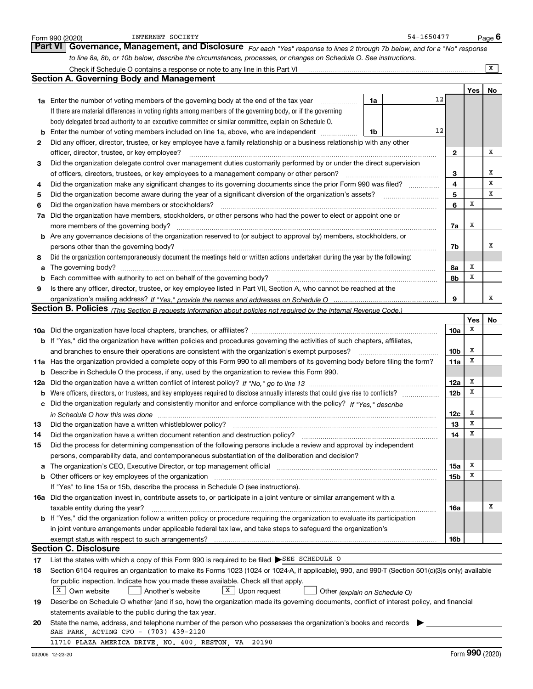|     | INTERNET SOCIETY<br>Form 990 (2020)                                                                                                                                                                                            |    | 54-1650477 |                 |     | Page $6$                |
|-----|--------------------------------------------------------------------------------------------------------------------------------------------------------------------------------------------------------------------------------|----|------------|-----------------|-----|-------------------------|
|     | <b>Part VI</b><br>Governance, Management, and Disclosure For each "Yes" response to lines 2 through 7b below, and for a "No" response                                                                                          |    |            |                 |     |                         |
|     | to line 8a, 8b, or 10b below, describe the circumstances, processes, or changes on Schedule O. See instructions.                                                                                                               |    |            |                 |     |                         |
|     | Check if Schedule O contains a response or note to any line in this Part VI                                                                                                                                                    |    |            |                 |     | $\overline{\mathbf{x}}$ |
|     | <b>Section A. Governing Body and Management</b>                                                                                                                                                                                |    |            |                 |     |                         |
|     |                                                                                                                                                                                                                                |    |            |                 | Yes | No                      |
|     | <b>1a</b> Enter the number of voting members of the governing body at the end of the tax year<br>.                                                                                                                             | 1a | 12         |                 |     |                         |
|     | If there are material differences in voting rights among members of the governing body, or if the governing                                                                                                                    |    |            |                 |     |                         |
|     | body delegated broad authority to an executive committee or similar committee, explain on Schedule O.                                                                                                                          |    |            |                 |     |                         |
|     | Enter the number of voting members included on line 1a, above, who are independent                                                                                                                                             |    | 12         |                 |     |                         |
|     |                                                                                                                                                                                                                                | 1b |            |                 |     |                         |
| 2   | Did any officer, director, trustee, or key employee have a family relationship or a business relationship with any other                                                                                                       |    |            |                 |     | х                       |
|     | officer, director, trustee, or key employee?                                                                                                                                                                                   |    |            | $\mathbf{2}$    |     |                         |
| 3   | Did the organization delegate control over management duties customarily performed by or under the direct supervision                                                                                                          |    |            |                 |     |                         |
|     | of officers, directors, trustees, or key employees to a management company or other person?                                                                                                                                    |    |            | 3               |     | х                       |
| 4   | Did the organization make any significant changes to its governing documents since the prior Form 990 was filed?                                                                                                               |    |            | 4               |     | X                       |
| 5   |                                                                                                                                                                                                                                |    |            | 5               |     | X                       |
| 6   | Did the organization have members or stockholders?                                                                                                                                                                             |    |            | 6               | X   |                         |
| 7a  | Did the organization have members, stockholders, or other persons who had the power to elect or appoint one or                                                                                                                 |    |            |                 |     |                         |
|     | more members of the governing body?                                                                                                                                                                                            |    |            | 7a              | х   |                         |
|     | <b>b</b> Are any governance decisions of the organization reserved to (or subject to approval by) members, stockholders, or                                                                                                    |    |            |                 |     |                         |
|     | persons other than the governing body?                                                                                                                                                                                         |    |            | 7b              |     | x                       |
| 8   | Did the organization contemporaneously document the meetings held or written actions undertaken during the year by the following:                                                                                              |    |            |                 |     |                         |
| a   | The governing body? [[11] matter and the contract of the contract of the contract of the contract of the contract of the contract of the contract of the contract of the contract of the contract of the contract of the contr |    |            | 8a              | x   |                         |
|     | Each committee with authority to act on behalf of the governing body?                                                                                                                                                          |    |            | 8b              | х   |                         |
| 9   | Is there any officer, director, trustee, or key employee listed in Part VII, Section A, who cannot be reached at the                                                                                                           |    |            |                 |     |                         |
|     |                                                                                                                                                                                                                                |    |            | 9               |     | x                       |
|     | Section B. Policies <sub>(This</sub> Section B requests information about policies not required by the Internal Revenue Code.)                                                                                                 |    |            |                 |     |                         |
|     |                                                                                                                                                                                                                                |    |            |                 | Yes | No                      |
|     | <b>10a</b> Did the organization have local chapters, branches, or affiliates? [110] Did the organization have local chapters, branches, or affiliates?                                                                         |    |            | <b>10a</b>      | х   |                         |
|     | <b>b</b> If "Yes," did the organization have written policies and procedures governing the activities of such chapters, affiliates,                                                                                            |    |            |                 |     |                         |
|     | and branches to ensure their operations are consistent with the organization's exempt purposes?                                                                                                                                |    |            | 10 <sub>b</sub> | Х   |                         |
|     | 11a Has the organization provided a complete copy of this Form 990 to all members of its governing body before filing the form?                                                                                                |    |            | 11a             | Х   |                         |
| b   | Describe in Schedule O the process, if any, used by the organization to review this Form 990.                                                                                                                                  |    |            |                 |     |                         |
| 12a |                                                                                                                                                                                                                                |    |            | 12a             | х   |                         |
| b   |                                                                                                                                                                                                                                |    |            | 12 <sub>b</sub> | х   |                         |
| с   | Did the organization regularly and consistently monitor and enforce compliance with the policy? If "Yes," describe                                                                                                             |    |            |                 |     |                         |
|     |                                                                                                                                                                                                                                |    |            | 12c             | x   |                         |
| 13  | Did the organization have a written whistleblower policy?                                                                                                                                                                      |    |            | 13              | x   |                         |
| 14  | Did the organization have a written document retention and destruction policy?                                                                                                                                                 |    |            | 14              | X   |                         |
|     | Did the process for determining compensation of the following persons include a review and approval by independent                                                                                                             |    |            |                 |     |                         |
| 15  | persons, comparability data, and contemporaneous substantiation of the deliberation and decision?                                                                                                                              |    |            |                 |     |                         |
|     | The organization's CEO, Executive Director, or top management official                                                                                                                                                         |    |            | 15a             | x   |                         |
| а   |                                                                                                                                                                                                                                |    |            |                 | х   |                         |
|     | Other officers or key employees of the organization                                                                                                                                                                            |    |            | 15b             |     |                         |
|     | If "Yes" to line 15a or 15b, describe the process in Schedule O (see instructions).                                                                                                                                            |    |            |                 |     |                         |
|     | 16a Did the organization invest in, contribute assets to, or participate in a joint venture or similar arrangement with a                                                                                                      |    |            |                 |     |                         |
|     | taxable entity during the year?                                                                                                                                                                                                |    |            | 16a             |     | Х                       |
|     | <b>b</b> If "Yes," did the organization follow a written policy or procedure requiring the organization to evaluate its participation                                                                                          |    |            |                 |     |                         |
|     | in joint venture arrangements under applicable federal tax law, and take steps to safeguard the organization's                                                                                                                 |    |            |                 |     |                         |
|     | exempt status with respect to such arrangements?                                                                                                                                                                               |    |            | 16b             |     |                         |
|     | <b>Section C. Disclosure</b>                                                                                                                                                                                                   |    |            |                 |     |                         |
| 17  | List the states with which a copy of this Form 990 is required to be filed SEE SCHEDULE O                                                                                                                                      |    |            |                 |     |                         |
| 18  | Section 6104 requires an organization to make its Forms 1023 (1024 or 1024-A, if applicable), 990, and 990-T (Section 501(c)(3)s only) available                                                                               |    |            |                 |     |                         |
|     | for public inspection. Indicate how you made these available. Check all that apply.                                                                                                                                            |    |            |                 |     |                         |
|     | $X$ Own website<br>$X$ Upon request<br>Another's website<br>Other (explain on Schedule O)                                                                                                                                      |    |            |                 |     |                         |
| 19  | Describe on Schedule O whether (and if so, how) the organization made its governing documents, conflict of interest policy, and financial                                                                                      |    |            |                 |     |                         |
|     | statements available to the public during the tax year.                                                                                                                                                                        |    |            |                 |     |                         |
| 20  | State the name, address, and telephone number of the person who possesses the organization's books and records                                                                                                                 |    |            |                 |     |                         |
|     | SAE PARK, ACTING CFO - (703) 439-2120                                                                                                                                                                                          |    |            |                 |     |                         |
|     | 20190<br>11710 PLAZA AMERICA DRIVE, NO. 400, RESTON, VA                                                                                                                                                                        |    |            |                 |     |                         |
|     |                                                                                                                                                                                                                                |    |            |                 |     |                         |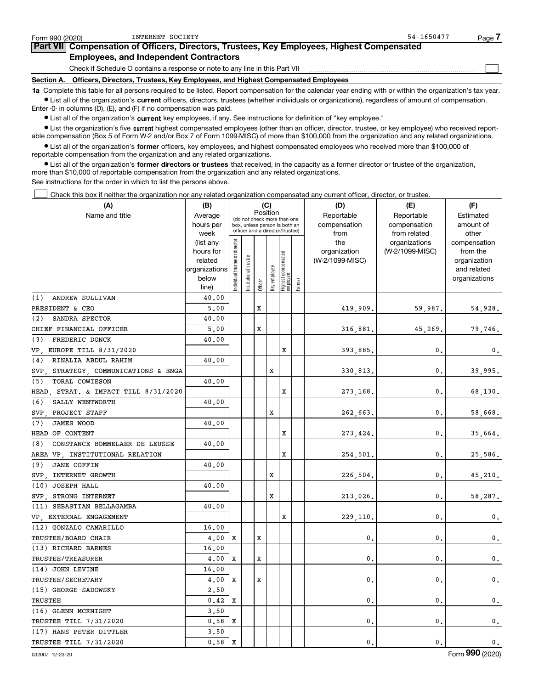| Form 990 (2020) | INTERNET SOCIETY                                                                                                                                           | 54-1650477 | Page |
|-----------------|------------------------------------------------------------------------------------------------------------------------------------------------------------|------------|------|
|                 | Part VII Compensation of Officers, Directors, Trustees, Key Employees, Highest Compensated                                                                 |            |      |
|                 | <b>Employees, and Independent Contractors</b>                                                                                                              |            |      |
|                 | Check if Schedule O contains a response or note to any line in this Part VII                                                                               |            |      |
|                 | Section A. Officers, Directors, Trustees, Key Employees, and Highest Compensated Employees                                                                 |            |      |
|                 | 1a Complete this table for all persons required to be listed. Report compensation for the calendar year ending with or within the organization's tax year. |            |      |

**•** List all of the organization's current officers, directors, trustees (whether individuals or organizations), regardless of amount of compensation. Enter -0- in columns (D), (E), and (F) if no compensation was paid.

 $\bullet$  List all of the organization's  $\,$ current key employees, if any. See instructions for definition of "key employee."

**•** List the organization's five current highest compensated employees (other than an officer, director, trustee, or key employee) who received reportable compensation (Box 5 of Form W-2 and/or Box 7 of Form 1099-MISC) of more than \$100,000 from the organization and any related organizations.

**•** List all of the organization's former officers, key employees, and highest compensated employees who received more than \$100,000 of reportable compensation from the organization and any related organizations.

**former directors or trustees**  ¥ List all of the organization's that received, in the capacity as a former director or trustee of the organization, more than \$10,000 of reportable compensation from the organization and any related organizations.

See instructions for the order in which to list the persons above.

Check this box if neither the organization nor any related organization compensated any current officer, director, or trustee.  $\mathcal{L}^{\text{max}}$ 

| (A)                                  | (C)<br>(B)               |                               |                       |          |              |                                                                  |        | (D)             | (E)             | (F)                         |
|--------------------------------------|--------------------------|-------------------------------|-----------------------|----------|--------------|------------------------------------------------------------------|--------|-----------------|-----------------|-----------------------------|
| Name and title                       | Average                  |                               |                       | Position |              | (do not check more than one                                      |        | Reportable      | Reportable      | Estimated                   |
|                                      | hours per                |                               |                       |          |              | box, unless person is both an<br>officer and a director/trustee) |        | compensation    | compensation    | amount of                   |
|                                      | week                     |                               |                       |          |              |                                                                  |        | from            | from related    | other                       |
|                                      | (list any                |                               |                       |          |              |                                                                  |        | the             | organizations   | compensation                |
|                                      | hours for                |                               |                       |          |              |                                                                  |        | organization    | (W-2/1099-MISC) | from the                    |
|                                      | related<br>organizations |                               |                       |          |              |                                                                  |        | (W-2/1099-MISC) |                 | organization<br>and related |
|                                      | below                    |                               |                       |          |              |                                                                  |        |                 |                 | organizations               |
|                                      | line)                    | ndividual trustee or director | Institutional trustee | Officer  | Key employee | Highest compensated<br>employee                                  | Former |                 |                 |                             |
| ANDREW SULLIVAN<br>(1)               | 40.00                    |                               |                       |          |              |                                                                  |        |                 |                 |                             |
| PRESIDENT & CEO                      | 5,00                     |                               |                       | X        |              |                                                                  |        | 419,909.        | 59,987.         | 54,928.                     |
| SANDRA SPECTOR<br>(2)                | 40.00                    |                               |                       |          |              |                                                                  |        |                 |                 |                             |
| CHIEF FINANCIAL OFFICER              | 5,00                     |                               |                       | x        |              |                                                                  |        | 316,881.        | 45,269.         | 79,746.                     |
| (3)<br>FREDERIC DONCK                | 40.00                    |                               |                       |          |              |                                                                  |        |                 |                 |                             |
| VP, EUROPE TILL 8/31/2020            |                          |                               |                       |          |              | x                                                                |        | 393,885.        | $\mathbf{0}$    | 0.                          |
| RINALIA ABDUL RAHIM<br>(4)           | 40.00                    |                               |                       |          |              |                                                                  |        |                 |                 |                             |
| SVP, STRATEGY, COMMUNICATIONS & ENGA |                          |                               |                       |          | X            |                                                                  |        | 330,813.        | $\mathbf{0}$    | 39,995.                     |
| TORAL COWIESON<br>(5)                | 40.00                    |                               |                       |          |              |                                                                  |        |                 |                 |                             |
| HEAD, STRAT. & IMPACT TILL 8/31/2020 |                          |                               |                       |          |              | X                                                                |        | 273,168.        | 0.              | 68,130.                     |
| SALLY WENTWORTH<br>(6)               | 40.00                    |                               |                       |          |              |                                                                  |        |                 |                 |                             |
| SVP<br>PROJECT STAFF                 |                          |                               |                       |          | X            |                                                                  |        | 262,663.        | 0.              | 58,668.                     |
| JAMES WOOD<br>(7)                    | 40.00                    |                               |                       |          |              |                                                                  |        |                 |                 |                             |
| HEAD OF CONTENT                      |                          |                               |                       |          |              | x                                                                |        | 273,424.        | $\mathbf{0}$ .  | 35,664.                     |
| CONSTANCE BOMMELAER DE LEUSSE<br>(8) | 40.00                    |                               |                       |          |              |                                                                  |        |                 |                 |                             |
| AREA VP, INSTITUTIONAL RELATION      |                          |                               |                       |          |              | X                                                                |        | 254,501.        | $\mathbf{0}$    | 25,586.                     |
| (9)<br>JANE COFFIN                   | 40.00                    |                               |                       |          |              |                                                                  |        |                 |                 |                             |
| INTERNET GROWTH<br>SVP.              |                          |                               |                       |          | X            |                                                                  |        | 226,504.        | $\mathbf{0}$ .  | 45,210.                     |
| (10) JOSEPH HALL                     | 40.00                    |                               |                       |          |              |                                                                  |        |                 |                 |                             |
| STRONG INTERNET<br>SVP.              |                          |                               |                       |          | X            |                                                                  |        | 213,026.        | $\mathbf{0}$    | 58,287.                     |
| (11) SEBASTIAN BELLAGAMBA            | 40.00                    |                               |                       |          |              |                                                                  |        |                 |                 |                             |
| VP , EXTERNAL ENGAGEMENT             |                          |                               |                       |          |              | x                                                                |        | 229,110.        | $\mathbf{0}$    | $\mathbf 0$ .               |
| (12) GONZALO CAMARILLO               | 16.00                    |                               |                       |          |              |                                                                  |        |                 |                 |                             |
| TRUSTEE/BOARD CHAIR                  | 4,00                     | X                             |                       | X        |              |                                                                  |        | 0.              | $\mathbf 0$     | 0.                          |
| (13) RICHARD BARNES                  | 16.00                    |                               |                       |          |              |                                                                  |        |                 |                 |                             |
| TRUSTEE/TREASURER                    | 4,00                     | X                             |                       | X        |              |                                                                  |        | 0.              | $\mathbf{0}$    | 0.                          |
| (14) JOHN LEVINE                     | 16.00                    |                               |                       |          |              |                                                                  |        |                 |                 |                             |
| TRUSTEE/SECRETARY                    | 4.00                     | Х                             |                       | X        |              |                                                                  |        | $\mathbf{0}$ .  | $\mathbf{0}$ .  | 0.                          |
| (15) GEORGE SADOWSKY                 | 2.50                     |                               |                       |          |              |                                                                  |        |                 |                 |                             |
| TRUSTEE                              | 0.42                     | X                             |                       |          |              |                                                                  |        | 0.              | $\mathbf{0}$ .  | $\mathbf 0$ .               |
| (16) GLENN MCKNIGHT                  | 3.50                     |                               |                       |          |              |                                                                  |        |                 |                 |                             |
| TRUSTEE TILL 7/31/2020               | 0.58                     | X                             |                       |          |              |                                                                  |        | 0.              | 0.              | 0.                          |
| (17) HANS PETER DITTLER              | 3,50                     |                               |                       |          |              |                                                                  |        |                 |                 |                             |
| TRUSTEE TILL 7/31/2020               | 0.58                     | X                             |                       |          |              |                                                                  |        | $\mathbf{0}$ .  | 0.              | 0.                          |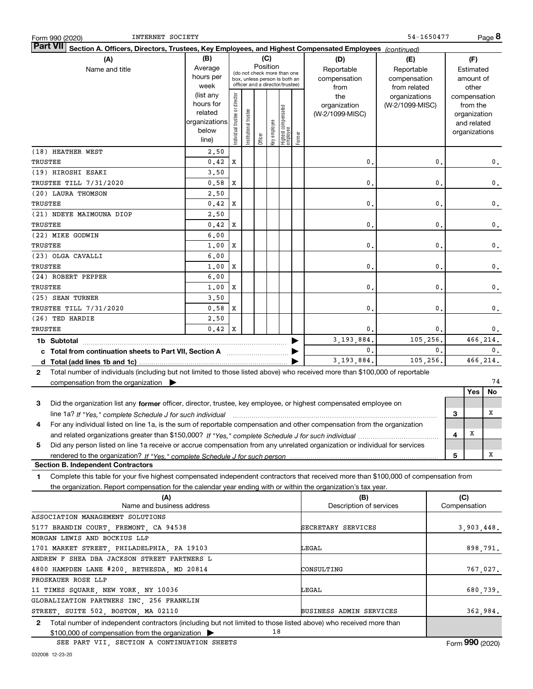| INTERNET SOCIETY<br>Form 990 (2020)                                                                                                          |                   |                                |                        |         |                                 |                                   |        |                                | 54-1650477                       |                |                     |                          | Page 8          |
|----------------------------------------------------------------------------------------------------------------------------------------------|-------------------|--------------------------------|------------------------|---------|---------------------------------|-----------------------------------|--------|--------------------------------|----------------------------------|----------------|---------------------|--------------------------|-----------------|
| <b>Part VII</b><br>Section A. Officers, Directors, Trustees, Key Employees, and Highest Compensated Employees (continued)                    |                   |                                |                        |         |                                 |                                   |        |                                |                                  |                |                     |                          |                 |
| (A)                                                                                                                                          | (B)               |                                |                        |         | (C)                             |                                   |        | (D)                            | (E)                              |                |                     | (F)                      |                 |
| Name and title                                                                                                                               | Average           |                                |                        |         | Position                        | (do not check more than one       |        | Reportable                     | Reportable                       |                |                     | Estimated                |                 |
|                                                                                                                                              | hours per         |                                |                        |         |                                 | box, unless person is both an     |        | compensation                   | compensation                     |                |                     | amount of                |                 |
|                                                                                                                                              | week<br>(list any |                                |                        |         | officer and a director/trustee) |                                   |        | from                           | from related                     |                |                     | other                    |                 |
|                                                                                                                                              | hours for         |                                |                        |         |                                 |                                   |        | the<br>organization            | organizations<br>(W-2/1099-MISC) |                |                     | compensation<br>from the |                 |
|                                                                                                                                              | related           |                                |                        |         |                                 |                                   |        | (W-2/1099-MISC)                |                                  |                |                     | organization             |                 |
|                                                                                                                                              | organizations     |                                |                        |         |                                 |                                   |        |                                |                                  |                |                     | and related              |                 |
|                                                                                                                                              | below             | Individual trustee or director | In stitutional trustee |         | key employee                    |                                   |        |                                |                                  |                |                     | organizations            |                 |
|                                                                                                                                              | line)             |                                |                        | Officer |                                 | Highest compensated<br>  employee | Former |                                |                                  |                |                     |                          |                 |
| (18) HEATHER WEST                                                                                                                            | 2,50              |                                |                        |         |                                 |                                   |        |                                |                                  |                |                     |                          |                 |
| TRUSTEE                                                                                                                                      | 0.42              | X                              |                        |         |                                 |                                   |        | 0.                             |                                  | 0.             |                     |                          | 0.              |
| (19) HIROSHI ESAKI                                                                                                                           | 3.50              |                                |                        |         |                                 |                                   |        |                                |                                  |                |                     |                          |                 |
| TRUSTEE TILL 7/31/2020                                                                                                                       | 0.58              | X                              |                        |         |                                 |                                   |        | 0.                             |                                  | $\mathbf{0}$ . |                     |                          | $\mathbf 0$ .   |
| (20) LAURA THOMSON                                                                                                                           | 2.50              |                                |                        |         |                                 |                                   |        |                                |                                  |                |                     |                          |                 |
| TRUSTEE                                                                                                                                      | 0.42              | X                              |                        |         |                                 |                                   |        | 0.                             |                                  | $\mathbf{0}$ . |                     |                          | $\mathbf 0$ .   |
| (21) NDEYE MAIMOUNA DIOP                                                                                                                     | 2.50              |                                |                        |         |                                 |                                   |        |                                |                                  |                |                     |                          |                 |
| TRUSTEE                                                                                                                                      | 0.42              | X                              |                        |         |                                 |                                   |        | 0.                             |                                  | $\mathbf{0}$ . |                     |                          | $\mathbf 0$ .   |
| (22) MIKE GODWIN                                                                                                                             | 6.00              |                                |                        |         |                                 |                                   |        |                                |                                  |                |                     |                          |                 |
| TRUSTEE                                                                                                                                      | 1,00              | X                              |                        |         |                                 |                                   |        | 0.                             |                                  | $\mathbf{0}$ . |                     |                          | $\mathfrak o$ . |
| (23) OLGA CAVALLI                                                                                                                            | 6.00              |                                |                        |         |                                 |                                   |        |                                |                                  | $\mathbf{0}$ . |                     |                          |                 |
| TRUSTEE<br>(24) ROBERT PEPPER                                                                                                                | 1,00<br>6.00      | X                              |                        |         |                                 |                                   |        | 0.                             |                                  |                |                     |                          | $\mathbf 0$ .   |
| TRUSTEE                                                                                                                                      | 1,00              | X                              |                        |         |                                 |                                   |        | 0.                             |                                  | $\mathbf{0}$ . |                     |                          | $\mathbf 0$ .   |
| (25) SEAN TURNER                                                                                                                             | 3.50              |                                |                        |         |                                 |                                   |        |                                |                                  |                |                     |                          |                 |
| <b>TRUSTEE TILL 7/31/2020</b>                                                                                                                | 0.58              | х                              |                        |         |                                 |                                   |        | 0.                             |                                  | $\mathbf{0}$ . |                     |                          | 0.              |
| (26) TED HARDIE                                                                                                                              | 2.50              |                                |                        |         |                                 |                                   |        |                                |                                  |                |                     |                          |                 |
| TRUSTEE                                                                                                                                      | 0.42              | x                              |                        |         |                                 |                                   |        | 0.                             |                                  | 0.             |                     |                          | 0.              |
| 1b Subtotal                                                                                                                                  |                   |                                |                        |         |                                 |                                   |        | 3,193,884.                     | 105,256.                         |                |                     |                          | 466,214.        |
|                                                                                                                                              |                   |                                |                        |         |                                 |                                   |        | $\mathbf 0$ .                  |                                  | $\mathbf{0}$ . |                     |                          | $\mathbf{0}$ .  |
|                                                                                                                                              |                   |                                |                        |         |                                 |                                   |        | 3,193,884.                     | 105,256.                         |                |                     |                          | 466,214.        |
| Total number of individuals (including but not limited to those listed above) who received more than \$100,000 of reportable<br>$\mathbf{2}$ |                   |                                |                        |         |                                 |                                   |        |                                |                                  |                |                     |                          |                 |
| compensation from the organization $\blacktriangleright$                                                                                     |                   |                                |                        |         |                                 |                                   |        |                                |                                  |                |                     |                          | 74              |
|                                                                                                                                              |                   |                                |                        |         |                                 |                                   |        |                                |                                  |                |                     | Yes                      | No              |
| Did the organization list any former officer, director, trustee, key employee, or highest compensated employee on<br>3                       |                   |                                |                        |         |                                 |                                   |        |                                |                                  |                |                     |                          |                 |
|                                                                                                                                              |                   |                                |                        |         |                                 |                                   |        |                                |                                  |                | 3                   |                          | х               |
| For any individual listed on line 1a, is the sum of reportable compensation and other compensation from the organization<br>4                |                   |                                |                        |         |                                 |                                   |        |                                |                                  |                |                     |                          |                 |
|                                                                                                                                              |                   |                                |                        |         |                                 |                                   |        |                                |                                  |                | 4                   | X                        |                 |
| Did any person listed on line 1a receive or accrue compensation from any unrelated organization or individual for services<br>5              |                   |                                |                        |         |                                 |                                   |        |                                |                                  |                |                     |                          |                 |
|                                                                                                                                              |                   |                                |                        |         |                                 |                                   |        |                                |                                  |                | 5                   |                          | X               |
| <b>Section B. Independent Contractors</b>                                                                                                    |                   |                                |                        |         |                                 |                                   |        |                                |                                  |                |                     |                          |                 |
| Complete this table for your five highest compensated independent contractors that received more than \$100,000 of compensation from<br>1    |                   |                                |                        |         |                                 |                                   |        |                                |                                  |                |                     |                          |                 |
| the organization. Report compensation for the calendar year ending with or within the organization's tax year.                               |                   |                                |                        |         |                                 |                                   |        |                                |                                  |                |                     |                          |                 |
| (A)<br>Name and business address                                                                                                             |                   |                                |                        |         |                                 |                                   |        | (B)<br>Description of services |                                  |                | (C)<br>Compensation |                          |                 |
| ASSOCIATION MANAGEMENT SOLUTIONS                                                                                                             |                   |                                |                        |         |                                 |                                   |        |                                |                                  |                |                     |                          |                 |
| 5177 BRANDIN COURT, FREMONT, CA 94538                                                                                                        |                   |                                |                        |         |                                 |                                   |        | SECRETARY SERVICES             |                                  |                |                     |                          | 3,903,448.      |
| MORGAN LEWIS AND BOCKIUS LLP                                                                                                                 |                   |                                |                        |         |                                 |                                   |        |                                |                                  |                |                     |                          |                 |
| 1701 MARKET STREET, PHILADELPHIA, PA 19103                                                                                                   |                   |                                |                        |         |                                 |                                   |        | LEGAL                          |                                  |                |                     |                          | 898,791.        |
| ANDREW F SHEA DBA JACKSON STREET PARTNERS L                                                                                                  |                   |                                |                        |         |                                 |                                   |        |                                |                                  |                |                     |                          |                 |
| 4800 HAMPDEN LANE #200, BETHESDA, MD 20814                                                                                                   |                   |                                |                        |         |                                 |                                   |        | CONSULTING                     |                                  |                |                     |                          | 767,027.        |
| PROSKAUER ROSE LLP                                                                                                                           |                   |                                |                        |         |                                 |                                   |        |                                |                                  |                |                     |                          |                 |
| 11 TIMES SQUARE, NEW YORK, NY 10036                                                                                                          |                   |                                |                        |         |                                 |                                   |        | LEGAL                          |                                  |                |                     |                          | 680,739.        |
| GLOBALIZATION PARTNERS INC, 256 FRANKLIN                                                                                                     |                   |                                |                        |         |                                 |                                   |        |                                |                                  |                |                     |                          |                 |
| STREET, SUITE 502, BOSTON, MA 02110                                                                                                          |                   |                                |                        |         |                                 |                                   |        | BUSINESS ADMIN SERVICES        |                                  |                |                     |                          | 362,984.        |
| 2 Total number of independent contractors (including but not limited to those listed above) who received more than                           |                   |                                |                        |         |                                 |                                   |        |                                |                                  |                |                     |                          |                 |
| \$100,000 of compensation from the organization                                                                                              |                   |                                |                        |         | 18                              |                                   |        |                                |                                  |                |                     |                          |                 |

SEE PART VII, SECTION A CONTINUATION SHEETS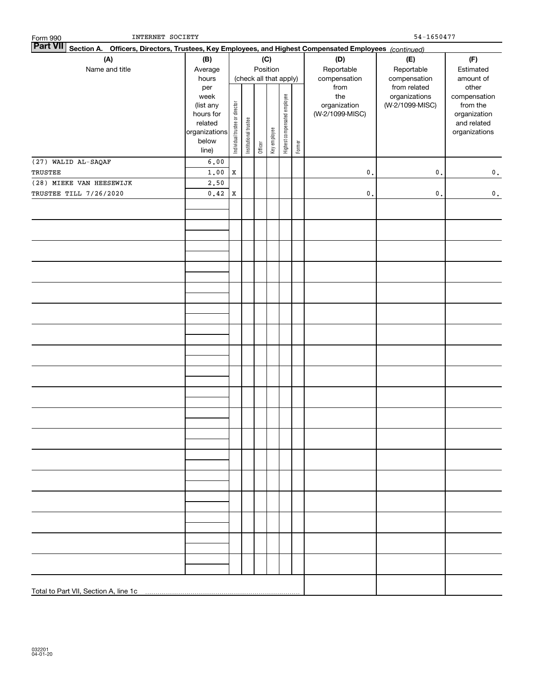| INTERNET SOCIETY<br>Form 990                                                                                              |                   |                                |                       |         |                        |                              |        |                     | 54-1650477                       |                          |
|---------------------------------------------------------------------------------------------------------------------------|-------------------|--------------------------------|-----------------------|---------|------------------------|------------------------------|--------|---------------------|----------------------------------|--------------------------|
| <b>Part VII</b><br>Section A. Officers, Directors, Trustees, Key Employees, and Highest Compensated Employees (continued) |                   |                                |                       |         |                        |                              |        |                     |                                  |                          |
| (A)                                                                                                                       | (B)               | (C)                            |                       |         |                        |                              |        | (D)                 | (E)                              | (F)                      |
| Name and title                                                                                                            | Average           |                                |                       |         | Position               |                              |        | Reportable          | Reportable                       | Estimated                |
|                                                                                                                           | hours             |                                |                       |         | (check all that apply) |                              |        | compensation        | compensation                     | amount of                |
|                                                                                                                           | per               |                                |                       |         |                        |                              |        | from                | from related                     | other                    |
|                                                                                                                           | week<br>(list any |                                |                       |         |                        | Highest compensated employee |        | the<br>organization | organizations<br>(W-2/1099-MISC) | compensation<br>from the |
|                                                                                                                           | hours for         | Individual trustee or director |                       |         |                        |                              |        | (W-2/1099-MISC)     |                                  | organization             |
|                                                                                                                           | related           |                                |                       |         |                        |                              |        |                     |                                  | and related              |
|                                                                                                                           | organizations     |                                |                       |         |                        |                              |        |                     |                                  | organizations            |
|                                                                                                                           | below             |                                | Institutional trustee | Officer | Key employee           |                              | Former |                     |                                  |                          |
|                                                                                                                           | line)             |                                |                       |         |                        |                              |        |                     |                                  |                          |
| (27) WALID AL-SAQAF                                                                                                       | $\bf 6.00$        |                                |                       |         |                        |                              |        |                     |                                  |                          |
| TRUSTEE                                                                                                                   | 1,00              | $\mathbf X$                    |                       |         |                        |                              |        | $\mathbf{0}$ .      | $\mathfrak o$ .                  | $\mathbf 0$ .            |
| (28) MIEKE VAN HEESEWIJK                                                                                                  | 2,50              |                                |                       |         |                        |                              |        |                     |                                  |                          |
| TRUSTEE TILL 7/26/2020                                                                                                    | 0.42              | $\mathbf X$                    |                       |         |                        |                              |        | $\mathfrak o$ .     | $\mathfrak o$ .                  | $\mathbf 0$ .            |
|                                                                                                                           |                   |                                |                       |         |                        |                              |        |                     |                                  |                          |
|                                                                                                                           |                   |                                |                       |         |                        |                              |        |                     |                                  |                          |
|                                                                                                                           |                   |                                |                       |         |                        |                              |        |                     |                                  |                          |
|                                                                                                                           |                   |                                |                       |         |                        |                              |        |                     |                                  |                          |
|                                                                                                                           |                   |                                |                       |         |                        |                              |        |                     |                                  |                          |
|                                                                                                                           |                   |                                |                       |         |                        |                              |        |                     |                                  |                          |
|                                                                                                                           |                   |                                |                       |         |                        |                              |        |                     |                                  |                          |
|                                                                                                                           |                   |                                |                       |         |                        |                              |        |                     |                                  |                          |
|                                                                                                                           |                   |                                |                       |         |                        |                              |        |                     |                                  |                          |
|                                                                                                                           |                   |                                |                       |         |                        |                              |        |                     |                                  |                          |
|                                                                                                                           |                   |                                |                       |         |                        |                              |        |                     |                                  |                          |
|                                                                                                                           |                   |                                |                       |         |                        |                              |        |                     |                                  |                          |
|                                                                                                                           |                   |                                |                       |         |                        |                              |        |                     |                                  |                          |
|                                                                                                                           |                   |                                |                       |         |                        |                              |        |                     |                                  |                          |
|                                                                                                                           |                   |                                |                       |         |                        |                              |        |                     |                                  |                          |
|                                                                                                                           |                   |                                |                       |         |                        |                              |        |                     |                                  |                          |
|                                                                                                                           |                   |                                |                       |         |                        |                              |        |                     |                                  |                          |
|                                                                                                                           |                   |                                |                       |         |                        |                              |        |                     |                                  |                          |
|                                                                                                                           |                   |                                |                       |         |                        |                              |        |                     |                                  |                          |
|                                                                                                                           |                   |                                |                       |         |                        |                              |        |                     |                                  |                          |
|                                                                                                                           |                   |                                |                       |         |                        |                              |        |                     |                                  |                          |
|                                                                                                                           |                   |                                |                       |         |                        |                              |        |                     |                                  |                          |
|                                                                                                                           |                   |                                |                       |         |                        |                              |        |                     |                                  |                          |
|                                                                                                                           |                   |                                |                       |         |                        |                              |        |                     |                                  |                          |
|                                                                                                                           |                   |                                |                       |         |                        |                              |        |                     |                                  |                          |
|                                                                                                                           |                   |                                |                       |         |                        |                              |        |                     |                                  |                          |
|                                                                                                                           |                   |                                |                       |         |                        |                              |        |                     |                                  |                          |
|                                                                                                                           |                   |                                |                       |         |                        |                              |        |                     |                                  |                          |
|                                                                                                                           |                   |                                |                       |         |                        |                              |        |                     |                                  |                          |
|                                                                                                                           |                   |                                |                       |         |                        |                              |        |                     |                                  |                          |
|                                                                                                                           |                   |                                |                       |         |                        |                              |        |                     |                                  |                          |
|                                                                                                                           |                   |                                |                       |         |                        |                              |        |                     |                                  |                          |
|                                                                                                                           |                   |                                |                       |         |                        |                              |        |                     |                                  |                          |
|                                                                                                                           |                   |                                |                       |         |                        |                              |        |                     |                                  |                          |
|                                                                                                                           |                   |                                |                       |         |                        |                              |        |                     |                                  |                          |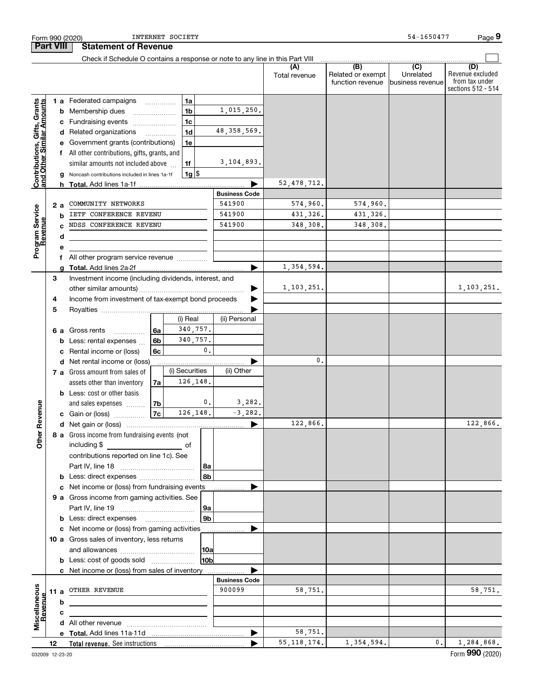|                                                           |                  |         | Form 990 (2020)                                                               |          | INTERNET SOCIETY |                 |                                |                      |                                              | 54-1650477                                         | Page 9                                                          |
|-----------------------------------------------------------|------------------|---------|-------------------------------------------------------------------------------|----------|------------------|-----------------|--------------------------------|----------------------|----------------------------------------------|----------------------------------------------------|-----------------------------------------------------------------|
|                                                           | <b>Part VIII</b> |         | <b>Statement of Revenue</b>                                                   |          |                  |                 |                                |                      |                                              |                                                    |                                                                 |
|                                                           |                  |         | Check if Schedule O contains a response or note to any line in this Part VIII |          |                  |                 |                                |                      |                                              |                                                    |                                                                 |
|                                                           |                  |         |                                                                               |          |                  |                 |                                | (A)<br>Total revenue | (B)<br>Related or exempt<br>function revenue | $\overline{(C)}$<br>Unrelated<br>lbusiness revenue | (D)<br>Revenue excluded<br>from tax under<br>sections 512 - 514 |
|                                                           |                  |         | 1 a Federated campaigns                                                       |          |                  | 1a              |                                |                      |                                              |                                                    |                                                                 |
|                                                           |                  |         | <b>b</b> Membership dues<br>$\ldots \ldots \ldots \ldots \ldots$              |          |                  | 1 <sub>b</sub>  | 1,015,250.                     |                      |                                              |                                                    |                                                                 |
| Contributions, Gifts, Grants<br>and Other Similar Amounts |                  |         | c Fundraising events                                                          |          |                  | 1 <sub>c</sub>  |                                |                      |                                              |                                                    |                                                                 |
|                                                           |                  |         | d Related organizations                                                       |          |                  | 1 <sub>d</sub>  | 48, 358, 569.                  |                      |                                              |                                                    |                                                                 |
|                                                           |                  | е       | Government grants (contributions)                                             |          |                  | 1e              |                                |                      |                                              |                                                    |                                                                 |
|                                                           |                  |         | f All other contributions, gifts, grants, and                                 |          |                  |                 |                                |                      |                                              |                                                    |                                                                 |
|                                                           |                  |         | similar amounts not included above                                            |          |                  | 1f              | 3, 104, 893.                   |                      |                                              |                                                    |                                                                 |
|                                                           |                  | g       | Noncash contributions included in lines 1a-1f                                 |          |                  | $1g$ \$         |                                |                      |                                              |                                                    |                                                                 |
|                                                           |                  |         |                                                                               |          |                  |                 |                                | 52, 478, 712.        |                                              |                                                    |                                                                 |
|                                                           |                  |         |                                                                               |          |                  |                 | <b>Business Code</b><br>541900 |                      |                                              |                                                    |                                                                 |
| Program Service<br>Revenue                                | 2а               |         | COMMUNITY NETWORKS<br><b>IETF CONFERENCE REVENU</b>                           |          |                  |                 | 541900                         | 574,960.<br>431,326. | 574,960.<br>431,326.                         |                                                    |                                                                 |
|                                                           |                  | b<br>C. | NDSS CONFERENCE REVENU                                                        |          |                  |                 | 541900                         | 348,308.             | 348,308.                                     |                                                    |                                                                 |
|                                                           |                  |         |                                                                               |          |                  |                 |                                |                      |                                              |                                                    |                                                                 |
|                                                           |                  | d<br>е  |                                                                               |          |                  |                 |                                |                      |                                              |                                                    |                                                                 |
|                                                           |                  | f       | All other program service revenue                                             |          |                  |                 |                                |                      |                                              |                                                    |                                                                 |
|                                                           |                  |         |                                                                               |          |                  |                 |                                | 1,354,594.           |                                              |                                                    |                                                                 |
|                                                           | 3                |         | Investment income (including dividends, interest, and                         |          |                  |                 |                                |                      |                                              |                                                    |                                                                 |
|                                                           |                  |         |                                                                               |          |                  |                 |                                | 1,103,251.           |                                              |                                                    | 1,103,251.                                                      |
|                                                           | 4                |         | Income from investment of tax-exempt bond proceeds                            |          |                  |                 |                                |                      |                                              |                                                    |                                                                 |
|                                                           | 5                |         |                                                                               |          |                  |                 |                                |                      |                                              |                                                    |                                                                 |
|                                                           |                  |         |                                                                               |          |                  | (i) Real        | (ii) Personal                  |                      |                                              |                                                    |                                                                 |
|                                                           |                  |         | 6 a Gross rents                                                               | 6a       |                  | 340,757.        |                                |                      |                                              |                                                    |                                                                 |
|                                                           |                  |         | <b>b</b> Less: rental expenses                                                | 6b       |                  | 340,757.        |                                |                      |                                              |                                                    |                                                                 |
|                                                           |                  | с       | Rental income or (loss)                                                       | 6c       |                  | $\mathbf{0}$ .  |                                |                      |                                              |                                                    |                                                                 |
|                                                           |                  |         | d Net rental income or (loss)                                                 |          |                  |                 |                                | 0.                   |                                              |                                                    |                                                                 |
|                                                           |                  |         | 7 a Gross amount from sales of                                                |          |                  | (i) Securities  | (ii) Other                     |                      |                                              |                                                    |                                                                 |
|                                                           |                  |         | assets other than inventory                                                   | 7a       |                  | 126,148.        |                                |                      |                                              |                                                    |                                                                 |
|                                                           |                  |         | <b>b</b> Less: cost or other basis                                            |          |                  | 0.              | 3,282.                         |                      |                                              |                                                    |                                                                 |
| evenue                                                    |                  |         | and sales expenses<br>c Gain or (loss)                                        | 7b<br>7c |                  | 126,148.        | $-3, 282.$                     |                      |                                              |                                                    |                                                                 |
|                                                           |                  |         |                                                                               |          |                  |                 |                                | 122,866.             |                                              |                                                    | 122,866.                                                        |
| œ                                                         |                  |         | 8 a Gross income from fundraising events (not                                 |          |                  |                 |                                |                      |                                              |                                                    |                                                                 |
| Other                                                     |                  |         |                                                                               |          |                  |                 |                                |                      |                                              |                                                    |                                                                 |
|                                                           |                  |         | contributions reported on line 1c). See                                       |          |                  |                 |                                |                      |                                              |                                                    |                                                                 |
|                                                           |                  |         |                                                                               |          |                  | 8a              |                                |                      |                                              |                                                    |                                                                 |
|                                                           |                  |         |                                                                               |          |                  | 8 <sub>b</sub>  |                                |                      |                                              |                                                    |                                                                 |
|                                                           |                  |         | c Net income or (loss) from fundraising events                                |          |                  |                 |                                |                      |                                              |                                                    |                                                                 |
|                                                           |                  |         | 9 a Gross income from gaming activities. See                                  |          |                  |                 |                                |                      |                                              |                                                    |                                                                 |
|                                                           |                  |         |                                                                               |          |                  | 9а              |                                |                      |                                              |                                                    |                                                                 |
|                                                           |                  |         | <b>b</b> Less: direct expenses <b>manually</b>                                |          |                  | 9 <sub>b</sub>  |                                |                      |                                              |                                                    |                                                                 |
|                                                           |                  |         | c Net income or (loss) from gaming activities                                 |          |                  |                 | .                              |                      |                                              |                                                    |                                                                 |
|                                                           |                  |         | 10 a Gross sales of inventory, less returns                                   |          |                  |                 |                                |                      |                                              |                                                    |                                                                 |
|                                                           |                  |         |                                                                               |          |                  | 10a             |                                |                      |                                              |                                                    |                                                                 |
|                                                           |                  |         | <b>b</b> Less: cost of goods sold                                             |          |                  | 10 <sub>b</sub> |                                |                      |                                              |                                                    |                                                                 |
|                                                           |                  |         | c Net income or (loss) from sales of inventory                                |          |                  |                 | <b>Business Code</b>           |                      |                                              |                                                    |                                                                 |
|                                                           |                  |         | 11 a OTHER REVENUE                                                            |          |                  |                 | 900099                         | 58,751.              |                                              |                                                    | 58,751.                                                         |
|                                                           |                  |         |                                                                               |          |                  |                 |                                |                      |                                              |                                                    |                                                                 |
| <u>kevenue</u>                                            |                  | b<br>с  |                                                                               |          |                  |                 |                                |                      |                                              |                                                    |                                                                 |
| Miscellaneous                                             |                  |         |                                                                               |          |                  |                 |                                |                      |                                              |                                                    |                                                                 |
|                                                           |                  |         |                                                                               |          |                  |                 | ▶                              | 58,751.              |                                              |                                                    |                                                                 |
|                                                           | 12               |         |                                                                               |          |                  |                 | ▶                              | 55, 118, 174.        | 1,354,594.                                   | 0.                                                 | 1,284,868.                                                      |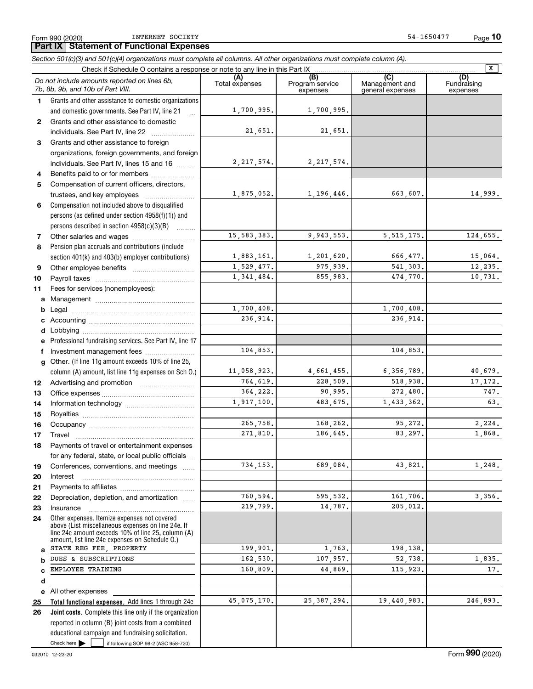$\overline{1}$ 

## *Section 501(c)(3) and 501(c)(4) organizations must complete all columns. All other organizations must complete column (A).* **Part IX Statement of Functional Expenses**

|              | Check if Schedule O contains a response or note to any line in this Part IX                              |                       |                                    |                                           | x                              |
|--------------|----------------------------------------------------------------------------------------------------------|-----------------------|------------------------------------|-------------------------------------------|--------------------------------|
|              | Do not include amounts reported on lines 6b,<br>7b, 8b, 9b, and 10b of Part VIII.                        | (A)<br>Total expenses | (B)<br>Program service<br>expenses | (C)<br>Management and<br>general expenses | (D)<br>Fundraising<br>expenses |
| 1            | Grants and other assistance to domestic organizations                                                    |                       |                                    |                                           |                                |
|              | and domestic governments. See Part IV, line 21<br>$\dddotsc$                                             | 1,700,995.            | 1,700,995.                         |                                           |                                |
| $\mathbf{2}$ | Grants and other assistance to domestic                                                                  |                       |                                    |                                           |                                |
|              | individuals. See Part IV, line 22                                                                        | 21,651.               | 21,651.                            |                                           |                                |
| 3            | Grants and other assistance to foreign                                                                   |                       |                                    |                                           |                                |
|              | organizations, foreign governments, and foreign                                                          |                       |                                    |                                           |                                |
|              | individuals. See Part IV, lines 15 and 16                                                                | 2, 217, 574.          | 2, 217, 574.                       |                                           |                                |
| 4            | Benefits paid to or for members                                                                          |                       |                                    |                                           |                                |
| 5            | Compensation of current officers, directors,                                                             |                       |                                    |                                           |                                |
|              | trustees, and key employees                                                                              | 1,875,052.            | 1,196,446.                         | 663,607.                                  | 14,999.                        |
| 6            | Compensation not included above to disqualified                                                          |                       |                                    |                                           |                                |
|              | persons (as defined under section 4958(f)(1)) and                                                        |                       |                                    |                                           |                                |
|              | persons described in section 4958(c)(3)(B)                                                               |                       |                                    |                                           |                                |
| 7            | Other salaries and wages                                                                                 | 15,583,383.           | 9,943,553.                         | 5, 515, 175.                              | 124,655.                       |
| 8            | Pension plan accruals and contributions (include                                                         |                       |                                    |                                           |                                |
|              | section 401(k) and 403(b) employer contributions)                                                        | 1,883,161.            | 1,201,620.                         | 666,477.                                  | 15,064.                        |
| 9            |                                                                                                          | 1,529,477.            | 975,939.                           | 541,303.                                  | 12,235.                        |
| 10           |                                                                                                          | 1,341,484.            | 855,983.                           | 474,770.                                  | 10,731.                        |
| 11           | Fees for services (nonemployees):                                                                        |                       |                                    |                                           |                                |
| a            |                                                                                                          |                       |                                    |                                           |                                |
| b            |                                                                                                          | 1,700,408.            |                                    | 1,700,408.                                |                                |
|              |                                                                                                          | 236,914.              |                                    | 236,914.                                  |                                |
| d            |                                                                                                          |                       |                                    |                                           |                                |
| e            | Professional fundraising services. See Part IV, line 17                                                  |                       |                                    |                                           |                                |
| f            | Investment management fees                                                                               | 104,853.              |                                    | 104,853.                                  |                                |
| $\mathbf{q}$ | Other. (If line 11g amount exceeds 10% of line 25,                                                       |                       |                                    |                                           |                                |
|              | column (A) amount, list line 11g expenses on Sch O.)                                                     | 11,058,923.           | 4,661,455.                         | 6,356,789.                                | 40,679.                        |
| 12           |                                                                                                          | 764,619.              | 228,509.                           | 518,938.                                  | 17, 172.                       |
| 13           |                                                                                                          | 364,222.              | 90,995.                            | 272,480.                                  | 747.                           |
| 14           |                                                                                                          | 1,917,100.            | 483,675.                           | 1,433,362.                                | 63.                            |
| 15           |                                                                                                          | 265.758.              |                                    |                                           |                                |
| 16           |                                                                                                          | 271,810.              | 168,262.<br>186,645.               | 95,272.<br>83,297.                        | 2,224.<br>1,868.               |
| 17           |                                                                                                          |                       |                                    |                                           |                                |
| 18           | Payments of travel or entertainment expenses                                                             |                       |                                    |                                           |                                |
|              | for any federal, state, or local public officials                                                        | 734,153.              | 689,084.                           | 43,821.                                   | 1,248.                         |
| 19<br>20     | Conferences, conventions, and meetings<br>Interest                                                       |                       |                                    |                                           |                                |
| 21           |                                                                                                          |                       |                                    |                                           |                                |
| 22           | Depreciation, depletion, and amortization                                                                | 760,594.              | 595,532.                           | 161,706.                                  | 3,356.                         |
| 23           | Insurance                                                                                                | 219,799.              | 14,787.                            | 205,012.                                  |                                |
| 24           | Other expenses. Itemize expenses not covered                                                             |                       |                                    |                                           |                                |
|              | above (List miscellaneous expenses on line 24e. If<br>line 24e amount exceeds 10% of line 25, column (A) |                       |                                    |                                           |                                |
| a            | amount, list line 24e expenses on Schedule O.)<br>STATE REG FEE, PROPERTY                                | 199,901.              | 1,763.                             | 198,138.                                  |                                |
| b            | DUES & SUBSCRIPTIONS                                                                                     | 162,530.              | 107,957.                           | 52,738.                                   | 1,835.                         |
| C            | EMPLOYEE TRAINING                                                                                        | 160,809.              | 44,869.                            | 115,923.                                  | 17.                            |
| d            |                                                                                                          |                       |                                    |                                           |                                |
| е            | All other expenses                                                                                       |                       |                                    |                                           |                                |
| 25           | Total functional expenses. Add lines 1 through 24e                                                       | 45,075,170.           | 25, 387, 294.                      | 19,440,983.                               | 246,893.                       |
| 26           | Joint costs. Complete this line only if the organization                                                 |                       |                                    |                                           |                                |
|              | reported in column (B) joint costs from a combined                                                       |                       |                                    |                                           |                                |
|              | educational campaign and fundraising solicitation.                                                       |                       |                                    |                                           |                                |
|              | Check here $\blacktriangleright$<br>if following SOP 98-2 (ASC 958-720)                                  |                       |                                    |                                           |                                |
|              |                                                                                                          |                       |                                    |                                           |                                |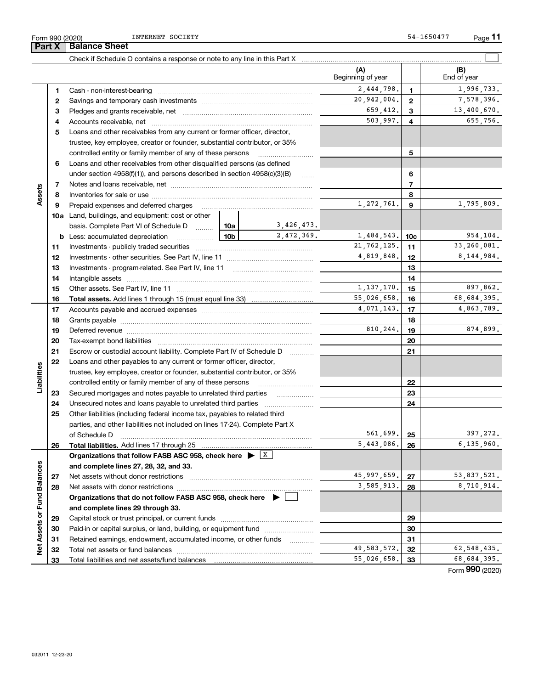|                      | Form 990 (2020) | INTERNET SOCIETY                                                                                                                                                       |  |                   |                          |                 | 54-1650477<br>Page 11 |
|----------------------|-----------------|------------------------------------------------------------------------------------------------------------------------------------------------------------------------|--|-------------------|--------------------------|-----------------|-----------------------|
|                      | Part X          | <b>Balance Sheet</b>                                                                                                                                                   |  |                   |                          |                 |                       |
|                      |                 | Check if Schedule O contains a response or note to any line in this Part X                                                                                             |  |                   |                          |                 |                       |
|                      |                 |                                                                                                                                                                        |  |                   | (A)<br>Beginning of year |                 | (B)<br>End of year    |
|                      | 1               | Cash - non-interest-bearing                                                                                                                                            |  |                   | 2,444,798.               | 1.              | 1,996,733.            |
|                      | 2               | Savings and temporary cash investments www.community.community.com                                                                                                     |  |                   | 20,942,004.              | $\mathbf{2}$    | 7,578,396.            |
|                      | з               |                                                                                                                                                                        |  | 659,412.          | 3                        | 13,400,670.     |                       |
|                      | 4               |                                                                                                                                                                        |  |                   | 503,997.                 | 4               | 655,756.              |
|                      | 5               | Loans and other receivables from any current or former officer, director,                                                                                              |  |                   |                          |                 |                       |
|                      |                 | trustee, key employee, creator or founder, substantial contributor, or 35%                                                                                             |  |                   |                          |                 |                       |
|                      |                 | controlled entity or family member of any of these persons                                                                                                             |  |                   |                          | 5               |                       |
|                      | 6               | Loans and other receivables from other disqualified persons (as defined                                                                                                |  |                   |                          |                 |                       |
|                      |                 | under section $4958(f)(1)$ , and persons described in section $4958(c)(3)(B)$                                                                                          |  | $\ldots$          |                          | 6               |                       |
|                      | 7               |                                                                                                                                                                        |  |                   |                          | 7               |                       |
| Assets               | 8               |                                                                                                                                                                        |  |                   |                          | 8               |                       |
|                      | 9               | Prepaid expenses and deferred charges                                                                                                                                  |  |                   | 1,272,761.               | 9               | 1,795,809.            |
|                      |                 | <b>10a</b> Land, buildings, and equipment: cost or other                                                                                                               |  |                   |                          |                 |                       |
|                      |                 | basis. Complete Part VI of Schedule D  10a                                                                                                                             |  | 3,426,473.        |                          |                 |                       |
|                      |                 | $\begin{array}{ccc} \hline \end{array}$ $\begin{array}{ccc} \hline \end{array}$ $\begin{array}{ccc} \hline \end{array}$ 10b<br><b>b</b> Less: accumulated depreciation |  | 2,472,369.        | 1,484,543.               | 10 <sub>c</sub> | 954,104.              |
|                      | 11              |                                                                                                                                                                        |  |                   | 21, 762, 125.            | 11              | 33,260,081.           |
|                      | 12              |                                                                                                                                                                        |  |                   | 4,819,848.               | 12              | 8,144,984.            |
|                      | 13              | Investments - program-related. See Part IV, line 11                                                                                                                    |  |                   |                          | 13              |                       |
|                      | 14              |                                                                                                                                                                        |  |                   |                          | 14              |                       |
|                      | 15              |                                                                                                                                                                        |  |                   | 1,137,170.               | 15              | 897,862.              |
|                      | 16              |                                                                                                                                                                        |  |                   | 55,026,658.              | 16              | 68,684,395.           |
|                      | 17              |                                                                                                                                                                        |  |                   | 4,071,143.               | 17              | 4,863,789.            |
|                      | 18              |                                                                                                                                                                        |  |                   |                          | 18              |                       |
|                      | 19              |                                                                                                                                                                        |  |                   | 810,244.                 | 19              | 874,899.              |
|                      | 20              |                                                                                                                                                                        |  |                   |                          | 20              |                       |
|                      | 21              | Escrow or custodial account liability. Complete Part IV of Schedule D                                                                                                  |  |                   |                          | 21              |                       |
|                      | 22              | Loans and other payables to any current or former officer, director,                                                                                                   |  |                   |                          |                 |                       |
| Liabilities          |                 | trustee, key employee, creator or founder, substantial contributor, or 35%                                                                                             |  |                   |                          |                 |                       |
|                      |                 | controlled entity or family member of any of these persons                                                                                                             |  |                   |                          | 22              |                       |
|                      | 23              | Secured mortgages and notes payable to unrelated third parties                                                                                                         |  |                   |                          | 23              |                       |
|                      | 24              |                                                                                                                                                                        |  |                   |                          | 24              |                       |
|                      | 25              | Other liabilities (including federal income tax, payables to related third<br>parties, and other liabilities not included on lines 17-24). Complete Part X             |  |                   |                          |                 |                       |
|                      |                 | of Schedule D                                                                                                                                                          |  |                   | 561,699.                 | 25              | 397, 272.             |
|                      | 26              |                                                                                                                                                                        |  |                   | 5,443,086.               | 26              | 6, 135, 960.          |
|                      |                 | Organizations that follow FASB ASC 958, check here $\triangleright$ $\frac{X}{X}$                                                                                      |  |                   |                          |                 |                       |
|                      |                 | and complete lines 27, 28, 32, and 33.                                                                                                                                 |  |                   |                          |                 |                       |
|                      | 27              | Net assets without donor restrictions                                                                                                                                  |  | 45,997,659.       | 27                       | 53,837,521.     |                       |
| <b>Fund Balances</b> | 28              |                                                                                                                                                                        |  |                   | 3,585,913.               | 28              | 8,710,914.            |
|                      |                 | Organizations that do not follow FASB ASC 958, check here $\blacktriangleright$                                                                                        |  |                   |                          |                 |                       |
|                      |                 | and complete lines 29 through 33.                                                                                                                                      |  |                   |                          |                 |                       |
| ð                    | 29              |                                                                                                                                                                        |  |                   |                          | 29              |                       |
|                      | 30              | Paid-in or capital surplus, or land, building, or equipment fund                                                                                                       |  |                   |                          | 30              |                       |
|                      | 31              | Retained earnings, endowment, accumulated income, or other funds                                                                                                       |  | 1.1.1.1.1.1.1.1.1 |                          | 31              |                       |
| <b>Net Assets</b>    | 32              |                                                                                                                                                                        |  |                   | 49,583,572.              | 32              | 62, 548, 435.         |
|                      |                 |                                                                                                                                                                        |  |                   |                          |                 |                       |

Form (2020) **990**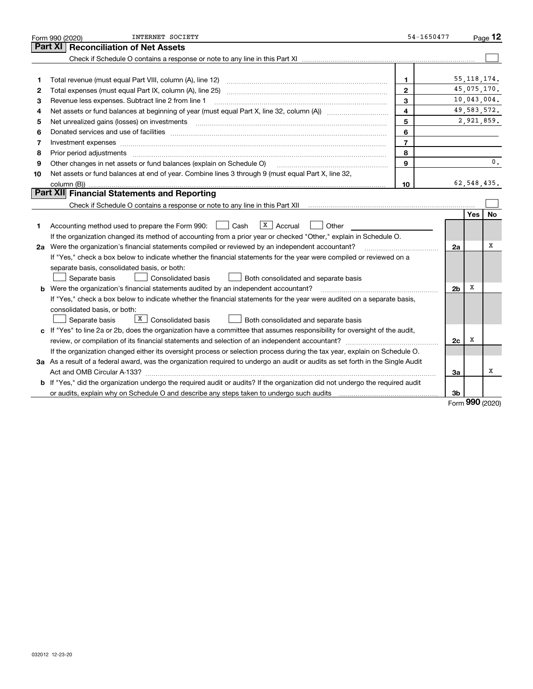|    | INTERNET SOCIETY<br>Form 990 (2020)                                                                                                  | 54-1650477     |                |               | Page $12$      |
|----|--------------------------------------------------------------------------------------------------------------------------------------|----------------|----------------|---------------|----------------|
|    | Part XI<br><b>Reconciliation of Net Assets</b>                                                                                       |                |                |               |                |
|    |                                                                                                                                      |                |                |               |                |
|    |                                                                                                                                      |                |                |               |                |
| 1  |                                                                                                                                      | 1              |                | 55, 118, 174. |                |
| 2  |                                                                                                                                      | $\mathbf{2}$   |                | 45,075,170.   |                |
| з  | Revenue less expenses. Subtract line 2 from line 1                                                                                   | 3              |                | 10,043,004.   |                |
| 4  |                                                                                                                                      | 4              |                |               | 49,583,572.    |
| 5  | Net unrealized gains (losses) on investments with an accommunity and accommunity of the state of the state of                        | 5              |                | 2,921,859.    |                |
| 6  |                                                                                                                                      | 6              |                |               |                |
| 7  | Investment expenses www.communication.com/www.communication.com/www.communication.com/www.com                                        | $\overline{7}$ |                |               |                |
| 8  |                                                                                                                                      | 8              |                |               |                |
| 9  | Other changes in net assets or fund balances (explain on Schedule O)                                                                 | 9              |                |               | $\mathbf{0}$ . |
| 10 | Net assets or fund balances at end of year. Combine lines 3 through 9 (must equal Part X, line 32,                                   |                |                |               |                |
|    |                                                                                                                                      | 10             |                | 62,548,435.   |                |
|    | Part XII Financial Statements and Reporting                                                                                          |                |                |               |                |
|    |                                                                                                                                      |                |                |               |                |
|    |                                                                                                                                      |                |                | <b>Yes</b>    | No             |
| 1  | $ X $ Accrual<br>Accounting method used to prepare the Form 990: <u>I</u> Cash<br>Other                                              |                |                |               |                |
|    | If the organization changed its method of accounting from a prior year or checked "Other," explain in Schedule O.                    |                |                |               |                |
|    | 2a Were the organization's financial statements compiled or reviewed by an independent accountant?                                   |                | 2a             |               | x              |
|    | If "Yes," check a box below to indicate whether the financial statements for the year were compiled or reviewed on a                 |                |                |               |                |
|    | separate basis, consolidated basis, or both:                                                                                         |                |                |               |                |
|    | Separate basis<br>Consolidated basis<br>Both consolidated and separate basis                                                         |                |                |               |                |
|    | <b>b</b> Were the organization's financial statements audited by an independent accountant?                                          |                | 2 <sub>b</sub> | х             |                |
|    | If "Yes," check a box below to indicate whether the financial statements for the year were audited on a separate basis,              |                |                |               |                |
|    | consolidated basis, or both:                                                                                                         |                |                |               |                |
|    | $\boxed{\text{X}}$ Consolidated basis<br>Separate basis<br>Both consolidated and separate basis                                      |                |                |               |                |
|    | c If "Yes" to line 2a or 2b, does the organization have a committee that assumes responsibility for oversight of the audit,          |                |                |               |                |
|    |                                                                                                                                      |                | 2c             | X             |                |
|    | If the organization changed either its oversight process or selection process during the tax year, explain on Schedule O.            |                |                |               |                |
|    | 3a As a result of a federal award, was the organization required to undergo an audit or audits as set forth in the Single Audit      |                |                |               |                |
|    |                                                                                                                                      |                | За             |               | x              |
|    | <b>b</b> If "Yes," did the organization undergo the required audit or audits? If the organization did not undergo the required audit |                |                |               |                |
|    | or audits, explain why on Schedule O and describe any steps taken to undergo such audits [11] content to under                       |                | 3b             | <b></b>       |                |

Form (2020) **990**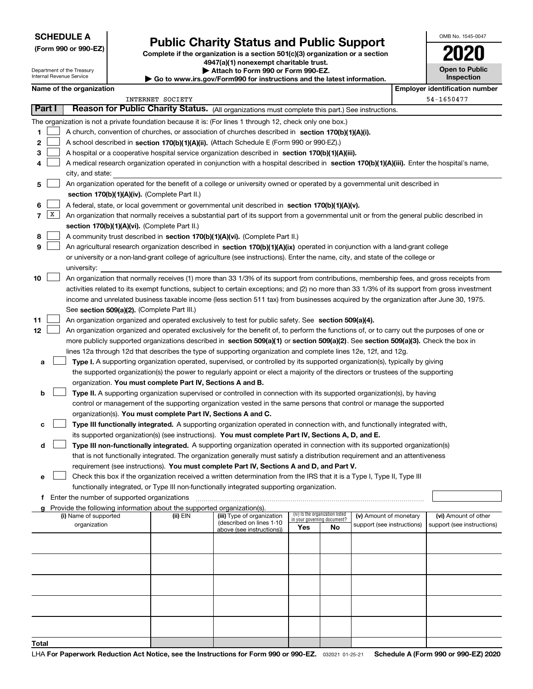#### **SCHEDULE A**

**(Form 990 or 990-EZ)**

#### Department of the Treasury

Internal Revenue Service

## **Public Charity Status and Public Support**

**Complete if the organization is a section 501(c)(3) organization or a section 4947(a)(1) nonexempt charitable trust. | Attach to Form 990 or Form 990-EZ. | Go to www.irs.gov/Form990 for instructions and the latest information.**

| 2020                                |  |
|-------------------------------------|--|
| <b>Open to Public</b><br>Inspection |  |

OMB No. 1545-0047

|        | Name of the organization                                                                                                                            |                  | ad to www.indigov. I drinddo for modiadtions and the rated, information, |                             |                                 |                                                      | <b>Employer identification number</b>              |
|--------|-----------------------------------------------------------------------------------------------------------------------------------------------------|------------------|--------------------------------------------------------------------------|-----------------------------|---------------------------------|------------------------------------------------------|----------------------------------------------------|
|        |                                                                                                                                                     | INTERNET SOCIETY |                                                                          |                             |                                 |                                                      | 54-1650477                                         |
| Part I | Reason for Public Charity Status. (All organizations must complete this part.) See instructions.                                                    |                  |                                                                          |                             |                                 |                                                      |                                                    |
|        | The organization is not a private foundation because it is: (For lines 1 through 12, check only one box.)                                           |                  |                                                                          |                             |                                 |                                                      |                                                    |
| 1.     | A church, convention of churches, or association of churches described in section 170(b)(1)(A)(i).                                                  |                  |                                                                          |                             |                                 |                                                      |                                                    |
| 2      | A school described in section 170(b)(1)(A)(ii). (Attach Schedule E (Form 990 or 990-EZ).)                                                           |                  |                                                                          |                             |                                 |                                                      |                                                    |
| 3      | A hospital or a cooperative hospital service organization described in section 170(b)(1)(A)(iii).                                                   |                  |                                                                          |                             |                                 |                                                      |                                                    |
| 4      | A medical research organization operated in conjunction with a hospital described in section 170(b)(1)(A)(iii). Enter the hospital's name,          |                  |                                                                          |                             |                                 |                                                      |                                                    |
|        | city, and state:                                                                                                                                    |                  |                                                                          |                             |                                 |                                                      |                                                    |
| 5      | An organization operated for the benefit of a college or university owned or operated by a governmental unit described in                           |                  |                                                                          |                             |                                 |                                                      |                                                    |
|        | section 170(b)(1)(A)(iv). (Complete Part II.)                                                                                                       |                  |                                                                          |                             |                                 |                                                      |                                                    |
| 6      | A federal, state, or local government or governmental unit described in section $170(b)(1)(A)(v)$ .                                                 |                  |                                                                          |                             |                                 |                                                      |                                                    |
| x<br>7 | An organization that normally receives a substantial part of its support from a governmental unit or from the general public described in           |                  |                                                                          |                             |                                 |                                                      |                                                    |
|        | section 170(b)(1)(A)(vi). (Complete Part II.)                                                                                                       |                  |                                                                          |                             |                                 |                                                      |                                                    |
| 8      | A community trust described in section 170(b)(1)(A)(vi). (Complete Part II.)                                                                        |                  |                                                                          |                             |                                 |                                                      |                                                    |
| 9      | An agricultural research organization described in section 170(b)(1)(A)(ix) operated in conjunction with a land-grant college                       |                  |                                                                          |                             |                                 |                                                      |                                                    |
|        | or university or a non-land-grant college of agriculture (see instructions). Enter the name, city, and state of the college or                      |                  |                                                                          |                             |                                 |                                                      |                                                    |
|        | university:                                                                                                                                         |                  |                                                                          |                             |                                 |                                                      |                                                    |
| 10     | An organization that normally receives (1) more than 33 1/3% of its support from contributions, membership fees, and gross receipts from            |                  |                                                                          |                             |                                 |                                                      |                                                    |
|        | activities related to its exempt functions, subject to certain exceptions; and (2) no more than 33 1/3% of its support from gross investment        |                  |                                                                          |                             |                                 |                                                      |                                                    |
|        | income and unrelated business taxable income (less section 511 tax) from businesses acquired by the organization after June 30, 1975.               |                  |                                                                          |                             |                                 |                                                      |                                                    |
| 11     | See section 509(a)(2). (Complete Part III.)<br>An organization organized and operated exclusively to test for public safety. See section 509(a)(4). |                  |                                                                          |                             |                                 |                                                      |                                                    |
| 12     | An organization organized and operated exclusively for the benefit of, to perform the functions of, or to carry out the purposes of one or          |                  |                                                                          |                             |                                 |                                                      |                                                    |
|        | more publicly supported organizations described in section 509(a)(1) or section 509(a)(2). See section 509(a)(3). Check the box in                  |                  |                                                                          |                             |                                 |                                                      |                                                    |
|        | lines 12a through 12d that describes the type of supporting organization and complete lines 12e, 12f, and 12g.                                      |                  |                                                                          |                             |                                 |                                                      |                                                    |
| а      | Type I. A supporting organization operated, supervised, or controlled by its supported organization(s), typically by giving                         |                  |                                                                          |                             |                                 |                                                      |                                                    |
|        | the supported organization(s) the power to regularly appoint or elect a majority of the directors or trustees of the supporting                     |                  |                                                                          |                             |                                 |                                                      |                                                    |
|        | organization. You must complete Part IV, Sections A and B.                                                                                          |                  |                                                                          |                             |                                 |                                                      |                                                    |
| b      | Type II. A supporting organization supervised or controlled in connection with its supported organization(s), by having                             |                  |                                                                          |                             |                                 |                                                      |                                                    |
|        | control or management of the supporting organization vested in the same persons that control or manage the supported                                |                  |                                                                          |                             |                                 |                                                      |                                                    |
|        | organization(s). You must complete Part IV, Sections A and C.                                                                                       |                  |                                                                          |                             |                                 |                                                      |                                                    |
| с      | Type III functionally integrated. A supporting organization operated in connection with, and functionally integrated with,                          |                  |                                                                          |                             |                                 |                                                      |                                                    |
|        | its supported organization(s) (see instructions). You must complete Part IV, Sections A, D, and E.                                                  |                  |                                                                          |                             |                                 |                                                      |                                                    |
| d      | Type III non-functionally integrated. A supporting organization operated in connection with its supported organization(s)                           |                  |                                                                          |                             |                                 |                                                      |                                                    |
|        | that is not functionally integrated. The organization generally must satisfy a distribution requirement and an attentiveness                        |                  |                                                                          |                             |                                 |                                                      |                                                    |
|        | requirement (see instructions). You must complete Part IV, Sections A and D, and Part V.                                                            |                  |                                                                          |                             |                                 |                                                      |                                                    |
| е      | Check this box if the organization received a written determination from the IRS that it is a Type I, Type II, Type III                             |                  |                                                                          |                             |                                 |                                                      |                                                    |
|        | functionally integrated, or Type III non-functionally integrated supporting organization.                                                           |                  |                                                                          |                             |                                 |                                                      |                                                    |
| f      | Enter the number of supported organizations                                                                                                         |                  |                                                                          |                             |                                 |                                                      |                                                    |
| a      | Provide the following information about the supported organization(s).                                                                              |                  |                                                                          |                             | (iv) Is the organization listed |                                                      |                                                    |
|        | (i) Name of supported<br>organization                                                                                                               | (ii) EIN         | (iii) Type of organization<br>(described on lines 1-10                   | in your governing document? |                                 | (v) Amount of monetary<br>support (see instructions) | (vi) Amount of other<br>support (see instructions) |
|        |                                                                                                                                                     |                  | above (see instructions))                                                | Yes                         | No                              |                                                      |                                                    |
|        |                                                                                                                                                     |                  |                                                                          |                             |                                 |                                                      |                                                    |
|        |                                                                                                                                                     |                  |                                                                          |                             |                                 |                                                      |                                                    |
|        |                                                                                                                                                     |                  |                                                                          |                             |                                 |                                                      |                                                    |
|        |                                                                                                                                                     |                  |                                                                          |                             |                                 |                                                      |                                                    |
|        |                                                                                                                                                     |                  |                                                                          |                             |                                 |                                                      |                                                    |
|        |                                                                                                                                                     |                  |                                                                          |                             |                                 |                                                      |                                                    |
|        |                                                                                                                                                     |                  |                                                                          |                             |                                 |                                                      |                                                    |
|        |                                                                                                                                                     |                  |                                                                          |                             |                                 |                                                      |                                                    |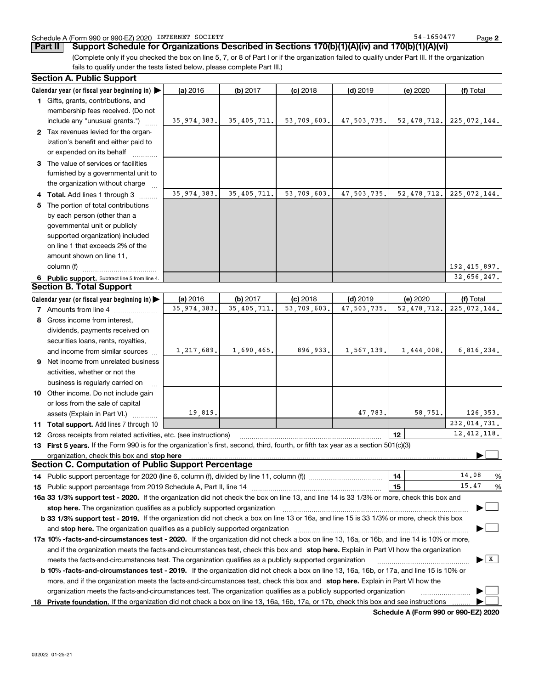#### Schedule A (Form 990 or 990-EZ) 2020 Page INTERNET SOCIETY 54-1650477

**2**

(Complete only if you checked the box on line 5, 7, or 8 of Part I or if the organization failed to qualify under Part III. If the organization **Part II** Support Schedule for Organizations Described in Sections 170(b)(1)(A)(iv) and 170(b)(1)(A)(vi)

fails to qualify under the tests listed below, please complete Part III.)

|    | <b>Section A. Public Support</b>                                                                                                               |               |               |             |             |               |                   |
|----|------------------------------------------------------------------------------------------------------------------------------------------------|---------------|---------------|-------------|-------------|---------------|-------------------|
|    | Calendar year (or fiscal year beginning in)                                                                                                    | (a) 2016      | (b) 2017      | $(c)$ 2018  | $(d)$ 2019  | (e) 2020      | (f) Total         |
|    | 1 Gifts, grants, contributions, and                                                                                                            |               |               |             |             |               |                   |
|    | membership fees received. (Do not                                                                                                              |               |               |             |             |               |                   |
|    | include any "unusual grants.")                                                                                                                 | 35,974,383.   | 35,405,711.   | 53,709,603. | 47,503,735. | 52, 478, 712. | 225,072,144.      |
|    | 2 Tax revenues levied for the organ-                                                                                                           |               |               |             |             |               |                   |
|    | ization's benefit and either paid to                                                                                                           |               |               |             |             |               |                   |
|    | or expended on its behalf                                                                                                                      |               |               |             |             |               |                   |
|    | 3 The value of services or facilities                                                                                                          |               |               |             |             |               |                   |
|    | furnished by a governmental unit to                                                                                                            |               |               |             |             |               |                   |
|    | the organization without charge                                                                                                                |               |               |             |             |               |                   |
|    | 4 Total. Add lines 1 through 3                                                                                                                 | 35, 974, 383. | 35, 405, 711. | 53,709,603. | 47,503,735. | 52, 478, 712. | 225,072,144.      |
| 5. | The portion of total contributions                                                                                                             |               |               |             |             |               |                   |
|    | by each person (other than a                                                                                                                   |               |               |             |             |               |                   |
|    | governmental unit or publicly                                                                                                                  |               |               |             |             |               |                   |
|    | supported organization) included                                                                                                               |               |               |             |             |               |                   |
|    | on line 1 that exceeds 2% of the                                                                                                               |               |               |             |             |               |                   |
|    | amount shown on line 11,                                                                                                                       |               |               |             |             |               |                   |
|    | column (f)                                                                                                                                     |               |               |             |             |               | 192, 415, 897.    |
|    | 6 Public support. Subtract line 5 from line 4.                                                                                                 |               |               |             |             |               | 32,656,247.       |
|    | <b>Section B. Total Support</b>                                                                                                                |               |               |             |             |               |                   |
|    | Calendar year (or fiscal year beginning in) $\blacktriangleright$                                                                              | (a) 2016      | (b) 2017      | $(c)$ 2018  | $(d)$ 2019  | (e) 2020      | (f) Total         |
|    | <b>7</b> Amounts from line 4                                                                                                                   | 35, 974, 383. | 35, 405, 711. | 53,709,603. | 47,503,735. | 52, 478, 712. | 225,072,144.      |
| 8  | Gross income from interest,                                                                                                                    |               |               |             |             |               |                   |
|    | dividends, payments received on                                                                                                                |               |               |             |             |               |                   |
|    | securities loans, rents, royalties,                                                                                                            |               |               |             |             |               |                   |
|    | and income from similar sources                                                                                                                | 1,217,689.    | 1,690,465.    | 896,933.    | 1,567,139.  | 1,444,008.    | 6,816,234.        |
|    | 9 Net income from unrelated business                                                                                                           |               |               |             |             |               |                   |
|    | activities, whether or not the                                                                                                                 |               |               |             |             |               |                   |
|    | business is regularly carried on                                                                                                               |               |               |             |             |               |                   |
|    | 10 Other income. Do not include gain                                                                                                           |               |               |             |             |               |                   |
|    | or loss from the sale of capital                                                                                                               |               |               |             |             |               |                   |
|    | assets (Explain in Part VI.)                                                                                                                   | 19,819.       |               |             | 47,783.     | 58,751.       | 126, 353.         |
|    | 11 Total support. Add lines 7 through 10                                                                                                       |               |               |             |             |               | 232,014,731.      |
|    | 12 Gross receipts from related activities, etc. (see instructions)                                                                             |               |               |             |             | 12            | 12, 412, 118.     |
|    | 13 First 5 years. If the Form 990 is for the organization's first, second, third, fourth, or fifth tax year as a section 501(c)(3)             |               |               |             |             |               |                   |
|    | organization, check this box and stop here                                                                                                     |               |               |             |             |               |                   |
|    | <b>Section C. Computation of Public Support Percentage</b>                                                                                     |               |               |             |             |               |                   |
|    | 14 Public support percentage for 2020 (line 6, column (f), divided by line 11, column (f) <i>mummumumum</i>                                    |               |               |             |             | 14            | 14.08<br>%        |
|    |                                                                                                                                                |               |               |             |             | 15            | 15.47<br>%        |
|    | 16a 33 1/3% support test - 2020. If the organization did not check the box on line 13, and line 14 is 33 1/3% or more, check this box and      |               |               |             |             |               |                   |
|    | stop here. The organization qualifies as a publicly supported organization                                                                     |               |               |             |             |               |                   |
|    | b 33 1/3% support test - 2019. If the organization did not check a box on line 13 or 16a, and line 15 is 33 1/3% or more, check this box       |               |               |             |             |               |                   |
|    | and stop here. The organization qualifies as a publicly supported organization                                                                 |               |               |             |             |               |                   |
|    | 17a 10% -facts-and-circumstances test - 2020. If the organization did not check a box on line 13, 16a, or 16b, and line 14 is 10% or more,     |               |               |             |             |               |                   |
|    | and if the organization meets the facts-and-circumstances test, check this box and stop here. Explain in Part VI how the organization          |               |               |             |             |               |                   |
|    | meets the facts-and-circumstances test. The organization qualifies as a publicly supported organization                                        |               |               |             |             |               | $\mathbf{X}$<br>▶ |
|    | <b>b 10% -facts-and-circumstances test - 2019.</b> If the organization did not check a box on line 13, 16a, 16b, or 17a, and line 15 is 10% or |               |               |             |             |               |                   |
|    | more, and if the organization meets the facts-and-circumstances test, check this box and stop here. Explain in Part VI how the                 |               |               |             |             |               |                   |
|    | organization meets the facts-and-circumstances test. The organization qualifies as a publicly supported organization                           |               |               |             |             |               |                   |
|    |                                                                                                                                                |               |               |             |             |               |                   |
|    | 18 Private foundation. If the organization did not check a box on line 13, 16a, 16b, 17a, or 17b, check this box and see instructions          |               |               |             |             |               |                   |

**Schedule A (Form 990 or 990-EZ) 2020**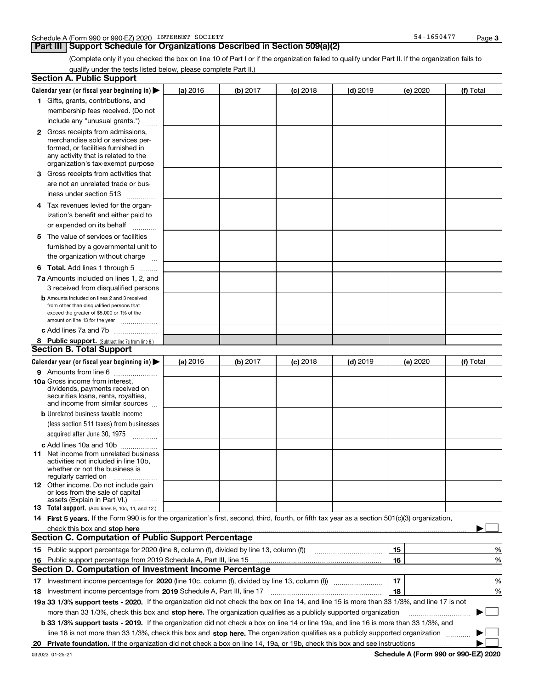#### **Part III** | Support Schedule for Organizations Described in Section 509(a)(2)

**3**

(Complete only if you checked the box on line 10 of Part I or if the organization failed to qualify under Part II. If the organization fails to qualify under the tests listed below, please complete Part II.)

| <b>Section A. Public Support</b>                                                                                                                                                                                               |          |          |                 |                                                      |          |           |        |
|--------------------------------------------------------------------------------------------------------------------------------------------------------------------------------------------------------------------------------|----------|----------|-----------------|------------------------------------------------------|----------|-----------|--------|
| Calendar year (or fiscal year beginning in) $\blacktriangleright$                                                                                                                                                              | (a) 2016 | (b) 2017 | <b>(c)</b> 2018 | $(d)$ 2019                                           | (e) 2020 | (f) Total |        |
| 1 Gifts, grants, contributions, and                                                                                                                                                                                            |          |          |                 |                                                      |          |           |        |
| membership fees received. (Do not                                                                                                                                                                                              |          |          |                 |                                                      |          |           |        |
| include any "unusual grants.")                                                                                                                                                                                                 |          |          |                 |                                                      |          |           |        |
| <b>2</b> Gross receipts from admissions,                                                                                                                                                                                       |          |          |                 |                                                      |          |           |        |
| merchandise sold or services per-                                                                                                                                                                                              |          |          |                 |                                                      |          |           |        |
| formed, or facilities furnished in                                                                                                                                                                                             |          |          |                 |                                                      |          |           |        |
| any activity that is related to the<br>organization's tax-exempt purpose                                                                                                                                                       |          |          |                 |                                                      |          |           |        |
| 3 Gross receipts from activities that                                                                                                                                                                                          |          |          |                 |                                                      |          |           |        |
| are not an unrelated trade or bus-                                                                                                                                                                                             |          |          |                 |                                                      |          |           |        |
| iness under section 513                                                                                                                                                                                                        |          |          |                 |                                                      |          |           |        |
|                                                                                                                                                                                                                                |          |          |                 |                                                      |          |           |        |
| 4 Tax revenues levied for the organ-                                                                                                                                                                                           |          |          |                 |                                                      |          |           |        |
| ization's benefit and either paid to                                                                                                                                                                                           |          |          |                 |                                                      |          |           |        |
| or expended on its behalf<br>.                                                                                                                                                                                                 |          |          |                 |                                                      |          |           |        |
| 5 The value of services or facilities                                                                                                                                                                                          |          |          |                 |                                                      |          |           |        |
| furnished by a governmental unit to                                                                                                                                                                                            |          |          |                 |                                                      |          |           |        |
| the organization without charge                                                                                                                                                                                                |          |          |                 |                                                      |          |           |        |
| <b>6 Total.</b> Add lines 1 through 5                                                                                                                                                                                          |          |          |                 |                                                      |          |           |        |
| 7a Amounts included on lines 1, 2, and                                                                                                                                                                                         |          |          |                 |                                                      |          |           |        |
| 3 received from disqualified persons                                                                                                                                                                                           |          |          |                 |                                                      |          |           |        |
| <b>b</b> Amounts included on lines 2 and 3 received                                                                                                                                                                            |          |          |                 |                                                      |          |           |        |
| from other than disqualified persons that<br>exceed the greater of \$5,000 or 1% of the                                                                                                                                        |          |          |                 |                                                      |          |           |        |
| amount on line 13 for the year                                                                                                                                                                                                 |          |          |                 |                                                      |          |           |        |
| c Add lines 7a and 7b                                                                                                                                                                                                          |          |          |                 |                                                      |          |           |        |
| 8 Public support. (Subtract line 7c from line 6.)                                                                                                                                                                              |          |          |                 |                                                      |          |           |        |
| <b>Section B. Total Support</b>                                                                                                                                                                                                |          |          |                 |                                                      |          |           |        |
| Calendar year (or fiscal year beginning in) $\blacktriangleright$                                                                                                                                                              | (a) 2016 | (b) 2017 | $(c)$ 2018      | $(d)$ 2019                                           | (e) 2020 | (f) Total |        |
| 9 Amounts from line 6                                                                                                                                                                                                          |          |          |                 |                                                      |          |           |        |
| 10a Gross income from interest,                                                                                                                                                                                                |          |          |                 |                                                      |          |           |        |
| dividends, payments received on                                                                                                                                                                                                |          |          |                 |                                                      |          |           |        |
| securities loans, rents, royalties,<br>and income from similar sources                                                                                                                                                         |          |          |                 |                                                      |          |           |        |
| <b>b</b> Unrelated business taxable income                                                                                                                                                                                     |          |          |                 |                                                      |          |           |        |
| (less section 511 taxes) from businesses                                                                                                                                                                                       |          |          |                 |                                                      |          |           |        |
|                                                                                                                                                                                                                                |          |          |                 |                                                      |          |           |        |
| acquired after June 30, 1975                                                                                                                                                                                                   |          |          |                 |                                                      |          |           |        |
| c Add lines 10a and 10b                                                                                                                                                                                                        |          |          |                 |                                                      |          |           |        |
| 11 Net income from unrelated business<br>activities not included in line 10b.                                                                                                                                                  |          |          |                 |                                                      |          |           |        |
| whether or not the business is                                                                                                                                                                                                 |          |          |                 |                                                      |          |           |        |
| regularly carried on                                                                                                                                                                                                           |          |          |                 |                                                      |          |           |        |
| 12 Other income. Do not include gain<br>or loss from the sale of capital                                                                                                                                                       |          |          |                 |                                                      |          |           |        |
| assets (Explain in Part VI.)                                                                                                                                                                                                   |          |          |                 |                                                      |          |           |        |
| <b>13</b> Total support. (Add lines 9, 10c, 11, and 12.)                                                                                                                                                                       |          |          |                 |                                                      |          |           |        |
| 14 First 5 years. If the Form 990 is for the organization's first, second, third, fourth, or fifth tax year as a section 501(c)(3) organization,                                                                               |          |          |                 |                                                      |          |           |        |
| check this box and stop here measurements and contain the state of the state of the state of the state of the state of the state of the state of the state of the state of the state of the state of the state of the state of |          |          |                 |                                                      |          |           |        |
| <b>Section C. Computation of Public Support Percentage</b>                                                                                                                                                                     |          |          |                 |                                                      |          |           |        |
| 15 Public support percentage for 2020 (line 8, column (f), divided by line 13, column (f))                                                                                                                                     |          |          |                 | <u> 1986 - Johann Stoff, Amerikaansk politiker (</u> | 15       |           | %      |
| 16 Public support percentage from 2019 Schedule A, Part III, line 15                                                                                                                                                           |          |          |                 |                                                      | 16       |           | %      |
| Section D. Computation of Investment Income Percentage                                                                                                                                                                         |          |          |                 |                                                      |          |           |        |
|                                                                                                                                                                                                                                |          |          |                 |                                                      | 17       |           | %      |
| <b>18</b> Investment income percentage from <b>2019</b> Schedule A, Part III, line 17                                                                                                                                          |          |          |                 |                                                      | 18       |           | %      |
| 19a 33 1/3% support tests - 2020. If the organization did not check the box on line 14, and line 15 is more than 33 1/3%, and line 17 is not                                                                                   |          |          |                 |                                                      |          |           |        |
| more than 33 1/3%, check this box and stop here. The organization qualifies as a publicly supported organization                                                                                                               |          |          |                 |                                                      |          | ▶         | $\sim$ |
| b 33 1/3% support tests - 2019. If the organization did not check a box on line 14 or line 19a, and line 16 is more than 33 1/3%, and                                                                                          |          |          |                 |                                                      |          |           |        |
| line 18 is not more than 33 1/3%, check this box and stop here. The organization qualifies as a publicly supported organization                                                                                                |          |          |                 |                                                      |          |           |        |
|                                                                                                                                                                                                                                |          |          |                 |                                                      |          |           |        |
|                                                                                                                                                                                                                                |          |          |                 |                                                      |          |           |        |

**Schedule A (Form 990 or 990-EZ) 2020**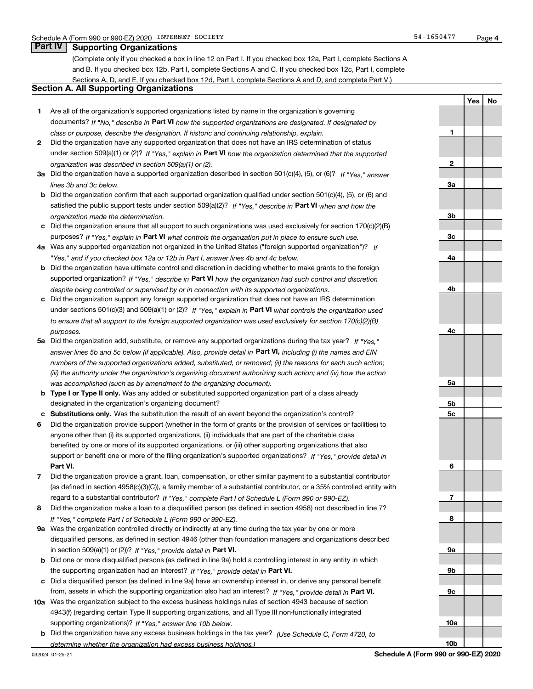(Complete only if you checked a box in line 12 on Part I. If you checked box 12a, Part I, complete Sections A and B. If you checked box 12b, Part I, complete Sections A and C. If you checked box 12c, Part I, complete Sections A, D, and E. If you checked box 12d, Part I, complete Sections A and D, and complete Part V.)

#### **Section A. All Supporting Organizations**

- **1** Are all of the organization's supported organizations listed by name in the organization's governing documents? If "No," describe in **Part VI** how the supported organizations are designated. If designated by *class or purpose, describe the designation. If historic and continuing relationship, explain.*
- **2** Did the organization have any supported organization that does not have an IRS determination of status under section 509(a)(1) or (2)? If "Yes," explain in Part VI how the organization determined that the supported *organization was described in section 509(a)(1) or (2).*
- **3a** Did the organization have a supported organization described in section 501(c)(4), (5), or (6)? If "Yes," answer *lines 3b and 3c below.*
- **b** Did the organization confirm that each supported organization qualified under section 501(c)(4), (5), or (6) and satisfied the public support tests under section 509(a)(2)? If "Yes," describe in **Part VI** when and how the *organization made the determination.*
- **c**Did the organization ensure that all support to such organizations was used exclusively for section 170(c)(2)(B) purposes? If "Yes," explain in **Part VI** what controls the organization put in place to ensure such use.
- **4a***If* Was any supported organization not organized in the United States ("foreign supported organization")? *"Yes," and if you checked box 12a or 12b in Part I, answer lines 4b and 4c below.*
- **b** Did the organization have ultimate control and discretion in deciding whether to make grants to the foreign supported organization? If "Yes," describe in **Part VI** how the organization had such control and discretion *despite being controlled or supervised by or in connection with its supported organizations.*
- **c** Did the organization support any foreign supported organization that does not have an IRS determination under sections 501(c)(3) and 509(a)(1) or (2)? If "Yes," explain in **Part VI** what controls the organization used *to ensure that all support to the foreign supported organization was used exclusively for section 170(c)(2)(B) purposes.*
- **5a***If "Yes,"* Did the organization add, substitute, or remove any supported organizations during the tax year? answer lines 5b and 5c below (if applicable). Also, provide detail in **Part VI,** including (i) the names and EIN *numbers of the supported organizations added, substituted, or removed; (ii) the reasons for each such action; (iii) the authority under the organization's organizing document authorizing such action; and (iv) how the action was accomplished (such as by amendment to the organizing document).*
- **b** Type I or Type II only. Was any added or substituted supported organization part of a class already designated in the organization's organizing document?
- **cSubstitutions only.**  Was the substitution the result of an event beyond the organization's control?
- **6** Did the organization provide support (whether in the form of grants or the provision of services or facilities) to **Part VI.** *If "Yes," provide detail in* support or benefit one or more of the filing organization's supported organizations? anyone other than (i) its supported organizations, (ii) individuals that are part of the charitable class benefited by one or more of its supported organizations, or (iii) other supporting organizations that also
- **7**Did the organization provide a grant, loan, compensation, or other similar payment to a substantial contributor *If "Yes," complete Part I of Schedule L (Form 990 or 990-EZ).* regard to a substantial contributor? (as defined in section 4958(c)(3)(C)), a family member of a substantial contributor, or a 35% controlled entity with
- **8** Did the organization make a loan to a disqualified person (as defined in section 4958) not described in line 7? *If "Yes," complete Part I of Schedule L (Form 990 or 990-EZ).*
- **9a** Was the organization controlled directly or indirectly at any time during the tax year by one or more in section 509(a)(1) or (2))? If "Yes," *provide detail in* <code>Part VI.</code> disqualified persons, as defined in section 4946 (other than foundation managers and organizations described
- **b** Did one or more disqualified persons (as defined in line 9a) hold a controlling interest in any entity in which the supporting organization had an interest? If "Yes," provide detail in P**art VI**.
- **c**Did a disqualified person (as defined in line 9a) have an ownership interest in, or derive any personal benefit from, assets in which the supporting organization also had an interest? If "Yes," provide detail in P**art VI.**
- **10a** Was the organization subject to the excess business holdings rules of section 4943 because of section supporting organizations)? If "Yes," answer line 10b below. 4943(f) (regarding certain Type II supporting organizations, and all Type III non-functionally integrated
- **b** Did the organization have any excess business holdings in the tax year? (Use Schedule C, Form 4720, to *determine whether the organization had excess business holdings.)*

**Schedule A (Form 990 or 990-EZ) 2020**

**1**

**2**

**3a**

**3b**

**3c**

**4a**

**4b**

**4c**

**5a**

**5b5c**

**6**

**7**

**8**

**9a**

**9b**

**9c**

**10a**

**10b**

**YesNo**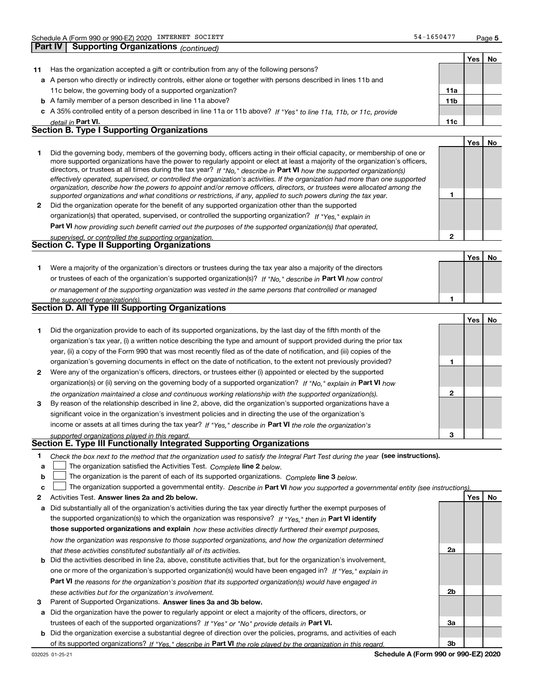| <b>Part IV</b> | <b>Supporting Organizations</b> (continued)                                                                                                                                                                                                                 |                 |     |           |
|----------------|-------------------------------------------------------------------------------------------------------------------------------------------------------------------------------------------------------------------------------------------------------------|-----------------|-----|-----------|
|                |                                                                                                                                                                                                                                                             |                 | Yes | <b>No</b> |
| 11             | Has the organization accepted a gift or contribution from any of the following persons?                                                                                                                                                                     |                 |     |           |
|                | a A person who directly or indirectly controls, either alone or together with persons described in lines 11b and                                                                                                                                            |                 |     |           |
|                | 11c below, the governing body of a supported organization?                                                                                                                                                                                                  | 11a             |     |           |
|                | <b>b</b> A family member of a person described in line 11a above?                                                                                                                                                                                           | 11 <sub>b</sub> |     |           |
|                | c A 35% controlled entity of a person described in line 11a or 11b above? If "Yes" to line 11a, 11b, or 11c, provide                                                                                                                                        |                 |     |           |
|                | detail in Part VI.                                                                                                                                                                                                                                          | 11c             |     |           |
|                | <b>Section B. Type I Supporting Organizations</b>                                                                                                                                                                                                           |                 |     |           |
|                |                                                                                                                                                                                                                                                             |                 | Yes | <b>No</b> |
|                | Did the governing body, members of the governing body, officers acting in their official capacity, or membership of one or<br>more supported organizations have the power to regularly appoint or elect at least a majority of the organization's officers, |                 |     |           |

|              | more supported organizations nave the power to regularly appoint or elect at least a majority or the organization's omcels,    |
|--------------|--------------------------------------------------------------------------------------------------------------------------------|
|              | directors, or trustees at all times during the tax year? If "No," describe in Part VI how the supported organization(s)        |
|              | effectively operated, supervised, or controlled the organization's activities. If the organization had more than one supported |
|              | organization, describe how the powers to appoint and/or remove officers, directors, or trustees were allocated among the       |
|              | supported organizations and what conditions or restrictions, if any, applied to such powers during the tax year.               |
| $\mathbf{2}$ | Did the organization operate for the benefit of any supported organization other than the supported                            |
|              | organization(s) that operated, supervised, or controlled the supporting organization? If "Yes," explain in                     |
|              | <b>Part VI</b> bour providing quab benefit earned out the purposes of the supported examination(a) that energied               |

**Part VI**  *how providing such benefit carried out the purposes of the supported organization(s) that operated, supervised, or controlled the supporting organization.*

| supervised. Or controlled the supporting organization. |  |
|--------------------------------------------------------|--|
| Section C. Type II Supporting Organizations            |  |

**Yes1**or trustees of each of the organization's supported organization(s)? If "No," describe in **Part VI** how control **1***or management of the supporting organization was vested in the same persons that controlled or managed the supported organization(s).* Were a majority of the organization's directors or trustees during the tax year also a majority of the directors

| <b>Section D. All Type III Supporting Organizations</b> |  |
|---------------------------------------------------------|--|

|              |                                                                                                                        |   | Yes |  |
|--------------|------------------------------------------------------------------------------------------------------------------------|---|-----|--|
|              | Did the organization provide to each of its supported organizations, by the last day of the fifth month of the         |   |     |  |
|              | organization's tax year, (i) a written notice describing the type and amount of support provided during the prior tax  |   |     |  |
|              | year, (ii) a copy of the Form 990 that was most recently filed as of the date of notification, and (iii) copies of the |   |     |  |
|              | organization's governing documents in effect on the date of notification, to the extent not previously provided?       |   |     |  |
| $\mathbf{2}$ | Were any of the organization's officers, directors, or trustees either (i) appointed or elected by the supported       |   |     |  |
|              | organization(s) or (ii) serving on the governing body of a supported organization? If "No," explain in Part VI how     |   |     |  |
|              | the organization maintained a close and continuous working relationship with the supported organization(s).            | 2 |     |  |
| 3            | By reason of the relationship described in line 2, above, did the organization's supported organizations have a        |   |     |  |
|              | significant voice in the organization's investment policies and in directing the use of the organization's             |   |     |  |
|              | income or assets at all times during the tax year? If "Yes," describe in Part VI the role the organization's           |   |     |  |
|              | supported organizations played in this regard.                                                                         | з |     |  |

# *supported organizations played in this regard.* **Section E. Type III Functionally Integrated Supporting Organizations**

- **1**Check the box next to the method that the organization used to satisfy the Integral Part Test during the year (see instructions).
- **alinupy** The organization satisfied the Activities Test. Complete line 2 below.
- **b**The organization is the parent of each of its supported organizations. *Complete* line 3 *below.*  $\mathcal{L}^{\text{max}}$

|  |  | $\mathbf{c}$ $\Box$ The organization supported a governmental entity. Describe in Part VI how you supported a governmental entity (see instructions). |  |  |  |  |  |  |
|--|--|-------------------------------------------------------------------------------------------------------------------------------------------------------|--|--|--|--|--|--|
|--|--|-------------------------------------------------------------------------------------------------------------------------------------------------------|--|--|--|--|--|--|

- **2Answer lines 2a and 2b below. Yes No** Activities Test.
- **a** Did substantially all of the organization's activities during the tax year directly further the exempt purposes of the supported organization(s) to which the organization was responsive? If "Yes," then in **Part VI identify those supported organizations and explain**  *how these activities directly furthered their exempt purposes, how the organization was responsive to those supported organizations, and how the organization determined that these activities constituted substantially all of its activities.*
- **b** Did the activities described in line 2a, above, constitute activities that, but for the organization's involvement, **Part VI**  *the reasons for the organization's position that its supported organization(s) would have engaged in* one or more of the organization's supported organization(s) would have been engaged in? If "Yes," e*xplain in these activities but for the organization's involvement.*
- **3**Parent of Supported Organizations. Answer lines 3a and 3b below.
- **a** Did the organization have the power to regularly appoint or elect a majority of the officers, directors, or trustees of each of the supported organizations? If "Yes" or "No" provide details in **Part VI.**
- **b** Did the organization exercise a substantial degree of direction over the policies, programs, and activities of each of its supported organizations? If "Yes," describe in Part VI the role played by the organization in this regard.

**2a**

**2b**

**3a**

**3b**

**1**

**2**

**No**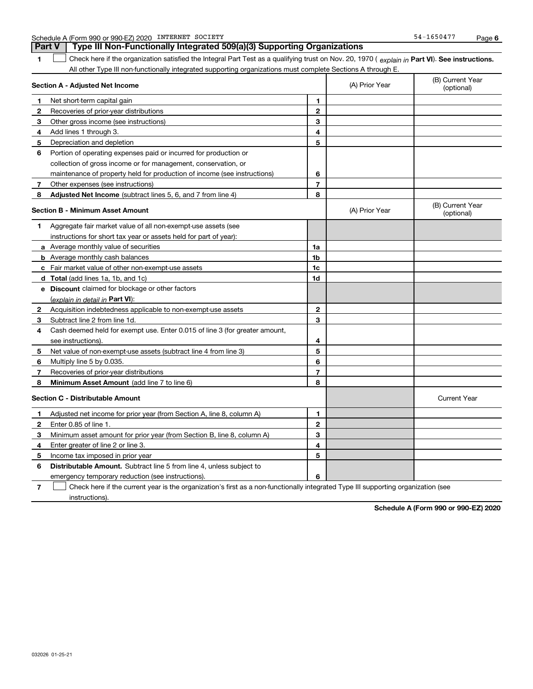| Schedule | 4 (Form 990 or 990-EZ) 2020 | INTERNET | SOCIETY | ,50471<br>54-<br>LO- | Paɑe |  |
|----------|-----------------------------|----------|---------|----------------------|------|--|
|----------|-----------------------------|----------|---------|----------------------|------|--|

|              | <b>Part V</b><br>Type III Non-Functionally Integrated 509(a)(3) Supporting Organizations                                                       |                |                |                                |
|--------------|------------------------------------------------------------------------------------------------------------------------------------------------|----------------|----------------|--------------------------------|
| 1            | Check here if the organization satisfied the Integral Part Test as a qualifying trust on Nov. 20, 1970 (explain in Part VI). See instructions. |                |                |                                |
|              | All other Type III non-functionally integrated supporting organizations must complete Sections A through E.                                    |                |                |                                |
|              | Section A - Adjusted Net Income                                                                                                                |                | (A) Prior Year | (B) Current Year<br>(optional) |
| 1.           | Net short-term capital gain                                                                                                                    | 1              |                |                                |
| 2            | Recoveries of prior-year distributions                                                                                                         | $\mathbf{2}$   |                |                                |
| 3            | Other gross income (see instructions)                                                                                                          | 3              |                |                                |
| 4            | Add lines 1 through 3.                                                                                                                         | 4              |                |                                |
| 5            | Depreciation and depletion                                                                                                                     | 5              |                |                                |
| 6            | Portion of operating expenses paid or incurred for production or                                                                               |                |                |                                |
|              | collection of gross income or for management, conservation, or                                                                                 |                |                |                                |
|              | maintenance of property held for production of income (see instructions)                                                                       | 6              |                |                                |
| 7            | Other expenses (see instructions)                                                                                                              | $\overline{7}$ |                |                                |
| 8            | <b>Adjusted Net Income</b> (subtract lines 5, 6, and 7 from line 4)                                                                            | 8              |                |                                |
|              | <b>Section B - Minimum Asset Amount</b>                                                                                                        |                | (A) Prior Year | (B) Current Year<br>(optional) |
| 1            | Aggregate fair market value of all non-exempt-use assets (see                                                                                  |                |                |                                |
|              | instructions for short tax year or assets held for part of year):                                                                              |                |                |                                |
|              | a Average monthly value of securities                                                                                                          | 1a             |                |                                |
|              | <b>b</b> Average monthly cash balances                                                                                                         | 1 <sub>b</sub> |                |                                |
|              | c Fair market value of other non-exempt-use assets                                                                                             | 1c             |                |                                |
|              | d Total (add lines 1a, 1b, and 1c)                                                                                                             | 1d             |                |                                |
|              | <b>e</b> Discount claimed for blockage or other factors                                                                                        |                |                |                                |
|              | (explain in detail in Part VI):                                                                                                                |                |                |                                |
| $\mathbf{2}$ | Acquisition indebtedness applicable to non-exempt-use assets                                                                                   | $\overline{2}$ |                |                                |
| 3            | Subtract line 2 from line 1d.                                                                                                                  | 3              |                |                                |
| 4            | Cash deemed held for exempt use. Enter 0.015 of line 3 (for greater amount,                                                                    |                |                |                                |
|              | see instructions).                                                                                                                             | 4              |                |                                |
| 5            | Net value of non-exempt-use assets (subtract line 4 from line 3)                                                                               | 5              |                |                                |
| 6            | Multiply line 5 by 0.035.                                                                                                                      | 6              |                |                                |
| 7            | Recoveries of prior-year distributions                                                                                                         | $\overline{7}$ |                |                                |
| 8            | Minimum Asset Amount (add line 7 to line 6)                                                                                                    | 8              |                |                                |
|              | <b>Section C - Distributable Amount</b>                                                                                                        |                |                | <b>Current Year</b>            |
| 1            | Adjusted net income for prior year (from Section A, line 8, column A)                                                                          | 1              |                |                                |
| 2            | Enter 0.85 of line 1.                                                                                                                          | $\overline{2}$ |                |                                |
| з            | Minimum asset amount for prior year (from Section B, line 8, column A)                                                                         | 3              |                |                                |
| 4            | Enter greater of line 2 or line 3.                                                                                                             | 4              |                |                                |
| 5            | Income tax imposed in prior year                                                                                                               | 5              |                |                                |
| 6            | <b>Distributable Amount.</b> Subtract line 5 from line 4, unless subject to                                                                    |                |                |                                |
|              | emergency temporary reduction (see instructions).                                                                                              | 6              |                |                                |

**7**Check here if the current year is the organization's first as a non-functionally integrated Type III supporting organization (see instructions).

**Schedule A (Form 990 or 990-EZ) 2020**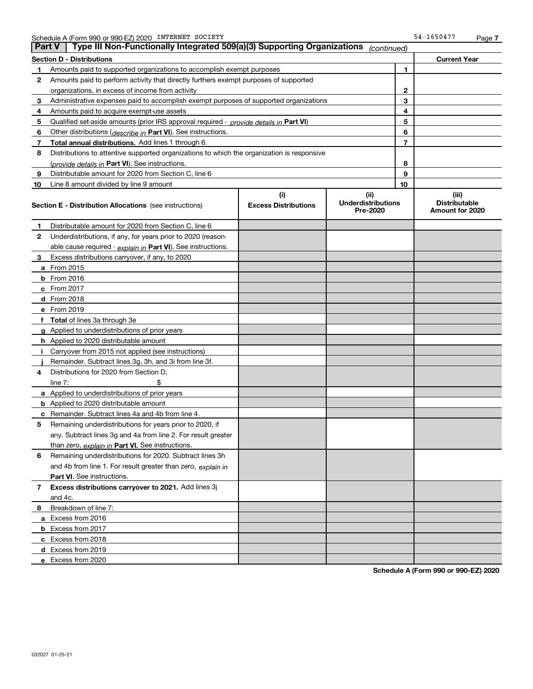| <b>Part V</b> | Type III Non-Functionally Integrated 509(a)(3) Supporting Organizations                    |                             | (continued)                           |              |                                         |
|---------------|--------------------------------------------------------------------------------------------|-----------------------------|---------------------------------------|--------------|-----------------------------------------|
|               | <b>Section D - Distributions</b>                                                           |                             |                                       |              | <b>Current Year</b>                     |
| 1             | Amounts paid to supported organizations to accomplish exempt purposes                      |                             | 1                                     |              |                                         |
| 2             | Amounts paid to perform activity that directly furthers exempt purposes of supported       |                             |                                       |              |                                         |
|               | organizations, in excess of income from activity                                           |                             |                                       | $\mathbf{2}$ |                                         |
| 3             | Administrative expenses paid to accomplish exempt purposes of supported organizations      |                             |                                       | 3            |                                         |
| 4             | Amounts paid to acquire exempt-use assets                                                  |                             |                                       | 4            |                                         |
| 5             | Qualified set-aside amounts (prior IRS approval required - provide details in Part VI)     |                             |                                       | 5            |                                         |
| 6             | Other distributions ( <i>describe in</i> Part VI). See instructions.                       |                             |                                       | 6            |                                         |
| 7             | Total annual distributions. Add lines 1 through 6.                                         |                             |                                       | 7            |                                         |
| 8             | Distributions to attentive supported organizations to which the organization is responsive |                             |                                       |              |                                         |
|               | (provide details in Part VI). See instructions.                                            |                             |                                       | 8            |                                         |
| 9             | Distributable amount for 2020 from Section C, line 6                                       |                             |                                       | 9            |                                         |
| 10            | Line 8 amount divided by line 9 amount                                                     |                             |                                       | 10           |                                         |
|               |                                                                                            | (i)                         | (ii)                                  |              | (iii)                                   |
|               | <b>Section E - Distribution Allocations</b> (see instructions)                             | <b>Excess Distributions</b> | <b>Underdistributions</b><br>Pre-2020 |              | <b>Distributable</b><br>Amount for 2020 |
| 1             | Distributable amount for 2020 from Section C, line 6                                       |                             |                                       |              |                                         |
| 2             | Underdistributions, if any, for years prior to 2020 (reason-                               |                             |                                       |              |                                         |
|               | able cause required - explain in Part VI). See instructions.                               |                             |                                       |              |                                         |
| 3             | Excess distributions carryover, if any, to 2020                                            |                             |                                       |              |                                         |
|               | a From 2015                                                                                |                             |                                       |              |                                         |
|               | <b>b</b> From 2016                                                                         |                             |                                       |              |                                         |
|               | $c$ From 2017                                                                              |                             |                                       |              |                                         |
|               | d From 2018                                                                                |                             |                                       |              |                                         |
|               | e From 2019                                                                                |                             |                                       |              |                                         |
|               | f Total of lines 3a through 3e                                                             |                             |                                       |              |                                         |
|               | g Applied to underdistributions of prior years                                             |                             |                                       |              |                                         |
|               | <b>h</b> Applied to 2020 distributable amount                                              |                             |                                       |              |                                         |
|               | Carryover from 2015 not applied (see instructions)                                         |                             |                                       |              |                                         |
|               | Remainder. Subtract lines 3g, 3h, and 3i from line 3f.                                     |                             |                                       |              |                                         |
| 4             | Distributions for 2020 from Section D,                                                     |                             |                                       |              |                                         |
|               | line $7:$                                                                                  |                             |                                       |              |                                         |
|               | a Applied to underdistributions of prior years                                             |                             |                                       |              |                                         |
|               | <b>b</b> Applied to 2020 distributable amount                                              |                             |                                       |              |                                         |
|               | c Remainder. Subtract lines 4a and 4b from line 4.                                         |                             |                                       |              |                                         |
| 5.            | Remaining underdistributions for years prior to 2020, if                                   |                             |                                       |              |                                         |
|               | any. Subtract lines 3g and 4a from line 2. For result greater                              |                             |                                       |              |                                         |
|               | than zero, explain in Part VI. See instructions.                                           |                             |                                       |              |                                         |
| 6             | Remaining underdistributions for 2020. Subtract lines 3h                                   |                             |                                       |              |                                         |
|               | and 4b from line 1. For result greater than zero, explain in                               |                             |                                       |              |                                         |
|               | Part VI. See instructions.                                                                 |                             |                                       |              |                                         |
| 7             | Excess distributions carryover to 2021. Add lines 3j                                       |                             |                                       |              |                                         |
|               | and 4c.                                                                                    |                             |                                       |              |                                         |
| 8             | Breakdown of line 7:                                                                       |                             |                                       |              |                                         |
|               | a Excess from 2016                                                                         |                             |                                       |              |                                         |
|               | <b>b</b> Excess from 2017                                                                  |                             |                                       |              |                                         |
|               | c Excess from 2018                                                                         |                             |                                       |              |                                         |
|               | d Excess from 2019                                                                         |                             |                                       |              |                                         |
|               | e Excess from 2020                                                                         |                             |                                       |              |                                         |

**Schedule A (Form 990 or 990-EZ) 2020**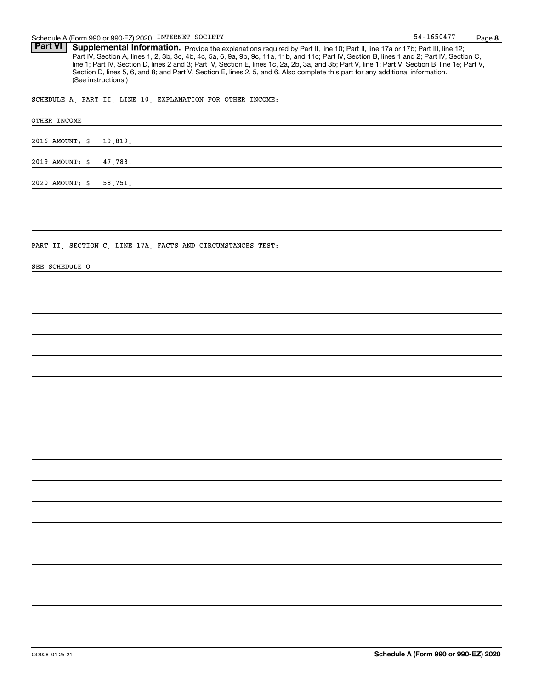Part VI | Supplemental Information. Provide the explanations required by Part II, line 10; Part II, line 17a or 17b; Part III, line 12; Part IV, Section A, lines 1, 2, 3b, 3c, 4b, 4c, 5a, 6, 9a, 9b, 9c, 11a, 11b, and 11c; Part IV, Section B, lines 1 and 2; Part IV, Section C, line 1; Part IV, Section D, lines 2 and 3; Part IV, Section E, lines 1c, 2a, 2b, 3a, and 3b; Part V, line 1; Part V, Section B, line 1e; Part V, Section D, lines 5, 6, and 8; and Part V, Section E, lines 2, 5, and 6. Also complete this part for any additional information. (See instructions.)

SCHEDULE A, PART II, LINE 10, EXPLANATION FOR OTHER INCOME:

| OTHER INCOME                                                |
|-------------------------------------------------------------|
| 2016 AMOUNT: \$<br>19,819.                                  |
| 2019 AMOUNT: \$<br>47,783.                                  |
| 2020 AMOUNT: \$<br>58,751.                                  |
|                                                             |
|                                                             |
| PART II, SECTION C, LINE 17A, FACTS AND CIRCUMSTANCES TEST: |
| SEE SCHEDULE O                                              |
|                                                             |
|                                                             |
|                                                             |
|                                                             |
|                                                             |
|                                                             |
|                                                             |
|                                                             |
|                                                             |
|                                                             |
|                                                             |
|                                                             |
|                                                             |
|                                                             |
|                                                             |
|                                                             |
|                                                             |
|                                                             |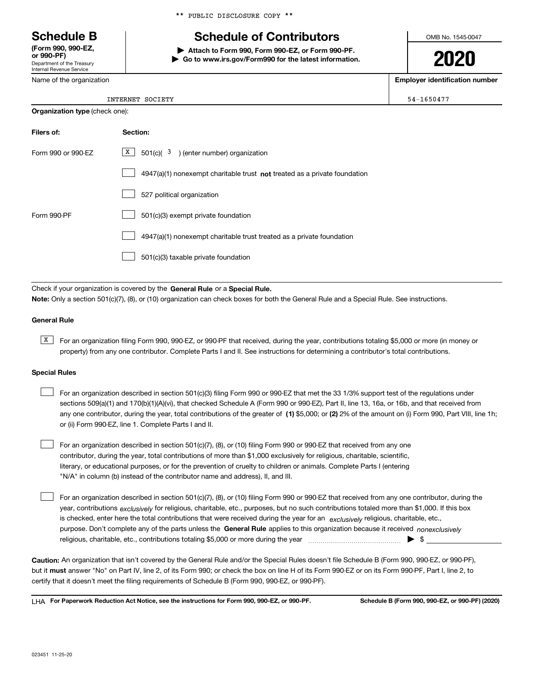Department of the Treasury Internal Revenue Service **(Form 990, 990-EZ, or 990-PF)**

Name of the organization

**Organization type** (check one):

\*\* PUBLIC DISCLOSURE COPY \*\*

# **Schedule B Schedule of Contributors**

**| Attach to Form 990, Form 990-EZ, or Form 990-PF. | Go to www.irs.gov/Form990 for the latest information.** OMB No. 1545-0047

**2020**

**Employer identification number**

| INTERNET | SOCIETY | -1650477<br>54 – |
|----------|---------|------------------|
|          |         |                  |

| Filers of:         | Section:                                                                    |
|--------------------|-----------------------------------------------------------------------------|
| Form 990 or 990-EZ | $X \mid$<br>$501(c)$ $3$ ) (enter number) organization                      |
|                    | $4947(a)(1)$ nonexempt charitable trust not treated as a private foundation |
|                    | 527 political organization                                                  |
| Form 990-PF        | 501(c)(3) exempt private foundation                                         |
|                    | 4947(a)(1) nonexempt charitable trust treated as a private foundation       |
|                    | 501(c)(3) taxable private foundation                                        |

Check if your organization is covered by the **General Rule** or a **Special Rule. Note:**  Only a section 501(c)(7), (8), or (10) organization can check boxes for both the General Rule and a Special Rule. See instructions.

#### **General Rule**

 $\overline{X}$  For an organization filing Form 990, 990-EZ, or 990-PF that received, during the year, contributions totaling \$5,000 or more (in money or property) from any one contributor. Complete Parts I and II. See instructions for determining a contributor's total contributions.

#### **Special Rules**

| For an organization described in section 501(c)(3) filing Form 990 or 990-EZ that met the 33 1/3% support test of the regulations under               |
|-------------------------------------------------------------------------------------------------------------------------------------------------------|
| sections 509(a)(1) and 170(b)(1)(A)(vi), that checked Schedule A (Form 990 or 990-EZ), Part II, line 13, 16a, or 16b, and that received from          |
| any one contributor, during the year, total contributions of the greater of (1) \$5,000; or (2) 2% of the amount on (i) Form 990, Part VIII, line 1h; |
| or (ii) Form 990-EZ, line 1. Complete Parts I and II.                                                                                                 |

For an organization described in section 501(c)(7), (8), or (10) filing Form 990 or 990-EZ that received from any one contributor, during the year, total contributions of more than \$1,000 exclusively for religious, charitable, scientific, literary, or educational purposes, or for the prevention of cruelty to children or animals. Complete Parts I (entering "N/A" in column (b) instead of the contributor name and address), II, and III.  $\mathcal{L}^{\text{max}}$ 

purpose. Don't complete any of the parts unless the **General Rule** applies to this organization because it received *nonexclusively* year, contributions <sub>exclusively</sub> for religious, charitable, etc., purposes, but no such contributions totaled more than \$1,000. If this box is checked, enter here the total contributions that were received during the year for an *exclusively* religious, charitable, etc., For an organization described in section 501(c)(7), (8), or (10) filing Form 990 or 990-EZ that received from any one contributor, during the religious, charitable, etc., contributions totaling \$5,000 or more during the year  $\Box$ — $\Box$   $\Box$  $\mathcal{L}^{\text{max}}$ 

**Caution:**  An organization that isn't covered by the General Rule and/or the Special Rules doesn't file Schedule B (Form 990, 990-EZ, or 990-PF),  **must** but it answer "No" on Part IV, line 2, of its Form 990; or check the box on line H of its Form 990-EZ or on its Form 990-PF, Part I, line 2, to certify that it doesn't meet the filing requirements of Schedule B (Form 990, 990-EZ, or 990-PF).

**For Paperwork Reduction Act Notice, see the instructions for Form 990, 990-EZ, or 990-PF. Schedule B (Form 990, 990-EZ, or 990-PF) (2020)** LHA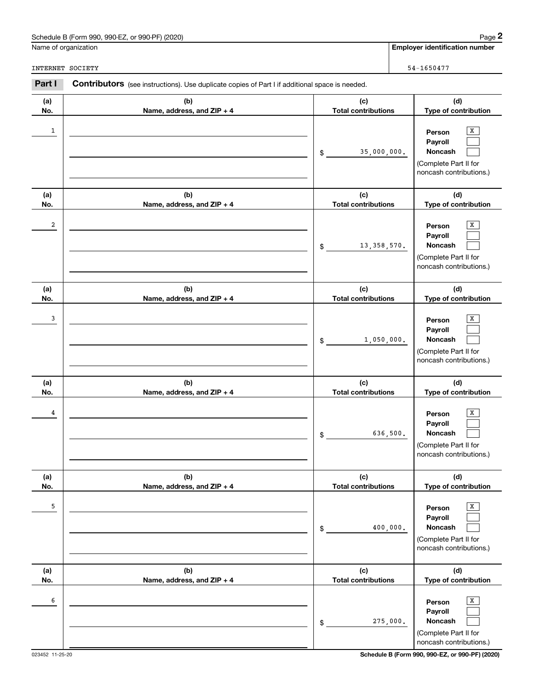| Schedule B (Form 990,<br>or 990-PF) (2020)<br>.990-EZ<br>טו | Page |
|-------------------------------------------------------------|------|
|-------------------------------------------------------------|------|

| chedule B (Form 990, 990-EZ, or 990-PF) (2020)                                                                  | Page 2                                |
|-----------------------------------------------------------------------------------------------------------------|---------------------------------------|
| lame of organization                                                                                            | <b>Employer identification number</b> |
|                                                                                                                 |                                       |
| NTERNET SOCIETY                                                                                                 | 54-1650477                            |
| Part I<br><b>Contributors</b> (see instructions). Use duplicate copies of Part I if additional space is needed. |                                       |

| Part I                  | Contributors (see instructions). Use duplicate copies of Part I if additional space is needed. |                                                                                                                                                               |
|-------------------------|------------------------------------------------------------------------------------------------|---------------------------------------------------------------------------------------------------------------------------------------------------------------|
| (a)                     | (b)                                                                                            | (c)<br>(d)                                                                                                                                                    |
| No.                     | Name, address, and ZIP + 4                                                                     | <b>Total contributions</b><br>Type of contribution                                                                                                            |
| $\mathbf 1$             |                                                                                                | x<br>Person<br>Payroll<br>Noncash<br>35,000,000.<br>\$<br>(Complete Part II for<br>noncash contributions.)                                                    |
| (a)<br>No.              | (b)<br>Name, address, and ZIP + 4                                                              | (c)<br>(d)<br><b>Total contributions</b><br>Type of contribution                                                                                              |
| $\overline{\mathbf{2}}$ |                                                                                                | х<br>Person<br>Payroll<br>Noncash<br>13, 358, 570.<br>\$<br>(Complete Part II for<br>noncash contributions.)                                                  |
| (a)<br>No.              | (b)<br>Name, address, and ZIP + 4                                                              | (c)<br>(d)<br><b>Total contributions</b><br>Type of contribution                                                                                              |
| 3                       |                                                                                                | х<br>Person<br>Payroll<br>Noncash<br>1,050,000.<br>\$<br>(Complete Part II for<br>noncash contributions.)                                                     |
| (a)<br>No.              | (b)<br>Name, address, and ZIP + 4                                                              | (c)<br>(d)<br><b>Total contributions</b><br>Type of contribution                                                                                              |
| 4                       |                                                                                                | х<br>Person<br>Payroll<br>636,500.<br>Noncash<br>$\$$<br>(Complete Part II for<br>noncash contributions.)                                                     |
| (a)                     | (b)                                                                                            | (d)<br>(c)                                                                                                                                                    |
| No.<br>5                | Name, address, and ZIP + 4                                                                     | <b>Total contributions</b><br>Type of contribution<br>X<br>Person<br>Payroll<br>Noncash<br>400,000.<br>\$<br>(Complete Part II for<br>noncash contributions.) |
| (a)                     | (b)                                                                                            | (c)<br>(d)<br><b>Total contributions</b>                                                                                                                      |
| No.<br>6                | Name, address, and ZIP + 4                                                                     | Type of contribution<br>X<br>Person<br>Payroll<br>Noncash<br>275,000.<br>\$<br>(Complete Part II for<br>noncash contributions.)                               |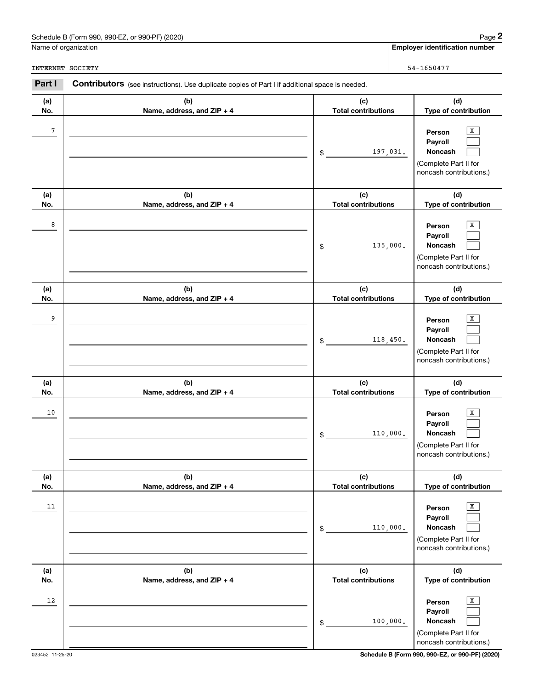| Schedule B (Form 990,<br>or 990-PF) (2020)<br>.990-EZ<br>טו | Page |
|-------------------------------------------------------------|------|
|-------------------------------------------------------------|------|

|                      | Schedule B (Form 990, 990-EZ, or 990-PF) (2020)                                                       |                                   |          | Page 2                                                                                                        |
|----------------------|-------------------------------------------------------------------------------------------------------|-----------------------------------|----------|---------------------------------------------------------------------------------------------------------------|
| Name of organization |                                                                                                       |                                   |          | <b>Employer identification number</b>                                                                         |
|                      | INTERNET SOCIETY                                                                                      |                                   |          | 54-1650477                                                                                                    |
| Part I               | <b>Contributors</b> (see instructions). Use duplicate copies of Part I if additional space is needed. |                                   |          |                                                                                                               |
| (a)<br>No.           | (b)<br>Name, address, and ZIP + 4                                                                     | (c)<br><b>Total contributions</b> |          | (d)<br>Type of contribution                                                                                   |
| $7\phantom{.0}$      |                                                                                                       | \$                                | 197,031. | х<br>Person<br>Payroll<br>Noncash<br>(Complete Part II for<br>noncash contributions.)                         |
| (a)                  | (b)                                                                                                   | (c)                               |          | (d)                                                                                                           |
| No.<br>8             | Name, address, and ZIP + 4                                                                            | <b>Total contributions</b><br>\$  | 135,000. | Type of contribution<br>х<br>Person<br>Payroll<br>Noncash<br>(Complete Part II for<br>noncash contributions.) |
| (a)<br>No.           | (b)<br>Name, address, and ZIP + 4                                                                     | (c)<br><b>Total contributions</b> |          | (d)<br>Type of contribution                                                                                   |
| 9                    |                                                                                                       | \$                                | 118,450. | х<br>Person<br>Payroll<br>Noncash<br>(Complete Part II for<br>noncash contributions.)                         |
| (a)<br>No.           | (b)<br>Name, address, and ZIP + 4                                                                     | (c)<br><b>Total contributions</b> |          | (d)<br>Type of contribution                                                                                   |
| 10                   |                                                                                                       | \$                                | 110,000. | x<br>Person<br>Payroll<br>Noncash<br>(Complete Part II for<br>noncash contributions.)                         |
| (a)<br>No.           | (b)<br>Name, address, and ZIP + 4                                                                     | (c)<br><b>Total contributions</b> |          | (d)<br>Type of contribution                                                                                   |
| 11                   |                                                                                                       | \$                                | 110,000. | X<br>Person<br>Payroll<br>Noncash<br>(Complete Part II for<br>noncash contributions.)                         |
| (a)<br>No.           | (b)<br>Name, address, and ZIP + 4                                                                     | (c)<br><b>Total contributions</b> |          | (d)<br>Type of contribution                                                                                   |
| 12                   |                                                                                                       | \$                                | 100,000. | X<br>Person<br>Payroll<br>Noncash<br>(Complete Part II for<br>noncash contributions.)                         |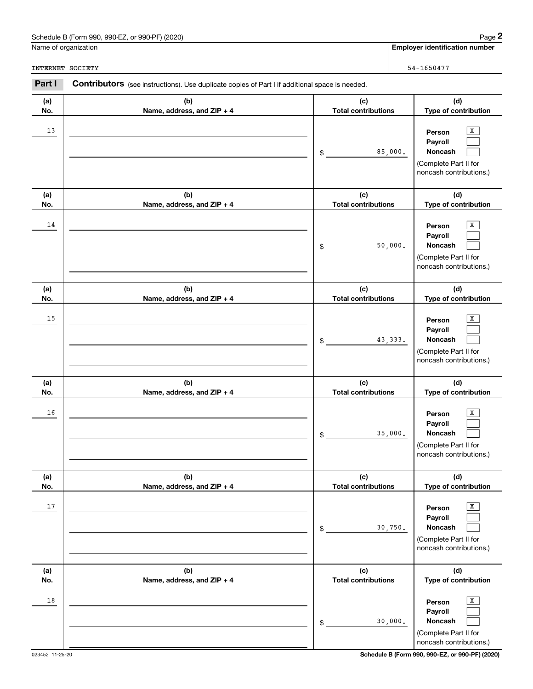| (2020)<br>. or 990-PF)<br>990-EZ<br>Schedule<br>3 (Form 990. | Page |
|--------------------------------------------------------------|------|
|--------------------------------------------------------------|------|

|                      | Schedule B (Form 990, 990-EZ, or 990-PF) (2020)                                                       |                                   | Page 2                                                                                |
|----------------------|-------------------------------------------------------------------------------------------------------|-----------------------------------|---------------------------------------------------------------------------------------|
| Name of organization |                                                                                                       |                                   | <b>Employer identification number</b>                                                 |
|                      | INTERNET SOCIETY                                                                                      |                                   | 54-1650477                                                                            |
| Part I               | <b>Contributors</b> (see instructions). Use duplicate copies of Part I if additional space is needed. |                                   |                                                                                       |
| (a)<br>No.           | (b)<br>Name, address, and ZIP + 4                                                                     | (c)<br><b>Total contributions</b> | (d)<br>Type of contribution                                                           |
| 13                   |                                                                                                       | 85,000.<br>\$                     | х<br>Person<br>Payroll<br>Noncash<br>(Complete Part II for<br>noncash contributions.) |
| (a)<br>No.           | (b)<br>Name, address, and ZIP + 4                                                                     | (c)<br><b>Total contributions</b> | (d)<br>Type of contribution                                                           |
| 14                   |                                                                                                       | 50,000.<br>\$                     | Х<br>Person<br>Payroll<br>Noncash<br>(Complete Part II for<br>noncash contributions.) |
| (a)<br>No.           | (b)<br>Name, address, and ZIP + 4                                                                     | (c)<br><b>Total contributions</b> | (d)<br>Type of contribution                                                           |
| 15                   |                                                                                                       | 43,333.<br>\$                     | х<br>Person<br>Payroll<br>Noncash<br>(Complete Part II for<br>noncash contributions.) |
| (a)<br>No.           | (b)<br>Name, address, and ZIP + 4                                                                     | (c)<br><b>Total contributions</b> | (d)<br>Type of contribution                                                           |
| 16                   |                                                                                                       | 35,000.<br>\$                     | х<br>Person<br>Payroll<br>Noncash<br>(Complete Part II for<br>noncash contributions.) |
| (a)<br>No.           | (b)<br>Name, address, and ZIP + 4                                                                     | (c)<br><b>Total contributions</b> | (d)<br>Type of contribution                                                           |
| 17                   |                                                                                                       | 30,750.<br>\$                     | X<br>Person<br>Payroll<br>Noncash<br>(Complete Part II for<br>noncash contributions.) |
| (a)<br>No.           | (b)<br>Name, address, and ZIP + 4                                                                     | (c)<br><b>Total contributions</b> | (d)<br>Type of contribution                                                           |
| 18                   |                                                                                                       | 30,000.<br>\$                     | X<br>Person<br>Payroll<br>Noncash<br>(Complete Part II for<br>noncash contributions.) |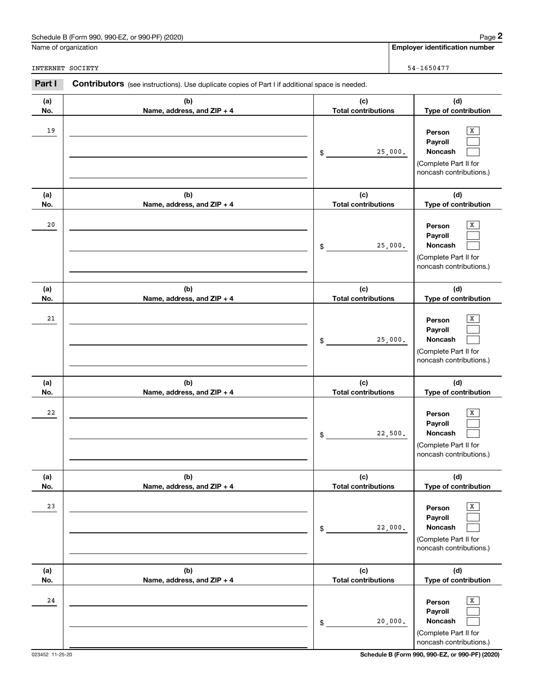| (2020)<br>. or 990-PF)<br>990-EZ<br>Schedule<br>3 (Form 990. | Page |
|--------------------------------------------------------------|------|
|--------------------------------------------------------------|------|

| INTERNET | $\sim$ $-$ |
|----------|------------|
| SOCIETY  | - 4 5      |
| ________ | ___        |
|          |            |

|            | Schedule B (Form 990, 990-EZ, or 990-PF) (2020)                                                       |                                   | Page 2                                                                                |
|------------|-------------------------------------------------------------------------------------------------------|-----------------------------------|---------------------------------------------------------------------------------------|
|            | Name of organization                                                                                  |                                   | <b>Employer identification number</b>                                                 |
|            | INTERNET SOCIETY                                                                                      |                                   | $54 - 1650477$                                                                        |
| Part I     | <b>Contributors</b> (see instructions). Use duplicate copies of Part I if additional space is needed. |                                   |                                                                                       |
| (a)<br>No. | (b)<br>Name, address, and ZIP + 4                                                                     | (c)<br><b>Total contributions</b> | (d)<br>Type of contribution                                                           |
| 19         |                                                                                                       | 25,000.<br>\$                     | х<br>Person<br>Payroll<br>Noncash<br>(Complete Part II for<br>noncash contributions.) |
| (a)<br>No. | (b)<br>Name, address, and ZIP + 4                                                                     | (c)<br><b>Total contributions</b> | (d)<br>Type of contribution                                                           |
| 20         |                                                                                                       | 25,000.<br>\$                     | х<br>Person<br>Payroll<br>Noncash<br>(Complete Part II for<br>noncash contributions.) |
| (a)<br>No. | (b)<br>Name, address, and ZIP + 4                                                                     | (c)<br><b>Total contributions</b> | (d)<br>Type of contribution                                                           |
| 21         |                                                                                                       | 25,000.<br>\$                     | х<br>Person<br>Payroll<br>Noncash<br>(Complete Part II for<br>noncash contributions.) |
| (a)<br>No. | (b)<br>Name, address, and ZIP + 4                                                                     | (c)<br><b>Total contributions</b> | (d)<br>Type of contribution                                                           |
| 22         |                                                                                                       | 22,500.<br>\$                     | х<br>Person<br>Payroll<br>Noncash<br>(Complete Part II for<br>noncash contributions.) |
| (a)<br>No. | (b)<br>Name, address, and ZIP + 4                                                                     | (c)<br><b>Total contributions</b> | (d)<br>Type of contribution                                                           |
| 23         |                                                                                                       | 22,000.<br>\$                     | x<br>Person<br>Payroll<br>Noncash<br>(Complete Part II for<br>noncash contributions.) |
| (a)<br>No. | (b)<br>Name, address, and ZIP + 4                                                                     | (c)<br><b>Total contributions</b> | (d)<br>Type of contribution                                                           |
| 24         |                                                                                                       | 20,000.<br>\$                     | X<br>Person<br>Payroll<br>Noncash<br>(Complete Part II for<br>noncash contributions.) |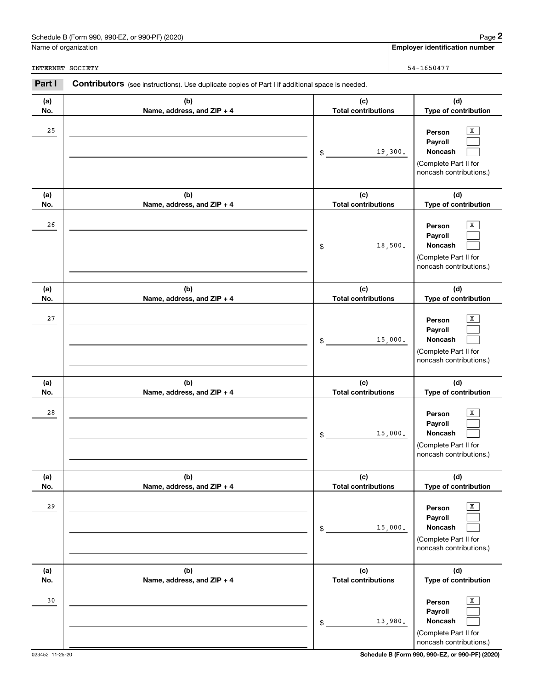| (2020)<br>. or 990-PF)<br>990-EZ<br>Schedule<br>3 (Form 990. | Page |
|--------------------------------------------------------------|------|
|--------------------------------------------------------------|------|

|                      | Schedule B (Form 990, 990-EZ, or 990-PF) (2020)                                                       |                                   |         | Page 2                                                                                                        |
|----------------------|-------------------------------------------------------------------------------------------------------|-----------------------------------|---------|---------------------------------------------------------------------------------------------------------------|
| Name of organization |                                                                                                       |                                   |         | <b>Employer identification number</b>                                                                         |
|                      | INTERNET SOCIETY                                                                                      |                                   |         | 54-1650477                                                                                                    |
| Part I               | <b>Contributors</b> (see instructions). Use duplicate copies of Part I if additional space is needed. |                                   |         |                                                                                                               |
| (a)<br>No.           | (b)<br>Name, address, and ZIP + 4                                                                     | (c)<br><b>Total contributions</b> |         | (d)<br>Type of contribution                                                                                   |
| 25                   |                                                                                                       | \$                                | 19,300. | х<br>Person<br>Payroll<br>Noncash<br>(Complete Part II for<br>noncash contributions.)                         |
| (a)                  | (b)                                                                                                   | (c)<br><b>Total contributions</b> |         | (d)                                                                                                           |
| No.<br>26            | Name, address, and ZIP + 4                                                                            | \$                                | 18,500. | Type of contribution<br>X<br>Person<br>Payroll<br>Noncash<br>(Complete Part II for<br>noncash contributions.) |
| (a)<br>No.           | (b)<br>Name, address, and ZIP + 4                                                                     | (c)<br><b>Total contributions</b> |         | (d)<br>Type of contribution                                                                                   |
| 27                   |                                                                                                       | \$                                | 15,000. | х<br>Person<br>Payroll<br>Noncash<br>(Complete Part II for<br>noncash contributions.)                         |
| (a)<br>No.           | (b)<br>Name, address, and ZIP + 4                                                                     | (c)<br><b>Total contributions</b> |         | (d)<br>Type of contribution                                                                                   |
| 28                   |                                                                                                       | \$                                | 15,000. | х<br>Person<br>Payroll<br>Noncash<br>(Complete Part II for<br>noncash contributions.)                         |
| (a)<br>No.           | (b)<br>Name, address, and ZIP + 4                                                                     | (c)<br><b>Total contributions</b> |         | (d)<br>Type of contribution                                                                                   |
| 29                   |                                                                                                       | \$                                | 15,000. | X<br>Person<br>Payroll<br>Noncash<br>(Complete Part II for<br>noncash contributions.)                         |
| (a)<br>No.           | (b)<br>Name, address, and ZIP + 4                                                                     | (c)<br><b>Total contributions</b> |         | (d)<br>Type of contribution                                                                                   |
| 30                   |                                                                                                       | \$                                | 13,980. | X<br>Person<br>Payroll<br>Noncash<br>(Complete Part II for<br>noncash contributions.)                         |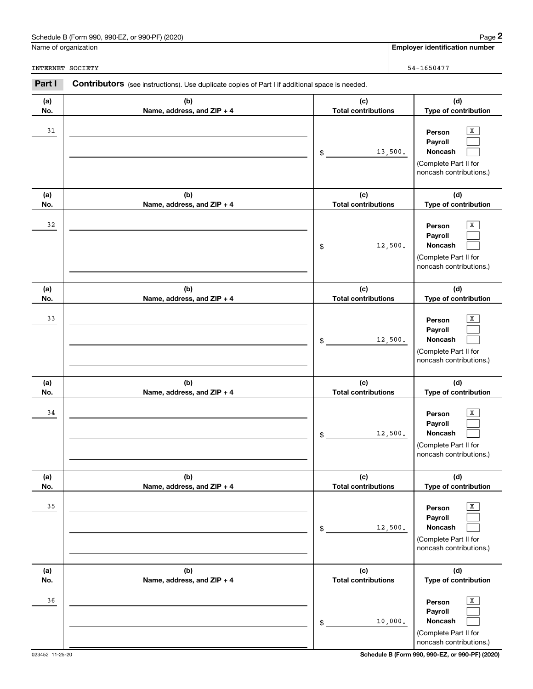| Schedule B (Form 990,<br>or 990-PF) (2020)<br>.990-EZ<br>טו | Page |
|-------------------------------------------------------------|------|
|-------------------------------------------------------------|------|

|            | Schedule B (Form 990, 990-EZ, or 990-PF) (2020)                                                |                                   | Page 2                                                                                |
|------------|------------------------------------------------------------------------------------------------|-----------------------------------|---------------------------------------------------------------------------------------|
|            | Name of organization                                                                           |                                   | <b>Employer identification number</b>                                                 |
|            | INTERNET SOCIETY                                                                               |                                   | $54 - 1650477$                                                                        |
| Part I     | Contributors (see instructions). Use duplicate copies of Part I if additional space is needed. |                                   |                                                                                       |
| (a)<br>No. | (b)<br>Name, address, and ZIP + 4                                                              | (c)<br><b>Total contributions</b> | (d)<br>Type of contribution                                                           |
| 31         |                                                                                                | 13,500.<br>\$                     | х<br>Person<br>Payroll<br>Noncash<br>(Complete Part II for<br>noncash contributions.) |
| (a)<br>No. | (b)<br>Name, address, and ZIP + 4                                                              | (c)<br><b>Total contributions</b> | (d)<br>Type of contribution                                                           |
| 32         |                                                                                                | 12,500.<br>\$                     | х<br>Person<br>Payroll<br>Noncash<br>(Complete Part II for<br>noncash contributions.) |
| (a)<br>No. | (b)<br>Name, address, and ZIP + 4                                                              | (c)<br><b>Total contributions</b> | (d)<br>Type of contribution                                                           |
| 33         |                                                                                                | 12,500.<br>\$                     | х<br>Person<br>Payroll<br>Noncash<br>(Complete Part II for<br>noncash contributions.) |
| (a)<br>No. | (b)<br>Name, address, and ZIP + 4                                                              | (c)<br><b>Total contributions</b> | (d)<br>Type of contribution                                                           |
| 34         |                                                                                                | 12,500.<br>\$                     | х<br>Person<br>Payroll<br>Noncash<br>(Complete Part II for<br>noncash contributions.) |
| (a)<br>No. | (b)<br>Name, address, and ZIP + 4                                                              | (c)<br><b>Total contributions</b> | (d)<br>Type of contribution                                                           |
| 35         |                                                                                                | 12,500.<br>\$                     | X<br>Person<br>Payroll<br>Noncash<br>(Complete Part II for<br>noncash contributions.) |

**(b)Name, address, and ZIP + 4**

**Person Payroll Noncash**

(Complete Part II for noncash contributions.)

**(d) Type of contribution**

> $\boxed{\mathbf{X}}$  $\mathcal{L}^{\text{max}}$  $\mathcal{L}^{\text{max}}$

**(c)Total contributions**

10,000.

\$

X

**(a)No.**

36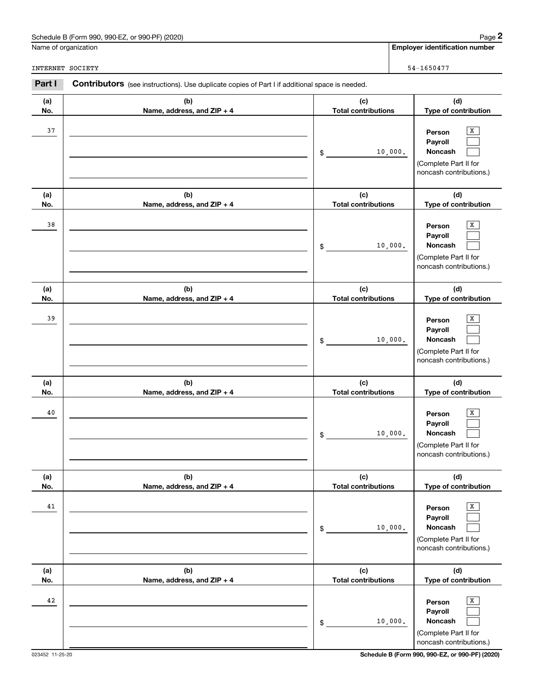| (2020)<br>. or 990-PF)<br>990-EZ<br>Schedule<br>3 (Form 990. | Page |
|--------------------------------------------------------------|------|
|--------------------------------------------------------------|------|

|                      | Schedule B (Form 990, 990-EZ, or 990-PF) (2020)                                                |                                   |         | Page 2                                                                                |
|----------------------|------------------------------------------------------------------------------------------------|-----------------------------------|---------|---------------------------------------------------------------------------------------|
| Name of organization |                                                                                                |                                   |         | <b>Employer identification number</b>                                                 |
|                      | INTERNET SOCIETY                                                                               |                                   |         | 54-1650477                                                                            |
| Part I               | Contributors (see instructions). Use duplicate copies of Part I if additional space is needed. |                                   |         |                                                                                       |
| (a)<br>No.           | (b)<br>Name, address, and ZIP + 4                                                              | (c)<br><b>Total contributions</b> |         | (d)<br>Type of contribution                                                           |
| 37                   |                                                                                                | \$                                | 10,000. | х<br>Person<br>Payroll<br>Noncash<br>(Complete Part II for<br>noncash contributions.) |
| (a)<br>No.           | (b)<br>Name, address, and ZIP + 4                                                              | (c)<br><b>Total contributions</b> |         | (d)<br>Type of contribution                                                           |
| 38                   |                                                                                                | \$                                | 10,000. | X<br>Person<br>Payroll<br>Noncash<br>(Complete Part II for<br>noncash contributions.) |
| (a)<br>No.           | (b)<br>Name, address, and ZIP + 4                                                              | (c)<br><b>Total contributions</b> |         | (d)<br>Type of contribution                                                           |
| 39                   |                                                                                                | \$                                | 10,000. | х<br>Person<br>Payroll<br>Noncash<br>(Complete Part II for<br>noncash contributions.) |
| (a)<br>No.           | (b)<br>Name, address, and ZIP + 4                                                              | (c)<br><b>Total contributions</b> |         | (d)<br>Type of contribution                                                           |
| 40                   |                                                                                                | \$                                | 10,000. | х<br>Person<br>Payroll<br>Noncash<br>(Complete Part II for<br>noncash contributions.) |
| (a)<br>No.           | (b)<br>Name, address, and ZIP + 4                                                              | (c)<br><b>Total contributions</b> |         | (d)<br>Type of contribution                                                           |
| 41                   |                                                                                                | \$                                | 10,000. | X<br>Person<br>Payroll<br>Noncash<br>(Complete Part II for<br>noncash contributions.) |
| (a)<br>No.           | (b)<br>Name, address, and ZIP + 4                                                              | (c)<br><b>Total contributions</b> |         | (d)<br>Type of contribution                                                           |
| 42                   |                                                                                                | \$                                | 10,000. | X<br>Person<br>Payroll<br>Noncash<br>(Complete Part II for<br>noncash contributions.) |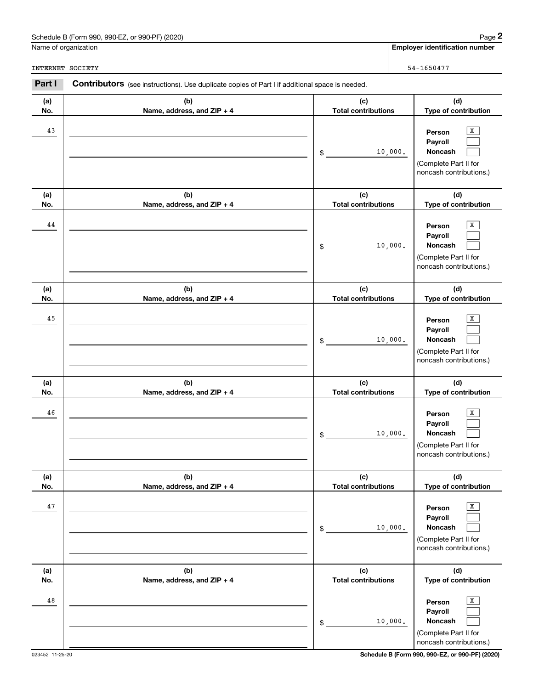| (2020)<br>. or 990-PF)<br>990-EZ<br>Schedule<br>3 (Form 990. | Page |
|--------------------------------------------------------------|------|
|--------------------------------------------------------------|------|

|                      | Schedule B (Form 990, 990-EZ, or 990-PF) (2020)                                                       |                                   |         | Page 2                                                                                |
|----------------------|-------------------------------------------------------------------------------------------------------|-----------------------------------|---------|---------------------------------------------------------------------------------------|
| Name of organization |                                                                                                       |                                   |         | <b>Employer identification number</b>                                                 |
|                      | INTERNET SOCIETY                                                                                      |                                   |         | 54-1650477                                                                            |
| Part I               | <b>Contributors</b> (see instructions). Use duplicate copies of Part I if additional space is needed. |                                   |         |                                                                                       |
| (a)<br>No.           | (b)<br>Name, address, and ZIP + 4                                                                     | (c)<br><b>Total contributions</b> |         | (d)<br>Type of contribution                                                           |
| 43                   |                                                                                                       | \$                                | 10,000. | х<br>Person<br>Payroll<br>Noncash<br>(Complete Part II for<br>noncash contributions.) |
| (a)<br>No.           | (b)<br>Name, address, and ZIP + 4                                                                     | (c)<br><b>Total contributions</b> |         | (d)<br>Type of contribution                                                           |
| 44                   |                                                                                                       | \$                                | 10,000. | Х<br>Person<br>Payroll<br>Noncash<br>(Complete Part II for<br>noncash contributions.) |
| (a)<br>No.           | (b)<br>Name, address, and ZIP + 4                                                                     | (c)<br><b>Total contributions</b> |         | (d)<br>Type of contribution                                                           |
| 45                   |                                                                                                       | \$                                | 10,000. | х<br>Person<br>Payroll<br>Noncash<br>(Complete Part II for<br>noncash contributions.) |
| (a)<br>No.           | (b)<br>Name, address, and ZIP + 4                                                                     | (c)<br><b>Total contributions</b> |         | (d)<br>Type of contribution                                                           |
| 46                   |                                                                                                       | \$                                | 10,000. | x<br>Person<br>Payroll<br>Noncash<br>(Complete Part II for<br>noncash contributions.) |
| (a)<br>No.           | (b)<br>Name, address, and ZIP + 4                                                                     | (c)<br><b>Total contributions</b> |         | (d)<br>Type of contribution                                                           |
| 47                   |                                                                                                       | \$                                | 10,000. | X<br>Person<br>Payroll<br>Noncash<br>(Complete Part II for<br>noncash contributions.) |
| (a)<br>No.           | (b)<br>Name, address, and ZIP + 4                                                                     | (c)<br><b>Total contributions</b> |         | (d)<br>Type of contribution                                                           |
| 48                   |                                                                                                       | \$                                | 10,000. | X<br>Person<br>Payroll<br>Noncash<br>(Complete Part II for<br>noncash contributions.) |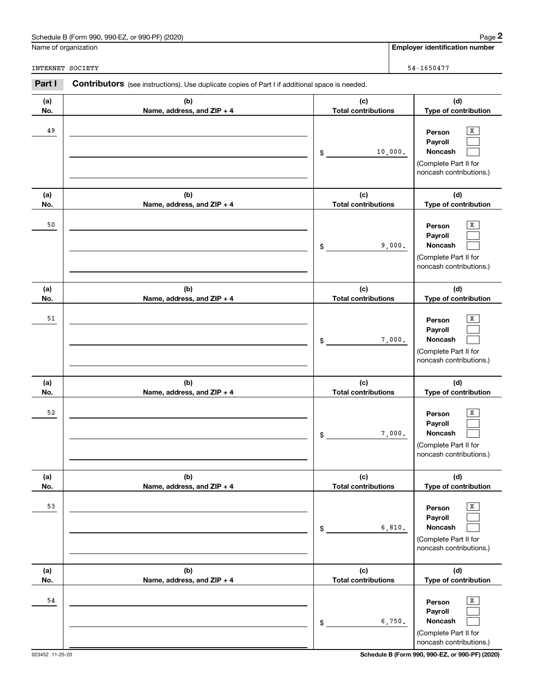| (2020)<br>. or 990-PF)<br>990-EZ<br>Schedule<br>3 (Form 990. | Page |
|--------------------------------------------------------------|------|
|--------------------------------------------------------------|------|

|                      | Schedule B (Form 990, 990-EZ, or 990-PF) (2020)                                                |                                   |         | Page 2                                                                                |
|----------------------|------------------------------------------------------------------------------------------------|-----------------------------------|---------|---------------------------------------------------------------------------------------|
| Name of organization |                                                                                                |                                   |         | <b>Employer identification number</b>                                                 |
|                      | INTERNET SOCIETY                                                                               |                                   |         | 54-1650477                                                                            |
| Part I               | Contributors (see instructions). Use duplicate copies of Part I if additional space is needed. |                                   |         |                                                                                       |
| (a)<br>No.           | (b)<br>Name, address, and ZIP + 4                                                              | (c)<br><b>Total contributions</b> |         | (d)<br>Type of contribution                                                           |
| 49                   |                                                                                                | \$                                | 10,000. | х<br>Person<br>Payroll<br>Noncash<br>(Complete Part II for<br>noncash contributions.) |
| (a)<br>No.           | (b)<br>Name, address, and ZIP + 4                                                              | (c)<br><b>Total contributions</b> |         | (d)<br>Type of contribution                                                           |
| 50                   |                                                                                                | \$                                | 9,000.  | X<br>Person<br>Payroll<br>Noncash<br>(Complete Part II for<br>noncash contributions.) |
| (a)<br>No.           | (b)<br>Name, address, and ZIP + 4                                                              | (c)<br><b>Total contributions</b> |         | (d)<br>Type of contribution                                                           |
| 51                   |                                                                                                | \$                                | 7,000.  | х<br>Person<br>Payroll<br>Noncash<br>(Complete Part II for<br>noncash contributions.) |
| (a)<br>No.           | (b)<br>Name, address, and ZIP + 4                                                              | (c)<br><b>Total contributions</b> |         | (d)<br>Type of contribution                                                           |
| 52                   |                                                                                                | \$                                | 7,000.  | х<br>Person<br>Payroll<br>Noncash<br>(Complete Part II for<br>noncash contributions.) |
| (a)<br>No.           | (b)<br>Name, address, and ZIP + 4                                                              | (c)<br><b>Total contributions</b> |         | (d)<br>Type of contribution                                                           |
| 53                   |                                                                                                | \$                                | 6,810.  | X<br>Person<br>Payroll<br>Noncash<br>(Complete Part II for<br>noncash contributions.) |
| (a)<br>No.           | (b)<br>Name, address, and ZIP + 4                                                              | (c)<br><b>Total contributions</b> |         | (d)<br>Type of contribution                                                           |
| 54                   |                                                                                                | \$                                | 6,750.  | X<br>Person<br>Payroll<br>Noncash<br>(Complete Part II for<br>noncash contributions.) |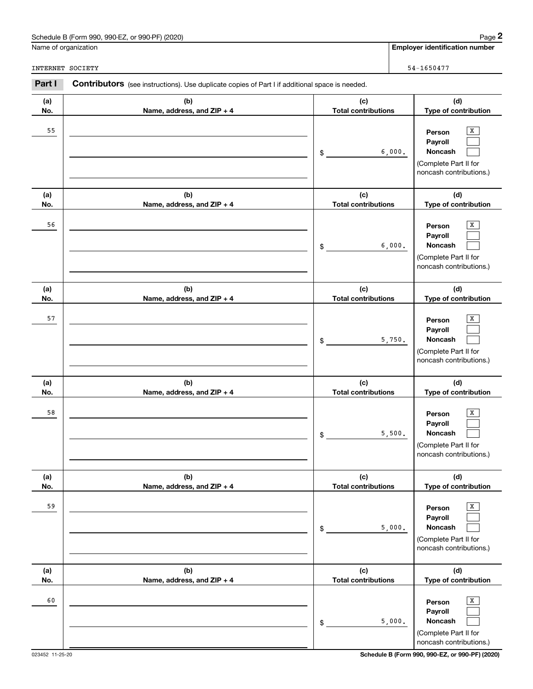| (2020)<br>. or 990-PF)<br>990-EZ<br>Schedule<br>3 (Form 990. | Page |
|--------------------------------------------------------------|------|
|--------------------------------------------------------------|------|

| 54-1650477 |  |  |
|------------|--|--|
|            |  |  |

|            | Schedule B (Form 990, 990-EZ, or 990-PF) (2020)                                                       |                                   |        | Page 2                                                                                |
|------------|-------------------------------------------------------------------------------------------------------|-----------------------------------|--------|---------------------------------------------------------------------------------------|
|            | Name of organization                                                                                  |                                   |        | <b>Employer identification number</b>                                                 |
|            | INTERNET SOCIETY                                                                                      |                                   |        | 54-1650477                                                                            |
| Part I     | <b>Contributors</b> (see instructions). Use duplicate copies of Part I if additional space is needed. |                                   |        |                                                                                       |
| (a)<br>No. | (b)<br>Name, address, and ZIP + 4                                                                     | (c)<br><b>Total contributions</b> |        | (d)<br>Type of contribution                                                           |
| 55         |                                                                                                       | \$                                | 6,000. | х<br>Person<br>Payroll<br>Noncash<br>(Complete Part II for<br>noncash contributions.) |
| (a)<br>No. | (b)<br>Name, address, and ZIP + 4                                                                     | (c)<br><b>Total contributions</b> |        | (d)<br>Type of contribution                                                           |
| 56         |                                                                                                       | \$                                | 6,000. | X<br>Person<br>Payroll<br>Noncash<br>(Complete Part II for<br>noncash contributions.) |
| (a)<br>No. | (b)<br>Name, address, and ZIP + 4                                                                     | (c)<br><b>Total contributions</b> |        | (d)<br>Type of contribution                                                           |
| 57         |                                                                                                       | \$                                | 5,750. | х<br>Person<br>Payroll<br>Noncash<br>(Complete Part II for<br>noncash contributions.) |
| (a)<br>No. | (b)<br>Name, address, and ZIP + 4                                                                     | (c)<br><b>Total contributions</b> |        | (d)<br>Type of contribution                                                           |
| 58         |                                                                                                       | \$                                | 5,500. | х<br>Person<br>Payroll<br>Noncash<br>(Complete Part II for<br>noncash contributions.) |
| (a)<br>No. | (b)<br>Name, address, and ZIP + 4                                                                     | (c)<br><b>Total contributions</b> |        | (d)<br>Type of contribution                                                           |
| 59         |                                                                                                       | \$                                | 5,000. | X<br>Person<br>Payroll<br>Noncash<br>(Complete Part II for<br>noncash contributions.) |
| (a)<br>No. | (b)<br>Name, address, and ZIP + 4                                                                     | (c)<br><b>Total contributions</b> |        | (d)<br>Type of contribution                                                           |
| 60         |                                                                                                       | \$                                | 5,000. | X<br>Person<br>Payroll<br>Noncash<br>(Complete Part II for<br>noncash contributions.) |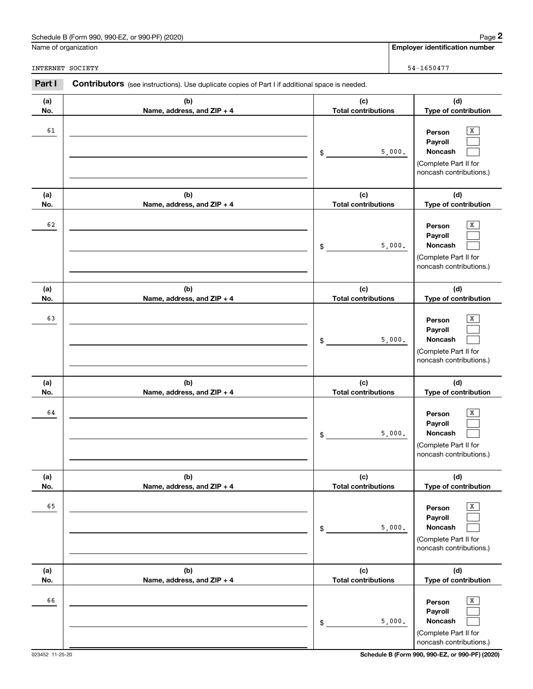| (2020)<br>. or 990-PF)<br>990-EZ<br>Schedule<br>3 (Form 990. | Page |
|--------------------------------------------------------------|------|
|--------------------------------------------------------------|------|

| INTE)<br>:ETY<br><b>ERNET</b><br>soc<br>_________<br>__________ | ٦Д |
|-----------------------------------------------------------------|----|
|                                                                 |    |

|                  | Schedule B (Form 990, 990-EZ, or 990-PF) (2020)                                                       |                                   |        | Page 2                                                                                       |  |
|------------------|-------------------------------------------------------------------------------------------------------|-----------------------------------|--------|----------------------------------------------------------------------------------------------|--|
|                  | Name of organization                                                                                  |                                   |        | <b>Employer identification number</b>                                                        |  |
| INTERNET SOCIETY |                                                                                                       |                                   |        | $54 - 1650477$                                                                               |  |
| Part I           | <b>Contributors</b> (see instructions). Use duplicate copies of Part I if additional space is needed. |                                   |        |                                                                                              |  |
| (a)<br>No.       | (b)<br>Name, address, and ZIP + 4                                                                     | (c)<br><b>Total contributions</b> |        | (d)<br>Type of contribution                                                                  |  |
| 61               |                                                                                                       | \$                                | 5,000. | х<br>Person<br>Payroll<br>Noncash<br>(Complete Part II for<br>noncash contributions.)        |  |
| (a)<br>No.       | (b)                                                                                                   | (c)<br><b>Total contributions</b> |        | (d)<br>Type of contribution                                                                  |  |
| 62               | Name, address, and ZIP + 4                                                                            | \$                                | 5,000. | X<br>Person<br>Payroll<br>Noncash<br>(Complete Part II for<br>noncash contributions.)        |  |
| (a)<br>No.       | (b)<br>Name, address, and ZIP + 4                                                                     | (c)<br><b>Total contributions</b> |        | (d)<br>Type of contribution                                                                  |  |
| 63               |                                                                                                       | \$                                | 5,000. | X<br>Person<br>Payroll<br>Noncash<br>(Complete Part II for<br>noncash contributions.)        |  |
| (a)<br>No.       | (b)<br>Name, address, and ZIP + 4                                                                     | (c)<br><b>Total contributions</b> |        | (d)<br>Type of contribution                                                                  |  |
| 64               |                                                                                                       | \$                                | 5,000. | х<br>Person<br>Payroll<br>Noncash<br>(Complete Part II for<br>noncash contributions.)        |  |
| (a)<br>No.       | (b)<br>Name, address, and ZIP + 4                                                                     | (c)<br><b>Total contributions</b> |        | (d)<br>Type of contribution                                                                  |  |
| 65               |                                                                                                       | \$                                | 5,000. | х<br>Person<br>Payroll<br><b>Noncash</b><br>(Complete Part II for<br>noncash contributions.) |  |
| (a)<br>No.       | (b)<br>Name, address, and ZIP + 4                                                                     | (c)<br><b>Total contributions</b> |        | (d)<br>Type of contribution                                                                  |  |
| 66               |                                                                                                       | \$                                | 5,000. | х<br>Person<br>Payroll<br>Noncash<br>(Complete Part II for<br>noncash contributions.)        |  |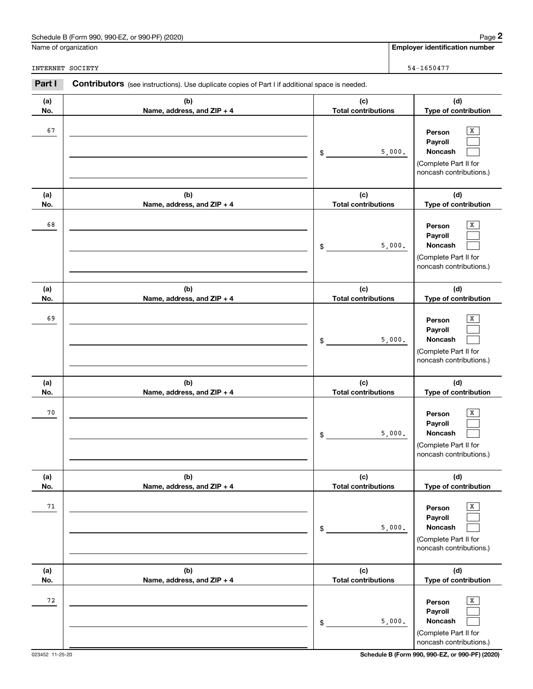| (2020)<br>. or 990-PF)<br>990-EZ<br>Schedule<br>3 (Form 990. | Page |
|--------------------------------------------------------------|------|
|--------------------------------------------------------------|------|

|                      | Schedule B (Form 990, 990-EZ, or 990-PF) (2020)                                                       |                                   |        | Page 2                                                                                                        |
|----------------------|-------------------------------------------------------------------------------------------------------|-----------------------------------|--------|---------------------------------------------------------------------------------------------------------------|
| Name of organization |                                                                                                       |                                   |        | <b>Employer identification number</b>                                                                         |
| INTERNET SOCIETY     |                                                                                                       |                                   |        | 54-1650477                                                                                                    |
| Part I               | <b>Contributors</b> (see instructions). Use duplicate copies of Part I if additional space is needed. |                                   |        |                                                                                                               |
| (a)<br>No.           | (b)<br>Name, address, and ZIP + 4                                                                     | (c)<br><b>Total contributions</b> |        | (d)<br>Type of contribution                                                                                   |
| 67                   |                                                                                                       | \$                                | 5,000. | х<br>Person<br>Payroll<br>Noncash<br>(Complete Part II for<br>noncash contributions.)                         |
| (a)                  | (b)                                                                                                   | (c)<br><b>Total contributions</b> |        | (d)                                                                                                           |
| No.<br>68            | Name, address, and ZIP + 4                                                                            | \$                                | 5,000. | Type of contribution<br>X<br>Person<br>Payroll<br>Noncash<br>(Complete Part II for<br>noncash contributions.) |
| (a)<br>No.           | (b)<br>Name, address, and ZIP + 4                                                                     | (c)<br><b>Total contributions</b> |        | (d)<br>Type of contribution                                                                                   |
| 69                   |                                                                                                       | \$                                | 5,000. | х<br>Person<br>Payroll<br>Noncash<br>(Complete Part II for<br>noncash contributions.)                         |
| (a)<br>No.           | (b)<br>Name, address, and ZIP + 4                                                                     | (c)<br><b>Total contributions</b> |        | (d)<br>Type of contribution                                                                                   |
| 70                   |                                                                                                       | \$                                | 5,000. | х<br>Person<br>Payroll<br>Noncash<br>(Complete Part II for<br>noncash contributions.)                         |
| (a)<br>No.           | (b)<br>Name, address, and ZIP + 4                                                                     | (c)<br><b>Total contributions</b> |        | (d)<br>Type of contribution                                                                                   |
| 71                   |                                                                                                       | \$                                | 5,000. | X<br>Person<br>Payroll<br>Noncash<br>(Complete Part II for<br>noncash contributions.)                         |
| (a)<br>No.           | (b)<br>Name, address, and ZIP + 4                                                                     | (c)<br><b>Total contributions</b> |        | (d)<br>Type of contribution                                                                                   |
| 72                   |                                                                                                       | \$                                | 5,000. | X<br>Person<br>Payroll<br>Noncash<br>(Complete Part II for<br>noncash contributions.)                         |

023452 11-25-20 **Schedule B (Form 990, 990-EZ, or 990-PF) (2020)**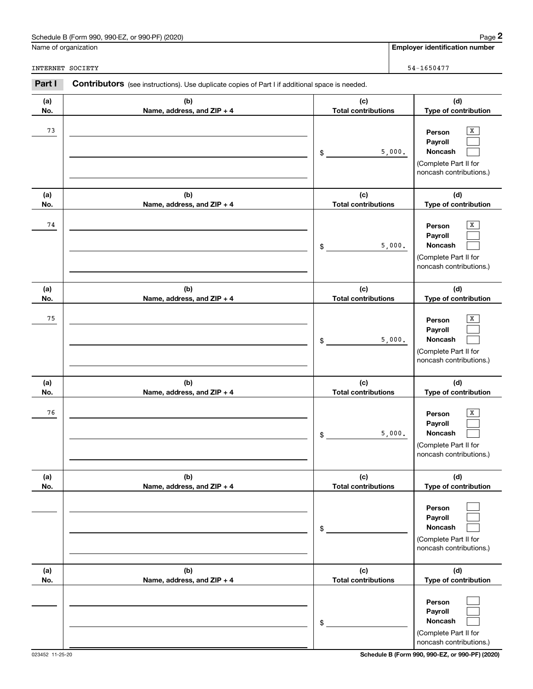| (2020)<br>. or 990-PF)<br>990-EZ<br>Schedule<br>3 (Form 990. | Page |
|--------------------------------------------------------------|------|
|--------------------------------------------------------------|------|

| INTERNET<br>SOCIETY | $\sim$ $-$<br>54 – |
|---------------------|--------------------|
|                     |                    |

|            | Schedule B (Form 990, 990-EZ, or 990-PF) (2020)                                                |                                   |        | Page 2                                                                                |
|------------|------------------------------------------------------------------------------------------------|-----------------------------------|--------|---------------------------------------------------------------------------------------|
|            | Name of organization                                                                           |                                   |        | <b>Employer identification number</b>                                                 |
|            | INTERNET SOCIETY                                                                               |                                   |        | 54-1650477                                                                            |
| Part I     | Contributors (see instructions). Use duplicate copies of Part I if additional space is needed. |                                   |        |                                                                                       |
| (a)<br>No. | (b)<br>Name, address, and ZIP + 4                                                              | (c)<br><b>Total contributions</b> |        | (d)<br>Type of contribution                                                           |
| 73         |                                                                                                | \$                                | 5,000. | X<br>Person<br>Payroll<br>Noncash<br>(Complete Part II for<br>noncash contributions.) |
| (a)<br>No. | (b)<br>Name, address, and ZIP + 4                                                              | (c)<br><b>Total contributions</b> |        | (d)<br>Type of contribution                                                           |
| 74         |                                                                                                | \$                                | 5,000. | х<br>Person<br>Payroll<br>Noncash<br>(Complete Part II for<br>noncash contributions.) |
| (a)<br>No. | (b)<br>Name, address, and ZIP + 4                                                              | (c)<br><b>Total contributions</b> |        | (d)<br>Type of contribution                                                           |
| 75         |                                                                                                | \$                                | 5,000. | x<br>Person<br>Payroll<br>Noncash<br>(Complete Part II for<br>noncash contributions.) |
| (a)<br>No. | (b)<br>Name, address, and ZIP + 4                                                              | (c)<br><b>Total contributions</b> |        | (d)<br>Type of contribution                                                           |
| 76         |                                                                                                | \$                                | 5,000. | х<br>Person<br>Payroll<br>Noncash<br>(Complete Part II for<br>noncash contributions.) |
| (a)<br>No. | (b)<br>Name, address, and ZIP + 4                                                              | (c)<br><b>Total contributions</b> |        | (d)<br>Type of contribution                                                           |
|            |                                                                                                | \$                                |        | Person<br>Payroll<br>Noncash<br>(Complete Part II for<br>noncash contributions.)      |
| (a)<br>No. | (b)<br>Name, address, and ZIP + 4                                                              | (c)<br><b>Total contributions</b> |        | (d)<br>Type of contribution                                                           |
|            |                                                                                                | \$                                |        | Person<br>Payroll<br>Noncash<br>(Complete Part II for<br>noncash contributions.)      |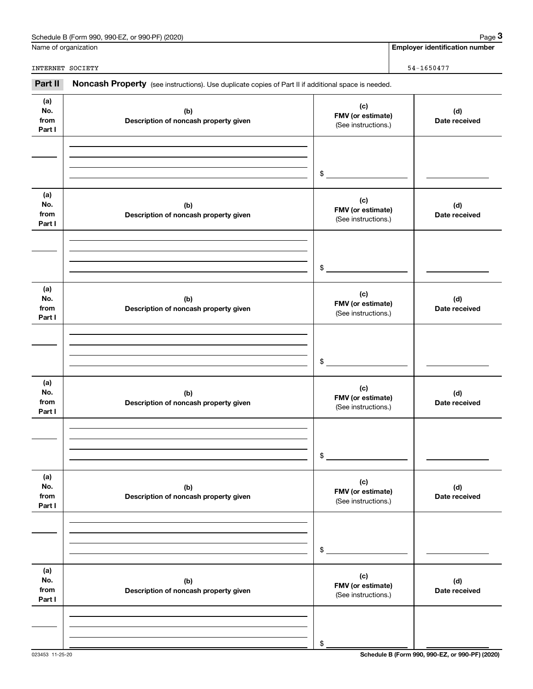|                              | Schedule B (Form 990, 990-EZ, or 990-PF) (2020)                                                     |                                                 | Page 3                                |
|------------------------------|-----------------------------------------------------------------------------------------------------|-------------------------------------------------|---------------------------------------|
|                              | Name of organization                                                                                |                                                 | <b>Employer identification number</b> |
| INTERNET SOCIETY             |                                                                                                     | $54 - 1650477$                                  |                                       |
| Part II                      | Noncash Property (see instructions). Use duplicate copies of Part II if additional space is needed. |                                                 |                                       |
| (a)<br>No.<br>from<br>Part I | (b)<br>Description of noncash property given                                                        | (c)<br>FMV (or estimate)<br>(See instructions.) | (d)<br>Date received                  |
|                              |                                                                                                     | \$                                              |                                       |
| (a)<br>No.<br>from<br>Part I | (b)<br>Description of noncash property given                                                        | (c)<br>FMV (or estimate)<br>(See instructions.) | (d)<br>Date received                  |
|                              |                                                                                                     | \$                                              |                                       |
| (a)<br>No.<br>from<br>Part I | (b)<br>Description of noncash property given                                                        | (c)<br>FMV (or estimate)<br>(See instructions.) | (d)<br>Date received                  |
|                              |                                                                                                     | \$                                              |                                       |
| (a)<br>No.<br>from<br>Part I | (b)<br>Description of noncash property given                                                        | (c)<br>FMV (or estimate)<br>(See instructions.) | (d)<br>Date received                  |
|                              |                                                                                                     | \$                                              |                                       |
| (a)<br>No.<br>from<br>Part I | (b)<br>Description of noncash property given                                                        | (c)<br>FMV (or estimate)<br>(See instructions.) | (d)<br>Date received                  |
|                              |                                                                                                     | \$                                              |                                       |
| (a)<br>No.<br>from<br>Part I | (b)<br>Description of noncash property given                                                        | (c)<br>FMV (or estimate)<br>(See instructions.) | (d)<br>Date received                  |
|                              |                                                                                                     | \$                                              |                                       |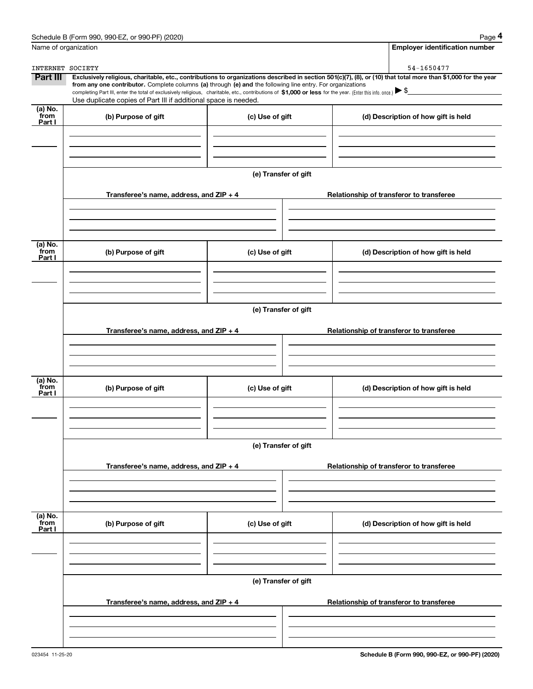|                             | Schedule B (Form 990, 990-EZ, or 990-PF) (2020)                                                                                                                                                                                                                                                 |                      | Page 4                                                                                                                                                         |
|-----------------------------|-------------------------------------------------------------------------------------------------------------------------------------------------------------------------------------------------------------------------------------------------------------------------------------------------|----------------------|----------------------------------------------------------------------------------------------------------------------------------------------------------------|
| Name of organization        |                                                                                                                                                                                                                                                                                                 |                      | <b>Employer identification number</b>                                                                                                                          |
| INTERNET SOCIETY            |                                                                                                                                                                                                                                                                                                 |                      | 54-1650477                                                                                                                                                     |
| Part III                    | from any one contributor. Complete columns (a) through (e) and the following line entry. For organizations<br>completing Part III, enter the total of exclusively religious, charitable, etc., contributions of \$1,000 or less for the year. (Enter this info. once.) $\blacktriangleright$ \$ |                      | Exclusively religious, charitable, etc., contributions to organizations described in section 501(c)(7), (8), or (10) that total more than \$1,000 for the year |
|                             | Use duplicate copies of Part III if additional space is needed.                                                                                                                                                                                                                                 |                      |                                                                                                                                                                |
| $(a)$ No.<br>from<br>Part I | (b) Purpose of gift                                                                                                                                                                                                                                                                             | (c) Use of gift      | (d) Description of how gift is held                                                                                                                            |
|                             |                                                                                                                                                                                                                                                                                                 |                      |                                                                                                                                                                |
|                             |                                                                                                                                                                                                                                                                                                 | (e) Transfer of gift |                                                                                                                                                                |
|                             | Transferee's name, address, and ZIP + 4                                                                                                                                                                                                                                                         |                      | Relationship of transferor to transferee                                                                                                                       |
|                             |                                                                                                                                                                                                                                                                                                 |                      |                                                                                                                                                                |
| (a) No.<br>from<br>Part I   | (b) Purpose of gift                                                                                                                                                                                                                                                                             | (c) Use of gift      | (d) Description of how gift is held                                                                                                                            |
|                             |                                                                                                                                                                                                                                                                                                 |                      |                                                                                                                                                                |
|                             |                                                                                                                                                                                                                                                                                                 | (e) Transfer of gift |                                                                                                                                                                |
|                             | Transferee's name, address, and $ZIP + 4$                                                                                                                                                                                                                                                       |                      | Relationship of transferor to transferee                                                                                                                       |
|                             |                                                                                                                                                                                                                                                                                                 |                      |                                                                                                                                                                |
| (a) No.<br>from<br>Part I   | (b) Purpose of gift                                                                                                                                                                                                                                                                             | (c) Use of gift      | (d) Description of how gift is held                                                                                                                            |
|                             |                                                                                                                                                                                                                                                                                                 |                      |                                                                                                                                                                |
|                             |                                                                                                                                                                                                                                                                                                 | (e) Transfer of gift |                                                                                                                                                                |
|                             | Transferee's name, address, and $ZIP + 4$                                                                                                                                                                                                                                                       |                      | Relationship of transferor to transferee                                                                                                                       |
|                             |                                                                                                                                                                                                                                                                                                 |                      |                                                                                                                                                                |
| (a) No.<br>from<br>Part I   | (b) Purpose of gift                                                                                                                                                                                                                                                                             | (c) Use of gift      | (d) Description of how gift is held                                                                                                                            |
|                             |                                                                                                                                                                                                                                                                                                 |                      |                                                                                                                                                                |
|                             |                                                                                                                                                                                                                                                                                                 | (e) Transfer of gift |                                                                                                                                                                |
|                             | Transferee's name, address, and $ZIP + 4$                                                                                                                                                                                                                                                       |                      | Relationship of transferor to transferee                                                                                                                       |
|                             |                                                                                                                                                                                                                                                                                                 |                      |                                                                                                                                                                |
|                             |                                                                                                                                                                                                                                                                                                 |                      |                                                                                                                                                                |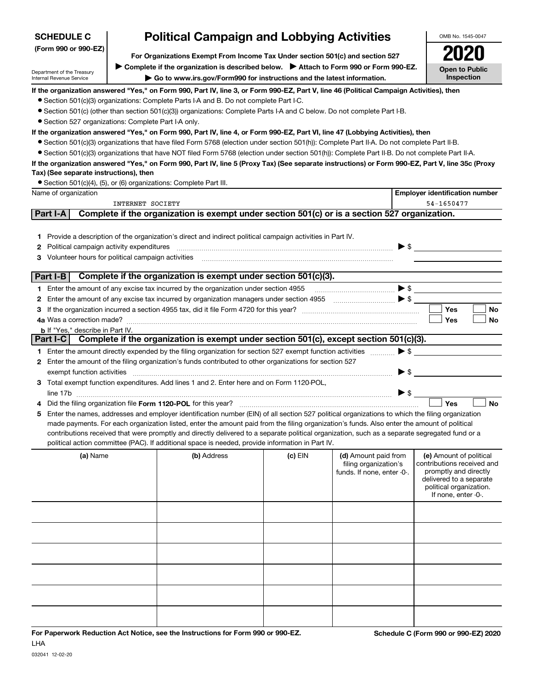| (Form 990 or 990-EZ)                                   |                  | For Organizations Exempt From Income Tax Under section 501(c) and section 527                                                                     |           |                            |                          |                                                     |
|--------------------------------------------------------|------------------|---------------------------------------------------------------------------------------------------------------------------------------------------|-----------|----------------------------|--------------------------|-----------------------------------------------------|
|                                                        |                  | ▶ Complete if the organization is described below. ▶ Attach to Form 990 or Form 990-EZ.                                                           |           |                            |                          | <b>Open to Public</b>                               |
| Department of the Treasury<br>Internal Revenue Service |                  | Go to www.irs.gov/Form990 for instructions and the latest information.                                                                            |           |                            |                          | Inspection                                          |
|                                                        |                  | If the organization answered "Yes," on Form 990, Part IV, line 3, or Form 990-EZ, Part V, line 46 (Political Campaign Activities), then           |           |                            |                          |                                                     |
|                                                        |                  | • Section 501(c)(3) organizations: Complete Parts I-A and B. Do not complete Part I-C.                                                            |           |                            |                          |                                                     |
|                                                        |                  | • Section 501(c) (other than section 501(c)(3)) organizations: Complete Parts I-A and C below. Do not complete Part I-B.                          |           |                            |                          |                                                     |
| • Section 527 organizations: Complete Part I-A only.   |                  |                                                                                                                                                   |           |                            |                          |                                                     |
|                                                        |                  | If the organization answered "Yes," on Form 990, Part IV, line 4, or Form 990-EZ, Part VI, line 47 (Lobbying Activities), then                    |           |                            |                          |                                                     |
|                                                        |                  | • Section 501(c)(3) organizations that have filed Form 5768 (election under section 501(h)): Complete Part II-A. Do not complete Part II-B.       |           |                            |                          |                                                     |
|                                                        |                  | • Section 501(c)(3) organizations that have NOT filed Form 5768 (election under section 501(h)): Complete Part II-B. Do not complete Part II-A.   |           |                            |                          |                                                     |
|                                                        |                  | If the organization answered "Yes," on Form 990, Part IV, line 5 (Proxy Tax) (See separate instructions) or Form 990-EZ, Part V, line 35c (Proxy  |           |                            |                          |                                                     |
| Tax) (See separate instructions), then                 |                  |                                                                                                                                                   |           |                            |                          |                                                     |
|                                                        |                  | • Section 501(c)(4), (5), or (6) organizations: Complete Part III.                                                                                |           |                            |                          |                                                     |
| Name of organization                                   |                  |                                                                                                                                                   |           |                            |                          | <b>Employer identification number</b>               |
|                                                        | INTERNET SOCIETY |                                                                                                                                                   |           |                            |                          | 54-1650477                                          |
| Part I-A                                               |                  | Complete if the organization is exempt under section 501(c) or is a section 527 organization.                                                     |           |                            |                          |                                                     |
|                                                        |                  |                                                                                                                                                   |           |                            |                          |                                                     |
|                                                        |                  | 1 Provide a description of the organization's direct and indirect political campaign activities in Part IV.                                       |           |                            |                          |                                                     |
|                                                        |                  |                                                                                                                                                   |           |                            | $\triangleright$ \$      |                                                     |
| З                                                      |                  |                                                                                                                                                   |           |                            |                          |                                                     |
| Part I-B                                               |                  | Complete if the organization is exempt under section 501(c)(3).                                                                                   |           |                            |                          |                                                     |
|                                                        |                  |                                                                                                                                                   |           |                            |                          |                                                     |
|                                                        |                  | 1 Enter the amount of any excise tax incurred by the organization under section 4955                                                              |           |                            |                          |                                                     |
| 2                                                      |                  |                                                                                                                                                   |           |                            |                          | <b>No</b><br>Yes                                    |
| З                                                      |                  |                                                                                                                                                   |           |                            |                          | <b>No</b><br>Yes                                    |
| <b>b</b> If "Yes," describe in Part IV.                |                  |                                                                                                                                                   |           |                            |                          |                                                     |
| Part I-C                                               |                  | Complete if the organization is exempt under section 501(c), except section 501(c)(3).                                                            |           |                            |                          |                                                     |
|                                                        |                  | 1 Enter the amount directly expended by the filing organization for section 527 exempt function activities                                        |           |                            | $\blacktriangleright$ \$ |                                                     |
|                                                        |                  | 2 Enter the amount of the filing organization's funds contributed to other organizations for section 527                                          |           |                            |                          |                                                     |
|                                                        |                  |                                                                                                                                                   |           |                            | $\blacktriangleright$ \$ |                                                     |
|                                                        |                  | 3 Total exempt function expenditures. Add lines 1 and 2. Enter here and on Form 1120-POL,                                                         |           |                            |                          |                                                     |
|                                                        |                  |                                                                                                                                                   |           |                            | $\triangleright$ \$      |                                                     |
|                                                        |                  |                                                                                                                                                   |           |                            |                          | No<br>Yes                                           |
|                                                        |                  | 5 Enter the names, addresses and employer identification number (EIN) of all section 527 political organizations to which the filing organization |           |                            |                          |                                                     |
|                                                        |                  | made payments. For each organization listed, enter the amount paid from the filing organization's funds. Also enter the amount of political       |           |                            |                          |                                                     |
|                                                        |                  | contributions received that were promptly and directly delivered to a separate political organization, such as a separate segregated fund or a    |           |                            |                          |                                                     |
|                                                        |                  | political action committee (PAC). If additional space is needed, provide information in Part IV.                                                  |           |                            |                          |                                                     |
| (a) Name                                               |                  | (b) Address                                                                                                                                       | $(c)$ EIN | (d) Amount paid from       |                          | (e) Amount of political                             |
|                                                        |                  |                                                                                                                                                   |           | filing organization's      |                          | contributions received and<br>promptly and directly |
|                                                        |                  |                                                                                                                                                   |           | funds. If none, enter -0-. |                          | delivered to a separate                             |
|                                                        |                  |                                                                                                                                                   |           |                            |                          | political organization.                             |
|                                                        |                  |                                                                                                                                                   |           |                            |                          | If none, enter -0-.                                 |
|                                                        |                  |                                                                                                                                                   |           |                            |                          |                                                     |
|                                                        |                  |                                                                                                                                                   |           |                            |                          |                                                     |
|                                                        |                  |                                                                                                                                                   |           |                            |                          |                                                     |
|                                                        |                  |                                                                                                                                                   |           |                            |                          |                                                     |
|                                                        |                  |                                                                                                                                                   |           |                            |                          |                                                     |
|                                                        |                  |                                                                                                                                                   |           |                            |                          |                                                     |

**Political Campaign and Lobbying Activities**

OMB No. 1545-0047

**SCHEDULE C**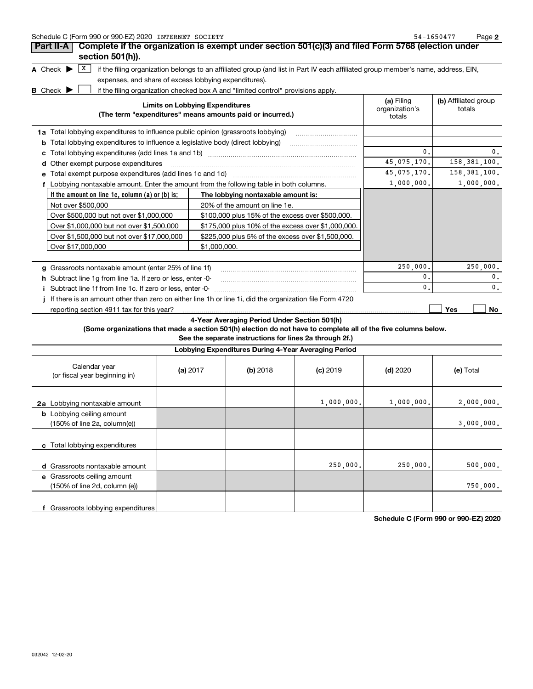| Schedule C (Form 990 or 990-EZ) 2020 INTERNET SOCIETY |  | 54-1650477 | Page |
|-------------------------------------------------------|--|------------|------|
|-------------------------------------------------------|--|------------|------|

| Part II-A<br>section 501(h)).                                                                | Complete if the organization is exempt under section 501(c)(3) and filed Form 5768 (election under                                |                                        |                                |
|----------------------------------------------------------------------------------------------|-----------------------------------------------------------------------------------------------------------------------------------|----------------------------------------|--------------------------------|
| X <br>A Check $\blacktriangleright$<br>expenses, and share of excess lobbying expenditures). | if the filing organization belongs to an affiliated group (and list in Part IV each affiliated group member's name, address, EIN, |                                        |                                |
| <b>B</b> Check <b>D</b>                                                                      | if the filing organization checked box A and "limited control" provisions apply.                                                  |                                        |                                |
|                                                                                              | <b>Limits on Lobbying Expenditures</b><br>(The term "expenditures" means amounts paid or incurred.)                               | (a) Filing<br>organization's<br>totals | (b) Affiliated group<br>totals |
| 1a Total lobbying expenditures to influence public opinion (grassroots lobbying)             |                                                                                                                                   |                                        |                                |
| Total lobbying expenditures to influence a legislative body (direct lobbying)<br>b           |                                                                                                                                   |                                        |                                |
|                                                                                              |                                                                                                                                   | $\mathbf{0}$ .                         | $\mathbf{0}$ .                 |
| Other exempt purpose expenditures<br>d                                                       |                                                                                                                                   | 45,075,170.                            | 158, 381, 100.                 |
| Total exempt purpose expenditures (add lines 1c and 1d)                                      |                                                                                                                                   | 45,075,170.                            | 158, 381, 100.                 |
| Lobbying nontaxable amount. Enter the amount from the following table in both columns.       |                                                                                                                                   | 1,000,000.                             | 1,000,000.                     |
| If the amount on line 1e, column (a) or (b) is:                                              | The lobbying nontaxable amount is:                                                                                                |                                        |                                |
| Not over \$500,000                                                                           | 20% of the amount on line 1e.                                                                                                     |                                        |                                |
| Over \$500,000 but not over \$1,000,000                                                      | \$100,000 plus 15% of the excess over \$500,000.                                                                                  |                                        |                                |
| Over \$1,000,000 but not over \$1,500,000                                                    | \$175,000 plus 10% of the excess over \$1,000,000.                                                                                |                                        |                                |
| Over \$1,500,000 but not over \$17,000,000                                                   | \$225,000 plus 5% of the excess over \$1,500,000.                                                                                 |                                        |                                |
| Over \$17,000,000                                                                            | \$1.000.000.                                                                                                                      |                                        |                                |
| Grassroots nontaxable amount (enter 25% of line 1f)<br>g                                     |                                                                                                                                   | 250,000.                               | 250,000.                       |
| Subtract line 1g from line 1a. If zero or less, enter -0-                                    |                                                                                                                                   | 0.                                     | 0.                             |
| Subtract line 1f from line 1c. If zero or less, enter -0-                                    |                                                                                                                                   | 0.                                     | $\mathbf{0}$ .                 |
|                                                                                              | If there is an amount other than zero on either line 1h or line 1i, did the organization file Form 4720                           |                                        |                                |
| reporting section 4911 tax for this year?                                                    |                                                                                                                                   |                                        | Yes<br>No                      |

**4-Year Averaging Period Under Section 501(h)**

**(Some organizations that made a section 501(h) election do not have to complete all of the five columns below.**

**See the separate instructions for lines 2a through 2f.)**

|                                                                                      |            | Lobbying Expenditures During 4-Year Averaging Period |            |            |            |
|--------------------------------------------------------------------------------------|------------|------------------------------------------------------|------------|------------|------------|
| Calendar year<br>(or fiscal year beginning in)                                       | (a) $2017$ | $(b)$ 2018                                           | $(c)$ 2019 | $(d)$ 2020 | (e) Total  |
| 2a Lobbying nontaxable amount                                                        |            |                                                      | 1,000,000. | 1,000,000. | 2,000,000. |
| <b>b</b> Lobbying ceiling amount<br>$(150\% \text{ of line } 2a, \text{ column}(e))$ |            |                                                      |            |            | 3,000,000. |
| Total lobbying expenditures<br>c                                                     |            |                                                      |            |            |            |
| Grassroots nontaxable amount<br>d                                                    |            |                                                      | 250,000.   | 250,000.   | 500,000.   |
| e Grassroots ceiling amount<br>(150% of line 2d, column (e))                         |            |                                                      |            |            | 750,000.   |
| f Grassroots lobbying expenditures                                                   |            |                                                      |            |            |            |

**Schedule C (Form 990 or 990-EZ) 2020**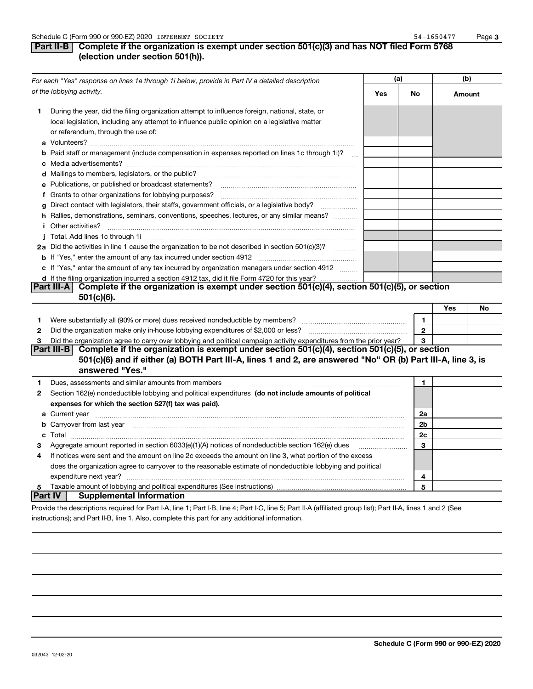**3**

### **Part II-B** Complete if the organization is exempt under section 501(c)(3) and has NOT filed Form 5768 **(election under section 501(h)).**

|                   | For each "Yes" response on lines 1a through 1i below, provide in Part IV a detailed description                                                                                                                                          | (a) |                |        | (b) |
|-------------------|------------------------------------------------------------------------------------------------------------------------------------------------------------------------------------------------------------------------------------------|-----|----------------|--------|-----|
|                   | of the lobbying activity.                                                                                                                                                                                                                | Yes | No             | Amount |     |
| 1.                | During the year, did the filing organization attempt to influence foreign, national, state, or<br>local legislation, including any attempt to influence public opinion on a legislative matter<br>or referendum, through the use of:     |     |                |        |     |
|                   | <b>b</b> Paid staff or management (include compensation in expenses reported on lines 1c through 1i)?<br>$\ddotsc$                                                                                                                       |     |                |        |     |
|                   |                                                                                                                                                                                                                                          |     |                |        |     |
|                   |                                                                                                                                                                                                                                          |     |                |        |     |
|                   | e Publications, or published or broadcast statements?                                                                                                                                                                                    |     |                |        |     |
|                   |                                                                                                                                                                                                                                          |     |                |        |     |
|                   | g Direct contact with legislators, their staffs, government officials, or a legislative body?                                                                                                                                            |     |                |        |     |
|                   | h Rallies, demonstrations, seminars, conventions, speeches, lectures, or any similar means?                                                                                                                                              |     |                |        |     |
|                   | <i>i</i> Other activities?                                                                                                                                                                                                               |     |                |        |     |
|                   |                                                                                                                                                                                                                                          |     |                |        |     |
|                   | 2a Did the activities in line 1 cause the organization to be not described in section 501(c)(3)?                                                                                                                                         |     |                |        |     |
|                   |                                                                                                                                                                                                                                          |     |                |        |     |
|                   | c If "Yes," enter the amount of any tax incurred by organization managers under section 4912                                                                                                                                             |     |                |        |     |
|                   | d If the filing organization incurred a section 4912 tax, did it file Form 4720 for this year?                                                                                                                                           |     |                |        |     |
|                   | Complete if the organization is exempt under section 501(c)(4), section 501(c)(5), or section<br> Part III-A <br>501(c)(6).                                                                                                              |     |                |        |     |
|                   |                                                                                                                                                                                                                                          |     |                | Yes    | No  |
|                   |                                                                                                                                                                                                                                          |     | $\mathbf{1}$   |        |     |
| 1<br>$\mathbf{2}$ |                                                                                                                                                                                                                                          |     | $\mathbf{2}$   |        |     |
| 3                 | Did the organization agree to carry over lobbying and political campaign activity expenditures from the prior year?                                                                                                                      |     |                |        |     |
|                   | Complete if the organization is exempt under section 501(c)(4), section 501(c)(5), or section<br> Part III-B                                                                                                                             |     |                |        |     |
|                   | 501(c)(6) and if either (a) BOTH Part III-A, lines 1 and 2, are answered "No" OR (b) Part III-A, line 3, is                                                                                                                              |     |                |        |     |
|                   | answered "Yes."                                                                                                                                                                                                                          |     |                |        |     |
| 1                 | Dues, assessments and similar amounts from members [111] matter continuum matter and similar amounts and similar amounts from members [11] matter continuum matter and similar amounts from members [11] matter and similar an           |     | 1              |        |     |
| 2                 | Section 162(e) nondeductible lobbying and political expenditures (do not include amounts of political                                                                                                                                    |     |                |        |     |
|                   | expenses for which the section 527(f) tax was paid).                                                                                                                                                                                     |     |                |        |     |
|                   | <b>a</b> Current year <u>manual communications</u> and contract the contract of the contract of the contract of the contract of the contract of the contract of the contract of the contract of the contract of the contract of the cont |     | 2a             |        |     |
|                   | <b>b</b> Carryover from last year manufactured and content to content the content of the content of the content of the content of the content of the content of the content of the content of the content of the content of the con      |     | 2 <sub>b</sub> |        |     |
|                   |                                                                                                                                                                                                                                          |     | 2c             |        |     |
| З                 | Aggregate amount reported in section 6033(e)(1)(A) notices of nondeductible section 162(e) dues                                                                                                                                          |     | 3              |        |     |
| 4                 | If notices were sent and the amount on line 2c exceeds the amount on line 3, what portion of the excess                                                                                                                                  |     |                |        |     |
|                   | does the organization agree to carryover to the reasonable estimate of nondeductible lobbying and political                                                                                                                              |     |                |        |     |
|                   | expenditure next year?                                                                                                                                                                                                                   |     | 4              |        |     |
| 5                 |                                                                                                                                                                                                                                          |     | 5              |        |     |
|                   | Part IV  <br><b>Supplemental Information</b>                                                                                                                                                                                             |     |                |        |     |
|                   | Provide the descriptions required for Part I-A, line 1; Part I-B, line 4; Part I-C, line 5; Part II-A (affiliated group list); Part II-A, lines 1 and 2 (See                                                                             |     |                |        |     |

instructions); and Part II-B, line 1. Also, complete this part for any additional information.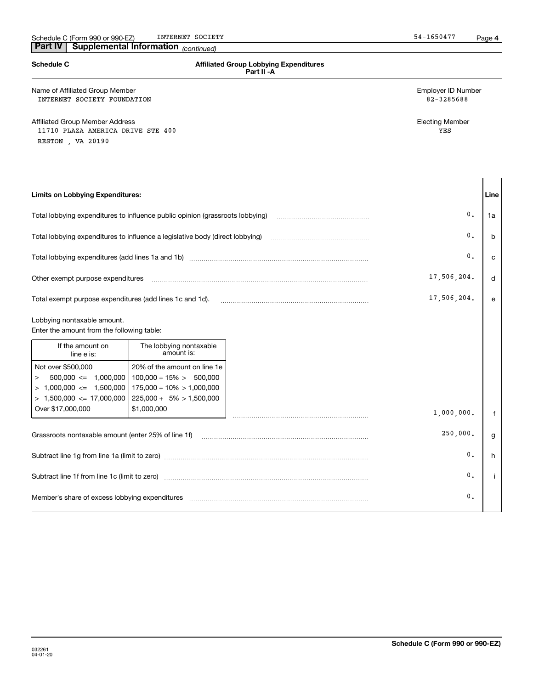# INTERNET SOCIETY FOUNDATION 82-3285688

**Schedule C**

032261 04-01-20

Affiliated Group Member Address Electing Member 11710 PLAZA AMERICA DRIVE STE 400 YES RESTON , VA 20190

| <b>Limits on Lobbying Expenditures:</b>                                       |                                                        |                                                                                                                |                | Line        |
|-------------------------------------------------------------------------------|--------------------------------------------------------|----------------------------------------------------------------------------------------------------------------|----------------|-------------|
|                                                                               |                                                        | Total lobbying expenditures to influence public opinion (grassroots lobbying) [11] [12] [13] [13] [13] [13] [1 | $\mathbf{0}$ . | 1a          |
| Total lobbying expenditures to influence a legislative body (direct lobbying) |                                                        |                                                                                                                | $\mathbf{0}$ . | h           |
|                                                                               |                                                        |                                                                                                                | $\mathbf{0}$ . | C           |
|                                                                               |                                                        |                                                                                                                | 17,506,204.    | d           |
| Total exempt purpose expenditures (add lines 1c and 1d).                      |                                                        |                                                                                                                | 17,506,204.    | e           |
| Lobbying nontaxable amount.<br>Enter the amount from the following table:     |                                                        |                                                                                                                |                |             |
| If the amount on<br>line e is:                                                | The lobbying nontaxable<br>amount is:                  |                                                                                                                |                |             |
| Not over \$500,000                                                            | 20% of the amount on line 1e                           |                                                                                                                |                |             |
| $\rm{>}$<br>$> 1,000,000 \le 1,500,000 \le 175,000 + 10\% > 1,000,000$        | $500,000 \leq 1,000,000 \leq 100,000 + 15\% > 500,000$ |                                                                                                                |                |             |
| $> 1,500,000 \le 17,000,000 \le 225,000 + 5\% > 1,500,000$                    |                                                        |                                                                                                                |                |             |
| Over \$17,000,000                                                             | \$1,000,000                                            |                                                                                                                | 1,000,000.     | $\mathbf f$ |
|                                                                               |                                                        |                                                                                                                | 250,000.       | g           |
|                                                                               | $\mathbf{0}$ .                                         |                                                                                                                |                | h           |
| $\mathbf{0}$ .                                                                |                                                        |                                                                                                                | -i             |             |
|                                                                               |                                                        |                                                                                                                | $\mathbf{0}$ . |             |

**Schedule C (Form 990 or 990-EZ)**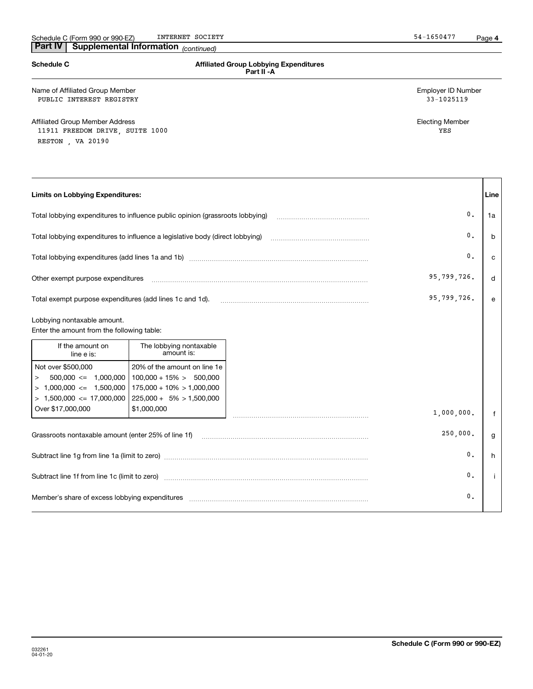| TIATI LKEEDOW DKIAE' 2011E TOOO<br>RESTON, VA 20190                                                                     |                                                                                                                           |                                                                                                                                                                                              | <b>IES</b>      |      |
|-------------------------------------------------------------------------------------------------------------------------|---------------------------------------------------------------------------------------------------------------------------|----------------------------------------------------------------------------------------------------------------------------------------------------------------------------------------------|-----------------|------|
| <b>Limits on Lobbying Expenditures:</b>                                                                                 |                                                                                                                           |                                                                                                                                                                                              |                 | Line |
| Total lobbying expenditures to influence public opinion (grassroots lobbying)                                           |                                                                                                                           |                                                                                                                                                                                              | $\mathfrak o$ . | 1a   |
| Total lobbying expenditures to influence a legislative body (direct lobbying)                                           |                                                                                                                           |                                                                                                                                                                                              | $\mathfrak o$ . | b    |
|                                                                                                                         |                                                                                                                           |                                                                                                                                                                                              | $\mathfrak o$ . | C    |
| Other exempt purpose expenditures                                                                                       |                                                                                                                           |                                                                                                                                                                                              | 95,799,726.     | d    |
| Total exempt purpose expenditures (add lines 1c and 1d).                                                                |                                                                                                                           |                                                                                                                                                                                              | 95,799,726.     | e    |
| Lobbying nontaxable amount.<br>Enter the amount from the following table:                                               |                                                                                                                           |                                                                                                                                                                                              |                 |      |
| If the amount on<br>line e is:                                                                                          | The lobbying nontaxable<br>amount is:                                                                                     |                                                                                                                                                                                              |                 |      |
| Not over \$500,000<br>$500,000 \leq 1,000,000$<br>$\geq$<br>$> 1,000,000 \le 1,500,000$<br>$> 1,500,000 \le 17,000,000$ | 20% of the amount on line 1e<br>$100,000 + 15\% > 500,000$<br>$175,000 + 10\% > 1,000,000$<br>$225,000 + 5\% > 1,500,000$ |                                                                                                                                                                                              |                 |      |
| Over \$17,000,000                                                                                                       | \$1,000,000                                                                                                               |                                                                                                                                                                                              | 1,000,000.      | f    |
| Grassroots nontaxable amount (enter 25% of line 1f)                                                                     |                                                                                                                           |                                                                                                                                                                                              | 250,000.        | g    |
|                                                                                                                         |                                                                                                                           |                                                                                                                                                                                              | $\mathbf{0}$ .  | h    |
|                                                                                                                         |                                                                                                                           |                                                                                                                                                                                              | $\mathbf{0}$ .  | j.   |
|                                                                                                                         |                                                                                                                           | Member's share of excess lobbying expenditures [111] Member's manufacture of excess lobbying expenditures [11] Member's share of excess lobbying expenditures [11] Members [11] Members 2014 | 0.              |      |

**Affiliated Group Lobbying Expenditures Part II -A**

## **Schedule C**

Name of Affiliated Group Member **Employer ID Number** Employer ID Number PUBLIC INTEREST REGISTRY **33-1025119** 33-1025119

Affiliated Group Member Address<br>11911 FREEDOM DRIVE SILITE 1000 11911 FREEDOM DRIVE, SUITER 1000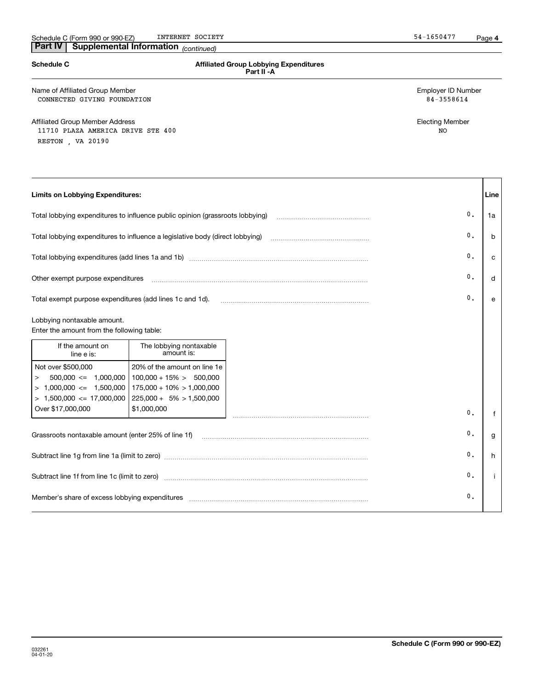#### **Affiliated Group Lobbying Expenditures Part II -A**

### **Schedule C**

Name of Affiliated Group Member **Employer ID Number** Employer ID Number CONNECTED GIVING FOUNDATION 84-3558614

Affiliated Group Member Address Electing Member

11710 PLAZA AMERICA DRIVE STE 400 NO RESTON , VA 20190

| <b>Limits on Lobbying Expenditures:</b>                                                                                                                                                                                                 |                                                                                                                                                                    |                | Line         |
|-----------------------------------------------------------------------------------------------------------------------------------------------------------------------------------------------------------------------------------------|--------------------------------------------------------------------------------------------------------------------------------------------------------------------|----------------|--------------|
|                                                                                                                                                                                                                                         | Total lobbying expenditures to influence public opinion (grassroots lobbying)                                                                                      | $\mathbf{0}$ . | 1a           |
|                                                                                                                                                                                                                                         | Total lobbying expenditures to influence a legislative body (direct lobbying)                                                                                      | $\mathbf{0}$ . | b            |
|                                                                                                                                                                                                                                         |                                                                                                                                                                    | $\mathbf{0}$ . | C            |
| Other exempt purpose expenditures                                                                                                                                                                                                       |                                                                                                                                                                    | $\mathbf{0}$ . | d            |
| Total exempt purpose expenditures (add lines 1c and 1d).                                                                                                                                                                                |                                                                                                                                                                    | 0.             | e            |
| Lobbying nontaxable amount.<br>Enter the amount from the following table:<br>If the amount on<br>line e is:<br>Not over \$500,000<br>$500,000 \leq 1,000,000$<br>$\geq$<br>$> 1,000,000 \leq 1,500,000$<br>$> 1,500,000 \le 17,000,000$ | The lobbying nontaxable<br>amount is:<br>20% of the amount on line 1e<br>$100,000 + 15\% > 500,000$<br>$175,000 + 10\% > 1,000,000$<br>$225,000 + 5\% > 1,500,000$ |                |              |
| Over \$17,000,000                                                                                                                                                                                                                       | \$1,000,000                                                                                                                                                        | 0.             | $\mathsf{f}$ |
|                                                                                                                                                                                                                                         |                                                                                                                                                                    | $\mathbf{0}$ . | g            |
|                                                                                                                                                                                                                                         |                                                                                                                                                                    | $\mathbf{0}$ . | h            |
|                                                                                                                                                                                                                                         |                                                                                                                                                                    | $\mathbf{0}$ . | $\mathbf{i}$ |
|                                                                                                                                                                                                                                         |                                                                                                                                                                    | 0.             |              |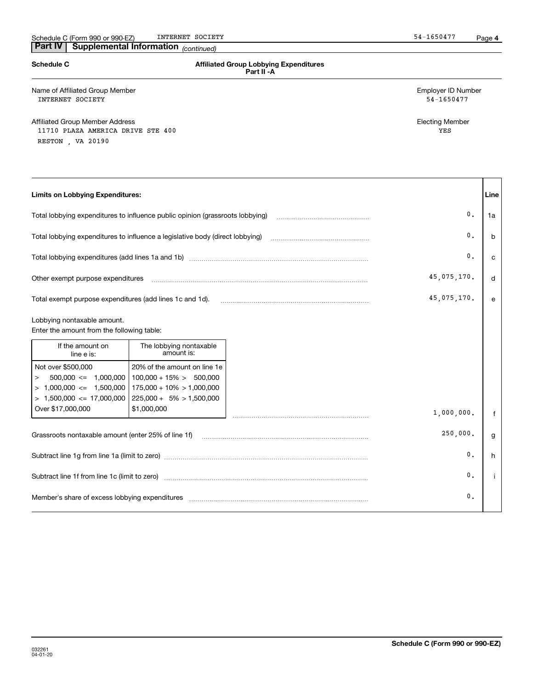## Name of Affiliated Group Member **Employer ID Number** Employer ID Number **Employer ID** Number INTERNET SOCIETY 54-1650477

**Schedule C**

Affiliated Group Member Address Electing Member 11710 PLAZA AMERICA DRIVE STE 400 YES RESTON , VA 20190

| <b>Limits on Lobbying Expenditures:</b>                                                                                                                                    |                                                                                                             |                                                                                                                |                | Line         |
|----------------------------------------------------------------------------------------------------------------------------------------------------------------------------|-------------------------------------------------------------------------------------------------------------|----------------------------------------------------------------------------------------------------------------|----------------|--------------|
|                                                                                                                                                                            | Total lobbying expenditures to influence public opinion (grassroots lobbying)                               |                                                                                                                | 0.             | 1a           |
|                                                                                                                                                                            |                                                                                                             | Total lobbying expenditures to influence a legislative body (direct lobbying) [11] [12] [13] [13] [13] [13] [1 | 0.             | <sub>b</sub> |
|                                                                                                                                                                            |                                                                                                             |                                                                                                                | 0.             | C            |
| Other exempt purpose expenditures                                                                                                                                          |                                                                                                             |                                                                                                                | 45,075,170.    | d            |
| Total exempt purpose expenditures (add lines 1c and 1d).                                                                                                                   |                                                                                                             |                                                                                                                | 45,075,170.    | e            |
| Lobbying nontaxable amount.<br>Enter the amount from the following table:<br>If the amount on<br>line e is:<br>Not over \$500,000<br>$500,000 \leq 1,000,000$<br>$\, > \,$ | The lobbying nontaxable<br>amount is:<br>20% of the amount on line 1e<br>$100,000 + 15\% > 500,000$         |                                                                                                                |                |              |
| $> 1,000,000 \le 1,500,000$<br>$> 1,500,000 \le 17,000,000$<br>Over \$17,000,000                                                                                           | $175,000 + 10\% > 1,000,000$<br>$\left  \frac{225,000+5\%}{225,000+5\%} \right  > 1,500,000$<br>\$1,000,000 |                                                                                                                | 1,000,000.     | $\mathsf{f}$ |
|                                                                                                                                                                            |                                                                                                             |                                                                                                                | 250,000.       | g            |
|                                                                                                                                                                            |                                                                                                             |                                                                                                                | $\mathbf{0}$ . | h            |
| 0.                                                                                                                                                                         |                                                                                                             |                                                                                                                |                |              |
| Member's share of excess lobbying expenditures                                                                                                                             |                                                                                                             |                                                                                                                | $\mathbf{0}$ . |              |

**Affiliated Group Lobbying Expenditures Part II -A**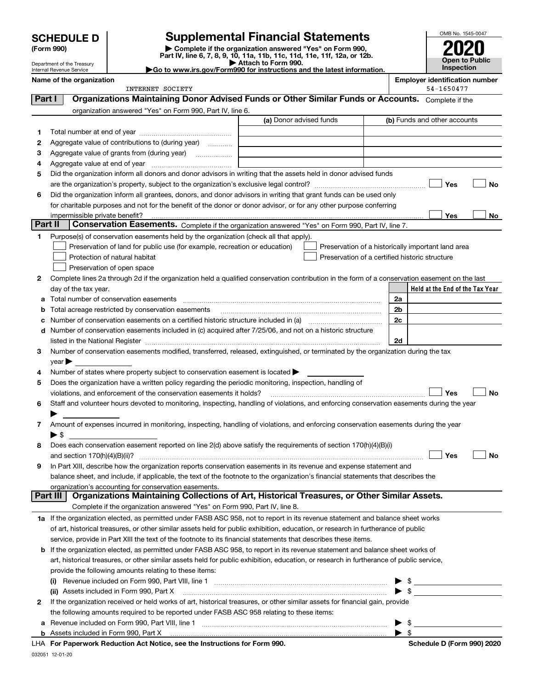| <b>SCHEDULE D</b> |
|-------------------|
|                   |

Department of the Treasury Internal Revenue Service

## **SCHEDULE D Supplemental Financial Statements**

(Form 990)<br>
Pepartment of the Treasury<br>
Department of the Treasury<br>
Department of the Treasury<br>
Department of the Treasury<br> **Co to www.irs.gov/Form990 for instructions and the latest information.**<br> **Co to www.irs.gov/Form9** 



|                 | Name of the organization<br>INTERNET SOCIETY                                                                                                   |                         | <b>Employer identification number</b><br>54-1650477                                                                       |
|-----------------|------------------------------------------------------------------------------------------------------------------------------------------------|-------------------------|---------------------------------------------------------------------------------------------------------------------------|
| <b>Part I</b>   | Organizations Maintaining Donor Advised Funds or Other Similar Funds or Accounts. Complete if the                                              |                         |                                                                                                                           |
|                 | organization answered "Yes" on Form 990, Part IV, line 6.                                                                                      |                         |                                                                                                                           |
|                 |                                                                                                                                                | (a) Donor advised funds | (b) Funds and other accounts                                                                                              |
|                 |                                                                                                                                                |                         |                                                                                                                           |
| 1.              | Aggregate value of contributions to (during year)                                                                                              |                         |                                                                                                                           |
| 2               | Aggregate value of grants from (during year)                                                                                                   |                         |                                                                                                                           |
| з<br>4          |                                                                                                                                                |                         |                                                                                                                           |
| 5               | Did the organization inform all donors and donor advisors in writing that the assets held in donor advised funds                               |                         |                                                                                                                           |
|                 |                                                                                                                                                |                         | Yes                                                                                                                       |
| 6               | Did the organization inform all grantees, donors, and donor advisors in writing that grant funds can be used only                              |                         |                                                                                                                           |
|                 | for charitable purposes and not for the benefit of the donor or donor advisor, or for any other purpose conferring                             |                         |                                                                                                                           |
|                 |                                                                                                                                                |                         | Yes<br>No                                                                                                                 |
| <b>Part II</b>  | Conservation Easements. Complete if the organization answered "Yes" on Form 990, Part IV, line 7.                                              |                         |                                                                                                                           |
| 1               | Purpose(s) of conservation easements held by the organization (check all that apply).                                                          |                         |                                                                                                                           |
|                 | Preservation of land for public use (for example, recreation or education)                                                                     |                         | Preservation of a historically important land area                                                                        |
|                 | Protection of natural habitat                                                                                                                  |                         | Preservation of a certified historic structure                                                                            |
|                 | Preservation of open space                                                                                                                     |                         |                                                                                                                           |
| 2               | Complete lines 2a through 2d if the organization held a qualified conservation contribution in the form of a conservation easement on the last |                         |                                                                                                                           |
|                 | day of the tax year.                                                                                                                           |                         | Held at the End of the Tax Year                                                                                           |
|                 | Total number of conservation easements                                                                                                         |                         | 2a                                                                                                                        |
|                 | Total acreage restricted by conservation easements                                                                                             |                         | 2 <sub>b</sub>                                                                                                            |
| b               | Number of conservation easements on a certified historic structure included in (a) manufacture included in (a)                                 |                         | 2c                                                                                                                        |
| с<br>d          | Number of conservation easements included in (c) acquired after 7/25/06, and not on a historic structure                                       |                         |                                                                                                                           |
|                 |                                                                                                                                                |                         | 2d                                                                                                                        |
| 3               | Number of conservation easements modified, transferred, released, extinguished, or terminated by the organization during the tax               |                         |                                                                                                                           |
|                 | $\vee$ ear $\blacktriangleright$                                                                                                               |                         |                                                                                                                           |
| 4               | Number of states where property subject to conservation easement is located >                                                                  |                         |                                                                                                                           |
| 5               | Does the organization have a written policy regarding the periodic monitoring, inspection, handling of                                         |                         |                                                                                                                           |
|                 | violations, and enforcement of the conservation easements it holds?                                                                            |                         | Yes<br><b>No</b>                                                                                                          |
| 6               | Staff and volunteer hours devoted to monitoring, inspecting, handling of violations, and enforcing conservation easements during the year      |                         |                                                                                                                           |
|                 |                                                                                                                                                |                         |                                                                                                                           |
| 7               | Amount of expenses incurred in monitoring, inspecting, handling of violations, and enforcing conservation easements during the year            |                         |                                                                                                                           |
|                 | ▶ \$                                                                                                                                           |                         |                                                                                                                           |
| 8               | Does each conservation easement reported on line 2(d) above satisfy the requirements of section 170(h)(4)(B)(i)                                |                         |                                                                                                                           |
|                 |                                                                                                                                                |                         | Yes                                                                                                                       |
|                 | In Part XIII, describe how the organization reports conservation easements in its revenue and expense statement and                            |                         |                                                                                                                           |
|                 | balance sheet, and include, if applicable, the text of the footnote to the organization's financial statements that describes the              |                         |                                                                                                                           |
|                 | organization's accounting for conservation easements.                                                                                          |                         |                                                                                                                           |
| <b>Part III</b> | Organizations Maintaining Collections of Art, Historical Treasures, or Other Similar Assets.                                                   |                         |                                                                                                                           |
|                 | Complete if the organization answered "Yes" on Form 990, Part IV, line 8.                                                                      |                         |                                                                                                                           |
|                 | 1a If the organization elected, as permitted under FASB ASC 958, not to report in its revenue statement and balance sheet works                |                         |                                                                                                                           |
|                 | of art, historical treasures, or other similar assets held for public exhibition, education, or research in furtherance of public              |                         |                                                                                                                           |
|                 | service, provide in Part XIII the text of the footnote to its financial statements that describes these items.                                 |                         |                                                                                                                           |
|                 | If the organization elected, as permitted under FASB ASC 958, to report in its revenue statement and balance sheet works of                    |                         |                                                                                                                           |
|                 |                                                                                                                                                |                         |                                                                                                                           |
|                 | art, historical treasures, or other similar assets held for public exhibition, education, or research in furtherance of public service,        |                         |                                                                                                                           |
|                 | provide the following amounts relating to these items:                                                                                         |                         |                                                                                                                           |
|                 | (i)                                                                                                                                            |                         | \$<br><u>and the control of the control of the control of the control of the control of the control of the control of</u> |
|                 | (ii) Assets included in Form 990, Part X                                                                                                       |                         | $\blacktriangleright$ \$                                                                                                  |
| 2               | If the organization received or held works of art, historical treasures, or other similar assets for financial gain, provide                   |                         |                                                                                                                           |
|                 | the following amounts required to be reported under FASB ASC 958 relating to these items:                                                      |                         |                                                                                                                           |
|                 |                                                                                                                                                |                         | - \$                                                                                                                      |
|                 |                                                                                                                                                |                         | $\blacktriangleright$ \$                                                                                                  |

**For Paperwork Reduction Act Notice, see the Instructions for Form 990. Schedule D (Form 990) 2020** LHA

032051 12-01-20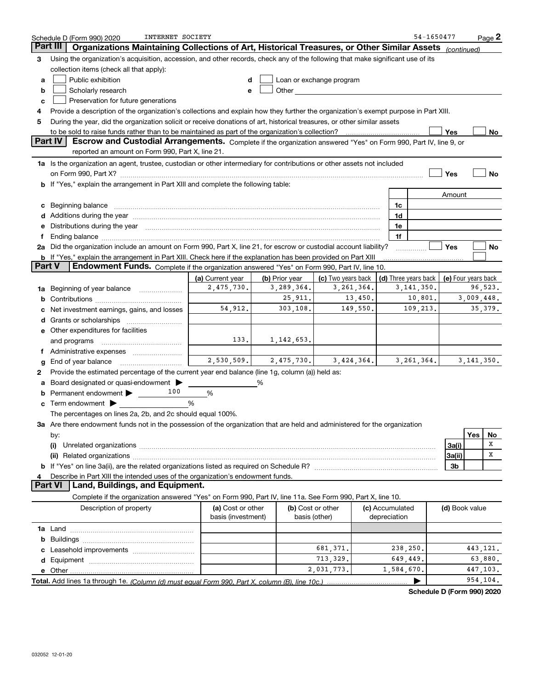| Organizations Maintaining Collections of Art, Historical Treasures, or Other Similar Assets (continued)<br>Part III<br>Using the organization's acquisition, accession, and other records, check any of the following that make significant use of its<br>3<br>collection items (check all that apply):<br>Public exhibition<br>Loan or exchange program<br>d<br>a<br>Other and the contract of the contract of the contract of the contract of the contract of the contract of the contract of the contract of the contract of the contract of the contract of the contract of the contract of the<br>Scholarly research<br>b<br>е<br>Preservation for future generations<br>c<br>Provide a description of the organization's collections and explain how they further the organization's exempt purpose in Part XIII.<br>4<br>During the year, did the organization solicit or receive donations of art, historical treasures, or other similar assets<br>5<br>to be sold to raise funds rather than to be maintained as part of the organization's collection?<br>Yes<br>No<br>Part IV<br>Escrow and Custodial Arrangements. Complete if the organization answered "Yes" on Form 990, Part IV, line 9, or<br>reported an amount on Form 990, Part X, line 21.<br>1a Is the organization an agent, trustee, custodian or other intermediary for contributions or other assets not included<br>Yes<br><b>No</b><br>b If "Yes," explain the arrangement in Part XIII and complete the following table:<br>Amount<br>Beginning balance material content contracts and content to the content of the content of the content of the content of the content of the content of the content of the content of the content of the content of the content<br>1c<br>c<br>Additions during the year manufactured and an account of the state of the state of the state of the state of the state of the state of the state of the state of the state of the state of the state of the state of the state<br>1d<br>d<br>Distributions during the year measurement contains and all the state of the state of the state of the state of<br>1e<br>е<br>1f<br>Yes<br>2a Did the organization include an amount on Form 990, Part X, line 21, for escrow or custodial account liability?<br>No<br><b>b</b> If "Yes," explain the arrangement in Part XIII. Check here if the explanation has been provided on Part XIII<br>Part V<br>Endowment Funds. Complete if the organization answered "Yes" on Form 990, Part IV, line 10.<br>(a) Current year<br>(b) Prior year<br>(c) Two years back<br>(d) Three years back<br>(e) Four years back<br>3,289,364.<br>3, 261, 364.<br>96,523.<br>2,475,730.<br>3, 141, 350.<br>Beginning of year balance<br>1a<br>25,911.<br>10,801.<br>3,009,448.<br>13,450.<br>b<br>54.912.<br>303,108.<br>109,213.<br>149,550.<br>35, 379.<br>Net investment earnings, gains, and losses<br>d<br>e Other expenditures for facilities<br>133.<br>1,142,653.<br>and programs<br>$2,530,509$ . $2,475,730$ .<br>3,424,364.<br>3, 261, 364.<br>3, 141, 350.<br>End of year balance<br>g<br>Provide the estimated percentage of the current year end balance (line 1g, column (a)) held as:<br>2<br>Board designated or quasi-endowment<br>%<br>100<br>Permanent endowment > ______<br>%<br>b<br>Term endowment $\blacktriangleright$<br>%<br>c<br>The percentages on lines 2a, 2b, and 2c should equal 100%.<br>3a Are there endowment funds not in the possession of the organization that are held and administered for the organization<br>Yes<br>No<br>by:<br>х<br>3a(i)<br>(i)<br>X<br>3a(ii)<br>3b<br>Describe in Part XIII the intended uses of the organization's endowment funds.<br>Land, Buildings, and Equipment.<br><b>Part VI</b><br>Complete if the organization answered "Yes" on Form 990, Part IV, line 11a. See Form 990, Part X, line 10.<br>Description of property<br>(a) Cost or other<br>(b) Cost or other<br>(c) Accumulated<br>(d) Book value<br>basis (investment)<br>depreciation<br>basis (other)<br>b<br>681,371.<br>238,250.<br>443, 121.<br>63,880.<br>713,329.<br>649,449.<br>d<br>2,031,773.<br>1,584,670.<br>447,103.<br>e Other |  | INTERNET SOCIETY<br>Schedule D (Form 990) 2020 |  |  |  |  |  | 54-1650477 |  |  | $Page$ 2 |
|----------------------------------------------------------------------------------------------------------------------------------------------------------------------------------------------------------------------------------------------------------------------------------------------------------------------------------------------------------------------------------------------------------------------------------------------------------------------------------------------------------------------------------------------------------------------------------------------------------------------------------------------------------------------------------------------------------------------------------------------------------------------------------------------------------------------------------------------------------------------------------------------------------------------------------------------------------------------------------------------------------------------------------------------------------------------------------------------------------------------------------------------------------------------------------------------------------------------------------------------------------------------------------------------------------------------------------------------------------------------------------------------------------------------------------------------------------------------------------------------------------------------------------------------------------------------------------------------------------------------------------------------------------------------------------------------------------------------------------------------------------------------------------------------------------------------------------------------------------------------------------------------------------------------------------------------------------------------------------------------------------------------------------------------------------------------------------------------------------------------------------------------------------------------------------------------------------------------------------------------------------------------------------------------------------------------------------------------------------------------------------------------------------------------------------------------------------------------------------------------------------------------------------------------------------------------------------------------------------------------------------------------------------------------------------------------------------------------------------------------------------------------------------------------------------------------------------------------------------------------------------------------------------------------------------------------------------------------------------------------------------------------------------------------------------------------------------------------------------------------------------------------------------------------------------------------------------------------------------------------------------------------------------------------------------------------------------------------------------------------------------------------------------------------------------------------------------------------------------------------------------------------------------------------------------------------------------------------------------------------------------------------------------------------------------------------------------------------------------------------------------------------------------------------------------------------------------------------------------------------------------------------------------------------------------------------------------------------------------------------------------------------------------------------------------------------------------------------------------------------------------------------------------------------------|--|------------------------------------------------|--|--|--|--|--|------------|--|--|----------|
|                                                                                                                                                                                                                                                                                                                                                                                                                                                                                                                                                                                                                                                                                                                                                                                                                                                                                                                                                                                                                                                                                                                                                                                                                                                                                                                                                                                                                                                                                                                                                                                                                                                                                                                                                                                                                                                                                                                                                                                                                                                                                                                                                                                                                                                                                                                                                                                                                                                                                                                                                                                                                                                                                                                                                                                                                                                                                                                                                                                                                                                                                                                                                                                                                                                                                                                                                                                                                                                                                                                                                                                                                                                                                                                                                                                                                                                                                                                                                                                                                                                                                                                                                                            |  |                                                |  |  |  |  |  |            |  |  |          |
|                                                                                                                                                                                                                                                                                                                                                                                                                                                                                                                                                                                                                                                                                                                                                                                                                                                                                                                                                                                                                                                                                                                                                                                                                                                                                                                                                                                                                                                                                                                                                                                                                                                                                                                                                                                                                                                                                                                                                                                                                                                                                                                                                                                                                                                                                                                                                                                                                                                                                                                                                                                                                                                                                                                                                                                                                                                                                                                                                                                                                                                                                                                                                                                                                                                                                                                                                                                                                                                                                                                                                                                                                                                                                                                                                                                                                                                                                                                                                                                                                                                                                                                                                                            |  |                                                |  |  |  |  |  |            |  |  |          |
|                                                                                                                                                                                                                                                                                                                                                                                                                                                                                                                                                                                                                                                                                                                                                                                                                                                                                                                                                                                                                                                                                                                                                                                                                                                                                                                                                                                                                                                                                                                                                                                                                                                                                                                                                                                                                                                                                                                                                                                                                                                                                                                                                                                                                                                                                                                                                                                                                                                                                                                                                                                                                                                                                                                                                                                                                                                                                                                                                                                                                                                                                                                                                                                                                                                                                                                                                                                                                                                                                                                                                                                                                                                                                                                                                                                                                                                                                                                                                                                                                                                                                                                                                                            |  |                                                |  |  |  |  |  |            |  |  |          |
|                                                                                                                                                                                                                                                                                                                                                                                                                                                                                                                                                                                                                                                                                                                                                                                                                                                                                                                                                                                                                                                                                                                                                                                                                                                                                                                                                                                                                                                                                                                                                                                                                                                                                                                                                                                                                                                                                                                                                                                                                                                                                                                                                                                                                                                                                                                                                                                                                                                                                                                                                                                                                                                                                                                                                                                                                                                                                                                                                                                                                                                                                                                                                                                                                                                                                                                                                                                                                                                                                                                                                                                                                                                                                                                                                                                                                                                                                                                                                                                                                                                                                                                                                                            |  |                                                |  |  |  |  |  |            |  |  |          |
|                                                                                                                                                                                                                                                                                                                                                                                                                                                                                                                                                                                                                                                                                                                                                                                                                                                                                                                                                                                                                                                                                                                                                                                                                                                                                                                                                                                                                                                                                                                                                                                                                                                                                                                                                                                                                                                                                                                                                                                                                                                                                                                                                                                                                                                                                                                                                                                                                                                                                                                                                                                                                                                                                                                                                                                                                                                                                                                                                                                                                                                                                                                                                                                                                                                                                                                                                                                                                                                                                                                                                                                                                                                                                                                                                                                                                                                                                                                                                                                                                                                                                                                                                                            |  |                                                |  |  |  |  |  |            |  |  |          |
|                                                                                                                                                                                                                                                                                                                                                                                                                                                                                                                                                                                                                                                                                                                                                                                                                                                                                                                                                                                                                                                                                                                                                                                                                                                                                                                                                                                                                                                                                                                                                                                                                                                                                                                                                                                                                                                                                                                                                                                                                                                                                                                                                                                                                                                                                                                                                                                                                                                                                                                                                                                                                                                                                                                                                                                                                                                                                                                                                                                                                                                                                                                                                                                                                                                                                                                                                                                                                                                                                                                                                                                                                                                                                                                                                                                                                                                                                                                                                                                                                                                                                                                                                                            |  |                                                |  |  |  |  |  |            |  |  |          |
|                                                                                                                                                                                                                                                                                                                                                                                                                                                                                                                                                                                                                                                                                                                                                                                                                                                                                                                                                                                                                                                                                                                                                                                                                                                                                                                                                                                                                                                                                                                                                                                                                                                                                                                                                                                                                                                                                                                                                                                                                                                                                                                                                                                                                                                                                                                                                                                                                                                                                                                                                                                                                                                                                                                                                                                                                                                                                                                                                                                                                                                                                                                                                                                                                                                                                                                                                                                                                                                                                                                                                                                                                                                                                                                                                                                                                                                                                                                                                                                                                                                                                                                                                                            |  |                                                |  |  |  |  |  |            |  |  |          |
|                                                                                                                                                                                                                                                                                                                                                                                                                                                                                                                                                                                                                                                                                                                                                                                                                                                                                                                                                                                                                                                                                                                                                                                                                                                                                                                                                                                                                                                                                                                                                                                                                                                                                                                                                                                                                                                                                                                                                                                                                                                                                                                                                                                                                                                                                                                                                                                                                                                                                                                                                                                                                                                                                                                                                                                                                                                                                                                                                                                                                                                                                                                                                                                                                                                                                                                                                                                                                                                                                                                                                                                                                                                                                                                                                                                                                                                                                                                                                                                                                                                                                                                                                                            |  |                                                |  |  |  |  |  |            |  |  |          |
|                                                                                                                                                                                                                                                                                                                                                                                                                                                                                                                                                                                                                                                                                                                                                                                                                                                                                                                                                                                                                                                                                                                                                                                                                                                                                                                                                                                                                                                                                                                                                                                                                                                                                                                                                                                                                                                                                                                                                                                                                                                                                                                                                                                                                                                                                                                                                                                                                                                                                                                                                                                                                                                                                                                                                                                                                                                                                                                                                                                                                                                                                                                                                                                                                                                                                                                                                                                                                                                                                                                                                                                                                                                                                                                                                                                                                                                                                                                                                                                                                                                                                                                                                                            |  |                                                |  |  |  |  |  |            |  |  |          |
|                                                                                                                                                                                                                                                                                                                                                                                                                                                                                                                                                                                                                                                                                                                                                                                                                                                                                                                                                                                                                                                                                                                                                                                                                                                                                                                                                                                                                                                                                                                                                                                                                                                                                                                                                                                                                                                                                                                                                                                                                                                                                                                                                                                                                                                                                                                                                                                                                                                                                                                                                                                                                                                                                                                                                                                                                                                                                                                                                                                                                                                                                                                                                                                                                                                                                                                                                                                                                                                                                                                                                                                                                                                                                                                                                                                                                                                                                                                                                                                                                                                                                                                                                                            |  |                                                |  |  |  |  |  |            |  |  |          |
|                                                                                                                                                                                                                                                                                                                                                                                                                                                                                                                                                                                                                                                                                                                                                                                                                                                                                                                                                                                                                                                                                                                                                                                                                                                                                                                                                                                                                                                                                                                                                                                                                                                                                                                                                                                                                                                                                                                                                                                                                                                                                                                                                                                                                                                                                                                                                                                                                                                                                                                                                                                                                                                                                                                                                                                                                                                                                                                                                                                                                                                                                                                                                                                                                                                                                                                                                                                                                                                                                                                                                                                                                                                                                                                                                                                                                                                                                                                                                                                                                                                                                                                                                                            |  |                                                |  |  |  |  |  |            |  |  |          |
|                                                                                                                                                                                                                                                                                                                                                                                                                                                                                                                                                                                                                                                                                                                                                                                                                                                                                                                                                                                                                                                                                                                                                                                                                                                                                                                                                                                                                                                                                                                                                                                                                                                                                                                                                                                                                                                                                                                                                                                                                                                                                                                                                                                                                                                                                                                                                                                                                                                                                                                                                                                                                                                                                                                                                                                                                                                                                                                                                                                                                                                                                                                                                                                                                                                                                                                                                                                                                                                                                                                                                                                                                                                                                                                                                                                                                                                                                                                                                                                                                                                                                                                                                                            |  |                                                |  |  |  |  |  |            |  |  |          |
|                                                                                                                                                                                                                                                                                                                                                                                                                                                                                                                                                                                                                                                                                                                                                                                                                                                                                                                                                                                                                                                                                                                                                                                                                                                                                                                                                                                                                                                                                                                                                                                                                                                                                                                                                                                                                                                                                                                                                                                                                                                                                                                                                                                                                                                                                                                                                                                                                                                                                                                                                                                                                                                                                                                                                                                                                                                                                                                                                                                                                                                                                                                                                                                                                                                                                                                                                                                                                                                                                                                                                                                                                                                                                                                                                                                                                                                                                                                                                                                                                                                                                                                                                                            |  |                                                |  |  |  |  |  |            |  |  |          |
|                                                                                                                                                                                                                                                                                                                                                                                                                                                                                                                                                                                                                                                                                                                                                                                                                                                                                                                                                                                                                                                                                                                                                                                                                                                                                                                                                                                                                                                                                                                                                                                                                                                                                                                                                                                                                                                                                                                                                                                                                                                                                                                                                                                                                                                                                                                                                                                                                                                                                                                                                                                                                                                                                                                                                                                                                                                                                                                                                                                                                                                                                                                                                                                                                                                                                                                                                                                                                                                                                                                                                                                                                                                                                                                                                                                                                                                                                                                                                                                                                                                                                                                                                                            |  |                                                |  |  |  |  |  |            |  |  |          |
|                                                                                                                                                                                                                                                                                                                                                                                                                                                                                                                                                                                                                                                                                                                                                                                                                                                                                                                                                                                                                                                                                                                                                                                                                                                                                                                                                                                                                                                                                                                                                                                                                                                                                                                                                                                                                                                                                                                                                                                                                                                                                                                                                                                                                                                                                                                                                                                                                                                                                                                                                                                                                                                                                                                                                                                                                                                                                                                                                                                                                                                                                                                                                                                                                                                                                                                                                                                                                                                                                                                                                                                                                                                                                                                                                                                                                                                                                                                                                                                                                                                                                                                                                                            |  |                                                |  |  |  |  |  |            |  |  |          |
|                                                                                                                                                                                                                                                                                                                                                                                                                                                                                                                                                                                                                                                                                                                                                                                                                                                                                                                                                                                                                                                                                                                                                                                                                                                                                                                                                                                                                                                                                                                                                                                                                                                                                                                                                                                                                                                                                                                                                                                                                                                                                                                                                                                                                                                                                                                                                                                                                                                                                                                                                                                                                                                                                                                                                                                                                                                                                                                                                                                                                                                                                                                                                                                                                                                                                                                                                                                                                                                                                                                                                                                                                                                                                                                                                                                                                                                                                                                                                                                                                                                                                                                                                                            |  |                                                |  |  |  |  |  |            |  |  |          |
|                                                                                                                                                                                                                                                                                                                                                                                                                                                                                                                                                                                                                                                                                                                                                                                                                                                                                                                                                                                                                                                                                                                                                                                                                                                                                                                                                                                                                                                                                                                                                                                                                                                                                                                                                                                                                                                                                                                                                                                                                                                                                                                                                                                                                                                                                                                                                                                                                                                                                                                                                                                                                                                                                                                                                                                                                                                                                                                                                                                                                                                                                                                                                                                                                                                                                                                                                                                                                                                                                                                                                                                                                                                                                                                                                                                                                                                                                                                                                                                                                                                                                                                                                                            |  |                                                |  |  |  |  |  |            |  |  |          |
|                                                                                                                                                                                                                                                                                                                                                                                                                                                                                                                                                                                                                                                                                                                                                                                                                                                                                                                                                                                                                                                                                                                                                                                                                                                                                                                                                                                                                                                                                                                                                                                                                                                                                                                                                                                                                                                                                                                                                                                                                                                                                                                                                                                                                                                                                                                                                                                                                                                                                                                                                                                                                                                                                                                                                                                                                                                                                                                                                                                                                                                                                                                                                                                                                                                                                                                                                                                                                                                                                                                                                                                                                                                                                                                                                                                                                                                                                                                                                                                                                                                                                                                                                                            |  |                                                |  |  |  |  |  |            |  |  |          |
|                                                                                                                                                                                                                                                                                                                                                                                                                                                                                                                                                                                                                                                                                                                                                                                                                                                                                                                                                                                                                                                                                                                                                                                                                                                                                                                                                                                                                                                                                                                                                                                                                                                                                                                                                                                                                                                                                                                                                                                                                                                                                                                                                                                                                                                                                                                                                                                                                                                                                                                                                                                                                                                                                                                                                                                                                                                                                                                                                                                                                                                                                                                                                                                                                                                                                                                                                                                                                                                                                                                                                                                                                                                                                                                                                                                                                                                                                                                                                                                                                                                                                                                                                                            |  |                                                |  |  |  |  |  |            |  |  |          |
|                                                                                                                                                                                                                                                                                                                                                                                                                                                                                                                                                                                                                                                                                                                                                                                                                                                                                                                                                                                                                                                                                                                                                                                                                                                                                                                                                                                                                                                                                                                                                                                                                                                                                                                                                                                                                                                                                                                                                                                                                                                                                                                                                                                                                                                                                                                                                                                                                                                                                                                                                                                                                                                                                                                                                                                                                                                                                                                                                                                                                                                                                                                                                                                                                                                                                                                                                                                                                                                                                                                                                                                                                                                                                                                                                                                                                                                                                                                                                                                                                                                                                                                                                                            |  |                                                |  |  |  |  |  |            |  |  |          |
|                                                                                                                                                                                                                                                                                                                                                                                                                                                                                                                                                                                                                                                                                                                                                                                                                                                                                                                                                                                                                                                                                                                                                                                                                                                                                                                                                                                                                                                                                                                                                                                                                                                                                                                                                                                                                                                                                                                                                                                                                                                                                                                                                                                                                                                                                                                                                                                                                                                                                                                                                                                                                                                                                                                                                                                                                                                                                                                                                                                                                                                                                                                                                                                                                                                                                                                                                                                                                                                                                                                                                                                                                                                                                                                                                                                                                                                                                                                                                                                                                                                                                                                                                                            |  |                                                |  |  |  |  |  |            |  |  |          |
|                                                                                                                                                                                                                                                                                                                                                                                                                                                                                                                                                                                                                                                                                                                                                                                                                                                                                                                                                                                                                                                                                                                                                                                                                                                                                                                                                                                                                                                                                                                                                                                                                                                                                                                                                                                                                                                                                                                                                                                                                                                                                                                                                                                                                                                                                                                                                                                                                                                                                                                                                                                                                                                                                                                                                                                                                                                                                                                                                                                                                                                                                                                                                                                                                                                                                                                                                                                                                                                                                                                                                                                                                                                                                                                                                                                                                                                                                                                                                                                                                                                                                                                                                                            |  |                                                |  |  |  |  |  |            |  |  |          |
|                                                                                                                                                                                                                                                                                                                                                                                                                                                                                                                                                                                                                                                                                                                                                                                                                                                                                                                                                                                                                                                                                                                                                                                                                                                                                                                                                                                                                                                                                                                                                                                                                                                                                                                                                                                                                                                                                                                                                                                                                                                                                                                                                                                                                                                                                                                                                                                                                                                                                                                                                                                                                                                                                                                                                                                                                                                                                                                                                                                                                                                                                                                                                                                                                                                                                                                                                                                                                                                                                                                                                                                                                                                                                                                                                                                                                                                                                                                                                                                                                                                                                                                                                                            |  |                                                |  |  |  |  |  |            |  |  |          |
|                                                                                                                                                                                                                                                                                                                                                                                                                                                                                                                                                                                                                                                                                                                                                                                                                                                                                                                                                                                                                                                                                                                                                                                                                                                                                                                                                                                                                                                                                                                                                                                                                                                                                                                                                                                                                                                                                                                                                                                                                                                                                                                                                                                                                                                                                                                                                                                                                                                                                                                                                                                                                                                                                                                                                                                                                                                                                                                                                                                                                                                                                                                                                                                                                                                                                                                                                                                                                                                                                                                                                                                                                                                                                                                                                                                                                                                                                                                                                                                                                                                                                                                                                                            |  |                                                |  |  |  |  |  |            |  |  |          |
|                                                                                                                                                                                                                                                                                                                                                                                                                                                                                                                                                                                                                                                                                                                                                                                                                                                                                                                                                                                                                                                                                                                                                                                                                                                                                                                                                                                                                                                                                                                                                                                                                                                                                                                                                                                                                                                                                                                                                                                                                                                                                                                                                                                                                                                                                                                                                                                                                                                                                                                                                                                                                                                                                                                                                                                                                                                                                                                                                                                                                                                                                                                                                                                                                                                                                                                                                                                                                                                                                                                                                                                                                                                                                                                                                                                                                                                                                                                                                                                                                                                                                                                                                                            |  |                                                |  |  |  |  |  |            |  |  |          |
|                                                                                                                                                                                                                                                                                                                                                                                                                                                                                                                                                                                                                                                                                                                                                                                                                                                                                                                                                                                                                                                                                                                                                                                                                                                                                                                                                                                                                                                                                                                                                                                                                                                                                                                                                                                                                                                                                                                                                                                                                                                                                                                                                                                                                                                                                                                                                                                                                                                                                                                                                                                                                                                                                                                                                                                                                                                                                                                                                                                                                                                                                                                                                                                                                                                                                                                                                                                                                                                                                                                                                                                                                                                                                                                                                                                                                                                                                                                                                                                                                                                                                                                                                                            |  |                                                |  |  |  |  |  |            |  |  |          |
|                                                                                                                                                                                                                                                                                                                                                                                                                                                                                                                                                                                                                                                                                                                                                                                                                                                                                                                                                                                                                                                                                                                                                                                                                                                                                                                                                                                                                                                                                                                                                                                                                                                                                                                                                                                                                                                                                                                                                                                                                                                                                                                                                                                                                                                                                                                                                                                                                                                                                                                                                                                                                                                                                                                                                                                                                                                                                                                                                                                                                                                                                                                                                                                                                                                                                                                                                                                                                                                                                                                                                                                                                                                                                                                                                                                                                                                                                                                                                                                                                                                                                                                                                                            |  |                                                |  |  |  |  |  |            |  |  |          |
|                                                                                                                                                                                                                                                                                                                                                                                                                                                                                                                                                                                                                                                                                                                                                                                                                                                                                                                                                                                                                                                                                                                                                                                                                                                                                                                                                                                                                                                                                                                                                                                                                                                                                                                                                                                                                                                                                                                                                                                                                                                                                                                                                                                                                                                                                                                                                                                                                                                                                                                                                                                                                                                                                                                                                                                                                                                                                                                                                                                                                                                                                                                                                                                                                                                                                                                                                                                                                                                                                                                                                                                                                                                                                                                                                                                                                                                                                                                                                                                                                                                                                                                                                                            |  |                                                |  |  |  |  |  |            |  |  |          |
|                                                                                                                                                                                                                                                                                                                                                                                                                                                                                                                                                                                                                                                                                                                                                                                                                                                                                                                                                                                                                                                                                                                                                                                                                                                                                                                                                                                                                                                                                                                                                                                                                                                                                                                                                                                                                                                                                                                                                                                                                                                                                                                                                                                                                                                                                                                                                                                                                                                                                                                                                                                                                                                                                                                                                                                                                                                                                                                                                                                                                                                                                                                                                                                                                                                                                                                                                                                                                                                                                                                                                                                                                                                                                                                                                                                                                                                                                                                                                                                                                                                                                                                                                                            |  |                                                |  |  |  |  |  |            |  |  |          |
|                                                                                                                                                                                                                                                                                                                                                                                                                                                                                                                                                                                                                                                                                                                                                                                                                                                                                                                                                                                                                                                                                                                                                                                                                                                                                                                                                                                                                                                                                                                                                                                                                                                                                                                                                                                                                                                                                                                                                                                                                                                                                                                                                                                                                                                                                                                                                                                                                                                                                                                                                                                                                                                                                                                                                                                                                                                                                                                                                                                                                                                                                                                                                                                                                                                                                                                                                                                                                                                                                                                                                                                                                                                                                                                                                                                                                                                                                                                                                                                                                                                                                                                                                                            |  |                                                |  |  |  |  |  |            |  |  |          |
|                                                                                                                                                                                                                                                                                                                                                                                                                                                                                                                                                                                                                                                                                                                                                                                                                                                                                                                                                                                                                                                                                                                                                                                                                                                                                                                                                                                                                                                                                                                                                                                                                                                                                                                                                                                                                                                                                                                                                                                                                                                                                                                                                                                                                                                                                                                                                                                                                                                                                                                                                                                                                                                                                                                                                                                                                                                                                                                                                                                                                                                                                                                                                                                                                                                                                                                                                                                                                                                                                                                                                                                                                                                                                                                                                                                                                                                                                                                                                                                                                                                                                                                                                                            |  |                                                |  |  |  |  |  |            |  |  |          |
|                                                                                                                                                                                                                                                                                                                                                                                                                                                                                                                                                                                                                                                                                                                                                                                                                                                                                                                                                                                                                                                                                                                                                                                                                                                                                                                                                                                                                                                                                                                                                                                                                                                                                                                                                                                                                                                                                                                                                                                                                                                                                                                                                                                                                                                                                                                                                                                                                                                                                                                                                                                                                                                                                                                                                                                                                                                                                                                                                                                                                                                                                                                                                                                                                                                                                                                                                                                                                                                                                                                                                                                                                                                                                                                                                                                                                                                                                                                                                                                                                                                                                                                                                                            |  |                                                |  |  |  |  |  |            |  |  |          |
|                                                                                                                                                                                                                                                                                                                                                                                                                                                                                                                                                                                                                                                                                                                                                                                                                                                                                                                                                                                                                                                                                                                                                                                                                                                                                                                                                                                                                                                                                                                                                                                                                                                                                                                                                                                                                                                                                                                                                                                                                                                                                                                                                                                                                                                                                                                                                                                                                                                                                                                                                                                                                                                                                                                                                                                                                                                                                                                                                                                                                                                                                                                                                                                                                                                                                                                                                                                                                                                                                                                                                                                                                                                                                                                                                                                                                                                                                                                                                                                                                                                                                                                                                                            |  |                                                |  |  |  |  |  |            |  |  |          |
|                                                                                                                                                                                                                                                                                                                                                                                                                                                                                                                                                                                                                                                                                                                                                                                                                                                                                                                                                                                                                                                                                                                                                                                                                                                                                                                                                                                                                                                                                                                                                                                                                                                                                                                                                                                                                                                                                                                                                                                                                                                                                                                                                                                                                                                                                                                                                                                                                                                                                                                                                                                                                                                                                                                                                                                                                                                                                                                                                                                                                                                                                                                                                                                                                                                                                                                                                                                                                                                                                                                                                                                                                                                                                                                                                                                                                                                                                                                                                                                                                                                                                                                                                                            |  |                                                |  |  |  |  |  |            |  |  |          |
|                                                                                                                                                                                                                                                                                                                                                                                                                                                                                                                                                                                                                                                                                                                                                                                                                                                                                                                                                                                                                                                                                                                                                                                                                                                                                                                                                                                                                                                                                                                                                                                                                                                                                                                                                                                                                                                                                                                                                                                                                                                                                                                                                                                                                                                                                                                                                                                                                                                                                                                                                                                                                                                                                                                                                                                                                                                                                                                                                                                                                                                                                                                                                                                                                                                                                                                                                                                                                                                                                                                                                                                                                                                                                                                                                                                                                                                                                                                                                                                                                                                                                                                                                                            |  |                                                |  |  |  |  |  |            |  |  |          |
|                                                                                                                                                                                                                                                                                                                                                                                                                                                                                                                                                                                                                                                                                                                                                                                                                                                                                                                                                                                                                                                                                                                                                                                                                                                                                                                                                                                                                                                                                                                                                                                                                                                                                                                                                                                                                                                                                                                                                                                                                                                                                                                                                                                                                                                                                                                                                                                                                                                                                                                                                                                                                                                                                                                                                                                                                                                                                                                                                                                                                                                                                                                                                                                                                                                                                                                                                                                                                                                                                                                                                                                                                                                                                                                                                                                                                                                                                                                                                                                                                                                                                                                                                                            |  |                                                |  |  |  |  |  |            |  |  |          |
|                                                                                                                                                                                                                                                                                                                                                                                                                                                                                                                                                                                                                                                                                                                                                                                                                                                                                                                                                                                                                                                                                                                                                                                                                                                                                                                                                                                                                                                                                                                                                                                                                                                                                                                                                                                                                                                                                                                                                                                                                                                                                                                                                                                                                                                                                                                                                                                                                                                                                                                                                                                                                                                                                                                                                                                                                                                                                                                                                                                                                                                                                                                                                                                                                                                                                                                                                                                                                                                                                                                                                                                                                                                                                                                                                                                                                                                                                                                                                                                                                                                                                                                                                                            |  |                                                |  |  |  |  |  |            |  |  |          |
|                                                                                                                                                                                                                                                                                                                                                                                                                                                                                                                                                                                                                                                                                                                                                                                                                                                                                                                                                                                                                                                                                                                                                                                                                                                                                                                                                                                                                                                                                                                                                                                                                                                                                                                                                                                                                                                                                                                                                                                                                                                                                                                                                                                                                                                                                                                                                                                                                                                                                                                                                                                                                                                                                                                                                                                                                                                                                                                                                                                                                                                                                                                                                                                                                                                                                                                                                                                                                                                                                                                                                                                                                                                                                                                                                                                                                                                                                                                                                                                                                                                                                                                                                                            |  |                                                |  |  |  |  |  |            |  |  |          |
|                                                                                                                                                                                                                                                                                                                                                                                                                                                                                                                                                                                                                                                                                                                                                                                                                                                                                                                                                                                                                                                                                                                                                                                                                                                                                                                                                                                                                                                                                                                                                                                                                                                                                                                                                                                                                                                                                                                                                                                                                                                                                                                                                                                                                                                                                                                                                                                                                                                                                                                                                                                                                                                                                                                                                                                                                                                                                                                                                                                                                                                                                                                                                                                                                                                                                                                                                                                                                                                                                                                                                                                                                                                                                                                                                                                                                                                                                                                                                                                                                                                                                                                                                                            |  |                                                |  |  |  |  |  |            |  |  |          |
|                                                                                                                                                                                                                                                                                                                                                                                                                                                                                                                                                                                                                                                                                                                                                                                                                                                                                                                                                                                                                                                                                                                                                                                                                                                                                                                                                                                                                                                                                                                                                                                                                                                                                                                                                                                                                                                                                                                                                                                                                                                                                                                                                                                                                                                                                                                                                                                                                                                                                                                                                                                                                                                                                                                                                                                                                                                                                                                                                                                                                                                                                                                                                                                                                                                                                                                                                                                                                                                                                                                                                                                                                                                                                                                                                                                                                                                                                                                                                                                                                                                                                                                                                                            |  |                                                |  |  |  |  |  |            |  |  |          |
|                                                                                                                                                                                                                                                                                                                                                                                                                                                                                                                                                                                                                                                                                                                                                                                                                                                                                                                                                                                                                                                                                                                                                                                                                                                                                                                                                                                                                                                                                                                                                                                                                                                                                                                                                                                                                                                                                                                                                                                                                                                                                                                                                                                                                                                                                                                                                                                                                                                                                                                                                                                                                                                                                                                                                                                                                                                                                                                                                                                                                                                                                                                                                                                                                                                                                                                                                                                                                                                                                                                                                                                                                                                                                                                                                                                                                                                                                                                                                                                                                                                                                                                                                                            |  |                                                |  |  |  |  |  |            |  |  |          |
|                                                                                                                                                                                                                                                                                                                                                                                                                                                                                                                                                                                                                                                                                                                                                                                                                                                                                                                                                                                                                                                                                                                                                                                                                                                                                                                                                                                                                                                                                                                                                                                                                                                                                                                                                                                                                                                                                                                                                                                                                                                                                                                                                                                                                                                                                                                                                                                                                                                                                                                                                                                                                                                                                                                                                                                                                                                                                                                                                                                                                                                                                                                                                                                                                                                                                                                                                                                                                                                                                                                                                                                                                                                                                                                                                                                                                                                                                                                                                                                                                                                                                                                                                                            |  |                                                |  |  |  |  |  |            |  |  |          |
|                                                                                                                                                                                                                                                                                                                                                                                                                                                                                                                                                                                                                                                                                                                                                                                                                                                                                                                                                                                                                                                                                                                                                                                                                                                                                                                                                                                                                                                                                                                                                                                                                                                                                                                                                                                                                                                                                                                                                                                                                                                                                                                                                                                                                                                                                                                                                                                                                                                                                                                                                                                                                                                                                                                                                                                                                                                                                                                                                                                                                                                                                                                                                                                                                                                                                                                                                                                                                                                                                                                                                                                                                                                                                                                                                                                                                                                                                                                                                                                                                                                                                                                                                                            |  |                                                |  |  |  |  |  |            |  |  |          |
|                                                                                                                                                                                                                                                                                                                                                                                                                                                                                                                                                                                                                                                                                                                                                                                                                                                                                                                                                                                                                                                                                                                                                                                                                                                                                                                                                                                                                                                                                                                                                                                                                                                                                                                                                                                                                                                                                                                                                                                                                                                                                                                                                                                                                                                                                                                                                                                                                                                                                                                                                                                                                                                                                                                                                                                                                                                                                                                                                                                                                                                                                                                                                                                                                                                                                                                                                                                                                                                                                                                                                                                                                                                                                                                                                                                                                                                                                                                                                                                                                                                                                                                                                                            |  |                                                |  |  |  |  |  |            |  |  |          |
|                                                                                                                                                                                                                                                                                                                                                                                                                                                                                                                                                                                                                                                                                                                                                                                                                                                                                                                                                                                                                                                                                                                                                                                                                                                                                                                                                                                                                                                                                                                                                                                                                                                                                                                                                                                                                                                                                                                                                                                                                                                                                                                                                                                                                                                                                                                                                                                                                                                                                                                                                                                                                                                                                                                                                                                                                                                                                                                                                                                                                                                                                                                                                                                                                                                                                                                                                                                                                                                                                                                                                                                                                                                                                                                                                                                                                                                                                                                                                                                                                                                                                                                                                                            |  |                                                |  |  |  |  |  |            |  |  |          |
|                                                                                                                                                                                                                                                                                                                                                                                                                                                                                                                                                                                                                                                                                                                                                                                                                                                                                                                                                                                                                                                                                                                                                                                                                                                                                                                                                                                                                                                                                                                                                                                                                                                                                                                                                                                                                                                                                                                                                                                                                                                                                                                                                                                                                                                                                                                                                                                                                                                                                                                                                                                                                                                                                                                                                                                                                                                                                                                                                                                                                                                                                                                                                                                                                                                                                                                                                                                                                                                                                                                                                                                                                                                                                                                                                                                                                                                                                                                                                                                                                                                                                                                                                                            |  |                                                |  |  |  |  |  |            |  |  |          |
|                                                                                                                                                                                                                                                                                                                                                                                                                                                                                                                                                                                                                                                                                                                                                                                                                                                                                                                                                                                                                                                                                                                                                                                                                                                                                                                                                                                                                                                                                                                                                                                                                                                                                                                                                                                                                                                                                                                                                                                                                                                                                                                                                                                                                                                                                                                                                                                                                                                                                                                                                                                                                                                                                                                                                                                                                                                                                                                                                                                                                                                                                                                                                                                                                                                                                                                                                                                                                                                                                                                                                                                                                                                                                                                                                                                                                                                                                                                                                                                                                                                                                                                                                                            |  |                                                |  |  |  |  |  |            |  |  |          |
|                                                                                                                                                                                                                                                                                                                                                                                                                                                                                                                                                                                                                                                                                                                                                                                                                                                                                                                                                                                                                                                                                                                                                                                                                                                                                                                                                                                                                                                                                                                                                                                                                                                                                                                                                                                                                                                                                                                                                                                                                                                                                                                                                                                                                                                                                                                                                                                                                                                                                                                                                                                                                                                                                                                                                                                                                                                                                                                                                                                                                                                                                                                                                                                                                                                                                                                                                                                                                                                                                                                                                                                                                                                                                                                                                                                                                                                                                                                                                                                                                                                                                                                                                                            |  |                                                |  |  |  |  |  |            |  |  |          |
|                                                                                                                                                                                                                                                                                                                                                                                                                                                                                                                                                                                                                                                                                                                                                                                                                                                                                                                                                                                                                                                                                                                                                                                                                                                                                                                                                                                                                                                                                                                                                                                                                                                                                                                                                                                                                                                                                                                                                                                                                                                                                                                                                                                                                                                                                                                                                                                                                                                                                                                                                                                                                                                                                                                                                                                                                                                                                                                                                                                                                                                                                                                                                                                                                                                                                                                                                                                                                                                                                                                                                                                                                                                                                                                                                                                                                                                                                                                                                                                                                                                                                                                                                                            |  |                                                |  |  |  |  |  |            |  |  |          |
| 954,104.                                                                                                                                                                                                                                                                                                                                                                                                                                                                                                                                                                                                                                                                                                                                                                                                                                                                                                                                                                                                                                                                                                                                                                                                                                                                                                                                                                                                                                                                                                                                                                                                                                                                                                                                                                                                                                                                                                                                                                                                                                                                                                                                                                                                                                                                                                                                                                                                                                                                                                                                                                                                                                                                                                                                                                                                                                                                                                                                                                                                                                                                                                                                                                                                                                                                                                                                                                                                                                                                                                                                                                                                                                                                                                                                                                                                                                                                                                                                                                                                                                                                                                                                                                   |  |                                                |  |  |  |  |  |            |  |  |          |

**Schedule D (Form 990) 2020**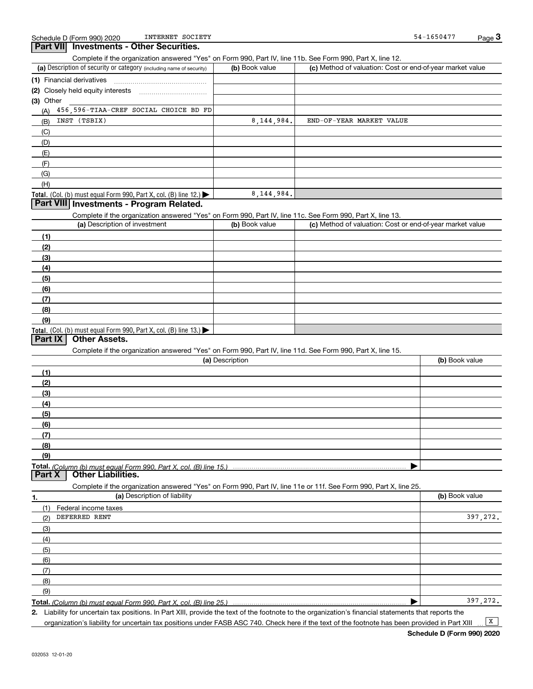INTERNET SOCIETY

| INTERNET SOCIETY<br>Schedule D (Form 990) 2020                                                                    |                 |                                                           | 54-1650477     | <u>Page</u> 3 |
|-------------------------------------------------------------------------------------------------------------------|-----------------|-----------------------------------------------------------|----------------|---------------|
| <b>Investments - Other Securities.</b><br><b>Part VIII</b>                                                        |                 |                                                           |                |               |
| Complete if the organization answered "Yes" on Form 990, Part IV, line 11b. See Form 990, Part X, line 12.        |                 |                                                           |                |               |
| (a) Description of security or category (including name of security)                                              | (b) Book value  | (c) Method of valuation: Cost or end-of-year market value |                |               |
|                                                                                                                   |                 |                                                           |                |               |
| (1) Financial derivatives                                                                                         |                 |                                                           |                |               |
| (2) Closely held equity interests                                                                                 |                 |                                                           |                |               |
| (3) Other                                                                                                         |                 |                                                           |                |               |
| 456,596-TIAA-CREF SOCIAL CHOICE BD FD<br>(A)                                                                      |                 |                                                           |                |               |
| INST (TSBIX)<br>(B)                                                                                               | 8, 144, 984.    | END-OF-YEAR MARKET VALUE                                  |                |               |
| (C)                                                                                                               |                 |                                                           |                |               |
| (D)                                                                                                               |                 |                                                           |                |               |
| (E)                                                                                                               |                 |                                                           |                |               |
| (F)                                                                                                               |                 |                                                           |                |               |
|                                                                                                                   |                 |                                                           |                |               |
| (G)                                                                                                               |                 |                                                           |                |               |
| (H)                                                                                                               |                 |                                                           |                |               |
| Total. (Col. (b) must equal Form 990, Part X, col. (B) line 12.)                                                  | 8, 144, 984.    |                                                           |                |               |
| Part VIII Investments - Program Related.                                                                          |                 |                                                           |                |               |
| Complete if the organization answered "Yes" on Form 990, Part IV, line 11c. See Form 990, Part X, line 13.        |                 |                                                           |                |               |
| (a) Description of investment                                                                                     | (b) Book value  | (c) Method of valuation: Cost or end-of-year market value |                |               |
| (1)                                                                                                               |                 |                                                           |                |               |
| (2)                                                                                                               |                 |                                                           |                |               |
| (3)                                                                                                               |                 |                                                           |                |               |
|                                                                                                                   |                 |                                                           |                |               |
| (4)                                                                                                               |                 |                                                           |                |               |
| (5)                                                                                                               |                 |                                                           |                |               |
| (6)                                                                                                               |                 |                                                           |                |               |
| (7)                                                                                                               |                 |                                                           |                |               |
| (8)                                                                                                               |                 |                                                           |                |               |
| (9)                                                                                                               |                 |                                                           |                |               |
| Total. (Col. (b) must equal Form 990, Part X, col. (B) line 13.)                                                  |                 |                                                           |                |               |
| Other Assets.<br>Part IX                                                                                          |                 |                                                           |                |               |
| Complete if the organization answered "Yes" on Form 990, Part IV, line 11d. See Form 990, Part X, line 15.        |                 |                                                           |                |               |
|                                                                                                                   | (a) Description |                                                           | (b) Book value |               |
| (1)                                                                                                               |                 |                                                           |                |               |
|                                                                                                                   |                 |                                                           |                |               |
| (2)                                                                                                               |                 |                                                           |                |               |
| (3)                                                                                                               |                 |                                                           |                |               |
| (4)                                                                                                               |                 |                                                           |                |               |
| (5)                                                                                                               |                 |                                                           |                |               |
| (6)                                                                                                               |                 |                                                           |                |               |
| (7)                                                                                                               |                 |                                                           |                |               |
| (8)                                                                                                               |                 |                                                           |                |               |
| (9)                                                                                                               |                 |                                                           |                |               |
|                                                                                                                   |                 |                                                           |                |               |
| Part X<br><b>Other Liabilities.</b>                                                                               |                 |                                                           |                |               |
| Complete if the organization answered "Yes" on Form 990, Part IV, line 11e or 11f. See Form 990, Part X, line 25. |                 |                                                           |                |               |
| (a) Description of liability                                                                                      |                 |                                                           | (b) Book value |               |
| 1.                                                                                                                |                 |                                                           |                |               |
| (1)<br>Federal income taxes                                                                                       |                 |                                                           |                |               |
| DEFERRED RENT<br>(2)                                                                                              |                 |                                                           |                | 397, 272.     |
| (3)                                                                                                               |                 |                                                           |                |               |
| (4)                                                                                                               |                 |                                                           |                |               |
| (5)                                                                                                               |                 |                                                           |                |               |
| (6)                                                                                                               |                 |                                                           |                |               |
| (7)                                                                                                               |                 |                                                           |                |               |
|                                                                                                                   |                 |                                                           |                |               |
| (8)                                                                                                               |                 |                                                           |                |               |
| (9)                                                                                                               |                 |                                                           |                |               |
| Total. (Column (b) must equal Form 990. Part X, col. (B) line 25.)                                                |                 |                                                           |                | 397, 272.     |

**2.** Liability for uncertain tax positions. In Part XIII, provide the text of the footnote to the organization's financial statements that reports the organization's liability for uncertain tax positions under FASB ASC 740. Check here if the text of the footnote has been provided in Part XIII  $\boxed{\mathbf{X}}$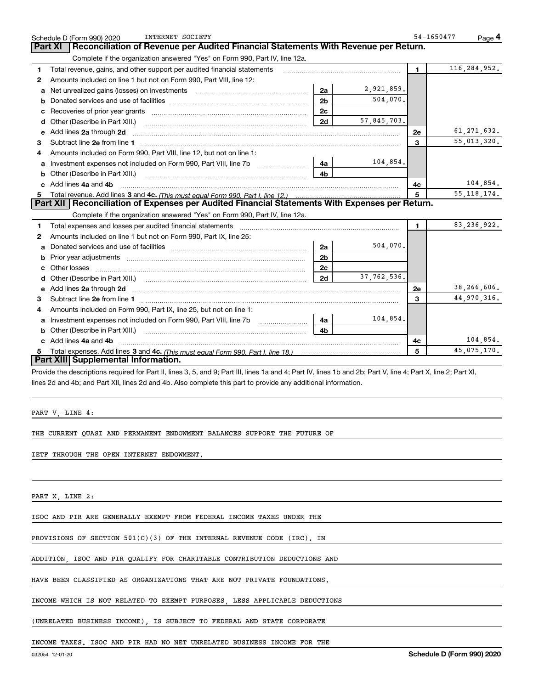|              | INTERNET SOCIETY<br>Schedule D (Form 990) 2020                                                                                                                                                                                      |                |               | 54-1650477 | Page 4         |
|--------------|-------------------------------------------------------------------------------------------------------------------------------------------------------------------------------------------------------------------------------------|----------------|---------------|------------|----------------|
|              | Reconciliation of Revenue per Audited Financial Statements With Revenue per Return.<br><b>Part XI</b>                                                                                                                               |                |               |            |                |
|              | Complete if the organization answered "Yes" on Form 990, Part IV, line 12a.                                                                                                                                                         |                |               |            |                |
| 1            | Total revenue, gains, and other support per audited financial statements                                                                                                                                                            |                |               | 1.         | 116, 284, 952. |
| $\mathbf{2}$ | Amounts included on line 1 but not on Form 990, Part VIII, line 12:                                                                                                                                                                 |                |               |            |                |
| a            | Net unrealized gains (losses) on investments [11] matter contracts and the unrealized gains (losses) on investments                                                                                                                 | 2a             | 2,921,859.    |            |                |
| b            |                                                                                                                                                                                                                                     | 2 <sub>b</sub> | 504,070.      |            |                |
| с            |                                                                                                                                                                                                                                     | 2c             |               |            |                |
|              | Other (Describe in Part XIII.)                                                                                                                                                                                                      | 2d             | 57,845,703.   |            |                |
| е            | Add lines 2a through 2d                                                                                                                                                                                                             |                |               | <b>2e</b>  | 61, 271, 632.  |
| 3            |                                                                                                                                                                                                                                     |                |               | 3          | 55,013,320.    |
| 4            | Amounts included on Form 990, Part VIII, line 12, but not on line 1:                                                                                                                                                                |                |               |            |                |
| a            |                                                                                                                                                                                                                                     | 4a             | 104,854.      |            |                |
| b            | Other (Describe in Part XIII.) (2000) (2000) (2000) (2010) (2010) (2010) (2010) (2010) (2010) (2010) (2010) (20                                                                                                                     | 4b             |               |            |                |
|              | c Add lines 4a and 4b                                                                                                                                                                                                               |                |               | 4c         | 104,854.       |
|              |                                                                                                                                                                                                                                     |                |               | 5          | 55, 118, 174.  |
|              | Part XII   Reconciliation of Expenses per Audited Financial Statements With Expenses per Return.                                                                                                                                    |                |               |            |                |
|              | Complete if the organization answered "Yes" on Form 990, Part IV, line 12a.                                                                                                                                                         |                |               |            |                |
| 1            | Total expenses and losses per audited financial statements                                                                                                                                                                          |                |               | 1.         | 83, 236, 922.  |
| 2            | Amounts included on line 1 but not on Form 990, Part IX, line 25:                                                                                                                                                                   |                |               |            |                |
| a            |                                                                                                                                                                                                                                     | 2a             | 504,070.      |            |                |
| b            |                                                                                                                                                                                                                                     | 2 <sub>b</sub> |               |            |                |
|              |                                                                                                                                                                                                                                     | 2c             |               |            |                |
| d            |                                                                                                                                                                                                                                     | 2d             | 37, 762, 536. |            |                |
| е            | Add lines 2a through 2d                                                                                                                                                                                                             |                |               | 2е         | 38,266,606.    |
| 3            |                                                                                                                                                                                                                                     |                |               | 3          | 44,970,316.    |
| 4            | Amounts included on Form 990, Part IX, line 25, but not on line 1:                                                                                                                                                                  |                |               |            |                |
| a            |                                                                                                                                                                                                                                     | 4a             | 104,854.      |            |                |
| b            | Other (Describe in Part XIII.) <b>Construction Contract Construction</b> Chern Construction Chern Chern Chern Chern Chern Chern Chern Chern Chern Chern Chern Chern Chern Chern Chern Chern Chern Chern Chern Chern Chern Chern Che | 4b             |               |            |                |
|              | Add lines 4a and 4b                                                                                                                                                                                                                 |                |               | 4с         | 104,854.       |
| 5.           |                                                                                                                                                                                                                                     |                |               | 5          | 45,075,170.    |
|              | <b>Part XIII Supplemental Information.</b>                                                                                                                                                                                          |                |               |            |                |
|              | Provide the descriptions required for Part II, lines 3, 5, and 9; Part III, lines 1a and 4; Part IV, lines 1b and 2b; Part V, line 4; Part X, line 2; Part XI,                                                                      |                |               |            |                |

lines 2d and 4b; and Part XII, lines 2d and 4b. Also complete this part to provide any additional information.

PART V, LINE 4:

THE CURRENT QUASI AND PERMANENT ENDOWMENT BALANCES SUPPORT THE FUTURE OF

IETF THROUGH THE OPEN INTERNET ENDOWMENT.

PART X, LINE 2:

ISOC AND PIR ARE GENERALLY EXEMPT FROM FEDERAL INCOME TAXES UNDER THE

PROVISIONS OF SECTION  $501(C)(3)$  OF THE INTERNAL REVENUE CODE (IRC). IN

ADDITION, ISOC AND PIR QUALIFY FOR CHARITABLE CONTRIBUTION DEDUCTIONS AND

HAVE BEEN CLASSIFIED AS ORGANIZATIONS THAT ARE NOT PRIVATE FOUNDATIONS.

INCOME WHICH IS NOT RELATED TO EXEMPT PURPOSES, LESS APPLICABLE DEDUCTIONS

(UNRELATED BUSINESS INCOME), IS SUBJECT TO FEDERAL AND STATE CORPORATE

INCOME TAXES. ISOC AND PIR HAD NO NET UNRELATED BUSINESS INCOME FOR THE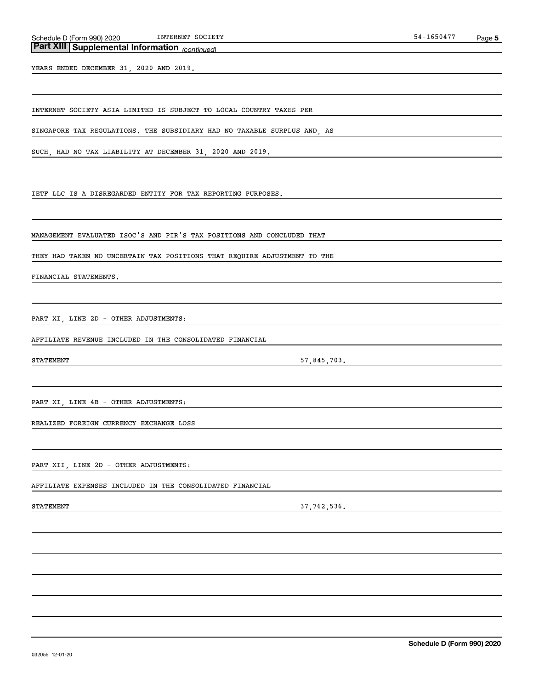*(continued)* **Part XIII Supplemental Information** 

YEARS ENDED DECEMBER 31, 2020 AND 2019.

INTERNET SOCIETY ASIA LIMITED IS SUBJECT TO LOCAL COUNTRY TAXES PER

SINGAPORE TAX REGULATIONS. THE SUBSIDIARY HAD NO TAXABLE SURPLUS AND, AS

SUCH, HAD NO TAX LIABILITY AT DECEMBER 31, 2020 AND 2019.

IETF LLC IS A DISREGARDED ENTITY FOR TAX REPORTING PURPOSES.

MANAGEMENT EVALUATED ISOC'S AND PIR'S TAX POSITIONS AND CONCLUDED THAT

THEY HAD TAKEN NO UNCERTAIN TAX POSITIONS THAT REQUIRE ADJUSTMENT TO THE

FINANCIAL STATEMENTS.

PART XI, LINE 2D - OTHER ADJUSTMENTS:

AFFILIATE REVENUE INCLUDED IN THE CONSOLIDATED FINANCIAL

STATEMENT 57,845,703.

PART XI, LINE 4B - OTHER ADJUSTMENTS:

REALIZED FOREIGN CURRENCY EXCHANGE LOSS

PART XII, LINE 2D - OTHER ADJUSTMENTS:

AFFILIATE EXPENSES INCLUDED IN THE CONSOLIDATED FINANCIAL

STATEMENT 37,762,536.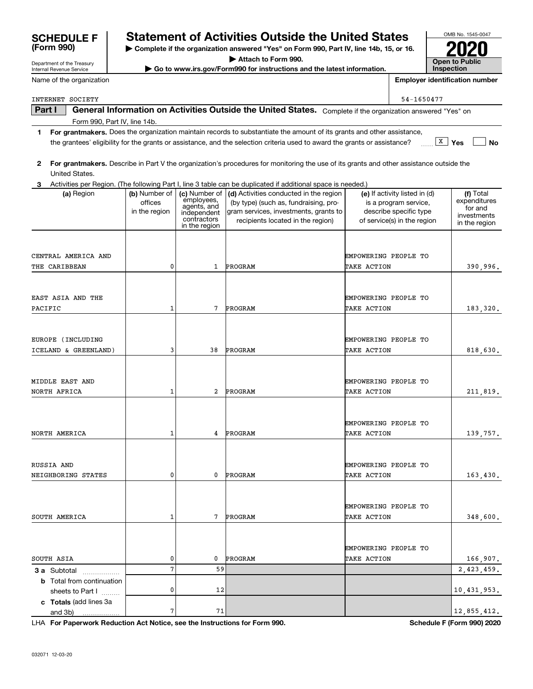# **SCHEDULE F Statement of Activities Outside the United States**

**| Complete if the organization answered "Yes" on Form 990, Part IV, line 14b, 15, or 16.**

**| Attach to Form 990.**

**| Go to www.irs.gov/Form990 for instructions and the latest information.**

| 2<br>United States.              |                                           |                                                                                           | For grantmakers. Describe in Part V the organization's procedures for monitoring the use of its grants and other assistance outside the                       |                                                                                                                 |                                                                      |
|----------------------------------|-------------------------------------------|-------------------------------------------------------------------------------------------|---------------------------------------------------------------------------------------------------------------------------------------------------------------|-----------------------------------------------------------------------------------------------------------------|----------------------------------------------------------------------|
| 3                                |                                           |                                                                                           | Activities per Region. (The following Part I, line 3 table can be duplicated if additional space is needed.)                                                  |                                                                                                                 |                                                                      |
| (a) Region                       | (b) Number of<br>offices<br>in the region | (c) Number of<br>employees,<br>agents, and<br>independent<br>contractors<br>in the region | (d) Activities conducted in the region<br>(by type) (such as, fundraising, pro-<br>gram services, investments, grants to<br>recipients located in the region) | (e) If activity listed in (d)<br>is a program service,<br>describe specific type<br>of service(s) in the region | (f) Total<br>expenditures<br>for and<br>investments<br>in the region |
|                                  |                                           |                                                                                           |                                                                                                                                                               |                                                                                                                 |                                                                      |
| CENTRAL AMERICA AND              |                                           |                                                                                           |                                                                                                                                                               | EMPOWERING PEOPLE TO                                                                                            |                                                                      |
| THE CARIBBEAN                    | 0                                         | $\mathbf{1}$                                                                              | <b>PROGRAM</b>                                                                                                                                                | TAKE ACTION                                                                                                     | 390,996.                                                             |
|                                  |                                           |                                                                                           |                                                                                                                                                               |                                                                                                                 |                                                                      |
| EAST ASIA AND THE                |                                           |                                                                                           |                                                                                                                                                               | EMPOWERING PEOPLE TO                                                                                            |                                                                      |
| PACIFIC                          | 1                                         | 7                                                                                         | PROGRAM                                                                                                                                                       | TAKE ACTION                                                                                                     | 183,320.                                                             |
|                                  |                                           |                                                                                           |                                                                                                                                                               |                                                                                                                 |                                                                      |
| EUROPE (INCLUDING                |                                           |                                                                                           |                                                                                                                                                               | EMPOWERING PEOPLE TO                                                                                            |                                                                      |
| ICELAND & GREENLAND)             | 3                                         | 38                                                                                        | PROGRAM                                                                                                                                                       | TAKE ACTION                                                                                                     |                                                                      |
|                                  |                                           |                                                                                           |                                                                                                                                                               |                                                                                                                 | 818,630.                                                             |
|                                  |                                           |                                                                                           |                                                                                                                                                               |                                                                                                                 |                                                                      |
| MIDDLE EAST AND                  |                                           |                                                                                           |                                                                                                                                                               | EMPOWERING PEOPLE TO                                                                                            |                                                                      |
| NORTH AFRICA                     | 1                                         | $\overline{a}$                                                                            | <b>PROGRAM</b>                                                                                                                                                | TAKE ACTION                                                                                                     | 211,819.                                                             |
|                                  |                                           |                                                                                           |                                                                                                                                                               |                                                                                                                 |                                                                      |
|                                  |                                           |                                                                                           |                                                                                                                                                               | EMPOWERING PEOPLE TO                                                                                            |                                                                      |
| NORTH AMERICA                    | 1                                         | 4                                                                                         | PROGRAM                                                                                                                                                       | TAKE ACTION                                                                                                     | 139,757.                                                             |
|                                  |                                           |                                                                                           |                                                                                                                                                               |                                                                                                                 |                                                                      |
| RUSSIA AND                       |                                           |                                                                                           |                                                                                                                                                               | EMPOWERING PEOPLE TO                                                                                            |                                                                      |
| NEIGHBORING STATES               | 0                                         | 0                                                                                         | <b>PROGRAM</b>                                                                                                                                                | TAKE ACTION                                                                                                     | 163,430.                                                             |
|                                  |                                           |                                                                                           |                                                                                                                                                               |                                                                                                                 |                                                                      |
|                                  |                                           |                                                                                           |                                                                                                                                                               | EMPOWERING PEOPLE TO                                                                                            |                                                                      |
| SOUTH AMERICA                    | 1                                         | 7                                                                                         | <b>PROGRAM</b>                                                                                                                                                | TAKE ACTION                                                                                                     | 348,600.                                                             |
|                                  |                                           |                                                                                           |                                                                                                                                                               |                                                                                                                 |                                                                      |
|                                  |                                           |                                                                                           |                                                                                                                                                               | EMPOWERING PEOPLE TO                                                                                            |                                                                      |
| SOUTH ASIA                       | 0                                         | 0                                                                                         | PROGRAM                                                                                                                                                       | TAKE ACTION                                                                                                     | 166,907.                                                             |
| 3 a Subtotal<br>.                | 7                                         | 59                                                                                        |                                                                                                                                                               |                                                                                                                 | 2,423,459.                                                           |
| <b>b</b> Total from continuation |                                           |                                                                                           |                                                                                                                                                               |                                                                                                                 |                                                                      |
| sheets to Part I                 | 0                                         | 12                                                                                        |                                                                                                                                                               |                                                                                                                 | 10,431,953.                                                          |
| c Totals (add lines 3a           |                                           |                                                                                           |                                                                                                                                                               |                                                                                                                 |                                                                      |
| and 3b)                          | 7                                         | 71                                                                                        |                                                                                                                                                               |                                                                                                                 | 12,855,412.                                                          |

INTERNET SOCIETY 54-1650477

**Part I**  $\parallel$  General Information on Activities Outside the United States. Complete if the organization answered "Yes" on Form 990, Part IV, line 14b.

**1For grantmakers.**  Does the organization maintain records to substantiate the amount of its grants and other assistance, **Yes No** X the grantees' eligibility for the grants or assistance, and the selection criteria used to award the grants or assistance?

**For Paperwork Reduction Act Notice, see the Instructions for Form 990. Schedule F (Form 990) 2020** LHA



**Employer identification number**

OMB No. 1545-0047

**(Form 990)**

Department of the Treasury Internal Revenue Service

Name of the organization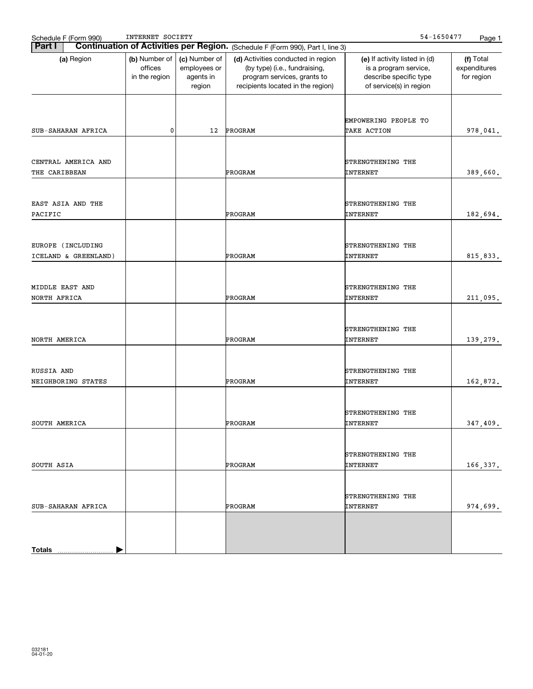| 54-1650477<br>INTERNET SOCIETY<br>Schedule F (Form 990)<br>Page 1<br>Continuation of Activities per Region. (Schedule F (Form 990), Part I, line 3) |                                           |                                                      |                                                                                                                                         |                                                                                                             |                                         |  |  |  |  |
|-----------------------------------------------------------------------------------------------------------------------------------------------------|-------------------------------------------|------------------------------------------------------|-----------------------------------------------------------------------------------------------------------------------------------------|-------------------------------------------------------------------------------------------------------------|-----------------------------------------|--|--|--|--|
| Part I                                                                                                                                              |                                           |                                                      |                                                                                                                                         |                                                                                                             |                                         |  |  |  |  |
| (a) Region                                                                                                                                          | (b) Number of<br>offices<br>in the region | (c) Number of<br>employees or<br>agents in<br>region | (d) Activities conducted in region<br>(by type) (i.e., fundraising,<br>program services, grants to<br>recipients located in the region) | (e) If activity listed in (d)<br>is a program service,<br>describe specific type<br>of service(s) in region | (f) Total<br>expenditures<br>for region |  |  |  |  |
|                                                                                                                                                     |                                           |                                                      |                                                                                                                                         | EMPOWERING PEOPLE TO                                                                                        |                                         |  |  |  |  |
| SUB-SAHARAN AFRICA                                                                                                                                  | 0                                         | 12                                                   | <b>PROGRAM</b>                                                                                                                          | TAKE ACTION                                                                                                 | 978,041.                                |  |  |  |  |
| CENTRAL AMERICA AND<br>THE CARIBBEAN                                                                                                                |                                           |                                                      | PROGRAM                                                                                                                                 | STRENGTHENING THE<br>INTERNET                                                                               | 389,660.                                |  |  |  |  |
|                                                                                                                                                     |                                           |                                                      |                                                                                                                                         |                                                                                                             |                                         |  |  |  |  |
| EAST ASIA AND THE<br>PACIFIC                                                                                                                        |                                           |                                                      | <b>PROGRAM</b>                                                                                                                          | STRENGTHENING THE<br>INTERNET                                                                               | 182,694.                                |  |  |  |  |
|                                                                                                                                                     |                                           |                                                      |                                                                                                                                         |                                                                                                             |                                         |  |  |  |  |
| EUROPE (INCLUDING<br>ICELAND & GREENLAND)                                                                                                           |                                           |                                                      | PROGRAM                                                                                                                                 | STRENGTHENING THE<br>INTERNET                                                                               | 815,833.                                |  |  |  |  |
|                                                                                                                                                     |                                           |                                                      |                                                                                                                                         |                                                                                                             |                                         |  |  |  |  |
| MIDDLE EAST AND                                                                                                                                     |                                           |                                                      |                                                                                                                                         | STRENGTHENING THE                                                                                           |                                         |  |  |  |  |
| NORTH AFRICA                                                                                                                                        |                                           |                                                      | PROGRAM                                                                                                                                 | INTERNET                                                                                                    | 211,095.                                |  |  |  |  |
| NORTH AMERICA                                                                                                                                       |                                           |                                                      | PROGRAM                                                                                                                                 | STRENGTHENING THE<br>INTERNET                                                                               | 139,279.                                |  |  |  |  |
| RUSSIA AND<br>NEIGHBORING STATES                                                                                                                    |                                           |                                                      | PROGRAM                                                                                                                                 | STRENGTHENING THE<br>INTERNET                                                                               | 162,872.                                |  |  |  |  |
| SOUTH AMERICA                                                                                                                                       |                                           |                                                      | FROGRAM                                                                                                                                 | STRENGTHENING THE<br>INTERNET                                                                               | 347,409.                                |  |  |  |  |
|                                                                                                                                                     |                                           |                                                      |                                                                                                                                         | STRENGTHENING THE                                                                                           |                                         |  |  |  |  |
| SOUTH ASIA                                                                                                                                          |                                           |                                                      | PROGRAM                                                                                                                                 | INTERNET                                                                                                    | 166,337.                                |  |  |  |  |
| SUB-SAHARAN AFRICA                                                                                                                                  |                                           |                                                      | PROGRAM                                                                                                                                 | STRENGTHENING THE<br>INTERNET                                                                               | 974,699.                                |  |  |  |  |
|                                                                                                                                                     |                                           |                                                      |                                                                                                                                         |                                                                                                             |                                         |  |  |  |  |
| <b>Totals</b>                                                                                                                                       |                                           |                                                      |                                                                                                                                         |                                                                                                             |                                         |  |  |  |  |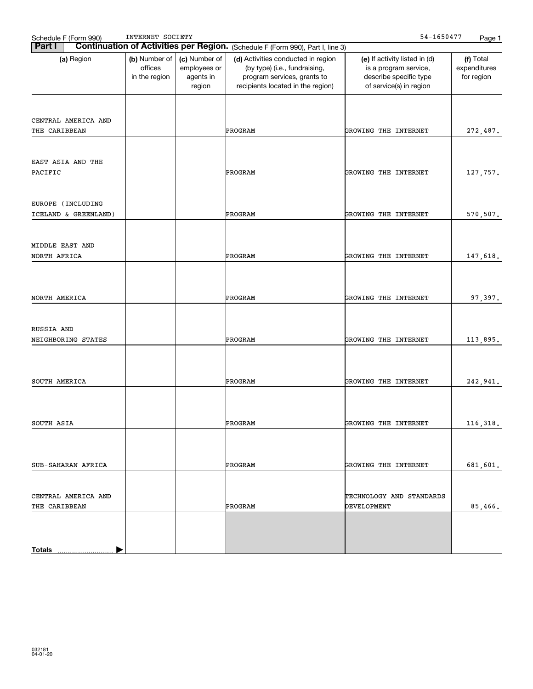| INTERNET SOCIETY<br>54-1650477<br>Schedule F (Form 990)<br>Page 1 |                                           |                                                      |                                                                                                                                         |                                                                                                             |                                         |  |  |  |  |
|-------------------------------------------------------------------|-------------------------------------------|------------------------------------------------------|-----------------------------------------------------------------------------------------------------------------------------------------|-------------------------------------------------------------------------------------------------------------|-----------------------------------------|--|--|--|--|
| <b>Part I</b>                                                     |                                           |                                                      | Continuation of Activities per Region. (Schedule F (Form 990), Part I, line 3)                                                          |                                                                                                             |                                         |  |  |  |  |
| (a) Region                                                        | (b) Number of<br>offices<br>in the region | (c) Number of<br>employees or<br>agents in<br>region | (d) Activities conducted in region<br>(by type) (i.e., fundraising,<br>program services, grants to<br>recipients located in the region) | (e) If activity listed in (d)<br>is a program service,<br>describe specific type<br>of service(s) in region | (f) Total<br>expenditures<br>for region |  |  |  |  |
| CENTRAL AMERICA AND<br>THE CARIBBEAN                              |                                           |                                                      | PROGRAM                                                                                                                                 | GROWING THE INTERNET                                                                                        | 272,487.                                |  |  |  |  |
| EAST ASIA AND THE<br>PACIFIC                                      |                                           |                                                      | PROGRAM                                                                                                                                 | GROWING THE INTERNET                                                                                        | 127,757.                                |  |  |  |  |
| EUROPE (INCLUDING<br>ICELAND & GREENLAND)                         |                                           |                                                      | PROGRAM                                                                                                                                 | GROWING THE INTERNET                                                                                        | 570,507.                                |  |  |  |  |
| MIDDLE EAST AND<br>NORTH AFRICA                                   |                                           |                                                      | PROGRAM                                                                                                                                 | GROWING THE INTERNET                                                                                        | 147,618.                                |  |  |  |  |
| NORTH AMERICA                                                     |                                           |                                                      | PROGRAM                                                                                                                                 | GROWING THE INTERNET                                                                                        | 97,397.                                 |  |  |  |  |
| RUSSIA AND<br>NEIGHBORING STATES                                  |                                           |                                                      | PROGRAM                                                                                                                                 | GROWING THE INTERNET                                                                                        | 113,895.                                |  |  |  |  |
| SOUTH AMERICA                                                     |                                           |                                                      | PROGRAM                                                                                                                                 | GROWING THE INTERNET                                                                                        | 242,941.                                |  |  |  |  |
| SOUTH ASIA                                                        |                                           |                                                      | PROGRAM                                                                                                                                 | GROWING THE INTERNET                                                                                        | 116,318.                                |  |  |  |  |
| SUB-SAHARAN AFRICA                                                |                                           |                                                      | PROGRAM                                                                                                                                 | GROWING THE INTERNET                                                                                        | 681,601.                                |  |  |  |  |
| CENTRAL AMERICA AND<br>THE CARIBBEAN                              |                                           |                                                      | PROGRAM                                                                                                                                 | TECHNOLOGY AND STANDARDS<br>DEVELOPMENT                                                                     | 85,466.                                 |  |  |  |  |
| <b>Totals</b>                                                     |                                           |                                                      |                                                                                                                                         |                                                                                                             |                                         |  |  |  |  |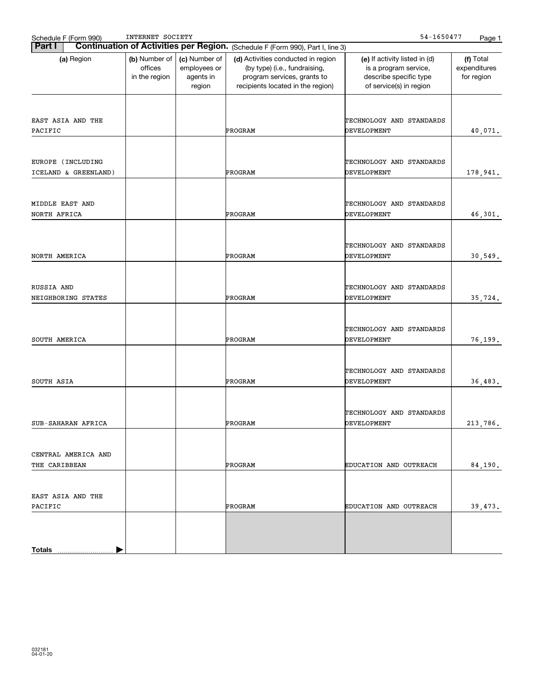| INTERNET SOCIETY<br>54-1650477<br>Schedule F (Form 990)<br>Page 1 |                                           |                                                      |                                                                                                                                         |                                                                                                             |                                         |  |  |  |  |
|-------------------------------------------------------------------|-------------------------------------------|------------------------------------------------------|-----------------------------------------------------------------------------------------------------------------------------------------|-------------------------------------------------------------------------------------------------------------|-----------------------------------------|--|--|--|--|
| <b>Part I</b>                                                     |                                           |                                                      | Continuation of Activities per Region. (Schedule F (Form 990), Part I, line 3)                                                          |                                                                                                             |                                         |  |  |  |  |
| (a) Region                                                        | (b) Number of<br>offices<br>in the region | (c) Number of<br>employees or<br>agents in<br>region | (d) Activities conducted in region<br>(by type) (i.e., fundraising,<br>program services, grants to<br>recipients located in the region) | (e) If activity listed in (d)<br>is a program service,<br>describe specific type<br>of service(s) in region | (f) Total<br>expenditures<br>for region |  |  |  |  |
| EAST ASIA AND THE<br>PACIFIC                                      |                                           |                                                      | PROGRAM                                                                                                                                 | TECHNOLOGY AND STANDARDS<br>DEVELOPMENT                                                                     | 40,071.                                 |  |  |  |  |
| EUROPE (INCLUDING<br>ICELAND & GREENLAND)                         |                                           |                                                      | PROGRAM                                                                                                                                 | TECHNOLOGY AND STANDARDS<br>DEVELOPMENT                                                                     | 178,941.                                |  |  |  |  |
| MIDDLE EAST AND<br>NORTH AFRICA                                   |                                           |                                                      | PROGRAM                                                                                                                                 | TECHNOLOGY AND STANDARDS<br>DEVELOPMENT                                                                     | 46,301.                                 |  |  |  |  |
| NORTH AMERICA                                                     |                                           |                                                      | PROGRAM                                                                                                                                 | TECHNOLOGY AND STANDARDS<br>DEVELOPMENT                                                                     | 30,549.                                 |  |  |  |  |
| RUSSIA AND<br>NEIGHBORING STATES                                  |                                           |                                                      | PROGRAM                                                                                                                                 | TECHNOLOGY AND STANDARDS<br>DEVELOPMENT                                                                     | 35,724.                                 |  |  |  |  |
| SOUTH AMERICA                                                     |                                           |                                                      | PROGRAM                                                                                                                                 | TECHNOLOGY AND STANDARDS<br>DEVELOPMENT                                                                     | 76,199.                                 |  |  |  |  |
| SOUTH ASIA                                                        |                                           |                                                      | PROGRAM                                                                                                                                 | TECHNOLOGY AND STANDARDS<br>DEVELOPMENT                                                                     | 36,483.                                 |  |  |  |  |
| SUB-SAHARAN AFRICA                                                |                                           |                                                      | PROGRAM                                                                                                                                 | TECHNOLOGY AND STANDARDS<br>DEVELOPMENT                                                                     | 213,786.                                |  |  |  |  |
| CENTRAL AMERICA AND<br>THE CARIBBEAN                              |                                           |                                                      | PROGRAM                                                                                                                                 | <b>EDUCATION AND OUTREACH</b>                                                                               | 84.190.                                 |  |  |  |  |
| EAST ASIA AND THE<br>PACIFIC                                      |                                           |                                                      | PROGRAM                                                                                                                                 | <b>EDUCATION AND OUTREACH</b>                                                                               | 39,473.                                 |  |  |  |  |
| Totals                                                            |                                           |                                                      |                                                                                                                                         |                                                                                                             |                                         |  |  |  |  |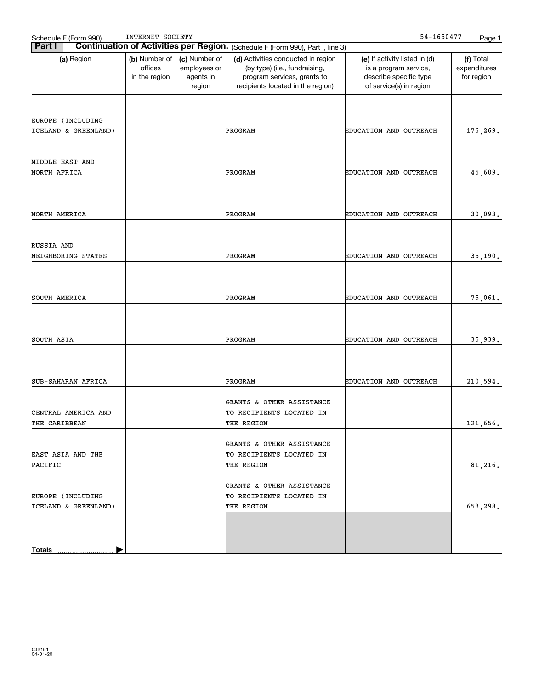| INTERNET SOCIETY<br>54-1650477<br>Schedule F (Form 990)<br>Page 1 |                                           |                                                      |                                                                                                                                         |                                                                                                             |                                         |  |  |  |  |
|-------------------------------------------------------------------|-------------------------------------------|------------------------------------------------------|-----------------------------------------------------------------------------------------------------------------------------------------|-------------------------------------------------------------------------------------------------------------|-----------------------------------------|--|--|--|--|
| Part I                                                            |                                           |                                                      | Continuation of Activities per Region. (Schedule F (Form 990), Part I, line 3)                                                          |                                                                                                             |                                         |  |  |  |  |
| (a) Region                                                        | (b) Number of<br>offices<br>in the region | (c) Number of<br>employees or<br>agents in<br>region | (d) Activities conducted in region<br>(by type) (i.e., fundraising,<br>program services, grants to<br>recipients located in the region) | (e) If activity listed in (d)<br>is a program service,<br>describe specific type<br>of service(s) in region | (f) Total<br>expenditures<br>for region |  |  |  |  |
| EUROPE (INCLUDING<br>ICELAND & GREENLAND)                         |                                           |                                                      | PROGRAM                                                                                                                                 | EDUCATION AND OUTREACH                                                                                      | 176,269.                                |  |  |  |  |
| MIDDLE EAST AND<br>NORTH AFRICA                                   |                                           |                                                      | PROGRAM                                                                                                                                 | EDUCATION AND OUTREACH                                                                                      | 45,609.                                 |  |  |  |  |
| NORTH AMERICA                                                     |                                           |                                                      | PROGRAM                                                                                                                                 | EDUCATION AND OUTREACH                                                                                      | 30,093.                                 |  |  |  |  |
| RUSSIA AND<br>NEIGHBORING STATES                                  |                                           |                                                      | PROGRAM                                                                                                                                 | EDUCATION AND OUTREACH                                                                                      | 35,190.                                 |  |  |  |  |
| SOUTH AMERICA                                                     |                                           |                                                      | PROGRAM                                                                                                                                 | EDUCATION AND OUTREACH                                                                                      | 75,061.                                 |  |  |  |  |
| SOUTH ASIA                                                        |                                           |                                                      | PROGRAM                                                                                                                                 | EDUCATION AND OUTREACH                                                                                      | 35,939.                                 |  |  |  |  |
| SUB-SAHARAN AFRICA                                                |                                           |                                                      | PROGRAM                                                                                                                                 | EDUCATION AND OUTREACH                                                                                      | 210,594.                                |  |  |  |  |
| CENTRAL AMERICA AND<br>THE CARIBBEAN                              |                                           |                                                      | GRANTS & OTHER ASSISTANCE<br>TO RECIPIENTS LOCATED IN<br>THE REGION                                                                     |                                                                                                             | 121,656.                                |  |  |  |  |
| EAST ASIA AND THE<br>PACIFIC                                      |                                           |                                                      | GRANTS & OTHER ASSISTANCE<br>TO RECIPIENTS LOCATED IN<br>THE REGION                                                                     |                                                                                                             | 81,216.                                 |  |  |  |  |
| EUROPE (INCLUDING<br>ICELAND & GREENLAND)                         |                                           |                                                      | GRANTS & OTHER ASSISTANCE<br>TO RECIPIENTS LOCATED IN<br>THE REGION                                                                     |                                                                                                             | 653,298.                                |  |  |  |  |
| <u>Totals </u>                                                    |                                           |                                                      |                                                                                                                                         |                                                                                                             |                                         |  |  |  |  |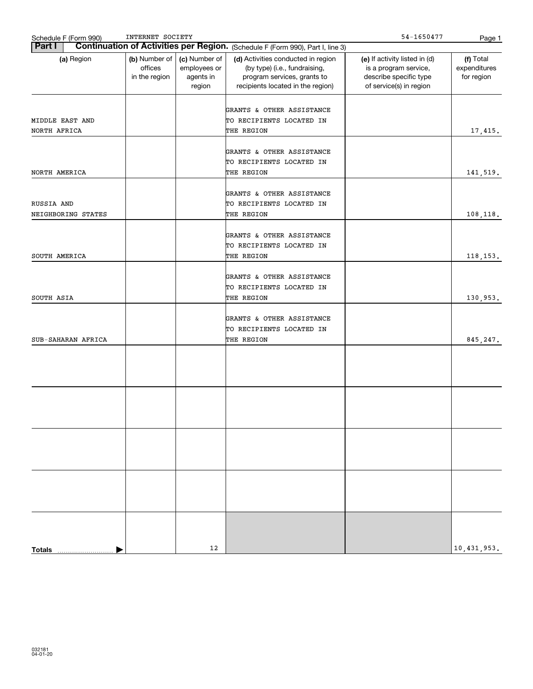| Schedule F (Form 990)            | INTERNET SOCIETY                          |                                                      |                                                                                                                                         | $54 - 1650477$                                                                                              | Page 1                                  |
|----------------------------------|-------------------------------------------|------------------------------------------------------|-----------------------------------------------------------------------------------------------------------------------------------------|-------------------------------------------------------------------------------------------------------------|-----------------------------------------|
| Part I                           |                                           |                                                      | Continuation of Activities per Region. (Schedule F (Form 990), Part I, line 3)                                                          |                                                                                                             |                                         |
| (a) Region                       | (b) Number of<br>offices<br>in the region | (c) Number of<br>employees or<br>agents in<br>region | (d) Activities conducted in region<br>(by type) (i.e., fundraising,<br>program services, grants to<br>recipients located in the region) | (e) If activity listed in (d)<br>is a program service,<br>describe specific type<br>of service(s) in region | (f) Total<br>expenditures<br>for region |
| MIDDLE EAST AND<br>NORTH AFRICA  |                                           |                                                      | GRANTS & OTHER ASSISTANCE<br>TO RECIPIENTS LOCATED IN<br>THE REGION                                                                     |                                                                                                             | 17,415.                                 |
| NORTH AMERICA                    |                                           |                                                      | GRANTS & OTHER ASSISTANCE<br>TO RECIPIENTS LOCATED IN<br>THE REGION                                                                     |                                                                                                             | 141,519.                                |
| RUSSIA AND<br>NEIGHBORING STATES |                                           |                                                      | GRANTS & OTHER ASSISTANCE<br>TO RECIPIENTS LOCATED IN<br>THE REGION                                                                     |                                                                                                             | 108,118.                                |
| SOUTH AMERICA                    |                                           |                                                      | GRANTS & OTHER ASSISTANCE<br>TO RECIPIENTS LOCATED IN<br>THE REGION                                                                     |                                                                                                             | 118,153.                                |
| SOUTH ASIA                       |                                           |                                                      | GRANTS & OTHER ASSISTANCE<br>TO RECIPIENTS LOCATED IN<br>THE REGION                                                                     |                                                                                                             | 130,953.                                |
| SUB-SAHARAN AFRICA               |                                           |                                                      | GRANTS & OTHER ASSISTANCE<br>TO RECIPIENTS LOCATED IN<br>THE REGION                                                                     |                                                                                                             | 845, 247.                               |
|                                  |                                           |                                                      |                                                                                                                                         |                                                                                                             |                                         |
|                                  |                                           |                                                      |                                                                                                                                         |                                                                                                             |                                         |
|                                  |                                           |                                                      |                                                                                                                                         |                                                                                                             |                                         |
|                                  |                                           |                                                      |                                                                                                                                         |                                                                                                             |                                         |
| Totals                           |                                           | 12                                                   |                                                                                                                                         |                                                                                                             | 10,431,953.                             |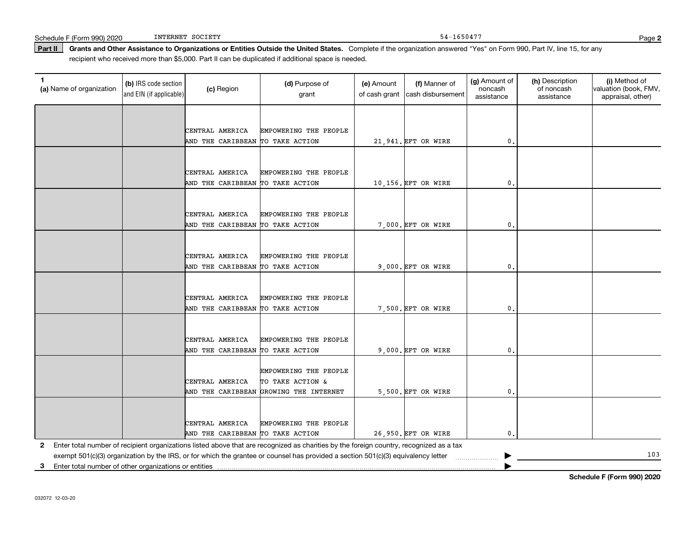Part II | Grants and Other Assistance to Organizations or Entities Outside the United States. Complete if the organization answered "Yes" on Form 990, Part IV, line 15, for any recipient who received more than \$5,000. Part II can be duplicated if additional space is needed.

| 1<br>(a) Name of organization | (b) IRS code section<br>and EIN (if applicable) | (c) Region                       | (d) Purpose of<br>grant                                                                                                                 | (e) Amount<br>of cash grant | (f) Manner of<br>cash disbursement | (g) Amount of<br>noncash<br>assistance | (h) Description<br>of noncash<br>assistance | (i) Method of<br>valuation (book, FMV,<br>appraisal, other) |
|-------------------------------|-------------------------------------------------|----------------------------------|-----------------------------------------------------------------------------------------------------------------------------------------|-----------------------------|------------------------------------|----------------------------------------|---------------------------------------------|-------------------------------------------------------------|
|                               |                                                 |                                  |                                                                                                                                         |                             |                                    |                                        |                                             |                                                             |
|                               |                                                 | CENTRAL AMERICA                  | EMPOWERING THE PEOPLE                                                                                                                   |                             |                                    |                                        |                                             |                                                             |
|                               |                                                 | AND THE CARIBBEAN TO TAKE ACTION |                                                                                                                                         |                             | 21,941. EFT OR WIRE                | 0.                                     |                                             |                                                             |
|                               |                                                 |                                  |                                                                                                                                         |                             |                                    |                                        |                                             |                                                             |
|                               |                                                 |                                  |                                                                                                                                         |                             |                                    |                                        |                                             |                                                             |
|                               |                                                 | CENTRAL AMERICA                  | EMPOWERING THE PEOPLE                                                                                                                   |                             |                                    |                                        |                                             |                                                             |
|                               |                                                 | AND THE CARIBBEAN TO TAKE ACTION |                                                                                                                                         |                             | 10,156. EFT OR WIRE                | $\mathbf{0}$                           |                                             |                                                             |
|                               |                                                 |                                  |                                                                                                                                         |                             |                                    |                                        |                                             |                                                             |
|                               |                                                 | CENTRAL AMERICA                  | EMPOWERING THE PEOPLE                                                                                                                   |                             |                                    |                                        |                                             |                                                             |
|                               |                                                 | AND THE CARIBBEAN TO TAKE ACTION |                                                                                                                                         |                             | $7,000$ . EFT OR WIRE              | $\mathbf 0$ .                          |                                             |                                                             |
|                               |                                                 |                                  |                                                                                                                                         |                             |                                    |                                        |                                             |                                                             |
|                               |                                                 |                                  |                                                                                                                                         |                             |                                    |                                        |                                             |                                                             |
|                               |                                                 | CENTRAL AMERICA                  | EMPOWERING THE PEOPLE                                                                                                                   |                             |                                    |                                        |                                             |                                                             |
|                               |                                                 | AND THE CARIBBEAN TO TAKE ACTION |                                                                                                                                         |                             | $9,000$ . EFT OR WIRE              | 0.                                     |                                             |                                                             |
|                               |                                                 |                                  |                                                                                                                                         |                             |                                    |                                        |                                             |                                                             |
|                               |                                                 |                                  |                                                                                                                                         |                             |                                    |                                        |                                             |                                                             |
|                               |                                                 | CENTRAL AMERICA                  | EMPOWERING THE PEOPLE                                                                                                                   |                             |                                    |                                        |                                             |                                                             |
|                               |                                                 | AND THE CARIBBEAN TO TAKE ACTION |                                                                                                                                         |                             | $7,500$ . EFT OR WIRE              | 0.                                     |                                             |                                                             |
|                               |                                                 |                                  |                                                                                                                                         |                             |                                    |                                        |                                             |                                                             |
|                               |                                                 | CENTRAL AMERICA                  | EMPOWERING THE PEOPLE                                                                                                                   |                             |                                    |                                        |                                             |                                                             |
|                               |                                                 | AND THE CARIBBEAN TO TAKE ACTION |                                                                                                                                         |                             | $9,000$ . EFT OR WIRE              | 0.                                     |                                             |                                                             |
|                               |                                                 |                                  |                                                                                                                                         |                             |                                    |                                        |                                             |                                                             |
|                               |                                                 |                                  | EMPOWERING THE PEOPLE                                                                                                                   |                             |                                    |                                        |                                             |                                                             |
|                               |                                                 | CENTRAL AMERICA                  | TO TAKE ACTION &                                                                                                                        |                             |                                    |                                        |                                             |                                                             |
|                               |                                                 |                                  | AND THE CARIBBEAN GROWING THE INTERNET                                                                                                  |                             | $5,500$ . EFT OR WIRE              | 0.                                     |                                             |                                                             |
|                               |                                                 |                                  |                                                                                                                                         |                             |                                    |                                        |                                             |                                                             |
|                               |                                                 | CENTRAL AMERICA                  | EMPOWERING THE PEOPLE                                                                                                                   |                             |                                    |                                        |                                             |                                                             |
|                               |                                                 | AND THE CARIBBEAN TO TAKE ACTION |                                                                                                                                         |                             | 26,950. EFT OR WIRE                | $\mathbf{0}$ .                         |                                             |                                                             |
| 2                             |                                                 |                                  | Enter total number of recipient organizations listed above that are recognized as charities by the foreign country, recognized as a tax |                             |                                    |                                        |                                             |                                                             |
|                               |                                                 |                                  | exempt 501(c)(3) organization by the IRS, or for which the grantee or counsel has provided a section 501(c)(3) equivalency letter       |                             |                                    |                                        |                                             | 103                                                         |
| 3                             |                                                 |                                  |                                                                                                                                         |                             |                                    |                                        |                                             |                                                             |

**Schedule F (Form 990) 2020**

**2**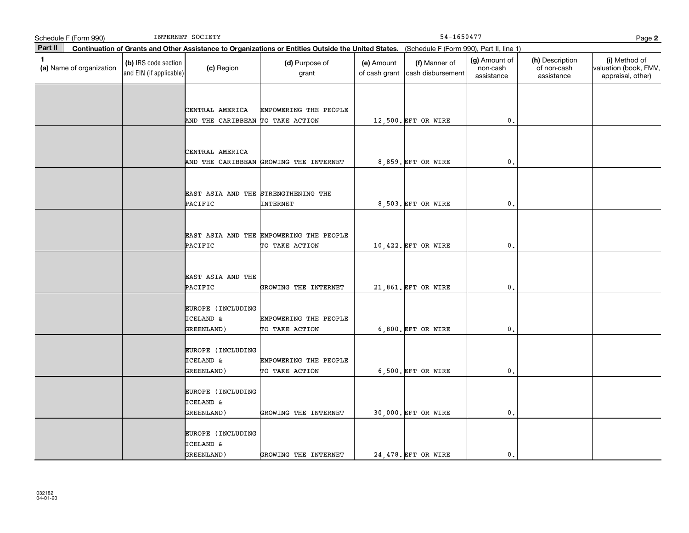|              | Schedule F (Form 990)    |                                                 | INTERNET SOCIETY                                    |                                                           | 54-1650477<br>Page 2                                                                                                                         |                                    |                                         |                                              |                                                             |  |  |
|--------------|--------------------------|-------------------------------------------------|-----------------------------------------------------|-----------------------------------------------------------|----------------------------------------------------------------------------------------------------------------------------------------------|------------------------------------|-----------------------------------------|----------------------------------------------|-------------------------------------------------------------|--|--|
| Part II      |                          |                                                 |                                                     |                                                           | Continuation of Grants and Other Assistance to Organizations or Entities Outside the United States. (Schedule F (Form 990), Part II, line 1) |                                    |                                         |                                              |                                                             |  |  |
| $\mathbf{1}$ | (a) Name of organization | (b) IRS code section<br>and EIN (if applicable) | (c) Region                                          | (d) Purpose of<br>grant                                   | (e) Amount<br>of cash grant                                                                                                                  | (f) Manner of<br>cash disbursement | (g) Amount of<br>non-cash<br>assistance | (h) Description<br>of non-cash<br>assistance | (i) Method of<br>valuation (book, FMV,<br>appraisal, other) |  |  |
|              |                          |                                                 | CENTRAL AMERICA<br>AND THE CARIBBEAN TO TAKE ACTION | EMPOWERING THE PEOPLE                                     |                                                                                                                                              | 12,500. EFT OR WIRE                | $^{\rm 0}$ .                            |                                              |                                                             |  |  |
|              |                          |                                                 | CENTRAL AMERICA                                     | AND THE CARIBBEAN GROWING THE INTERNET                    |                                                                                                                                              | 8,859. EFT OR WIRE                 | $\mathbf{0}$                            |                                              |                                                             |  |  |
|              |                          |                                                 | EAST ASIA AND THE STRENGTHENING THE<br>PACIFIC      | <b>INTERNET</b>                                           |                                                                                                                                              | $8,503$ . EFT OR WIRE              | $\mathbf 0$ .                           |                                              |                                                             |  |  |
|              |                          |                                                 | PACIFIC                                             | EAST ASIA AND THE EMPOWERING THE PEOPLE<br>TO TAKE ACTION |                                                                                                                                              | 10,422. EFT OR WIRE                | $\mathbf 0$ .                           |                                              |                                                             |  |  |
|              |                          |                                                 | EAST ASIA AND THE<br>PACIFIC                        | GROWING THE INTERNET                                      |                                                                                                                                              | 21,861. EFT OR WIRE                | $\mathbf 0$ .                           |                                              |                                                             |  |  |
|              |                          |                                                 | EUROPE (INCLUDING<br>ICELAND &<br>GREENLAND)        | EMPOWERING THE PEOPLE<br>TO TAKE ACTION                   |                                                                                                                                              | $6,800$ . EFT OR WIRE              | $\mathbf{0}$ .                          |                                              |                                                             |  |  |
|              |                          |                                                 | EUROPE (INCLUDING<br>ICELAND &<br>GREENLAND)        | EMPOWERING THE PEOPLE<br>TO TAKE ACTION                   |                                                                                                                                              | 6,500. EFT OR WIRE                 | $\mathbf{0}$                            |                                              |                                                             |  |  |
|              |                          |                                                 | EUROPE (INCLUDING<br>ICELAND &<br>GREENLAND)        | GROWING THE INTERNET                                      |                                                                                                                                              | 30,000. EFT OR WIRE                | $\mathbf{0}$ .                          |                                              |                                                             |  |  |
|              |                          |                                                 | EUROPE (INCLUDING<br>ICELAND &<br>GREENLAND)        | GROWING THE INTERNET                                      |                                                                                                                                              | 24,478. EFT OR WIRE                | 0.                                      |                                              |                                                             |  |  |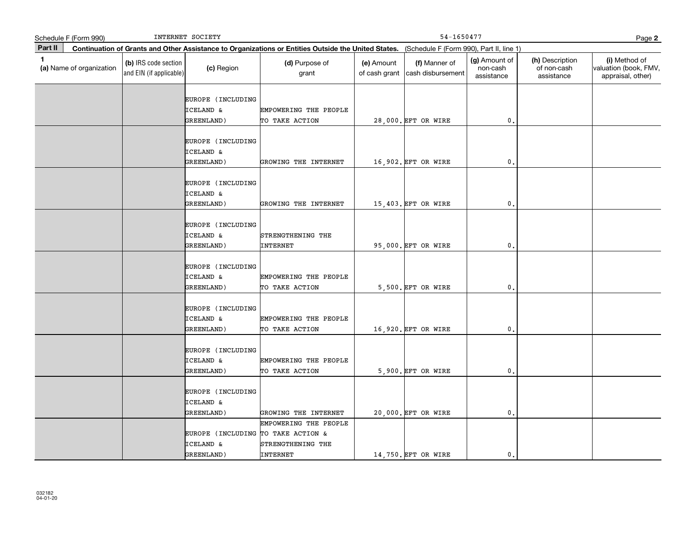| Schedule F (Form 990)         | INTERNET SOCIETY                                |                                                               |                                                                                                                                              |                             | 54-1650477                         |                                         |                                              |                                                             |  |
|-------------------------------|-------------------------------------------------|---------------------------------------------------------------|----------------------------------------------------------------------------------------------------------------------------------------------|-----------------------------|------------------------------------|-----------------------------------------|----------------------------------------------|-------------------------------------------------------------|--|
| Part II                       |                                                 |                                                               | Continuation of Grants and Other Assistance to Organizations or Entities Outside the United States. (Schedule F (Form 990), Part II, line 1) |                             |                                    |                                         |                                              |                                                             |  |
| 1<br>(a) Name of organization | (b) IRS code section<br>and EIN (if applicable) | (c) Region                                                    | (d) Purpose of<br>grant                                                                                                                      | (e) Amount<br>of cash grant | (f) Manner of<br>cash disbursement | (g) Amount of<br>non-cash<br>assistance | (h) Description<br>of non-cash<br>assistance | (i) Method of<br>valuation (book, FMV,<br>appraisal, other) |  |
|                               |                                                 | EUROPE (INCLUDING<br>ICELAND &<br>GREENLAND)                  | EMPOWERING THE PEOPLE<br>TO TAKE ACTION                                                                                                      |                             | 28,000. EFT OR WIRE                | 0.                                      |                                              |                                                             |  |
|                               |                                                 | EUROPE (INCLUDING<br>ICELAND &<br>GREENLAND)                  | GROWING THE INTERNET                                                                                                                         |                             | 16,902. EFT OR WIRE                | $\mathbf 0$ .                           |                                              |                                                             |  |
|                               |                                                 | EUROPE (INCLUDING<br>ICELAND &<br>GREENLAND)                  | GROWING THE INTERNET                                                                                                                         |                             | 15,403. EFT OR WIRE                | $\mathbf{0}$ .                          |                                              |                                                             |  |
|                               |                                                 | EUROPE (INCLUDING<br>ICELAND &<br><b>GREENLAND)</b>           | STRENGTHENING THE<br><b>INTERNET</b>                                                                                                         |                             | 95,000. EFT OR WIRE                | 0.                                      |                                              |                                                             |  |
|                               |                                                 | EUROPE (INCLUDING<br><b>ICELAND &amp;</b><br>GREENLAND)       | EMPOWERING THE PEOPLE<br>TO TAKE ACTION                                                                                                      |                             | $5,500$ . EFT OR WIRE              | 0.                                      |                                              |                                                             |  |
|                               |                                                 | EUROPE (INCLUDING<br><b>ICELAND &amp;</b><br>GREENLAND)       | EMPOWERING THE PEOPLE<br>TO TAKE ACTION                                                                                                      |                             | 16,920. EFT OR WIRE                | 0.                                      |                                              |                                                             |  |
|                               |                                                 | EUROPE (INCLUDING<br>ICELAND &<br><b>GREENLAND)</b>           | EMPOWERING THE PEOPLE<br>TO TAKE ACTION                                                                                                      |                             | 5,900. EFT OR WIRE                 | $\mathbf{0}$ .                          |                                              |                                                             |  |
|                               |                                                 | EUROPE (INCLUDING<br>ICELAND &<br>GREENLAND)                  | GROWING THE INTERNET                                                                                                                         |                             | 20,000. EFT OR WIRE                | $\mathbf 0$ .                           |                                              |                                                             |  |
|                               |                                                 | EUROPE (INCLUDING TO TAKE ACTION &<br>ICELAND &<br>GREENLAND) | EMPOWERING THE PEOPLE<br>STRENGTHENING THE<br><b>INTERNET</b>                                                                                |                             | 14,750. EFT OR WIRE                | 0.                                      |                                              |                                                             |  |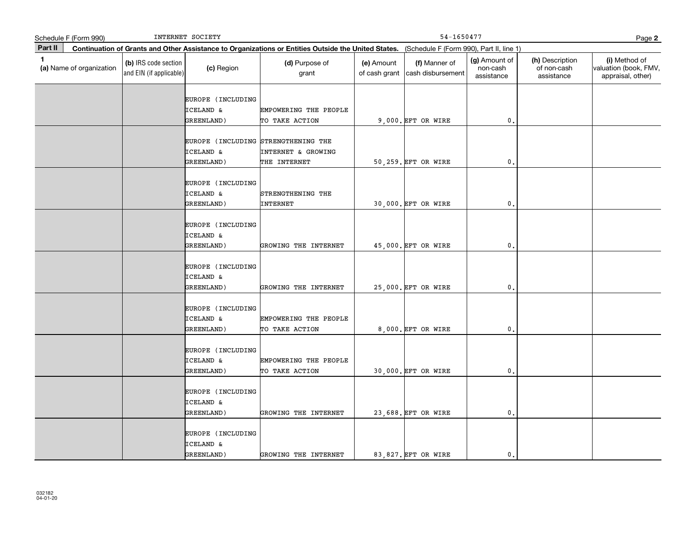| Schedule F (Form 990)         |                                                 | INTERNET SOCIETY                                               |                                                                                                                                              | 54-1650477<br>Page 2        |                                    |                                         |                                              |                                                             |  |  |
|-------------------------------|-------------------------------------------------|----------------------------------------------------------------|----------------------------------------------------------------------------------------------------------------------------------------------|-----------------------------|------------------------------------|-----------------------------------------|----------------------------------------------|-------------------------------------------------------------|--|--|
| Part II                       |                                                 |                                                                | Continuation of Grants and Other Assistance to Organizations or Entities Outside the United States. (Schedule F (Form 990), Part II, line 1) |                             |                                    |                                         |                                              |                                                             |  |  |
| 1<br>(a) Name of organization | (b) IRS code section<br>and EIN (if applicable) | (c) Region                                                     | (d) Purpose of<br>grant                                                                                                                      | (e) Amount<br>of cash grant | (f) Manner of<br>cash disbursement | (g) Amount of<br>non-cash<br>assistance | (h) Description<br>of non-cash<br>assistance | (i) Method of<br>valuation (book, FMV,<br>appraisal, other) |  |  |
|                               |                                                 | EUROPE (INCLUDING<br>ICELAND &<br>GREENLAND)                   | EMPOWERING THE PEOPLE<br>TO TAKE ACTION                                                                                                      |                             | $9,000$ . EFT OR WIRE              | $\mathsf{0}$ .                          |                                              |                                                             |  |  |
|                               |                                                 | EUROPE (INCLUDING STRENGTHENING THE<br>ICELAND &<br>GREENLAND) | INTERNET & GROWING<br>THE INTERNET                                                                                                           |                             | 50,259. EFT OR WIRE                | $\mathbf 0$ .                           |                                              |                                                             |  |  |
|                               |                                                 | EUROPE (INCLUDING<br><b>ICELAND &amp;</b><br>GREENLAND)        | STRENGTHENING THE<br><b>INTERNET</b>                                                                                                         |                             | 30,000. EFT OR WIRE                | 0.                                      |                                              |                                                             |  |  |
|                               |                                                 | EUROPE (INCLUDING<br>ICELAND &<br><b>GREENLAND)</b>            | GROWING THE INTERNET                                                                                                                         |                             | 45,000. EFT OR WIRE                | $\mathbf{0}$                            |                                              |                                                             |  |  |
|                               |                                                 | EUROPE (INCLUDING<br>ICELAND &<br><b>GREENLAND)</b>            | GROWING THE INTERNET                                                                                                                         |                             | 25,000. EFT OR WIRE                | $\mathbf{0}$ .                          |                                              |                                                             |  |  |
|                               |                                                 | EUROPE (INCLUDING<br>ICELAND &<br>GREENLAND)                   | EMPOWERING THE PEOPLE<br>TO TAKE ACTION                                                                                                      |                             | $8,000$ . EFT OR WIRE              | 0.                                      |                                              |                                                             |  |  |
|                               |                                                 | EUROPE (INCLUDING<br>ICELAND &<br>GREENLAND)                   | EMPOWERING THE PEOPLE<br>TO TAKE ACTION                                                                                                      |                             | 30,000. EFT OR WIRE                | $\mathfrak o$ .                         |                                              |                                                             |  |  |
|                               |                                                 | EUROPE (INCLUDING<br>ICELAND &<br><b>GREENLAND)</b>            | GROWING THE INTERNET                                                                                                                         |                             | 23,688. EFT OR WIRE                | $\mathfrak o$ .                         |                                              |                                                             |  |  |
|                               |                                                 | <b>EUROPE (INCLUDING</b><br>ICELAND &<br>GREENLAND)            | GROWING THE INTERNET                                                                                                                         |                             | 83,827. EFT OR WIRE                | $\mathfrak o$ .                         |                                              |                                                             |  |  |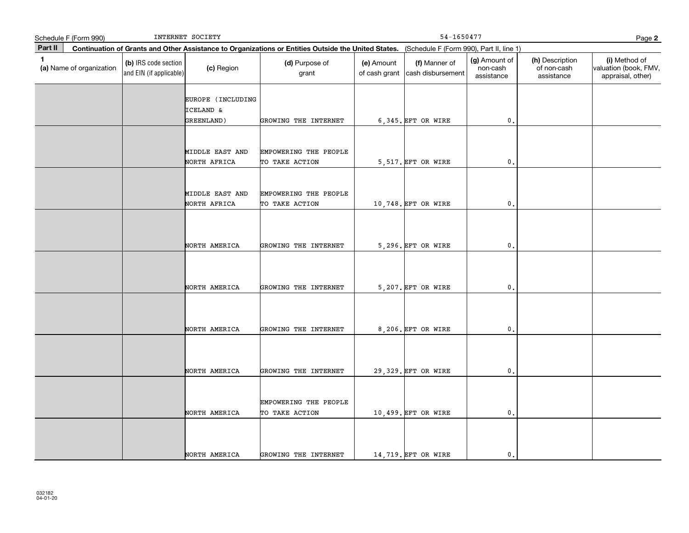|              | Schedule F (Form 990)    |                                                 | INTERNET SOCIETY                             |                                                                                                                                              | 54-1650477<br>Page 2        |                                    |                                         |                                              |                                                             |  |  |  |
|--------------|--------------------------|-------------------------------------------------|----------------------------------------------|----------------------------------------------------------------------------------------------------------------------------------------------|-----------------------------|------------------------------------|-----------------------------------------|----------------------------------------------|-------------------------------------------------------------|--|--|--|
| Part II      |                          |                                                 |                                              | Continuation of Grants and Other Assistance to Organizations or Entities Outside the United States. (Schedule F (Form 990), Part II, line 1) |                             |                                    |                                         |                                              |                                                             |  |  |  |
| $\mathbf{1}$ | (a) Name of organization | (b) IRS code section<br>and EIN (if applicable) | (c) Region                                   | (d) Purpose of<br>grant                                                                                                                      | (e) Amount<br>of cash grant | (f) Manner of<br>cash disbursement | (g) Amount of<br>non-cash<br>assistance | (h) Description<br>of non-cash<br>assistance | (i) Method of<br>valuation (book, FMV,<br>appraisal, other) |  |  |  |
|              |                          |                                                 | EUROPE (INCLUDING<br>ICELAND &<br>GREENLAND) | GROWING THE INTERNET                                                                                                                         |                             | $6,345$ . EFT OR WIRE              | $\mathbf{0}$ .                          |                                              |                                                             |  |  |  |
|              |                          |                                                 | MIDDLE EAST AND<br>NORTH AFRICA              | EMPOWERING THE PEOPLE<br>TO TAKE ACTION                                                                                                      |                             | $5,517.$ EFT OR WIRE               | $\mathbf{0}$ .                          |                                              |                                                             |  |  |  |
|              |                          |                                                 | MIDDLE EAST AND<br>NORTH AFRICA              | EMPOWERING THE PEOPLE<br>TO TAKE ACTION                                                                                                      |                             | $10,748$ . EFT OR WIRE             | $\mathbf 0$ .                           |                                              |                                                             |  |  |  |
|              |                          |                                                 | NORTH AMERICA                                | GROWING THE INTERNET                                                                                                                         |                             | $5,296.$ EFT OR WIRE               | $\mathbf{0}$ .                          |                                              |                                                             |  |  |  |
|              |                          |                                                 | NORTH AMERICA                                | GROWING THE INTERNET                                                                                                                         |                             | $5,207$ . EFT OR WIRE              | $\mathbf 0$ .                           |                                              |                                                             |  |  |  |
|              |                          |                                                 | NORTH AMERICA                                | GROWING THE INTERNET                                                                                                                         |                             | $8,206$ . EFT OR WIRE              | $\mathbf{0}$                            |                                              |                                                             |  |  |  |
|              |                          |                                                 | NORTH AMERICA                                | GROWING THE INTERNET                                                                                                                         |                             | 29,329. EFT OR WIRE                | $\mathbf 0$ .                           |                                              |                                                             |  |  |  |
|              |                          |                                                 | NORTH AMERICA                                | EMPOWERING THE PEOPLE<br>TO TAKE ACTION                                                                                                      |                             | 10,499. EFT OR WIRE                | $\mathbf{0}$ .                          |                                              |                                                             |  |  |  |
|              |                          |                                                 | NORTH AMERICA                                | GROWING THE INTERNET                                                                                                                         |                             | 14,719. EFT OR WIRE                | $\mathbf{0}$ .                          |                                              |                                                             |  |  |  |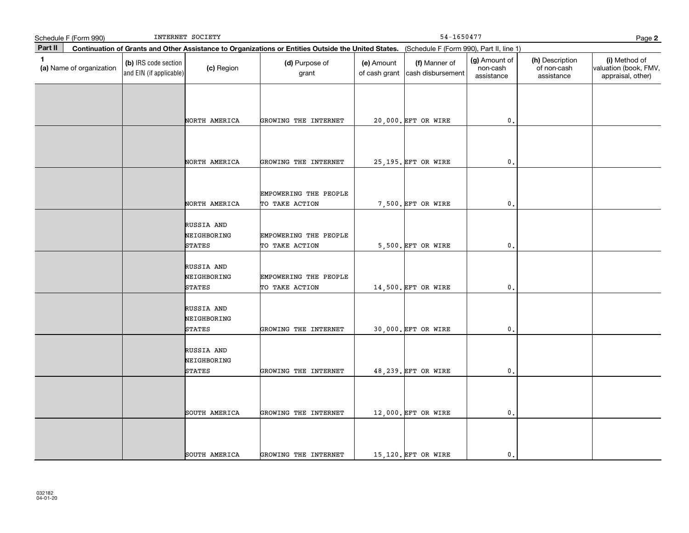|              | Schedule F (Form 990)    |                                                 | INTERNET SOCIETY                    |                                                                                                                                              |                             | Page 2                             |                                         |                                              |                                                             |
|--------------|--------------------------|-------------------------------------------------|-------------------------------------|----------------------------------------------------------------------------------------------------------------------------------------------|-----------------------------|------------------------------------|-----------------------------------------|----------------------------------------------|-------------------------------------------------------------|
| Part II      |                          |                                                 |                                     | Continuation of Grants and Other Assistance to Organizations or Entities Outside the United States. (Schedule F (Form 990), Part II, line 1) |                             |                                    |                                         |                                              |                                                             |
| $\mathbf{1}$ | (a) Name of organization | (b) IRS code section<br>and EIN (if applicable) | (c) Region                          | (d) Purpose of<br>grant                                                                                                                      | (e) Amount<br>of cash grant | (f) Manner of<br>cash disbursement | (g) Amount of<br>non-cash<br>assistance | (h) Description<br>of non-cash<br>assistance | (i) Method of<br>valuation (book, FMV,<br>appraisal, other) |
|              |                          |                                                 | NORTH AMERICA                       | GROWING THE INTERNET                                                                                                                         |                             | 20,000. EFT OR WIRE                | $\mathfrak o$ .                         |                                              |                                                             |
|              |                          |                                                 |                                     |                                                                                                                                              |                             |                                    |                                         |                                              |                                                             |
|              |                          |                                                 | NORTH AMERICA                       | GROWING THE INTERNET                                                                                                                         |                             | 25,195. EFT OR WIRE                | $\mathbf{0}$ .                          |                                              |                                                             |
|              |                          |                                                 | NORTH AMERICA                       | EMPOWERING THE PEOPLE<br>TO TAKE ACTION                                                                                                      |                             | $7,500$ . EFT OR WIRE              | $\mathbf 0$ .                           |                                              |                                                             |
|              |                          |                                                 | RUSSIA AND<br>NEIGHBORING<br>STATES | EMPOWERING THE PEOPLE<br>TO TAKE ACTION                                                                                                      |                             | $5,500$ . EFT OR WIRE              | $\mathfrak{o}$ .                        |                                              |                                                             |
|              |                          |                                                 | RUSSIA AND<br>NEIGHBORING<br>STATES | EMPOWERING THE PEOPLE<br>TO TAKE ACTION                                                                                                      |                             | 14,500. EFT OR WIRE                | $\mathbf 0$ .                           |                                              |                                                             |
|              |                          |                                                 | RUSSIA AND<br>NEIGHBORING<br>STATES | GROWING THE INTERNET                                                                                                                         |                             | 30,000. EFT OR WIRE                | 0.                                      |                                              |                                                             |
|              |                          |                                                 | RUSSIA AND<br>NEIGHBORING<br>STATES | GROWING THE INTERNET                                                                                                                         |                             | 48,239. EFT OR WIRE                | $\mathbf{0}$ .                          |                                              |                                                             |
|              |                          |                                                 | SOUTH AMERICA                       | GROWING THE INTERNET                                                                                                                         |                             | $12,000$ . EFT OR WIRE             | $\mathbf 0$ .                           |                                              |                                                             |
|              |                          |                                                 | SOUTH AMERICA                       | GROWING THE INTERNET                                                                                                                         |                             | 15,120. EFT OR WIRE                | 0.                                      |                                              |                                                             |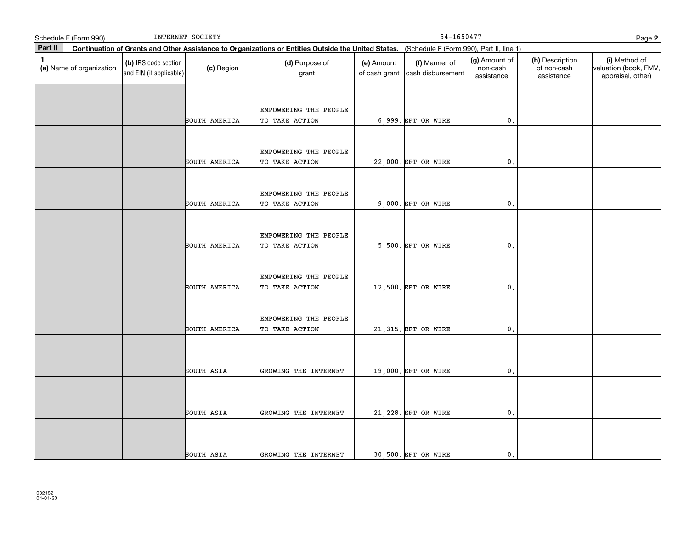|              | Schedule F (Form 990)    |                                                 | INTERNET SOCIETY |                                                                                                                                              | $54 - 1650477$<br>Page 2    |                                    |                                         |                                              |                                                             |  |  |  |
|--------------|--------------------------|-------------------------------------------------|------------------|----------------------------------------------------------------------------------------------------------------------------------------------|-----------------------------|------------------------------------|-----------------------------------------|----------------------------------------------|-------------------------------------------------------------|--|--|--|
| Part II      |                          |                                                 |                  | Continuation of Grants and Other Assistance to Organizations or Entities Outside the United States. (Schedule F (Form 990), Part II, line 1) |                             |                                    |                                         |                                              |                                                             |  |  |  |
| $\mathbf{1}$ | (a) Name of organization | (b) IRS code section<br>and EIN (if applicable) | (c) Region       | (d) Purpose of<br>grant                                                                                                                      | (e) Amount<br>of cash grant | (f) Manner of<br>cash disbursement | (g) Amount of<br>non-cash<br>assistance | (h) Description<br>of non-cash<br>assistance | (i) Method of<br>valuation (book, FMV,<br>appraisal, other) |  |  |  |
|              |                          |                                                 | SOUTH AMERICA    | EMPOWERING THE PEOPLE<br>TO TAKE ACTION                                                                                                      |                             | $6,999$ . EFT OR WIRE              | $\mathbf{0}$ .                          |                                              |                                                             |  |  |  |
|              |                          |                                                 | SOUTH AMERICA    | EMPOWERING THE PEOPLE<br>TO TAKE ACTION                                                                                                      |                             | 22,000. EFT OR WIRE                | $\mathbf{0}$                            |                                              |                                                             |  |  |  |
|              |                          |                                                 | SOUTH AMERICA    | EMPOWERING THE PEOPLE<br>TO TAKE ACTION                                                                                                      |                             | $9,000$ . EFT OR WIRE              | $\mathbf 0$ .                           |                                              |                                                             |  |  |  |
|              |                          |                                                 | SOUTH AMERICA    | EMPOWERING THE PEOPLE<br>TO TAKE ACTION                                                                                                      |                             | $5,500$ . EFT OR WIRE              | $\mathbf{0}$ .                          |                                              |                                                             |  |  |  |
|              |                          |                                                 | SOUTH AMERICA    | EMPOWERING THE PEOPLE<br>TO TAKE ACTION                                                                                                      |                             | 12,500. EFT OR WIRE                | $\mathsf{0}$ .                          |                                              |                                                             |  |  |  |
|              |                          |                                                 | SOUTH AMERICA    | EMPOWERING THE PEOPLE<br>TO TAKE ACTION                                                                                                      |                             | 21,315. EFT OR WIRE                | $\mathfrak o$ .                         |                                              |                                                             |  |  |  |
|              |                          |                                                 | SOUTH ASIA       | GROWING THE INTERNET                                                                                                                         |                             | 19,000. EFT OR WIRE                | $^{\rm 0}$ .                            |                                              |                                                             |  |  |  |
|              |                          |                                                 | SOUTH ASIA       | GROWING THE INTERNET                                                                                                                         |                             | 21,228. EFT OR WIRE                | $\mathbf{0}$ .                          |                                              |                                                             |  |  |  |
|              |                          |                                                 | SOUTH ASIA       | GROWING THE INTERNET                                                                                                                         |                             | 30,500. EFT OR WIRE                | $\mathfrak o$ .                         |                                              |                                                             |  |  |  |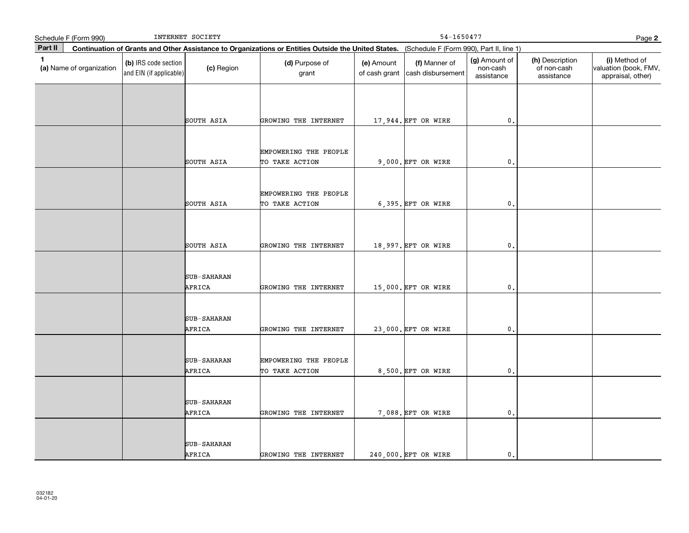|              | Schedule F (Form 990)    |                                                 | INTERNET SOCIETY             |                                                                                                                                              | $54 - 1650477$<br>Page 2    |                                    |                                         |                                              |                                                             |  |  |  |
|--------------|--------------------------|-------------------------------------------------|------------------------------|----------------------------------------------------------------------------------------------------------------------------------------------|-----------------------------|------------------------------------|-----------------------------------------|----------------------------------------------|-------------------------------------------------------------|--|--|--|
| Part II      |                          |                                                 |                              | Continuation of Grants and Other Assistance to Organizations or Entities Outside the United States. (Schedule F (Form 990), Part II, line 1) |                             |                                    |                                         |                                              |                                                             |  |  |  |
| $\mathbf{1}$ | (a) Name of organization | (b) IRS code section<br>and EIN (if applicable) | (c) Region                   | (d) Purpose of<br>grant                                                                                                                      | (e) Amount<br>of cash grant | (f) Manner of<br>cash disbursement | (g) Amount of<br>non-cash<br>assistance | (h) Description<br>of non-cash<br>assistance | (i) Method of<br>valuation (book, FMV,<br>appraisal, other) |  |  |  |
|              |                          |                                                 |                              |                                                                                                                                              |                             |                                    |                                         |                                              |                                                             |  |  |  |
|              |                          |                                                 | SOUTH ASIA                   | GROWING THE INTERNET                                                                                                                         |                             | 17,944. EFT OR WIRE                | $\mathbf{0}$ .                          |                                              |                                                             |  |  |  |
|              |                          |                                                 | SOUTH ASIA                   | EMPOWERING THE PEOPLE<br>TO TAKE ACTION                                                                                                      |                             | $9,000$ . EFT OR WIRE              | $\mathbf{0}$ .                          |                                              |                                                             |  |  |  |
|              |                          |                                                 | SOUTH ASIA                   | EMPOWERING THE PEOPLE<br>TO TAKE ACTION                                                                                                      |                             | $6,395.$ EFT OR WIRE               | $\mathbf{0}$ .                          |                                              |                                                             |  |  |  |
|              |                          |                                                 |                              |                                                                                                                                              |                             |                                    |                                         |                                              |                                                             |  |  |  |
|              |                          |                                                 | SOUTH ASIA                   | GROWING THE INTERNET                                                                                                                         |                             | 18,997. EFT OR WIRE                | $\mathbf{0}$ .                          |                                              |                                                             |  |  |  |
|              |                          |                                                 | SUB-SAHARAN<br>AFRICA        | GROWING THE INTERNET                                                                                                                         |                             | 15,000. EFT OR WIRE                | $\mathfrak o$ .                         |                                              |                                                             |  |  |  |
|              |                          |                                                 | <b>SUB-SAHARAN</b><br>AFRICA | GROWING THE INTERNET                                                                                                                         |                             | 23,000. EFT OR WIRE                | $\mathbf{0}$ .                          |                                              |                                                             |  |  |  |
|              |                          |                                                 | SUB-SAHARAN<br>AFRICA        | EMPOWERING THE PEOPLE<br>TO TAKE ACTION                                                                                                      |                             | 8,500. EFT OR WIRE                 | $\mathfrak o$ .                         |                                              |                                                             |  |  |  |
|              |                          |                                                 | SUB-SAHARAN<br>AFRICA        | GROWING THE INTERNET                                                                                                                         |                             | 7,088. EFT OR WIRE                 | $\mathbf{0}$ .                          |                                              |                                                             |  |  |  |
|              |                          |                                                 | <b>SUB-SAHARAN</b><br>AFRICA | GROWING THE INTERNET                                                                                                                         |                             | 240,000. EFT OR WIRE               | $\mathbf{0}$ .                          |                                              |                                                             |  |  |  |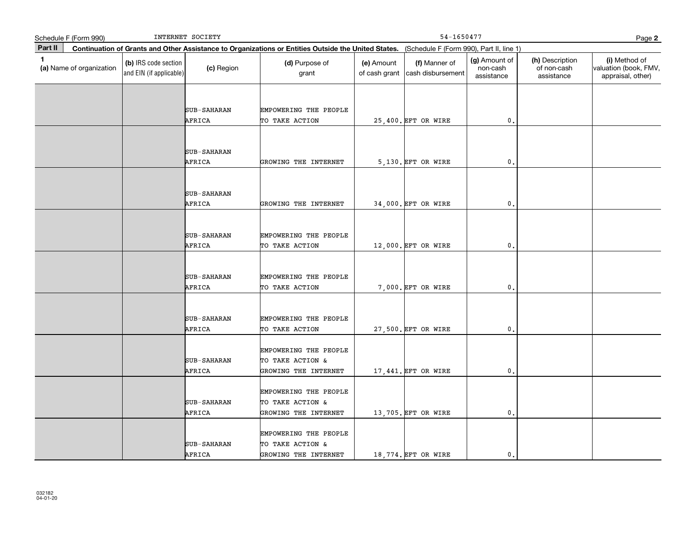|              | Schedule F (Form 990)    |                                                 | INTERNET SOCIETY      |                                                                                                                                              | 54-1650477                  |                                    |                                         |                                              |                                                             |  |  |  |
|--------------|--------------------------|-------------------------------------------------|-----------------------|----------------------------------------------------------------------------------------------------------------------------------------------|-----------------------------|------------------------------------|-----------------------------------------|----------------------------------------------|-------------------------------------------------------------|--|--|--|
| Part II      |                          |                                                 |                       | Continuation of Grants and Other Assistance to Organizations or Entities Outside the United States. (Schedule F (Form 990), Part II, line 1) |                             |                                    |                                         |                                              |                                                             |  |  |  |
| $\mathbf{1}$ | (a) Name of organization | (b) IRS code section<br>and EIN (if applicable) | (c) Region            | (d) Purpose of<br>grant                                                                                                                      | (e) Amount<br>of cash grant | (f) Manner of<br>cash disbursement | (g) Amount of<br>non-cash<br>assistance | (h) Description<br>of non-cash<br>assistance | (i) Method of<br>valuation (book, FMV,<br>appraisal, other) |  |  |  |
|              |                          |                                                 | SUB-SAHARAN<br>AFRICA | EMPOWERING THE PEOPLE<br>TO TAKE ACTION                                                                                                      |                             | 25,400. EFT OR WIRE                | $\mathsf{0}$ .                          |                                              |                                                             |  |  |  |
|              |                          |                                                 | SUB-SAHARAN<br>AFRICA | GROWING THE INTERNET                                                                                                                         |                             | $5,130.$ EFT OR WIRE               | $\mathfrak o$ .                         |                                              |                                                             |  |  |  |
|              |                          |                                                 | SUB-SAHARAN<br>AFRICA | GROWING THE INTERNET                                                                                                                         |                             | 34,000. EFT OR WIRE                | $\mathbf 0$ .                           |                                              |                                                             |  |  |  |
|              |                          |                                                 | SUB-SAHARAN<br>AFRICA | EMPOWERING THE PEOPLE<br>TO TAKE ACTION                                                                                                      |                             | 12,000. EFT OR WIRE                | $\mathbf 0$ .                           |                                              |                                                             |  |  |  |
|              |                          |                                                 | SUB-SAHARAN<br>AFRICA | EMPOWERING THE PEOPLE<br>TO TAKE ACTION                                                                                                      |                             | $7,000$ . EFT OR WIRE              | $\mathbf 0$ .                           |                                              |                                                             |  |  |  |
|              |                          |                                                 | SUB-SAHARAN<br>AFRICA | EMPOWERING THE PEOPLE<br>TO TAKE ACTION                                                                                                      |                             | 27,500. EFT OR WIRE                | $\mathbf 0$ .                           |                                              |                                                             |  |  |  |
|              |                          |                                                 | SUB-SAHARAN<br>AFRICA | EMPOWERING THE PEOPLE<br>TO TAKE ACTION &<br>GROWING THE INTERNET                                                                            |                             | 17,441. EFT OR WIRE                | $\mathbf 0$ .                           |                                              |                                                             |  |  |  |
|              |                          |                                                 | SUB-SAHARAN<br>AFRICA | EMPOWERING THE PEOPLE<br>TO TAKE ACTION &<br>GROWING THE INTERNET                                                                            |                             | 13,705. EFT OR WIRE                | $\mathbf 0$ .                           |                                              |                                                             |  |  |  |
|              |                          |                                                 | SUB-SAHARAN<br>AFRICA | EMPOWERING THE PEOPLE<br>TO TAKE ACTION &<br>GROWING THE INTERNET                                                                            |                             | 18,774. EFT OR WIRE                | 0.                                      |                                              |                                                             |  |  |  |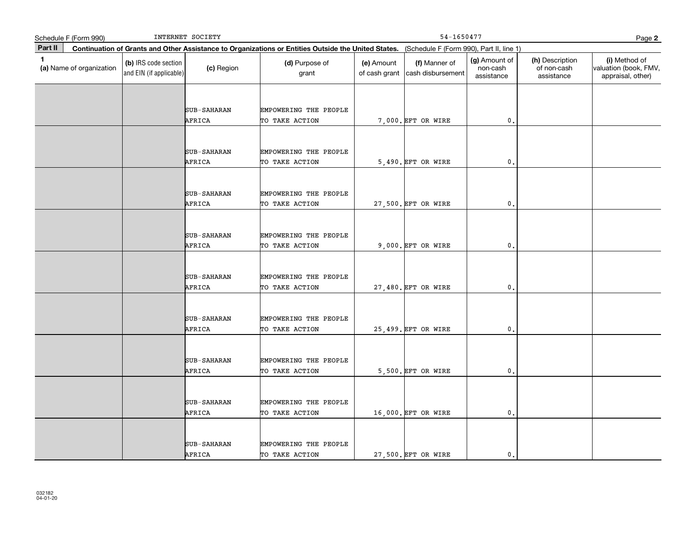|         | Schedule F (Form 990)    |                                                 | INTERNET SOCIETY      |                                                                                                                                              |            | Page 2                                           |                                         |                                              |                                                             |
|---------|--------------------------|-------------------------------------------------|-----------------------|----------------------------------------------------------------------------------------------------------------------------------------------|------------|--------------------------------------------------|-----------------------------------------|----------------------------------------------|-------------------------------------------------------------|
| Part II |                          |                                                 |                       | Continuation of Grants and Other Assistance to Organizations or Entities Outside the United States. (Schedule F (Form 990), Part II, line 1) |            |                                                  |                                         |                                              |                                                             |
| 1.      | (a) Name of organization | (b) IRS code section<br>and EIN (if applicable) | (c) Region            | (d) Purpose of<br>grant                                                                                                                      | (e) Amount | (f) Manner of<br>of cash grant cash disbursement | (g) Amount of<br>non-cash<br>assistance | (h) Description<br>of non-cash<br>assistance | (i) Method of<br>valuation (book, FMV,<br>appraisal, other) |
|         |                          |                                                 | SUB-SAHARAN           | EMPOWERING THE PEOPLE                                                                                                                        |            |                                                  |                                         |                                              |                                                             |
|         |                          |                                                 | AFRICA                | TO TAKE ACTION                                                                                                                               |            | $7,000$ . EFT OR WIRE                            | $\mathfrak o$ .                         |                                              |                                                             |
|         |                          |                                                 | SUB-SAHARAN<br>AFRICA | EMPOWERING THE PEOPLE<br>TO TAKE ACTION                                                                                                      |            | $5,490$ . EFT OR WIRE                            | $\mathbf 0$ .                           |                                              |                                                             |
|         |                          |                                                 | SUB-SAHARAN<br>AFRICA | EMPOWERING THE PEOPLE<br>TO TAKE ACTION                                                                                                      |            | 27,500. EFT OR WIRE                              | $\mathbf{0}$                            |                                              |                                                             |
|         |                          |                                                 | SUB-SAHARAN<br>AFRICA | EMPOWERING THE PEOPLE<br>TO TAKE ACTION                                                                                                      |            | $9,000$ . EFT OR WIRE                            | $\mathsf{0}$ .                          |                                              |                                                             |
|         |                          |                                                 | SUB-SAHARAN<br>AFRICA | EMPOWERING THE PEOPLE<br>TO TAKE ACTION                                                                                                      |            | 27,480. EFT OR WIRE                              | $\mathfrak o$ .                         |                                              |                                                             |
|         |                          |                                                 | SUB-SAHARAN<br>AFRICA | <b>EMPOWERING THE PEOPLE</b><br>TO TAKE ACTION                                                                                               |            | 25,499. EFT OR WIRE                              | $\mathbf 0$ .                           |                                              |                                                             |
|         |                          |                                                 | SUB-SAHARAN<br>AFRICA | EMPOWERING THE PEOPLE<br>TO TAKE ACTION                                                                                                      |            | $5,500$ . EFT OR WIRE                            | $\mathbf{0}$                            |                                              |                                                             |
|         |                          |                                                 | SUB-SAHARAN<br>AFRICA | EMPOWERING THE PEOPLE<br>TO TAKE ACTION                                                                                                      |            | 16,000. EFT OR WIRE                              | $\mathbf 0$ .                           |                                              |                                                             |
|         |                          |                                                 | SUB-SAHARAN<br>AFRICA | EMPOWERING THE PEOPLE<br>TO TAKE ACTION                                                                                                      |            | 27,500. EFT OR WIRE                              | 0.                                      |                                              |                                                             |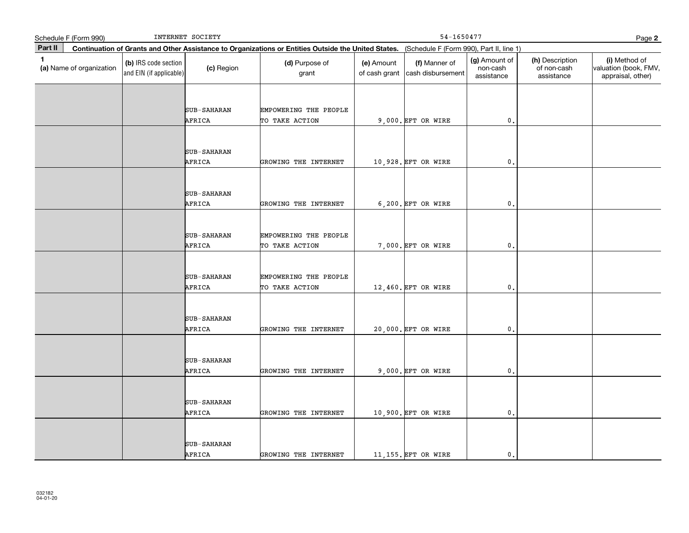|              | Schedule F (Form 990)    |                                                 | INTERNET SOCIETY      |                                                                                                                                              | $54 - 1650477$<br>Page 2    |                                    |                                         |                                              |                                                             |  |  |
|--------------|--------------------------|-------------------------------------------------|-----------------------|----------------------------------------------------------------------------------------------------------------------------------------------|-----------------------------|------------------------------------|-----------------------------------------|----------------------------------------------|-------------------------------------------------------------|--|--|
| Part II      |                          |                                                 |                       | Continuation of Grants and Other Assistance to Organizations or Entities Outside the United States. (Schedule F (Form 990), Part II, line 1) |                             |                                    |                                         |                                              |                                                             |  |  |
| $\mathbf{1}$ | (a) Name of organization | (b) IRS code section<br>and EIN (if applicable) | (c) Region            | (d) Purpose of<br>grant                                                                                                                      | (e) Amount<br>of cash grant | (f) Manner of<br>cash disbursement | (g) Amount of<br>non-cash<br>assistance | (h) Description<br>of non-cash<br>assistance | (i) Method of<br>valuation (book, FMV,<br>appraisal, other) |  |  |
|              |                          |                                                 | SUB-SAHARAN<br>AFRICA | EMPOWERING THE PEOPLE<br>TO TAKE ACTION                                                                                                      |                             | $9,000$ . EFT OR WIRE              | 0.                                      |                                              |                                                             |  |  |
|              |                          |                                                 | SUB-SAHARAN<br>AFRICA | GROWING THE INTERNET                                                                                                                         |                             | 10,928. EFT OR WIRE                | $\mathbf{0}$ .                          |                                              |                                                             |  |  |
|              |                          |                                                 | SUB-SAHARAN<br>AFRICA | GROWING THE INTERNET                                                                                                                         |                             | $6,200$ . EFT OR WIRE              | $\mathfrak o$ .                         |                                              |                                                             |  |  |
|              |                          |                                                 | SUB-SAHARAN<br>AFRICA | EMPOWERING THE PEOPLE<br>TO TAKE ACTION                                                                                                      |                             | $7,000$ . EFT OR WIRE              | $\mathbf{0}$ .                          |                                              |                                                             |  |  |
|              |                          |                                                 | SUB-SAHARAN<br>AFRICA | EMPOWERING THE PEOPLE<br>TO TAKE ACTION                                                                                                      |                             | $12,460$ . EFT OR WIRE             | $\mathbf{0}$ .                          |                                              |                                                             |  |  |
|              |                          |                                                 | SUB-SAHARAN<br>AFRICA | GROWING THE INTERNET                                                                                                                         |                             | 20,000. EFT OR WIRE                | $\mathfrak o$ .                         |                                              |                                                             |  |  |
|              |                          |                                                 | SUB-SAHARAN<br>AFRICA | GROWING THE INTERNET                                                                                                                         |                             | $9,000$ . EFT OR WIRE              | 0.                                      |                                              |                                                             |  |  |
|              |                          |                                                 | SUB-SAHARAN<br>AFRICA | GROWING THE INTERNET                                                                                                                         |                             | 10,900. EFT OR WIRE                | $\mathbf 0$ .                           |                                              |                                                             |  |  |
|              |                          |                                                 | SUB-SAHARAN<br>AFRICA | GROWING THE INTERNET                                                                                                                         |                             | 11,155. EFT OR WIRE                | 0.                                      |                                              |                                                             |  |  |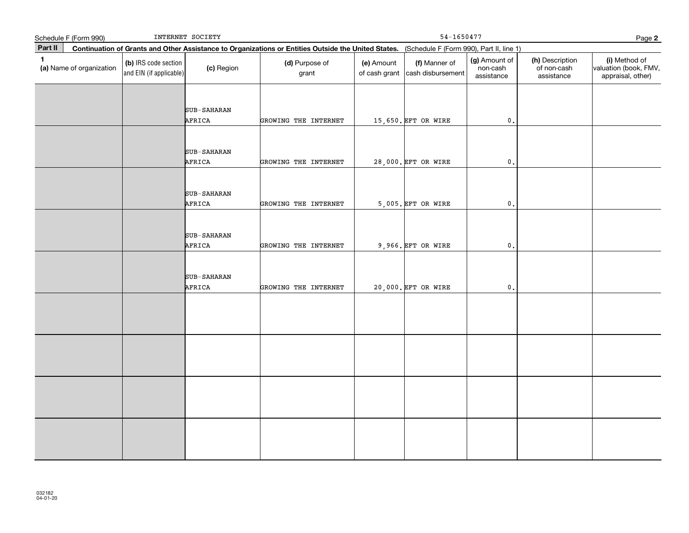|              | Schedule F (Form 990)    |                                                 | INTERNET SOCIETY      |                                                                                                                                              | $54 - 1650477$<br>Page 2    |                                    |                                         |                                              |                                                             |  |  |  |
|--------------|--------------------------|-------------------------------------------------|-----------------------|----------------------------------------------------------------------------------------------------------------------------------------------|-----------------------------|------------------------------------|-----------------------------------------|----------------------------------------------|-------------------------------------------------------------|--|--|--|
| Part II      |                          |                                                 |                       | Continuation of Grants and Other Assistance to Organizations or Entities Outside the United States. (Schedule F (Form 990), Part II, line 1) |                             |                                    |                                         |                                              |                                                             |  |  |  |
| $\mathbf{1}$ | (a) Name of organization | (b) IRS code section<br>and EIN (if applicable) | (c) Region            | (d) Purpose of<br>grant                                                                                                                      | (e) Amount<br>of cash grant | (f) Manner of<br>cash disbursement | (g) Amount of<br>non-cash<br>assistance | (h) Description<br>of non-cash<br>assistance | (i) Method of<br>valuation (book, FMV,<br>appraisal, other) |  |  |  |
|              |                          |                                                 | SUB-SAHARAN<br>AFRICA | GROWING THE INTERNET                                                                                                                         |                             | 15,650. EFT OR WIRE                | $\mathfrak o$ .                         |                                              |                                                             |  |  |  |
|              |                          |                                                 | SUB-SAHARAN<br>AFRICA | GROWING THE INTERNET                                                                                                                         |                             | 28,000. EFT OR WIRE                | $\mathfrak{o}$ .                        |                                              |                                                             |  |  |  |
|              |                          |                                                 | SUB-SAHARAN<br>AFRICA | GROWING THE INTERNET                                                                                                                         |                             | $5,005$ . EFT OR WIRE              | $\mathbf 0$ .                           |                                              |                                                             |  |  |  |
|              |                          |                                                 | SUB-SAHARAN<br>AFRICA | GROWING THE INTERNET                                                                                                                         |                             | $9,966$ . EFT OR WIRE              | $\mathfrak o$ .                         |                                              |                                                             |  |  |  |
|              |                          |                                                 | SUB-SAHARAN<br>AFRICA | GROWING THE INTERNET                                                                                                                         |                             | $20,000$ . EFT OR WIRE             | $\mathbf 0$ .                           |                                              |                                                             |  |  |  |
|              |                          |                                                 |                       |                                                                                                                                              |                             |                                    |                                         |                                              |                                                             |  |  |  |
|              |                          |                                                 |                       |                                                                                                                                              |                             |                                    |                                         |                                              |                                                             |  |  |  |
|              |                          |                                                 |                       |                                                                                                                                              |                             |                                    |                                         |                                              |                                                             |  |  |  |
|              |                          |                                                 |                       |                                                                                                                                              |                             |                                    |                                         |                                              |                                                             |  |  |  |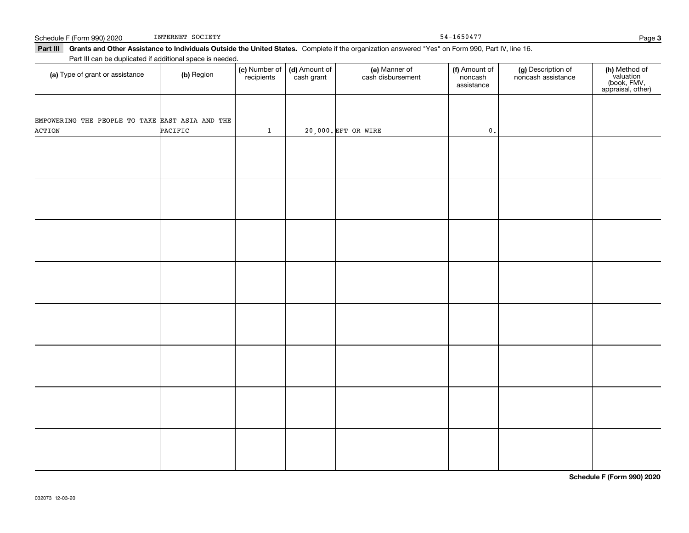# Part III Grants and Other Assistance to Individuals Outside the United States. Complete if the organization answered "Yes" on Form 990, Part IV, line 16. **(c)** Number of **| (d)** Amount of **| (e)** Manner of **| (f)** Amount of **| (g)** Description of **| (h) (a)** Type of grant or assistance  $\qquad$  **(b)** Region Schedule F (Form 990) 2020 Page The Society Page 2021 Structure of the State of the Society of the State of the State of the State of the State of the State of the State of the State of the State of the State of the State Part III can be duplicated if additional space is needed. (c) Number of recipients(d) Amount of cash grant (e) Manner of cash disbursement (f) Amount of noncash assistancenoncash assistance **(h)** Method of<br>valuation<br>(book, FMV,<br>appraisal, other) PACIFIC $1 \t 20,000.$  EFT OR WIRE  $0.$ EMPOWERING THE PEOPLE TO TAKE EAST ASIA AND THE INTERNET SOCIETY ACTION

**Schedule F (Form 990) 2020**

Page 3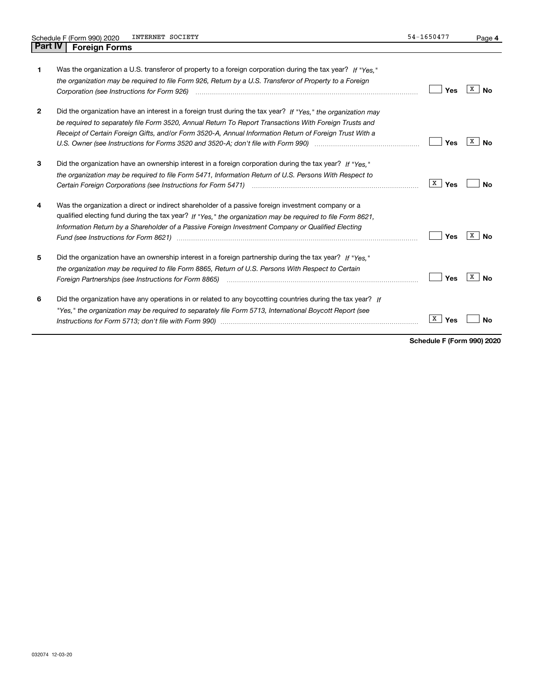| 1              | Was the organization a U.S. transferor of property to a foreign corporation during the tax year? If "Yes."<br>the organization may be required to file Form 926, Return by a U.S. Transferor of Property to a Foreign<br>Corporation (see Instructions for Form 926) <i>manual content content corporation</i> (see Instructions for Form 926)                                                                                                   | Yes      | X<br>No |
|----------------|--------------------------------------------------------------------------------------------------------------------------------------------------------------------------------------------------------------------------------------------------------------------------------------------------------------------------------------------------------------------------------------------------------------------------------------------------|----------|---------|
| $\overline{2}$ | Did the organization have an interest in a foreign trust during the tax year? If "Yes." the organization may<br>be required to separately file Form 3520, Annual Return To Report Transactions With Foreign Trusts and<br>Receipt of Certain Foreign Gifts, and/or Form 3520-A, Annual Information Return of Foreign Trust With a<br>U.S. Owner (see Instructions for Forms 3520 and 3520-A; don't file with Form 990) manufactured and the U.S. | Yes      | x<br>N٥ |
| 3              | Did the organization have an ownership interest in a foreign corporation during the tax year? If "Yes."<br>the organization may be required to file Form 5471, Information Return of U.S. Persons With Respect to                                                                                                                                                                                                                                | X<br>Yes | Nο      |
| 4              | Was the organization a direct or indirect shareholder of a passive foreign investment company or a<br>qualified electing fund during the tax year? If "Yes," the organization may be required to file Form 8621.<br>Information Return by a Shareholder of a Passive Foreign Investment Company or Qualified Electing                                                                                                                            | Yes      | x<br>Nο |
| 5              | Did the organization have an ownership interest in a foreign partnership during the tax year? If "Yes."<br>the organization may be required to file Form 8865, Return of U.S. Persons With Respect to Certain                                                                                                                                                                                                                                    | Yes      | X<br>No |
| 6              | Did the organization have any operations in or related to any boycotting countries during the tax year? If<br>"Yes," the organization may be required to separately file Form 5713, International Boycott Report (see                                                                                                                                                                                                                            | x<br>Yes | N٥      |

**Schedule F (Form 990) 2020**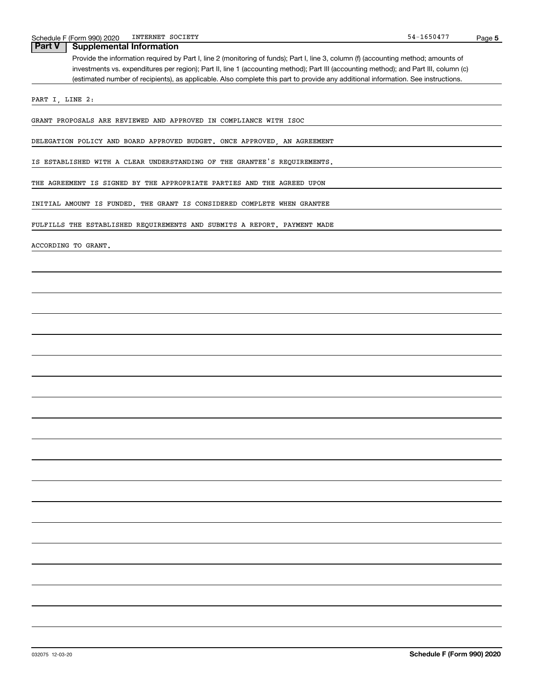#### **Supplemental Information**

Provide the information required by Part I, line 2 (monitoring of funds); Part I, line 3, column (f) (accounting method; amounts of investments vs. expenditures per region); Part II, line 1 (accounting method); Part III (accounting method); and Part III, column (c) (estimated number of recipients), as applicable. Also complete this part to provide any additional information. See instructions.

PART I, LINE 2:

GRANT PROPOSALS ARE REVIEWED AND APPROVED IN COMPLIANCE WITH ISOC

DELEGATION POLICY AND BOARD APPROVED BUDGET. ONCE APPROVED, AN AGREEMENT

IS ESTABLISHED WITH A CLEAR UNDERSTANDING OF THE GRANTEE'S REQUIREMENTS.

THE AGREEMENT IS SIGNED BY THE APPROPRIATE PARTIES AND THE AGREED UPON

INITIAL AMOUNT IS FUNDED. THE GRANT IS CONSIDERED COMPLETE WHEN GRANTEE

FULFILLS THE ESTABLISHED REQUIREMENTS AND SUBMITS A REPORT. PAYMENT MADE

ACCORDING TO GRANT.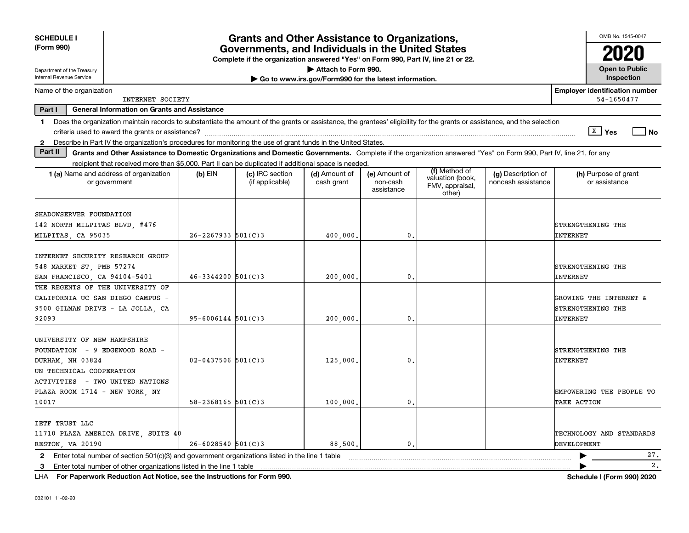| <b>SCHEDULE I</b><br>(Form 990)                                                                                                                                                |                        | <b>Grants and Other Assistance to Organizations,</b><br>Governments, and Individuals in the United States<br>Complete if the organization answered "Yes" on Form 990, Part IV, line 21 or 22. |                                                       |                                         |                                                                |                                          | OMB No. 1545-0047                                       |
|--------------------------------------------------------------------------------------------------------------------------------------------------------------------------------|------------------------|-----------------------------------------------------------------------------------------------------------------------------------------------------------------------------------------------|-------------------------------------------------------|-----------------------------------------|----------------------------------------------------------------|------------------------------------------|---------------------------------------------------------|
| Department of the Treasury                                                                                                                                                     |                        |                                                                                                                                                                                               | Attach to Form 990.                                   |                                         |                                                                |                                          | <b>Open to Public</b>                                   |
| Internal Revenue Service                                                                                                                                                       |                        |                                                                                                                                                                                               | Go to www.irs.gov/Form990 for the latest information. |                                         |                                                                |                                          | <b>Inspection</b>                                       |
| Name of the organization<br>INTERNET SOCIETY                                                                                                                                   |                        |                                                                                                                                                                                               |                                                       |                                         |                                                                |                                          | <b>Employer identification number</b><br>54-1650477     |
| <b>General Information on Grants and Assistance</b><br>Part I                                                                                                                  |                        |                                                                                                                                                                                               |                                                       |                                         |                                                                |                                          |                                                         |
| Does the organization maintain records to substantiate the amount of the grants or assistance, the grantees' eligibility for the grants or assistance, and the selection<br>1. |                        |                                                                                                                                                                                               |                                                       |                                         |                                                                |                                          | $\sqrt{X}$ Yes<br>l No                                  |
| Describe in Part IV the organization's procedures for monitoring the use of grant funds in the United States.<br>$\mathbf{2}$                                                  |                        |                                                                                                                                                                                               |                                                       |                                         |                                                                |                                          |                                                         |
| Part II<br>Grants and Other Assistance to Domestic Organizations and Domestic Governments. Complete if the organization answered "Yes" on Form 990, Part IV, line 21, for any  |                        |                                                                                                                                                                                               |                                                       |                                         |                                                                |                                          |                                                         |
| recipient that received more than \$5,000. Part II can be duplicated if additional space is needed.                                                                            |                        |                                                                                                                                                                                               |                                                       |                                         |                                                                |                                          |                                                         |
| 1 (a) Name and address of organization<br>or government                                                                                                                        | $(b)$ EIN              | (c) IRC section<br>(if applicable)                                                                                                                                                            | (d) Amount of<br>cash grant                           | (e) Amount of<br>non-cash<br>assistance | (f) Method of<br>valuation (book,<br>FMV, appraisal,<br>other) | (g) Description of<br>noncash assistance | (h) Purpose of grant<br>or assistance                   |
| SHADOWSERVER FOUNDATION<br>142 NORTH MILPITAS BLVD, #476                                                                                                                       | $26 - 2267933$ 501(C)3 |                                                                                                                                                                                               |                                                       | 0.                                      |                                                                |                                          | STRENGTHENING THE<br>INTERNET                           |
| MILPITAS, CA 95035                                                                                                                                                             |                        |                                                                                                                                                                                               | 400,000                                               |                                         |                                                                |                                          |                                                         |
| INTERNET SECURITY RESEARCH GROUP<br>548 MARKET ST, PMB 57274<br>SAN FRANCISCO, CA 94104-5401                                                                                   | $46 - 3344200$ 501(C)3 |                                                                                                                                                                                               | 200,000                                               | $\mathbf{0}$                            |                                                                |                                          | <b>STRENGTHENING THE</b><br>INTERNET                    |
| THE REGENTS OF THE UNIVERSITY OF<br>CALIFORNIA UC SAN DIEGO CAMPUS -<br>9500 GILMAN DRIVE - LA JOLLA, CA<br>92093                                                              | $95 - 6006144$ 501(C)3 |                                                                                                                                                                                               | 200,000                                               | 0.                                      |                                                                |                                          | GROWING THE INTERNET &<br>STRENGTHENING THE<br>INTERNET |
| UNIVERSITY OF NEW HAMPSHIRE<br>FOUNDATION - 9 EDGEWOOD ROAD -<br>DURHAM, NH 03824                                                                                              | $02 - 0437506$ 501(C)3 |                                                                                                                                                                                               | 125,000                                               | $\mathbf{0}$ .                          |                                                                |                                          | STRENGTHENING THE<br>INTERNET                           |
| UN TECHNICAL COOPERATION<br>ACTIVITIES - TWO UNITED NATIONS<br>PLAZA ROOM 1714 - NEW YORK, NY<br>10017                                                                         | $58 - 2368165$ 501(C)3 |                                                                                                                                                                                               | 100,000                                               | 0.                                      |                                                                |                                          | EMPOWERING THE PEOPLE TO<br>TAKE ACTION                 |
| IETF TRUST LLC<br>11710 PLAZA AMERICA DRIVE, SUITE 40<br>RESTON, VA 20190                                                                                                      | $26 - 6028540$ 501(C)3 |                                                                                                                                                                                               | 88.500.                                               | $\mathbf{0}$ .                          |                                                                |                                          | TECHNOLOGY AND STANDARDS<br>DEVELOPMENT                 |
| 2 Enter total number of section 501(c)(3) and government organizations listed in the line 1 table                                                                              |                        |                                                                                                                                                                                               |                                                       |                                         |                                                                |                                          | 27.                                                     |
| Enter total number of other organizations listed in the line 1 table<br>3                                                                                                      |                        |                                                                                                                                                                                               |                                                       |                                         |                                                                |                                          | $2$ .                                                   |

**For Paperwork Reduction Act Notice, see the Instructions for Form 990. Schedule I (Form 990) 2020** LHA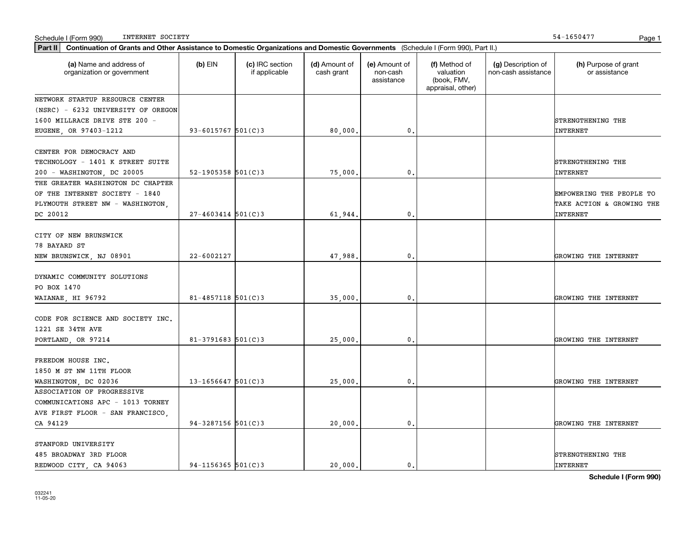Schedule I (Form 990) Page 1 INTERNET SOCIETY 54-1650477

| Part II   Continuation of Grants and Other Assistance to Domestic Organizations and Domestic Governments (Schedule I (Form 990), Part II.) |                          |                                  |                             |                                         |                                                                |                                           |                                                                   |  |  |  |
|--------------------------------------------------------------------------------------------------------------------------------------------|--------------------------|----------------------------------|-----------------------------|-----------------------------------------|----------------------------------------------------------------|-------------------------------------------|-------------------------------------------------------------------|--|--|--|
| (a) Name and address of<br>organization or government                                                                                      | $(b)$ EIN                | (c) IRC section<br>if applicable | (d) Amount of<br>cash grant | (e) Amount of<br>non-cash<br>assistance | (f) Method of<br>valuation<br>(book, FMV,<br>appraisal, other) | (g) Description of<br>non-cash assistance | (h) Purpose of grant<br>or assistance                             |  |  |  |
| NETWORK STARTUP RESOURCE CENTER                                                                                                            |                          |                                  |                             |                                         |                                                                |                                           |                                                                   |  |  |  |
| (NSRC) - 6232 UNIVERSITY OF OREGON                                                                                                         |                          |                                  |                             |                                         |                                                                |                                           |                                                                   |  |  |  |
| 1600 MILLRACE DRIVE STE 200 -                                                                                                              |                          |                                  |                             |                                         |                                                                |                                           | STRENGTHENING THE                                                 |  |  |  |
| EUGENE, OR 97403-1212                                                                                                                      | 93-6015767 $501(C)$ 3    |                                  | 80,000.                     | 0.                                      |                                                                |                                           | INTERNET                                                          |  |  |  |
| CENTER FOR DEMOCRACY AND<br>TECHNOLOGY - 1401 K STREET SUITE<br>200 - WASHINGTON, DC 20005                                                 | $52 - 1905358$ $501(C)3$ |                                  | 75,000                      | 0.                                      |                                                                |                                           | STRENGTHENING THE<br>INTERNET                                     |  |  |  |
| THE GREATER WASHINGTON DC CHAPTER                                                                                                          |                          |                                  |                             |                                         |                                                                |                                           |                                                                   |  |  |  |
| OF THE INTERNET SOCIETY - 1840<br>PLYMOUTH STREET NW - WASHINGTON,<br>DC 20012                                                             | $27 - 4603414$ 501(C)3   |                                  | 61,944                      | $\mathbf{0}$ .                          |                                                                |                                           | EMPOWERING THE PEOPLE TO<br>TAKE ACTION & GROWING THE<br>INTERNET |  |  |  |
| CITY OF NEW BRUNSWICK                                                                                                                      |                          |                                  |                             |                                         |                                                                |                                           |                                                                   |  |  |  |
| 78 BAYARD ST                                                                                                                               |                          |                                  |                             |                                         |                                                                |                                           |                                                                   |  |  |  |
| NEW BRUNSWICK, NJ 08901                                                                                                                    | 22-6002127               |                                  | 47,988                      | $\mathbf 0$ .                           |                                                                |                                           | GROWING THE INTERNET                                              |  |  |  |
| DYNAMIC COMMUNITY SOLUTIONS<br>PO BOX 1470<br>WAIANAE, HI 96792                                                                            | $81 - 4857118$ 501(C)3   |                                  | 35,000,                     | 0.                                      |                                                                |                                           | GROWING THE INTERNET                                              |  |  |  |
| CODE FOR SCIENCE AND SOCIETY INC.<br>1221 SE 34TH AVE                                                                                      |                          |                                  |                             |                                         |                                                                |                                           |                                                                   |  |  |  |
| PORTLAND, OR 97214                                                                                                                         | $81 - 3791683$ 501(C)3   |                                  | 25,000                      | 0.                                      |                                                                |                                           | GROWING THE INTERNET                                              |  |  |  |
| FREEDOM HOUSE INC.<br>1850 M ST NW 11TH FLOOR                                                                                              |                          |                                  |                             |                                         |                                                                |                                           |                                                                   |  |  |  |
| WASHINGTON, DC 02036                                                                                                                       | $13 - 1656647$ 501(C)3   |                                  | 25,000                      | 0.                                      |                                                                |                                           | GROWING THE INTERNET                                              |  |  |  |
| ASSOCIATION OF PROGRESSIVE<br>COMMUNICATIONS APC - 1013 TORNEY<br>AVE FIRST FLOOR - SAN FRANCISCO,                                         |                          |                                  |                             |                                         |                                                                |                                           |                                                                   |  |  |  |
| CA 94129                                                                                                                                   | $94-3287156$ 501(C)3     |                                  | 20,000.                     | 0.                                      |                                                                |                                           | GROWING THE INTERNET                                              |  |  |  |
| STANFORD UNIVERSITY<br>485 BROADWAY 3RD FLOOR<br>REDWOOD CITY, CA 94063                                                                    | $94 - 1156365$ $501(C)3$ |                                  | 20,000.                     | 0.                                      |                                                                |                                           | STRENGTHENING THE<br>INTERNET                                     |  |  |  |

**Schedule I (Form 990)**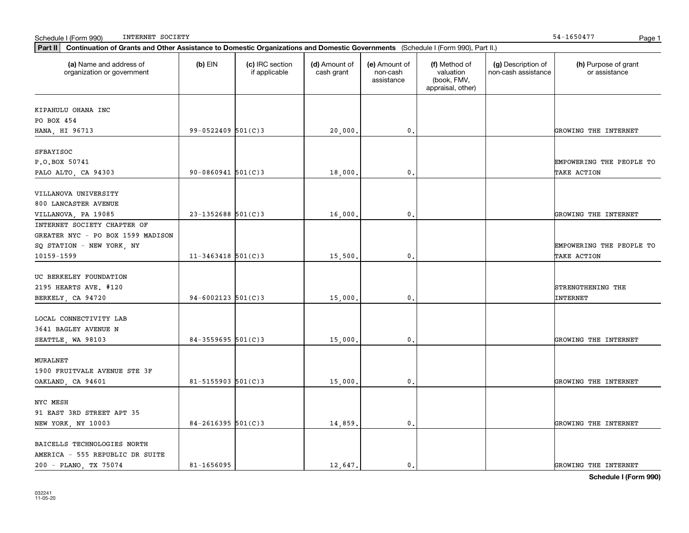| INTERNET SOCIETY<br>Schedule I (Form 990)                                                                                                   |                          |                                  |                             |                                         |                                                                |                                           | 54-1650477<br>Page 1                  |
|---------------------------------------------------------------------------------------------------------------------------------------------|--------------------------|----------------------------------|-----------------------------|-----------------------------------------|----------------------------------------------------------------|-------------------------------------------|---------------------------------------|
| Continuation of Grants and Other Assistance to Domestic Organizations and Domestic Governments (Schedule I (Form 990), Part II.)<br>Part II |                          |                                  |                             |                                         |                                                                |                                           |                                       |
| (a) Name and address of<br>organization or government                                                                                       | $(b)$ EIN                | (c) IRC section<br>if applicable | (d) Amount of<br>cash grant | (e) Amount of<br>non-cash<br>assistance | (f) Method of<br>valuation<br>(book, FMV,<br>appraisal, other) | (g) Description of<br>non-cash assistance | (h) Purpose of grant<br>or assistance |
| KIPAHULU OHANA INC                                                                                                                          |                          |                                  |                             |                                         |                                                                |                                           |                                       |
| PO BOX 454                                                                                                                                  |                          |                                  |                             |                                         |                                                                |                                           |                                       |
| HANA, HI 96713                                                                                                                              | $99 - 0522409$ 501(C)3   |                                  | 20,000.                     | 0.                                      |                                                                |                                           | GROWING THE INTERNET                  |
| SFBAYISOC                                                                                                                                   |                          |                                  |                             |                                         |                                                                |                                           |                                       |
| P.O.BOX 50741                                                                                                                               |                          |                                  |                             |                                         |                                                                |                                           | EMPOWERING THE PEOPLE TO              |
| PALO ALTO, CA 94303                                                                                                                         | $90 - 0860941$ $501(C)3$ |                                  | 18,000.                     | $\mathfrak o$ .                         |                                                                |                                           | TAKE ACTION                           |
| VILLANOVA UNIVERSITY                                                                                                                        |                          |                                  |                             |                                         |                                                                |                                           |                                       |
| 800 LANCASTER AVENUE                                                                                                                        |                          |                                  |                             |                                         |                                                                |                                           |                                       |
| VILLANOVA, PA 19085                                                                                                                         | $23 - 1352688$ 501(C)3   |                                  | 16,000                      | 0.                                      |                                                                |                                           | GROWING THE INTERNET                  |
| INTERNET SOCIETY CHAPTER OF                                                                                                                 |                          |                                  |                             |                                         |                                                                |                                           |                                       |
| GREATER NYC - PO BOX 1599 MADISON                                                                                                           |                          |                                  |                             |                                         |                                                                |                                           |                                       |
| SQ STATION - NEW YORK, NY                                                                                                                   |                          |                                  |                             |                                         |                                                                |                                           | EMPOWERING THE PEOPLE TO              |
| 10159-1599                                                                                                                                  | $11 - 3463418$ 501(C)3   |                                  | 15,500.                     | $\mathfrak o$ .                         |                                                                |                                           | TAKE ACTION                           |
| UC BERKELEY FOUNDATION                                                                                                                      |                          |                                  |                             |                                         |                                                                |                                           |                                       |
| 2195 HEARTS AVE. #120                                                                                                                       |                          |                                  |                             |                                         |                                                                |                                           | STRENGTHENING THE                     |
| BERKELY, CA 94720                                                                                                                           | $94 - 6002123$ 501(C)3   |                                  | 15,000.                     | 0.                                      |                                                                |                                           | INTERNET                              |
| LOCAL CONNECTIVITY LAB                                                                                                                      |                          |                                  |                             |                                         |                                                                |                                           |                                       |
| 3641 BAGLEY AVENUE N                                                                                                                        |                          |                                  |                             |                                         |                                                                |                                           |                                       |
| SEATTLE, WA 98103                                                                                                                           | $84 - 3559695$ 501(C) 3  |                                  | 15,000                      | 0.                                      |                                                                |                                           | GROWING THE INTERNET                  |
|                                                                                                                                             |                          |                                  |                             |                                         |                                                                |                                           |                                       |
| MURALNET<br>1900 FRUITVALE AVENUE STE 3F                                                                                                    |                          |                                  |                             |                                         |                                                                |                                           |                                       |
|                                                                                                                                             | $81 - 5155903$ $501(C)3$ |                                  | 15,000                      | 0.                                      |                                                                |                                           | GROWING THE INTERNET                  |
| OAKLAND, CA 94601                                                                                                                           |                          |                                  |                             |                                         |                                                                |                                           |                                       |
| NYC MESH                                                                                                                                    |                          |                                  |                             |                                         |                                                                |                                           |                                       |
| 91 EAST 3RD STREET APT 35                                                                                                                   |                          |                                  |                             |                                         |                                                                |                                           |                                       |
| NEW YORK, NY 10003                                                                                                                          | $84 - 2616395$ 501(C)3   |                                  | 14,859.                     | $\mathbf{0}$ .                          |                                                                |                                           | GROWING THE INTERNET                  |
| BAICELLS TECHNOLOGIES NORTH                                                                                                                 |                          |                                  |                             |                                         |                                                                |                                           |                                       |
| AMERICA - 555 REPUBLIC DR SUITE                                                                                                             |                          |                                  |                             |                                         |                                                                |                                           |                                       |
| 200 - PLANO, TX 75074                                                                                                                       | 81-1656095               |                                  | 12,647.                     | $\mathbf{0}$ .                          |                                                                |                                           | GROWING THE INTERNET                  |

**Schedule I (Form 990)**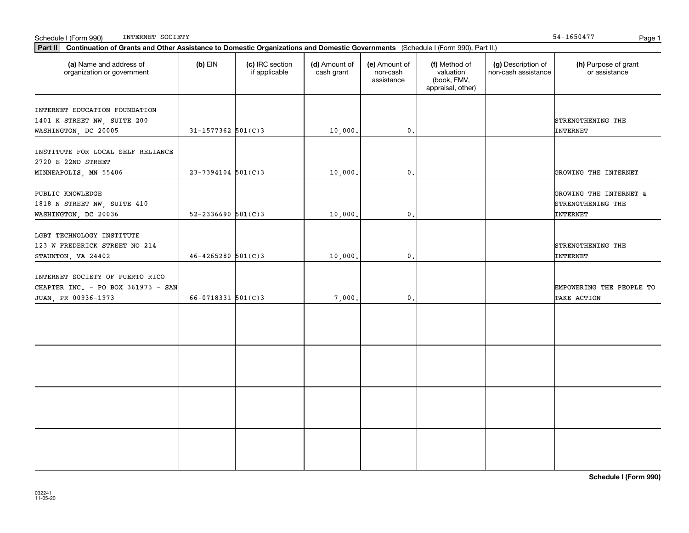Schedule I (Form 990) Page 1 INTERNET SOCIETY

54-1650477

| (a) Name and address of<br>organization or government                                        | $(b)$ EIN              | (c) IRC section<br>if applicable | (d) Amount of<br>cash grant | (e) Amount of<br>non-cash<br>assistance | (f) Method of<br>valuation<br>(book, FMV,<br>appraisal, other) | (g) Description of<br>non-cash assistance | (h) Purpose of grant<br>or assistance                   |
|----------------------------------------------------------------------------------------------|------------------------|----------------------------------|-----------------------------|-----------------------------------------|----------------------------------------------------------------|-------------------------------------------|---------------------------------------------------------|
| INTERNET EDUCATION FOUNDATION<br>1401 K STREET NW, SUITE 200<br>WASHINGTON, DC 20005         | $31 - 1577362$ 501(C)3 |                                  | 10,000.                     | $\mathbf{0}$ .                          |                                                                |                                           | STRENGTHENING THE<br>INTERNET                           |
| INSTITUTE FOR LOCAL SELF RELIANCE<br>2720 E 22ND STREET<br>MINNEAPOLIS, MN 55406             | $23 - 7394104$ 501(C)3 |                                  | 10,000.                     | 0.                                      |                                                                |                                           | GROWING THE INTERNET                                    |
| PUBLIC KNOWLEDGE<br>1818 N STREET NW, SUITE 410<br>WASHINGTON, DC 20036                      | $52 - 2336690$ 501(C)3 |                                  | 10,000.                     | $\mathfrak o$ .                         |                                                                |                                           | GROWING THE INTERNET &<br>STRENGTHENING THE<br>INTERNET |
| LGBT TECHNOLOGY INSTITUTE<br>123 W FREDERICK STREET NO 214<br>STAUNTON, VA 24402             | $46 - 4265280$ 501(C)3 |                                  | 10,000.                     | $\mathbf{0}$ .                          |                                                                |                                           | STRENGTHENING THE<br>INTERNET                           |
| INTERNET SOCIETY OF PUERTO RICO<br>CHAPTER INC. - PO BOX 361973 - SAN<br>JUAN, PR 00936-1973 | $66 - 0718331$ 501(C)3 |                                  | 7,000.                      | 0.                                      |                                                                |                                           | EMPOWERING THE PEOPLE TO<br>TAKE ACTION                 |
|                                                                                              |                        |                                  |                             |                                         |                                                                |                                           |                                                         |
|                                                                                              |                        |                                  |                             |                                         |                                                                |                                           |                                                         |
|                                                                                              |                        |                                  |                             |                                         |                                                                |                                           |                                                         |
|                                                                                              |                        |                                  |                             |                                         |                                                                |                                           |                                                         |

**Schedule I (Form 990)**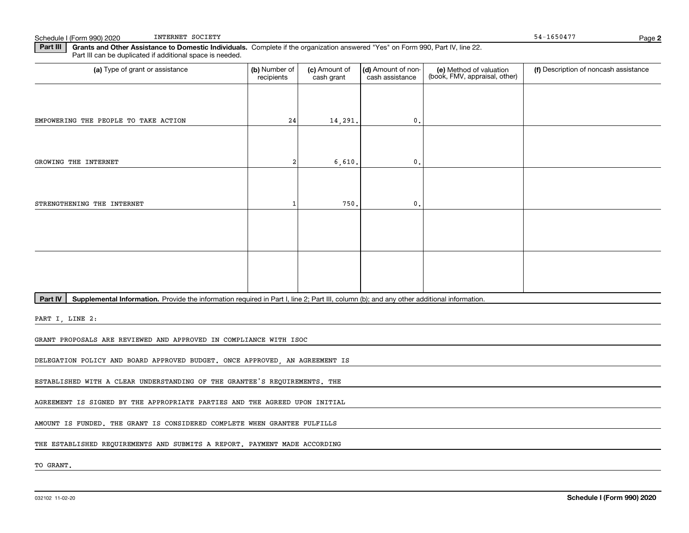Schedule I (Form 990) 2020 Page Research of the SCC ETY Control of the SCC ETY Control of the SCC ETY And The SCC ETY Control of the SCC ETY And The SCC ETY And The SCC ETY And The SCC ETY AND THE SCC ETY AND THE SCC ETY A INTERNET SOCIETY

**Part III | Grants and Other Assistance to Domestic Individuals. Complete if the organization answered "Yes" on Form 990, Part IV, line 22.** Part III can be duplicated if additional space is needed.

| (a) Type of grant or assistance                                                                                                                      | (b) Number of<br>recipients | (c) Amount of<br>cash grant | (d) Amount of non-<br>cash assistance | (e) Method of valuation<br>(book, FMV, appraisal, other) | (f) Description of noncash assistance |  |  |
|------------------------------------------------------------------------------------------------------------------------------------------------------|-----------------------------|-----------------------------|---------------------------------------|----------------------------------------------------------|---------------------------------------|--|--|
|                                                                                                                                                      |                             |                             |                                       |                                                          |                                       |  |  |
| EMPOWERING THE PEOPLE TO TAKE ACTION                                                                                                                 | 24                          | 14,291.                     | 0.                                    |                                                          |                                       |  |  |
|                                                                                                                                                      |                             |                             |                                       |                                                          |                                       |  |  |
| GROWING THE INTERNET                                                                                                                                 | 2                           | 6,610.                      | 0.                                    |                                                          |                                       |  |  |
|                                                                                                                                                      |                             |                             |                                       |                                                          |                                       |  |  |
| STRENGTHENING THE INTERNET                                                                                                                           |                             | 750.                        | 0.                                    |                                                          |                                       |  |  |
|                                                                                                                                                      |                             |                             |                                       |                                                          |                                       |  |  |
|                                                                                                                                                      |                             |                             |                                       |                                                          |                                       |  |  |
|                                                                                                                                                      |                             |                             |                                       |                                                          |                                       |  |  |
|                                                                                                                                                      |                             |                             |                                       |                                                          |                                       |  |  |
| Supplemental Information. Provide the information required in Part I, line 2; Part III, column (b); and any other additional information.<br>Part IV |                             |                             |                                       |                                                          |                                       |  |  |
| PART I, LINE 2:                                                                                                                                      |                             |                             |                                       |                                                          |                                       |  |  |
| GRANT PROPOSALS ARE REVIEWED AND APPROVED IN COMPLIANCE WITH ISOC                                                                                    |                             |                             |                                       |                                                          |                                       |  |  |

DELEGATION POLICY AND BOARD APPROVED BUDGET. ONCE APPROVED, AN AGREEMENT IS

ESTABLISHED WITH A CLEAR UNDERSTANDING OF THE GRANTEE'S REQUIREMENTS. THE

AGREEMENT IS SIGNED BY THE APPROPRIATE PARTIES AND THE AGREED UPON INITIAL

AMOUNT IS FUNDED. THE GRANT IS CONSIDERED COMPLETE WHEN GRANTEE FULFILLS

THE ESTABLISHED REQUIREMENTS AND SUBMITS A REPORT. PAYMENT MADE ACCORDING

TO GRANT.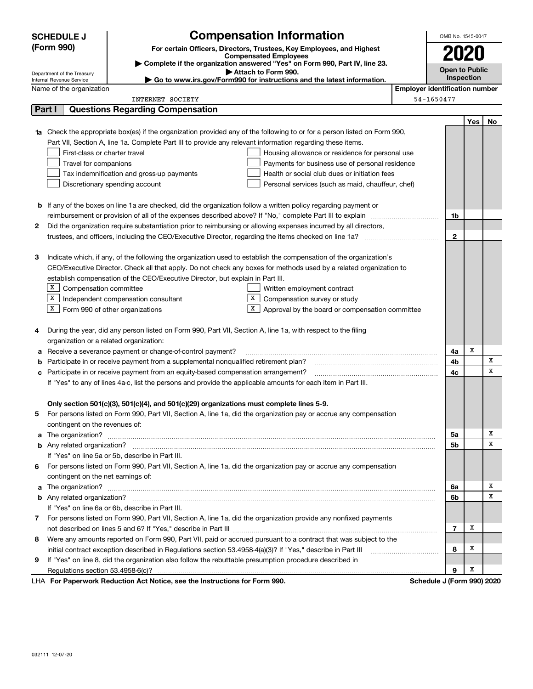|    | <b>SCHEDULE J</b>                                                                                                                        | <b>Compensation Information</b>                                                                                           |                                                   |  | OMB No. 1545-0047                     |            |                       |  |
|----|------------------------------------------------------------------------------------------------------------------------------------------|---------------------------------------------------------------------------------------------------------------------------|---------------------------------------------------|--|---------------------------------------|------------|-----------------------|--|
|    | (Form 990)                                                                                                                               | For certain Officers, Directors, Trustees, Key Employees, and Highest                                                     |                                                   |  |                                       |            |                       |  |
|    |                                                                                                                                          | <b>Compensated Employees</b>                                                                                              |                                                   |  | 2020                                  |            |                       |  |
|    | Department of the Treasury                                                                                                               | > Complete if the organization answered "Yes" on Form 990, Part IV, line 23.<br>Attach to Form 990.                       |                                                   |  |                                       |            | <b>Open to Public</b> |  |
|    | ► Go to www.irs.gov/Form990 for instructions and the latest information.<br>Internal Revenue Service                                     |                                                                                                                           |                                                   |  |                                       | Inspection |                       |  |
|    | Name of the organization                                                                                                                 |                                                                                                                           |                                                   |  | <b>Employer identification number</b> |            |                       |  |
|    |                                                                                                                                          | INTERNET SOCIETY                                                                                                          |                                                   |  | 54-1650477                            |            |                       |  |
|    | Part I                                                                                                                                   | <b>Questions Regarding Compensation</b>                                                                                   |                                                   |  |                                       |            |                       |  |
|    |                                                                                                                                          |                                                                                                                           |                                                   |  |                                       | Yes        | No                    |  |
|    |                                                                                                                                          | 1a Check the appropriate box(es) if the organization provided any of the following to or for a person listed on Form 990, |                                                   |  |                                       |            |                       |  |
|    |                                                                                                                                          | Part VII, Section A, line 1a. Complete Part III to provide any relevant information regarding these items.                |                                                   |  |                                       |            |                       |  |
|    | First-class or charter travel                                                                                                            |                                                                                                                           | Housing allowance or residence for personal use   |  |                                       |            |                       |  |
|    | Travel for companions                                                                                                                    |                                                                                                                           | Payments for business use of personal residence   |  |                                       |            |                       |  |
|    |                                                                                                                                          | Tax indemnification and gross-up payments                                                                                 | Health or social club dues or initiation fees     |  |                                       |            |                       |  |
|    |                                                                                                                                          | Discretionary spending account                                                                                            | Personal services (such as maid, chauffeur, chef) |  |                                       |            |                       |  |
|    |                                                                                                                                          |                                                                                                                           |                                                   |  |                                       |            |                       |  |
|    |                                                                                                                                          | <b>b</b> If any of the boxes on line 1a are checked, did the organization follow a written policy regarding payment or    |                                                   |  |                                       |            |                       |  |
|    |                                                                                                                                          | reimbursement or provision of all of the expenses described above? If "No," complete Part III to explain                  |                                                   |  | 1b                                    |            |                       |  |
| 2  |                                                                                                                                          | Did the organization require substantiation prior to reimbursing or allowing expenses incurred by all directors,          |                                                   |  | $\mathbf{2}$                          |            |                       |  |
|    |                                                                                                                                          |                                                                                                                           |                                                   |  |                                       |            |                       |  |
| З  |                                                                                                                                          | Indicate which, if any, of the following the organization used to establish the compensation of the organization's        |                                                   |  |                                       |            |                       |  |
|    |                                                                                                                                          | CEO/Executive Director. Check all that apply. Do not check any boxes for methods used by a related organization to        |                                                   |  |                                       |            |                       |  |
|    |                                                                                                                                          | establish compensation of the CEO/Executive Director, but explain in Part III.                                            |                                                   |  |                                       |            |                       |  |
|    | X                                                                                                                                        |                                                                                                                           |                                                   |  |                                       |            |                       |  |
|    | Compensation committee<br>Written employment contract<br>X<br>X  <br>Independent compensation consultant<br>Compensation survey or study |                                                                                                                           |                                                   |  |                                       |            |                       |  |
|    | $X$ Form 990 of other organizations                                                                                                      | X                                                                                                                         | Approval by the board or compensation committee   |  |                                       |            |                       |  |
|    |                                                                                                                                          |                                                                                                                           |                                                   |  |                                       |            |                       |  |
| 4  |                                                                                                                                          | During the year, did any person listed on Form 990, Part VII, Section A, line 1a, with respect to the filing              |                                                   |  |                                       |            |                       |  |
|    | organization or a related organization:                                                                                                  |                                                                                                                           |                                                   |  |                                       |            |                       |  |
| а  |                                                                                                                                          | Receive a severance payment or change-of-control payment?                                                                 |                                                   |  | 4a                                    | х          |                       |  |
| b  |                                                                                                                                          | Participate in or receive payment from a supplemental nonqualified retirement plan?                                       |                                                   |  | 4b                                    |            | X                     |  |
| c  |                                                                                                                                          | Participate in or receive payment from an equity-based compensation arrangement?                                          |                                                   |  | 4с                                    |            | x                     |  |
|    |                                                                                                                                          | If "Yes" to any of lines 4a-c, list the persons and provide the applicable amounts for each item in Part III.             |                                                   |  |                                       |            |                       |  |
|    |                                                                                                                                          |                                                                                                                           |                                                   |  |                                       |            |                       |  |
|    |                                                                                                                                          | Only section 501(c)(3), 501(c)(4), and 501(c)(29) organizations must complete lines 5-9.                                  |                                                   |  |                                       |            |                       |  |
|    |                                                                                                                                          | For persons listed on Form 990, Part VII, Section A, line 1a, did the organization pay or accrue any compensation         |                                                   |  |                                       |            |                       |  |
|    | contingent on the revenues of:                                                                                                           |                                                                                                                           |                                                   |  |                                       |            |                       |  |
|    |                                                                                                                                          | a The organization? <b>Entitation</b> 2008 Communication of the organization of the organization?                         |                                                   |  | 5а                                    |            | х                     |  |
|    |                                                                                                                                          |                                                                                                                           |                                                   |  | 5b                                    |            | х                     |  |
|    |                                                                                                                                          | If "Yes" on line 5a or 5b, describe in Part III.                                                                          |                                                   |  |                                       |            |                       |  |
| 6. |                                                                                                                                          | For persons listed on Form 990, Part VII, Section A, line 1a, did the organization pay or accrue any compensation         |                                                   |  |                                       |            |                       |  |
|    | contingent on the net earnings of:                                                                                                       |                                                                                                                           |                                                   |  |                                       |            |                       |  |
|    |                                                                                                                                          | a The organization? <b>Entitled Strategies and Strategies and Strategies</b> and The organization?                        |                                                   |  | 6a                                    |            | х                     |  |
|    |                                                                                                                                          |                                                                                                                           |                                                   |  | 6b                                    |            | х                     |  |
|    |                                                                                                                                          | If "Yes" on line 6a or 6b, describe in Part III.                                                                          |                                                   |  |                                       |            |                       |  |
|    |                                                                                                                                          | 7 For persons listed on Form 990, Part VII, Section A, line 1a, did the organization provide any nonfixed payments        |                                                   |  |                                       |            |                       |  |
|    |                                                                                                                                          |                                                                                                                           |                                                   |  | $\overline{7}$                        | х          |                       |  |
| 8  |                                                                                                                                          | Were any amounts reported on Form 990, Part VII, paid or accrued pursuant to a contract that was subject to the           |                                                   |  |                                       |            |                       |  |
|    |                                                                                                                                          | initial contract exception described in Regulations section 53.4958-4(a)(3)? If "Yes," describe in Part III               |                                                   |  | 8                                     | х          |                       |  |
| 9. |                                                                                                                                          | If "Yes" on line 8, did the organization also follow the rebuttable presumption procedure described in                    |                                                   |  |                                       |            |                       |  |
|    |                                                                                                                                          |                                                                                                                           |                                                   |  | 9                                     | х          |                       |  |
|    |                                                                                                                                          | LHA For Paperwork Reduction Act Notice, see the Instructions for Form 990.                                                |                                                   |  | Schedule J (Form 990) 2020            |            |                       |  |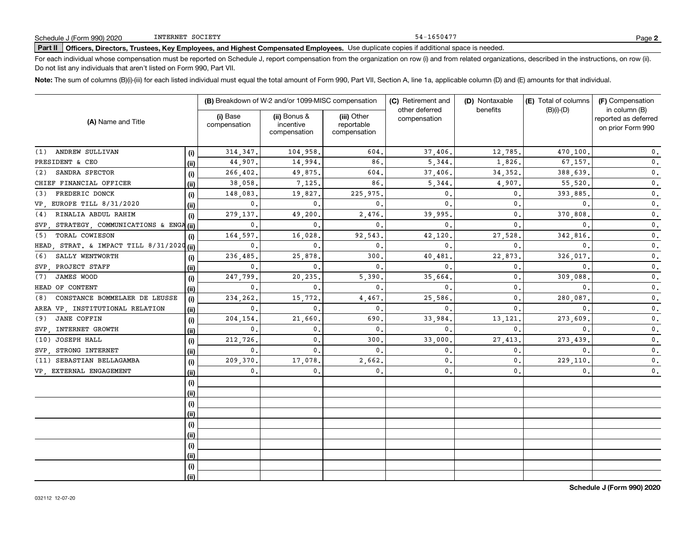54-1650477

# **Part II Officers, Directors, Trustees, Key Employees, and Highest Compensated Employees.**  Schedule J (Form 990) 2020 Page Use duplicate copies if additional space is needed.

For each individual whose compensation must be reported on Schedule J, report compensation from the organization on row (i) and from related organizations, described in the instructions, on row (ii). Do not list any individuals that aren't listed on Form 990, Part VII.

**Note:**  The sum of columns (B)(i)-(iii) for each listed individual must equal the total amount of Form 990, Part VII, Section A, line 1a, applicable column (D) and (E) amounts for that individual.

| (A) Name and Title                       |      |                          | (B) Breakdown of W-2 and/or 1099-MISC compensation |                                           | (C) Retirement and             | (D) Nontaxable |                  | (F) Compensation                                           |
|------------------------------------------|------|--------------------------|----------------------------------------------------|-------------------------------------------|--------------------------------|----------------|------------------|------------------------------------------------------------|
|                                          |      | (i) Base<br>compensation | (ii) Bonus &<br>incentive<br>compensation          | (iii) Other<br>reportable<br>compensation | other deferred<br>compensation | benefits       | $(B)(i)$ - $(D)$ | in column (B)<br>reported as deferred<br>on prior Form 990 |
| ANDREW SULLIVAN<br>(1)                   | (i)  | 314, 347.                | 104,958.                                           | 604                                       | 37,406.                        | 12,785.        | 470,100.         | $\mathbf 0$ .                                              |
| PRESIDENT & CEO                          | (ii) | 44,907.                  | 14,994.                                            | 86.                                       | 5,344.                         | 1,826.         | 67,157.          | $\mathbf 0$ .                                              |
| SANDRA SPECTOR<br>(2)                    | (i)  | 266,402.                 | 49,875.                                            | 604.                                      | 37,406.                        | 34, 352.       | 388,639.         | $\mathbf 0$ .                                              |
| CHIEF FINANCIAL OFFICER                  | (ii) | 38,058.                  | 7,125.                                             | 86.                                       | 5,344                          | 4,907.         | 55,520           | $\mathbf 0$ .                                              |
| FREDERIC DONCK<br>(3)                    | (i)  | 148,083.                 | 19,827.                                            | 225,975.                                  | $\mathbf 0$ .                  | $\mathbf{0}$ . | 393,885          | $\mathbf 0$ .                                              |
| VP, EUROPE TILL 8/31/2020                | (ii) | $\mathbf{0}$ .           | $\mathbf{0}$ .                                     | $\mathbf{0}$ .                            | $\mathbf{0}$ .                 | $\mathbf{0}$   | $\Omega$         | $\mathbf 0$ .                                              |
| RINALIA ABDUL RAHIM<br>(4)               | (i)  | 279,137.                 | 49,200                                             | 2,476.                                    | 39,995                         | 0.             | 370,808          | 0.                                                         |
| SVP, STRATEGY, COMMUNICATIONS & ENGA(ii) |      | 0.                       | 0.                                                 | $\mathbf{0}$ .                            | 0.                             | 0.             | 0                | $\mathbf 0$ .                                              |
| TORAL COWIESON<br>(5)                    | (i)  | 164,597.                 | 16,028                                             | 92,543                                    | 42,120                         | 27,528         | 342,816          | 0.                                                         |
| HEAD, STRAT. & IMPACT TILL 8/31/2020(ii) |      | $\mathbf{0}$ .           | $\mathbf{0}$ .                                     | $\mathbf{0}$ .                            | $\mathbf{0}$                   | $\mathbf{0}$   | 0                | 0.                                                         |
| SALLY WENTWORTH<br>(6)                   | (i)  | 236,485                  | 25,878                                             | 300.                                      | 40,481                         | 22,873         | 326,017          | 0.                                                         |
| SVP, PROJECT STAFF                       | (i)  | 0.                       | $\mathbf{0}$ .                                     | $\mathbf{0}$ .                            | 0                              | $\mathbf{0}$   | $\mathbf{0}$     | 0.                                                         |
| JAMES WOOD<br>(7)                        | (i)  | 247,799.                 | 20,235                                             | 5,390.                                    | 35,664                         | $\mathbf{0}$   | 309,088          | $\mathbf 0$ .                                              |
| HEAD OF CONTENT                          | (ii) | 0.                       | $\mathbf 0$ .                                      | $\mathbf 0$ .                             | 0                              | $\mathbf{0}$   | 0                | 0.                                                         |
| CONSTANCE BOMMELAER DE LEUSSE<br>(8)     | (i)  | 234,262.                 | 15,772                                             | 4,467.                                    | 25,586                         | $\mathbf{0}$   | 280,087          | 0.                                                         |
| AREA VP, INSTITUTIONAL RELATION          | (ii) | 0.                       | $\mathbf{0}$ .                                     | 0.                                        | $\mathbf 0$ .                  | $\mathbf{0}$   | 0                | 0.                                                         |
| <b>JANE COFFIN</b><br>(9)                | (i)  | 204,154.                 | 21,660                                             | 690,                                      | 33,984                         | 13,121         | 273,609          | $\mathbf 0$ .                                              |
| SVP, INTERNET GROWTH                     | (ii) | 0.                       | $\mathbf{0}$                                       | 0.                                        | 0                              | $\mathbf{0}$   | 0.               | 0.                                                         |
| (10) JOSEPH HALL                         | (i)  | 212,726.                 | $\mathbf{0}$ .                                     | 300                                       | 33,000                         | 27,413         | 273,439          | $\mathbf 0$ .                                              |
| SVP STRONG INTERNET                      | (ii) | 0.                       | $\mathbf{0}$ .                                     | $\mathbf{0}$ .                            | 0                              | $\mathbf{0}$   | $\mathbf{0}$     | 0.                                                         |
| (11) SEBASTIAN BELLAGAMBA                | (i)  | 209,370.                 | 17,078                                             | 2,662.                                    | 0.                             | $\mathbf{0}$   | 229,110          | 0.                                                         |
| VP , EXTERNAL ENGAGEMENT                 | (ii) | 0.                       | 0.                                                 | $^{\rm 0}$ .                              | $\mathbf{0}$ .                 | 0.             | 0.               | $\mathbf 0$ .                                              |
|                                          | (i)  |                          |                                                    |                                           |                                |                |                  |                                                            |
|                                          | (ii) |                          |                                                    |                                           |                                |                |                  |                                                            |
|                                          | (i)  |                          |                                                    |                                           |                                |                |                  |                                                            |
|                                          | (ii) |                          |                                                    |                                           |                                |                |                  |                                                            |
|                                          | (i)  |                          |                                                    |                                           |                                |                |                  |                                                            |
|                                          | (ii) |                          |                                                    |                                           |                                |                |                  |                                                            |
|                                          | (i)  |                          |                                                    |                                           |                                |                |                  |                                                            |
|                                          | (ii) |                          |                                                    |                                           |                                |                |                  |                                                            |
|                                          | (i)  |                          |                                                    |                                           |                                |                |                  |                                                            |
|                                          | (ii) |                          |                                                    |                                           |                                |                |                  |                                                            |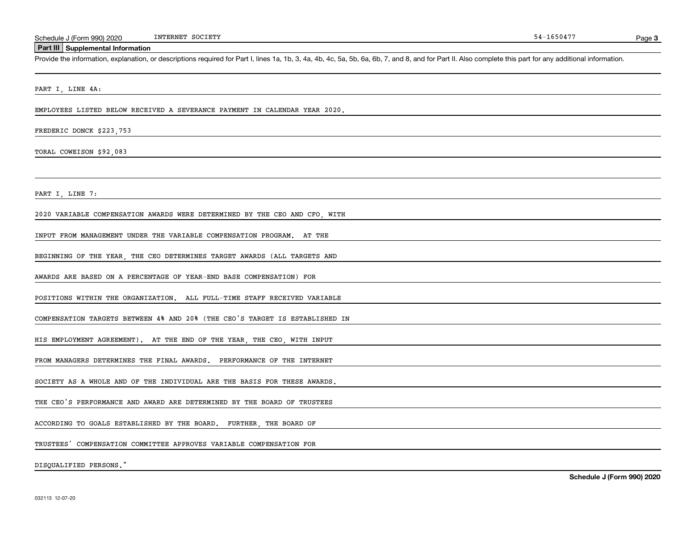## 032113 12-07-20

INTERNET SOCIETY

#### **Part III Supplemental Information**

Schedule J (Form 990) 2020 INTERNET SOCIETY<br>Part III Supplemental Information<br>Provide the information, explanation, or descriptions required for Part I, lines 1a, 1b, 3, 4a, 4b, 4c, 5a, 5b, 6a, 6b, 7, and 8, and for Part I

PART I, LINE 4A:

EMPLOYEES LISTED BELOW RECEIVED A SEVERANCE PAYMENT IN CALENDAR YEAR 2020.

FREDERIC DONCK \$223,753

TORAL COWEISON \$92,083

PART I, LINE 7:

2020 VARIABLE COMPENSATION AWARDS WERE DETERMINED BY THE CEO AND CFO, WITH

INPUT FROM MANAGEMENT UNDER THE VARIABLE COMPENSATION PROGRAM. AT THE

BEGINNING OF THE YEAR, THE CEO DETERMINES TARGET AWARDS (ALL TARGETS AND

AWARDS ARE BASED ON A PERCENTAGE OF YEAR-END BASE COMPENSATION) FOR

POSITIONS WITHIN THE ORGANIZATION. ALL FULL-TIME STAFF RECEIVED VARIABLE

COMPENSATION TARGETS BETWEEN 4% AND 20% (THE CEO'S TARGET IS ESTABLISHED IN

HIS EMPLOYMENT AGREEMENT). AT THE END OF THE YEAR, THE CEO, WITH INPUT

FROM MANAGERS DETERMINES THE FINAL AWARDS. PERFORMANCE OF THE INTERNET

SOCIETY AS A WHOLE AND OF THE INDIVIDUAL ARE THE BASIS FOR THESE AWARDS.

THE CEO'S PERFORMANCE AND AWARD ARE DETERMINED BY THE BOARD OF TRUSTEES

ACCORDING TO GOALS ESTABLISHED BY THE BOARD. FURTHER, THE BOARD OF

TRUSTEES' COMPENSATION COMMITTEE APPROVES VARIABLE COMPENSATION FOR

DISQUALIFIED PERSONS."

**Schedule J (Form 990) 2020**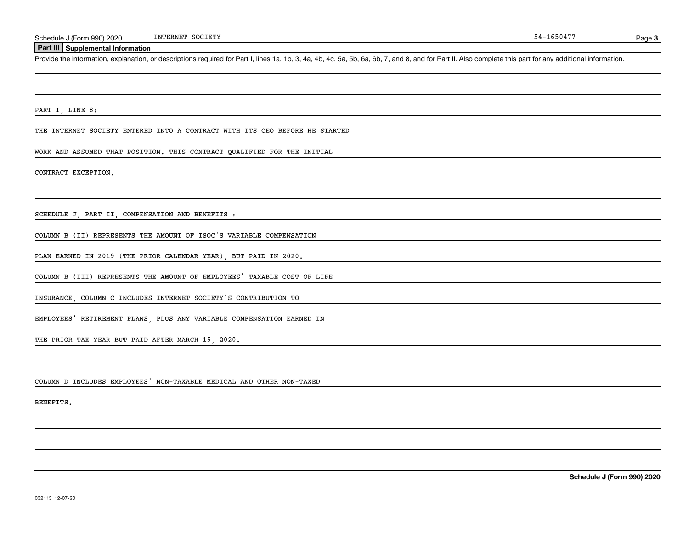#### **Part III Supplemental Information**

Schedule J (Form 990) 2020 INTERNET SOCIETY<br>Part III Supplemental Information<br>Provide the information, explanation, or descriptions required for Part I, lines 1a, 1b, 3, 4a, 4b, 4c, 5a, 5b, 6a, 6b, 7, and 8, and for Part I

PART I, LINE 8:

THE INTERNET SOCIETY ENTERED INTO A CONTRACT WITH ITS CEO BEFORE HE STARTED

WORK AND ASSUMED THAT POSITION. THIS CONTRACT QUALIFIED FOR THE INITIAL

CONTRACT EXCEPTION.

SCHEDULE J, PART II, COMPENSATION AND BENEFITS :

COLUMN B (II) REPRESENTS THE AMOUNT OF ISOC'S VARIABLE COMPENSATION

PLAN EARNED IN 2019 (THE PRIOR CALENDAR YEAR), BUT PAID IN 2020.

COLUMN B (III) REPRESENTS THE AMOUNT OF EMPLOYEES' TAXABLE COST OF LIFE

INSURANCE, COLUMN C INCLUDES INTERNET SOCIETY'S CONTRIBUTION TO

EMPLOYEES' RETIREMENT PLANS, PLUS ANY VARIABLE COMPENSATION EARNED IN

THE PRIOR TAX YEAR BUT PAID AFTER MARCH 15, 2020.

COLUMN D INCLUDES EMPLOYEES' NON-TAXABLE MEDICAL AND OTHER NON-TAXED

BENEFITS.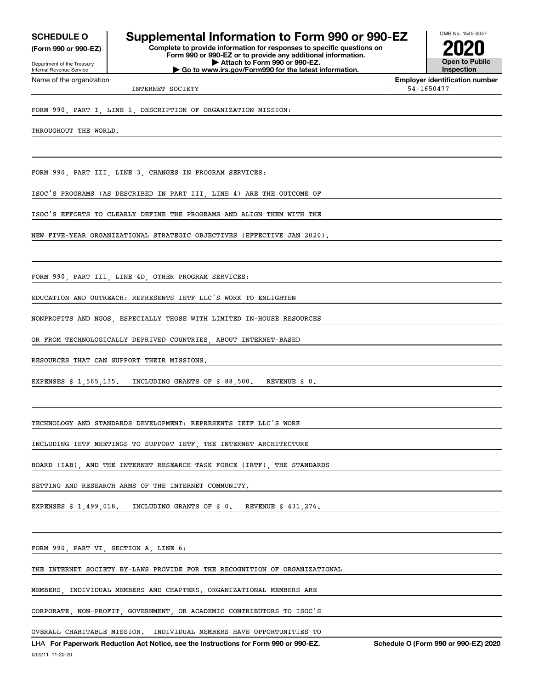**(Form 990 or 990-EZ)**

Department of the Treasury Internal Revenue Service Name of the organization

## **SCHEDULE O Supplemental Information to Form 990 or 990-EZ**

**Complete to provide information for responses to specific questions on Form 990 or 990-EZ or to provide any additional information. | Attach to Form 990 or 990-EZ. | Go to www.irs.gov/Form990 for the latest information.**



**Employer identification number**

INTERNET SOCIETY 54-1650477

FORM 990, PART I, LINE 1, DESCRIPTION OF ORGANIZATION MISSION:

THROUGHOUT THE WORLD.

FORM 990, PART III, LINE 3, CHANGES IN PROGRAM SERVICES:

ISOC'S PROGRAMS (AS DESCRIBED IN PART III, LINE 4) ARE THE OUTCOME OF

ISOC'S EFFORTS TO CLEARLY DEFINE THE PROGRAMS AND ALIGN THEM WITH THE

NEW FIVE-YEAR ORGANIZATIONAL STRATEGIC OBJECTIVES (EFFECTIVE JAN 2020).

FORM 990, PART III, LINE 4D, OTHER PROGRAM SERVICES:

EDUCATION AND OUTREACH: REPRESENTS IETF LLC'S WORK TO ENLIGHTEN

NONPROFITS AND NGOS, ESPECIALLY THOSE WITH LIMITED IN-HOUSE RESOURCES

OR FROM TECHNOLOGICALLY DEPRIVED COUNTRIES, ABOUT INTERNET-BASED

RESOURCES THAT CAN SUPPORT THEIR MISSIONS.

EXPENSES \$ 1,565,135. INCLUDING GRANTS OF \$ 88,500. REVENUE \$ 0.

TECHNOLOGY AND STANDARDS DEVELOPMENT: REPRESENTS IETF LLC'S WORK

INCLUDING IETF MEETINGS TO SUPPORT IETF, THE INTERNET ARCHITECTURE

BOARD (IAB), AND THE INTERNET RESEARCH TASK FORCE (IRTF), THE STANDARDS

SETTING AND RESEARCH ARMS OF THE INTERNET COMMUNITY.

EXPENSES \$ 1,499,018. INCLUDING GRANTS OF \$ 0. REVENUE \$ 431,276.

FORM 990, PART VI, SECTION A, LINE 6:

THE INTERNET SOCIETY BY-LAWS PROVIDE FOR THE RECOGNITION OF ORGANIZATIONAL

MEMBERS, INDIVIDUAL MEMBERS AND CHAPTERS. ORGANIZATIONAL MEMBERS ARE

CORPORATE, NON-PROFIT, GOVERNMENT, OR ACADEMIC CONTRIBUTORS TO ISOC'S

#### OVERALL CHARITABLE MISSION. INDIVIDUAL MEMBERS HAVE OPPORTUNITIES TO

032211 11-20-20 LHA For Paperwork Reduction Act Notice, see the Instructions for Form 990 or 990-EZ. Schedule O (Form 990 or 990-EZ) 2020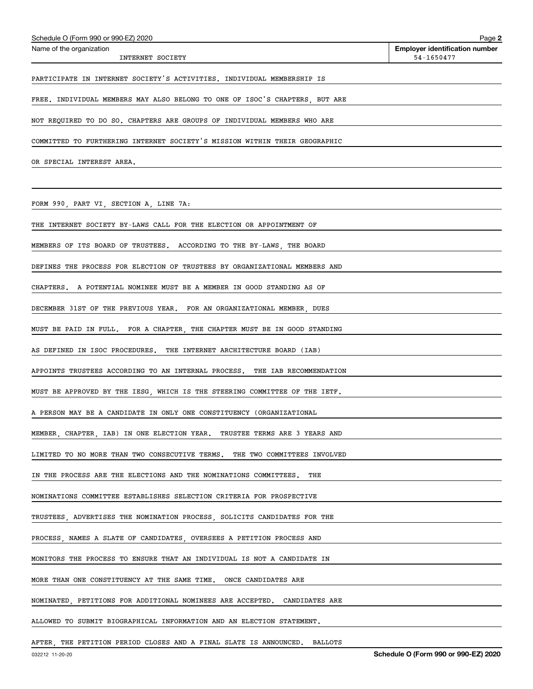| Schedule O (Form 990 or 990-EZ) 2020                                         | Page 2                                              |
|------------------------------------------------------------------------------|-----------------------------------------------------|
| Name of the organization<br>INTERNET SOCIETY                                 | <b>Employer identification number</b><br>54-1650477 |
| PARTICIPATE IN INTERNET SOCIETY'S ACTIVITIES. INDIVIDUAL MEMBERSHIP IS       |                                                     |
| FREE. INDIVIDUAL MEMBERS MAY ALSO BELONG TO ONE OF ISOC'S CHAPTERS, BUT ARE  |                                                     |
| NOT REQUIRED TO DO SO. CHAPTERS ARE GROUPS OF INDIVIDUAL MEMBERS WHO ARE     |                                                     |
| COMMITTED TO FURTHERING INTERNET SOCIETY'S MISSION WITHIN THEIR GEOGRAPHIC   |                                                     |
| OR SPECIAL INTEREST AREA.                                                    |                                                     |
|                                                                              |                                                     |
| FORM 990, PART VI, SECTION A, LINE 7A:                                       |                                                     |
| THE INTERNET SOCIETY BY-LAWS CALL FOR THE ELECTION OR APPOINTMENT OF         |                                                     |
| MEMBERS OF ITS BOARD OF TRUSTEES. ACCORDING TO THE BY-LAWS, THE BOARD        |                                                     |
| DEFINES THE PROCESS FOR ELECTION OF TRUSTEES BY ORGANIZATIONAL MEMBERS AND   |                                                     |
| CHAPTERS. A POTENTIAL NOMINEE MUST BE A MEMBER IN GOOD STANDING AS OF        |                                                     |
| DECEMBER 31ST OF THE PREVIOUS YEAR. FOR AN ORGANIZATIONAL MEMBER, DUES       |                                                     |
| MUST BE PAID IN FULL. FOR A CHAPTER, THE CHAPTER MUST BE IN GOOD STANDING    |                                                     |
| AS DEFINED IN ISOC PROCEDURES. THE INTERNET ARCHITECTURE BOARD (IAB)         |                                                     |
| APPOINTS TRUSTEES ACCORDING TO AN INTERNAL PROCESS. THE IAB RECOMMENDATION   |                                                     |
| MUST BE APPROVED BY THE IESG, WHICH IS THE STEERING COMMITTEE OF THE IETF.   |                                                     |
| A PERSON MAY BE A CANDIDATE IN ONLY ONE CONSTITUENCY (ORGANIZATIONAL         |                                                     |
| MEMBER, CHAPTER, IAB) IN ONE ELECTION YEAR.  TRUSTEE TERMS ARE 3 YEARS AND   |                                                     |
| LIMITED TO NO MORE THAN TWO CONSECUTIVE TERMS. THE TWO COMMITTEES INVOLVED   |                                                     |
| IN THE PROCESS ARE THE ELECTIONS AND THE NOMINATIONS COMMITTEES.<br>THE      |                                                     |
| NOMINATIONS COMMITTEE ESTABLISHES SELECTION CRITERIA FOR PROSPECTIVE         |                                                     |
| TRUSTEES, ADVERTISES THE NOMINATION PROCESS, SOLICITS CANDIDATES FOR THE     |                                                     |
| PROCESS, NAMES A SLATE OF CANDIDATES, OVERSEES A PETITION PROCESS AND        |                                                     |
| MONITORS THE PROCESS TO ENSURE THAT AN INDIVIDUAL IS NOT A CANDIDATE IN      |                                                     |
| MORE THAN ONE CONSTITUENCY AT THE SAME TIME. ONCE CANDIDATES ARE             |                                                     |
| NOMINATED, PETITIONS FOR ADDITIONAL NOMINEES ARE ACCEPTED.<br>CANDIDATES ARE |                                                     |
| ALLOWED TO SUBMIT BIOGRAPHICAL INFORMATION AND AN ELECTION STATEMENT.        |                                                     |

AFTER, THE PETITION PERIOD CLOSES AND A FINAL SLATE IS ANNOUNCED. BALLOTS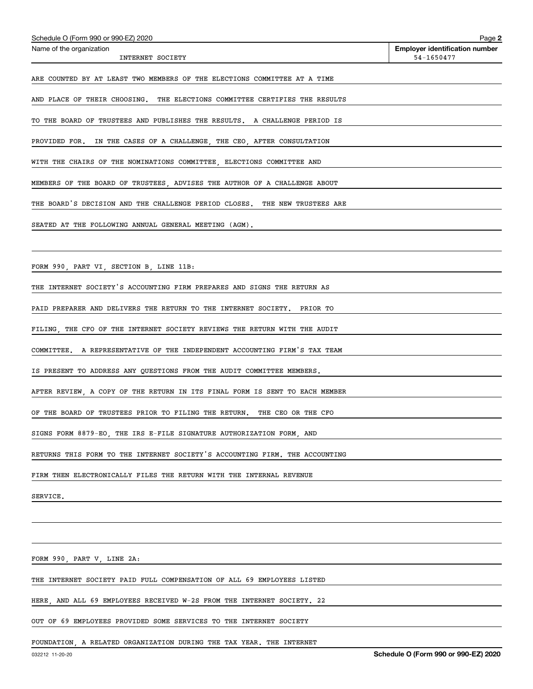| Schedule O (Form 990 or 990-EZ) 2020                                        | Page 2                                              |
|-----------------------------------------------------------------------------|-----------------------------------------------------|
| Name of the organization<br>INTERNET SOCIETY                                | <b>Employer identification number</b><br>54-1650477 |
| ARE COUNTED BY AT LEAST TWO MEMBERS OF THE ELECTIONS COMMITTEE AT A TIME    |                                                     |
| AND PLACE OF THEIR CHOOSING. THE ELECTIONS COMMITTEE CERTIFIES THE RESULTS  |                                                     |
| TO THE BOARD OF TRUSTEES AND PUBLISHES THE RESULTS. A CHALLENGE PERIOD IS   |                                                     |
| PROVIDED FOR. IN THE CASES OF A CHALLENGE, THE CEO, AFTER CONSULTATION      |                                                     |
| WITH THE CHAIRS OF THE NOMINATIONS COMMITTEE, ELECTIONS COMMITTEE AND       |                                                     |
| MEMBERS OF THE BOARD OF TRUSTEES, ADVISES THE AUTHOR OF A CHALLENGE ABOUT   |                                                     |
| THE BOARD'S DECISION AND THE CHALLENGE PERIOD CLOSES. THE NEW TRUSTEES ARE  |                                                     |
| SEATED AT THE FOLLOWING ANNUAL GENERAL MEETING (AGM).                       |                                                     |
|                                                                             |                                                     |
| FORM 990, PART VI, SECTION B, LINE 11B:                                     |                                                     |
| THE INTERNET SOCIETY'S ACCOUNTING FIRM PREPARES AND SIGNS THE RETURN AS     |                                                     |
| PAID PREPARER AND DELIVERS THE RETURN TO THE INTERNET SOCIETY. PRIOR TO     |                                                     |
| FILING, THE CFO OF THE INTERNET SOCIETY REVIEWS THE RETURN WITH THE AUDIT   |                                                     |
| COMMITTEE. A REPRESENTATIVE OF THE INDEPENDENT ACCOUNTING FIRM'S TAX TEAM   |                                                     |
| IS PRESENT TO ADDRESS ANY QUESTIONS FROM THE AUDIT COMMITTEE MEMBERS.       |                                                     |
| AFTER REVIEW, A COPY OF THE RETURN IN ITS FINAL FORM IS SENT TO EACH MEMBER |                                                     |
| OF THE BOARD OF TRUSTEES PRIOR TO FILING THE RETURN. THE CEO OR THE CFO     |                                                     |
| SIGNS FORM 8879-EO, THE IRS E-FILE SIGNATURE AUTHORIZATION FORM, AND        |                                                     |
| RETURNS THIS FORM TO THE INTERNET SOCIETY'S ACCOUNTING FIRM. THE ACCOUNTING |                                                     |
| FIRM THEN ELECTRONICALLY FILES THE RETURN WITH THE INTERNAL REVENUE         |                                                     |
| SERVICE.                                                                    |                                                     |
|                                                                             |                                                     |
|                                                                             |                                                     |
| FORM 990, PART V, LINE 2A:                                                  |                                                     |
| THE INTERNET SOCIETY PAID FULL COMPENSATION OF ALL 69 EMPLOYEES LISTED      |                                                     |

HERE, AND ALL 69 EMPLOYEES RECEIVED W-2S FROM THE INTERNET SOCIETY. 22

OUT OF 69 EMPLOYEES PROVIDED SOME SERVICES TO THE INTERNET SOCIETY

FOUNDATION, A RELATED ORGANIZATION DURING THE TAX YEAR. THE INTERNET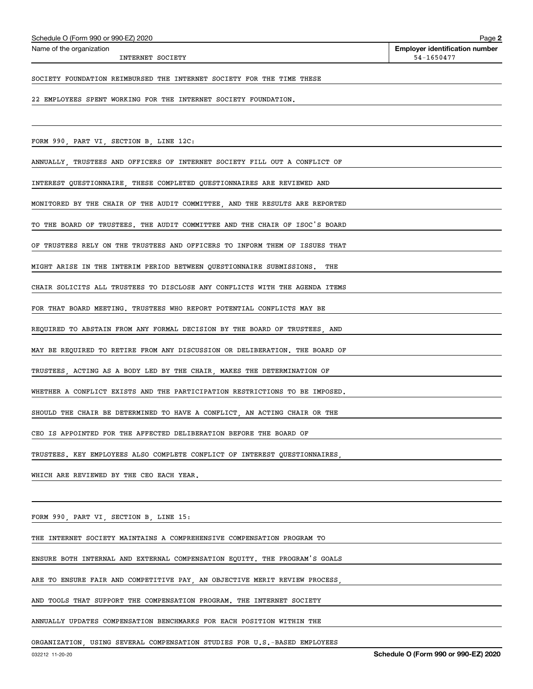INTERNET SOCIETY 54-1650477

#### SOCIETY FOUNDATION REIMBURSED THE INTERNET SOCIETY FOR THE TIME THESE

22 EMPLOYEES SPENT WORKING FOR THE INTERNET SOCIETY FOUNDATION.

FORM 990, PART VI, SECTION B, LINE 12C:

ANNUALLY, TRUSTEES AND OFFICERS OF INTERNET SOCIETY FILL OUT A CONFLICT OF

INTEREST QUESTIONNAIRE, THESE COMPLETED QUESTIONNAIRES ARE REVIEWED AND

MONITORED BY THE CHAIR OF THE AUDIT COMMITTEE, AND THE RESULTS ARE REPORTED

TO THE BOARD OF TRUSTEES. THE AUDIT COMMITTEE AND THE CHAIR OF ISOC'S BOARD

OF TRUSTEES RELY ON THE TRUSTEES AND OFFICERS TO INFORM THEM OF ISSUES THAT

MIGHT ARISE IN THE INTERIM PERIOD BETWEEN QUESTIONNAIRE SUBMISSIONS. THE

CHAIR SOLICITS ALL TRUSTEES TO DISCLOSE ANY CONFLICTS WITH THE AGENDA ITEMS

FOR THAT BOARD MEETING. TRUSTEES WHO REPORT POTENTIAL CONFLICTS MAY BE

REQUIRED TO ABSTAIN FROM ANY FORMAL DECISION BY THE BOARD OF TRUSTEES, AND

MAY BE REQUIRED TO RETIRE FROM ANY DISCUSSION OR DELIBERATION. THE BOARD OF

TRUSTEES, ACTING AS A BODY LED BY THE CHAIR, MAKES THE DETERMINATION OF

WHETHER A CONFLICT EXISTS AND THE PARTICIPATION RESTRICTIONS TO BE IMPOSED.

SHOULD THE CHAIR BE DETERMINED TO HAVE A CONFLICT, AN ACTING CHAIR OR THE

CEO IS APPOINTED FOR THE AFFECTED DELIBERATION BEFORE THE BOARD OF

TRUSTEES. KEY EMPLOYEES ALSO COMPLETE CONFLICT OF INTEREST QUESTIONNAIRES,

WHICH ARE REVIEWED BY THE CEO EACH YEAR.

FORM 990, PART VI, SECTION B, LINE 15:

THE INTERNET SOCIETY MAINTAINS A COMPREHENSIVE COMPENSATION PROGRAM TO

ENSURE BOTH INTERNAL AND EXTERNAL COMPENSATION EQUITY. THE PROGRAM'S GOALS

ARE TO ENSURE FAIR AND COMPETITIVE PAY, AN OBJECTIVE MERIT REVIEW PROCESS

AND TOOLS THAT SUPPORT THE COMPENSATION PROGRAM. THE INTERNET SOCIETY

ANNUALLY UPDATES COMPENSATION BENCHMARKS FOR EACH POSITION WITHIN THE

ORGANIZATION, USING SEVERAL COMPENSATION STUDIES FOR U.S.-BASED EMPLOYEES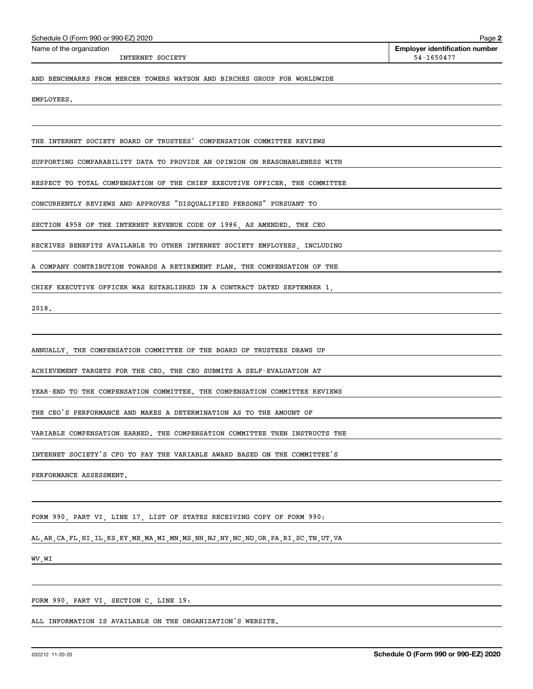INTERNET SOCIETY 54-1650477

AND BENCHMARKS FROM MERCER TOWERS WATSON AND BIRCHES GROUP FOR WORLDWIDE

EMPLOYEES.

THE INTERNET SOCIETY BOARD OF TRUSTEES' COMPENSATION COMMITTEE REVIEWS

SUPPORTING COMPARABILITY DATA TO PROVIDE AN OPINION ON REASONABLENESS WITH

RESPECT TO TOTAL COMPENSATION OF THE CHIEF EXECUTIVE OFFICER. THE COMMITTEE

CONCURRENTLY REVIEWS AND APPROVES "DISQUALIFIED PERSONS" PURSUANT TO

SECTION 4958 OF THE INTERNET REVENUE CODE OF 1986, AS AMENDED. THE CEO

RECEIVES BENEFITS AVAILABLE TO OTHER INTERNET SOCIETY EMPLOYEES, INCLUDING

A COMPANY CONTRIBUTION TOWARDS A RETIREMENT PLAN. THE COMPENSATION OF THE

CHIEF EXECUTIVE OFFICER WAS ESTABLISHED IN A CONTRACT DATED SEPTEMBER 1,

2018.

ANNUALLY, THE COMPENSATION COMMITTEE OF THE BOARD OF TRUSTEES DRAWS UP ACHIEVEMENT TARGETS FOR THE CEO. THE CEO SUBMITS A SELF-EVALUATION AT YEAR-END TO THE COMPENSATION COMMITTEE. THE COMPENSATION COMMITTEE REVIEWS THE CEO'S PERFORMANCE AND MAKES A DETERMINATION AS TO THE AMOUNT OF VARIABLE COMPENSATION EARNED. THE COMPENSATION COMMITTEE THEN INSTRUCTS THE INTERNET SOCIETY'S CFO TO PAY THE VARIABLE AWARD BASED ON THE COMMITTEE'S PERFORMANCE ASSESSMENT.

FORM 990, PART VI, LINE 17, LIST OF STATES RECEIVING COPY OF FORM 990:

AL,AR,CA,FL,HI,IL,KS,KY,ME,MA,MI,MN,MS,NH,NJ,NY,NC,ND,OR,PA,RI,SC,TN,UT,VA

WV,WI

FORM 990, PART VI, SECTION C, LINE 19:

ALL INFORMATION IS AVAILABLE ON THE ORGANIZATION'S WEBSITE.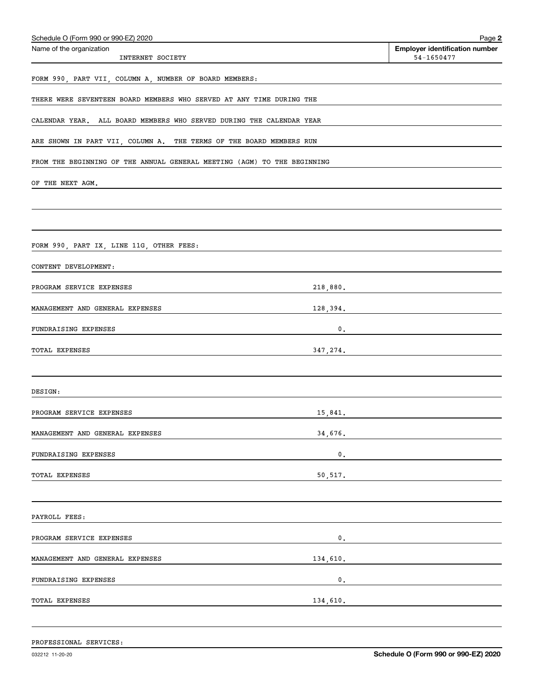| Schedule O (Form 990 or 990-EZ) 2020                                    |                                                      | Page 2                                                                                                                 |
|-------------------------------------------------------------------------|------------------------------------------------------|------------------------------------------------------------------------------------------------------------------------|
| Name of the organization<br>INTERNET SOCIETY                            |                                                      | <b>Employer identification number</b><br>54-1650477                                                                    |
| FORM 990, PART VII, COLUMN A, NUMBER OF BOARD MEMBERS:                  |                                                      |                                                                                                                        |
| THERE WERE SEVENTEEN BOARD MEMBERS WHO SERVED AT ANY TIME DURING THE    |                                                      |                                                                                                                        |
| CALENDAR YEAR. ALL BOARD MEMBERS WHO SERVED DURING THE CALENDAR YEAR    |                                                      |                                                                                                                        |
| ARE SHOWN IN PART VII, COLUMN A. THE TERMS OF THE BOARD MEMBERS RUN     |                                                      |                                                                                                                        |
| FROM THE BEGINNING OF THE ANNUAL GENERAL MEETING (AGM) TO THE BEGINNING |                                                      |                                                                                                                        |
| OF THE NEXT AGM.                                                        |                                                      |                                                                                                                        |
|                                                                         |                                                      |                                                                                                                        |
|                                                                         |                                                      |                                                                                                                        |
| FORM 990, PART IX, LINE 11G, OTHER FEES:                                |                                                      |                                                                                                                        |
| CONTENT DEVELOPMENT:                                                    |                                                      |                                                                                                                        |
| PROGRAM SERVICE EXPENSES                                                | <u> 1989 - Johann Barn, fransk politik (d. 1989)</u> | 218,880.                                                                                                               |
| MANAGEMENT AND GENERAL EXPENSES                                         |                                                      | 128, 394.                                                                                                              |
| FUNDRAISING EXPENSES                                                    |                                                      | $\overline{\phantom{a}}$                                                                                               |
| TOTAL EXPENSES                                                          | 347,274.                                             |                                                                                                                        |
|                                                                         |                                                      |                                                                                                                        |
| DESIGN:                                                                 |                                                      |                                                                                                                        |
| PROGRAM SERVICE EXPENSES                                                | 15,841.                                              | <u> 1989 - Johann John Stone, mars et al. 1989 - John Stone, mars et al. 1989 - John Stone, mars et al. 1989 - Joh</u> |
| MANAGEMENT AND GENERAL EXPENSES                                         | 34,676.                                              |                                                                                                                        |
| FUNDRAISING EXPENSES                                                    | $\mathbf{0}$ .                                       |                                                                                                                        |
| TOTAL EXPENSES                                                          | 50,517.                                              |                                                                                                                        |
|                                                                         |                                                      |                                                                                                                        |
| PAYROLL FEES:                                                           |                                                      |                                                                                                                        |
| PROGRAM SERVICE EXPENSES                                                | 0.                                                   |                                                                                                                        |
| MANAGEMENT AND GENERAL EXPENSES                                         | 134,610.                                             |                                                                                                                        |
| FUNDRAISING EXPENSES                                                    | $\mathfrak o$ .                                      |                                                                                                                        |
| TOTAL EXPENSES                                                          | 134,610.                                             |                                                                                                                        |
|                                                                         |                                                      |                                                                                                                        |

PROFESSIONAL SERVICES: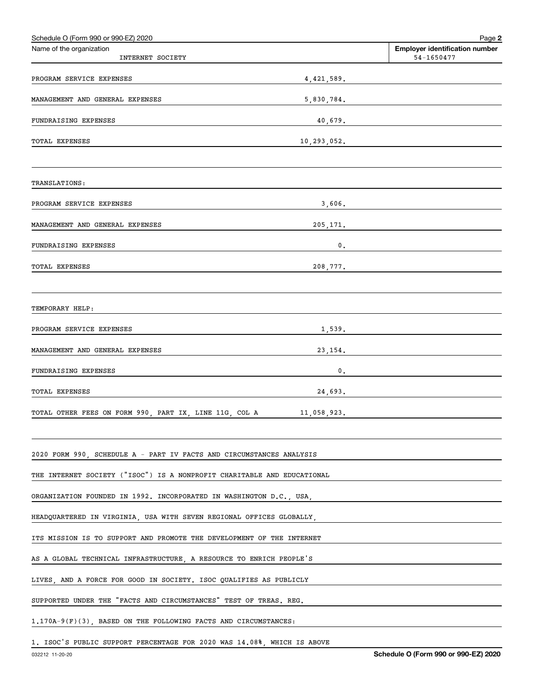| Schedule O (Form 990 or 990-EZ) 2020                                    |                | Page 2                                              |
|-------------------------------------------------------------------------|----------------|-----------------------------------------------------|
| Name of the organization<br>INTERNET SOCIETY                            |                | <b>Employer identification number</b><br>54-1650477 |
| PROGRAM SERVICE EXPENSES                                                | 4, 421, 589.   |                                                     |
| MANAGEMENT AND GENERAL EXPENSES                                         | 5,830,784.     |                                                     |
| FUNDRAISING EXPENSES                                                    | 40,679.        |                                                     |
| <b>TOTAL EXPENSES</b>                                                   | 10,293,052.    |                                                     |
| TRANSLATIONS:                                                           |                |                                                     |
| PROGRAM SERVICE EXPENSES                                                | 3,606.         |                                                     |
| MANAGEMENT AND GENERAL EXPENSES                                         | 205,171.       |                                                     |
| FUNDRAISING EXPENSES                                                    | $\mathbf{0}$ . |                                                     |
| <b>TOTAL EXPENSES</b>                                                   | 208, 777.      |                                                     |
| TEMPORARY HELP:                                                         |                |                                                     |
| PROGRAM SERVICE EXPENSES                                                | 1,539.         |                                                     |
| MANAGEMENT AND GENERAL EXPENSES                                         | 23, 154.       |                                                     |
| FUNDRAISING EXPENSES                                                    | 0.             |                                                     |
| <b>TOTAL EXPENSES</b>                                                   | 24,693.        |                                                     |
| TOTAL OTHER FEES ON FORM 990, PART IX, LINE 11G, COL A                  | 11,058,923.    |                                                     |
| 2020 FORM 990, SCHEDULE A - PART IV FACTS AND CIRCUMSTANCES ANALYSIS    |                |                                                     |
| THE INTERNET SOCIETY ("ISOC") IS A NONPROFIT CHARITABLE AND EDUCATIONAL |                |                                                     |
| ORGANIZATION FOUNDED IN 1992. INCORPORATED IN WASHINGTON D.C., USA,     |                |                                                     |
| HEADQUARTERED IN VIRGINIA, USA WITH SEVEN REGIONAL OFFICES GLOBALLY,    |                |                                                     |
| ITS MISSION IS TO SUPPORT AND PROMOTE THE DEVELOPMENT OF THE INTERNET   |                |                                                     |
| AS A GLOBAL TECHNICAL INFRASTRUCTURE, A RESOURCE TO ENRICH PEOPLE'S     |                |                                                     |
| LIVES, AND A FORCE FOR GOOD IN SOCIETY. ISOC QUALIFIES AS PUBLICLY      |                |                                                     |
| SUPPORTED UNDER THE "FACTS AND CIRCUMSTANCES" TEST OF TREAS. REG.       |                |                                                     |
| 1.170A-9(F)(3), BASED ON THE FOLLOWING FACTS AND CIRCUMSTANCES:         |                |                                                     |
| 1. ISOC'S PUBLIC SUPPORT PERCENTAGE FOR 2020 WAS 14.08%, WHICH IS ABOVE |                |                                                     |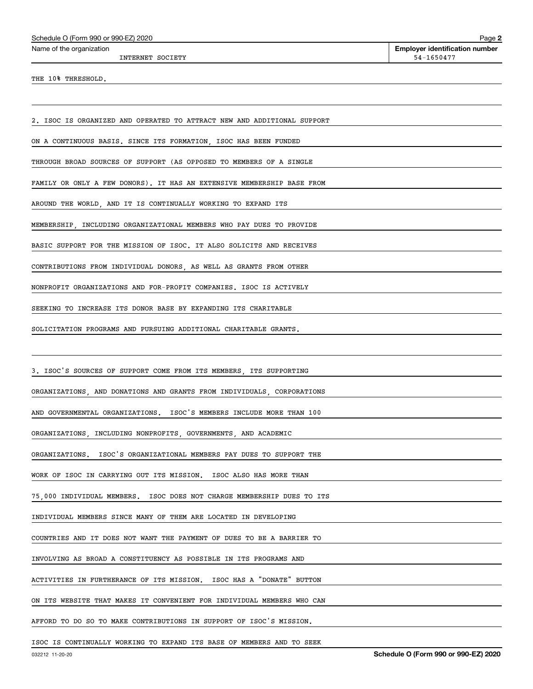INTERNET SOCIETY 54-1650477

THE 10% THRESHOLD.

2. ISOC IS ORGANIZED AND OPERATED TO ATTRACT NEW AND ADDITIONAL SUPPORT

ON A CONTINUOUS BASIS. SINCE ITS FORMATION, ISOC HAS BEEN FUNDED

THROUGH BROAD SOURCES OF SUPPORT (AS OPPOSED TO MEMBERS OF A SINGLE

FAMILY OR ONLY A FEW DONORS). IT HAS AN EXTENSIVE MEMBERSHIP BASE FROM

AROUND THE WORLD, AND IT IS CONTINUALLY WORKING TO EXPAND ITS

MEMBERSHIP, INCLUDING ORGANIZATIONAL MEMBERS WHO PAY DUES TO PROVIDE

BASIC SUPPORT FOR THE MISSION OF ISOC. IT ALSO SOLICITS AND RECEIVES

CONTRIBUTIONS FROM INDIVIDUAL DONORS, AS WELL AS GRANTS FROM OTHER

NONPROFIT ORGANIZATIONS AND FOR-PROFIT COMPANIES. ISOC IS ACTIVELY

SEEKING TO INCREASE ITS DONOR BASE BY EXPANDING ITS CHARITABLE

SOLICITATION PROGRAMS AND PURSUING ADDITIONAL CHARITABLE GRANTS.

3. ISOC'S SOURCES OF SUPPORT COME FROM ITS MEMBERS, ITS SUPPORTING

ORGANIZATIONS, AND DONATIONS AND GRANTS FROM INDIVIDUALS, CORPORATIONS

AND GOVERNMENTAL ORGANIZATIONS. ISOC'S MEMBERS INCLUDE MORE THAN 100

ORGANIZATIONS, INCLUDING NONPROFITS, GOVERNMENTS, AND ACADEMIC

ORGANIZATIONS. ISOC'S ORGANIZATIONAL MEMBERS PAY DUES TO SUPPORT THE

WORK OF ISOC IN CARRYING OUT ITS MISSION. ISOC ALSO HAS MORE THAN

75,000 INDIVIDUAL MEMBERS. ISOC DOES NOT CHARGE MEMBERSHIP DUES TO ITS

INDIVIDUAL MEMBERS SINCE MANY OF THEM ARE LOCATED IN DEVELOPING

COUNTRIES AND IT DOES NOT WANT THE PAYMENT OF DUES TO BE A BARRIER TO

INVOLVING AS BROAD A CONSTITUENCY AS POSSIBLE IN ITS PROGRAMS AND

ACTIVITIES IN FURTHERANCE OF ITS MISSION. ISOC HAS A "DONATE" BUTTON

ON ITS WEBSITE THAT MAKES IT CONVENIENT FOR INDIVIDUAL MEMBERS WHO CAN

AFFORD TO DO SO TO MAKE CONTRIBUTIONS IN SUPPORT OF ISOC'S MISSION.

ISOC IS CONTINUALLY WORKING TO EXPAND ITS BASE OF MEMBERS AND TO SEEK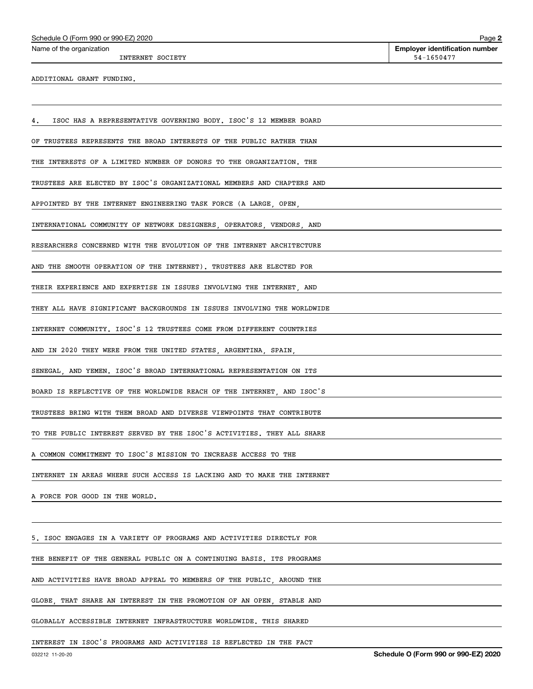INTERNET SOCIETY 54-1650477

ADDITIONAL GRANT FUNDING.

4. ISOC HAS A REPRESENTATIVE GOVERNING BODY. ISOC'S 12 MEMBER BOARD

OF TRUSTEES REPRESENTS THE BROAD INTERESTS OF THE PUBLIC RATHER THAN

THE INTERESTS OF A LIMITED NUMBER OF DONORS TO THE ORGANIZATION. THE

TRUSTEES ARE ELECTED BY ISOC'S ORGANIZATIONAL MEMBERS AND CHAPTERS AND

APPOINTED BY THE INTERNET ENGINEERING TASK FORCE (A LARGE, OPEN,

INTERNATIONAL COMMUNITY OF NETWORK DESIGNERS, OPERATORS, VENDORS, AND

RESEARCHERS CONCERNED WITH THE EVOLUTION OF THE INTERNET ARCHITECTURE

AND THE SMOOTH OPERATION OF THE INTERNET). TRUSTEES ARE ELECTED FOR

THEIR EXPERIENCE AND EXPERTISE IN ISSUES INVOLVING THE INTERNET, AND

THEY ALL HAVE SIGNIFICANT BACKGROUNDS IN ISSUES INVOLVING THE WORLDWIDE

INTERNET COMMUNITY. ISOC'S 12 TRUSTEES COME FROM DIFFERENT COUNTRIES

AND IN 2020 THEY WERE FROM THE UNITED STATES, ARGENTINA, SPAIN,

SENEGAL, AND YEMEN. ISOC'S BROAD INTERNATIONAL REPRESENTATION ON ITS

BOARD IS REFLECTIVE OF THE WORLDWIDE REACH OF THE INTERNET, AND ISOC'S

TRUSTEES BRING WITH THEM BROAD AND DIVERSE VIEWPOINTS THAT CONTRIBUTE

TO THE PUBLIC INTEREST SERVED BY THE ISOC'S ACTIVITIES. THEY ALL SHARE

A COMMON COMMITMENT TO ISOC'S MISSION TO INCREASE ACCESS TO THE

INTERNET IN AREAS WHERE SUCH ACCESS IS LACKING AND TO MAKE THE INTERNET

A FORCE FOR GOOD IN THE WORLD.

5. ISOC ENGAGES IN A VARIETY OF PROGRAMS AND ACTIVITIES DIRECTLY FOR

THE BENEFIT OF THE GENERAL PUBLIC ON A CONTINUING BASIS. ITS PROGRAMS

AND ACTIVITIES HAVE BROAD APPEAL TO MEMBERS OF THE PUBLIC, AROUND THE

GLOBE, THAT SHARE AN INTEREST IN THE PROMOTION OF AN OPEN, STABLE AND

GLOBALLY ACCESSIBLE INTERNET INFRASTRUCTURE WORLDWIDE. THIS SHARED

INTEREST IN ISOC'S PROGRAMS AND ACTIVITIES IS REFLECTED IN THE FACT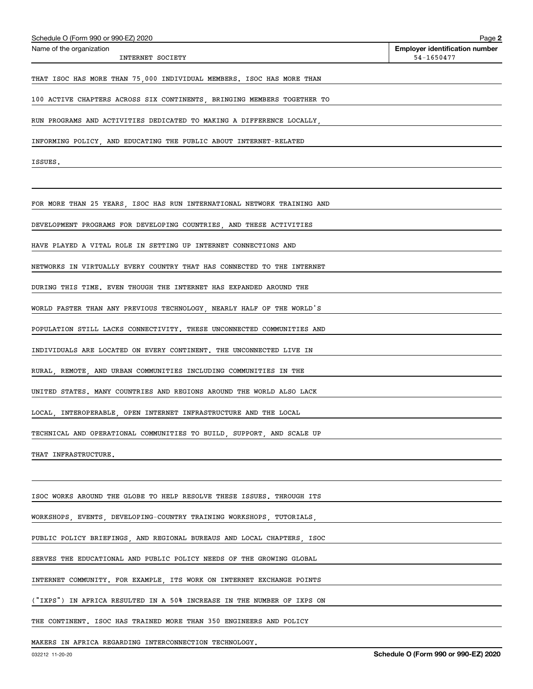| Name of the organization<br>INTERNET SOCIETY                            | <b>Employer identification number</b><br>54-1650477 |
|-------------------------------------------------------------------------|-----------------------------------------------------|
| THAT ISOC HAS MORE THAN 75,000 INDIVIDUAL MEMBERS. ISOC HAS MORE THAN   |                                                     |
| 100 ACTIVE CHAPTERS ACROSS SIX CONTINENTS, BRINGING MEMBERS TOGETHER TO |                                                     |
| RUN PROGRAMS AND ACTIVITIES DEDICATED TO MAKING A DIFFERENCE LOCALLY,   |                                                     |
| INFORMING POLICY, AND EDUCATING THE PUBLIC ABOUT INTERNET-RELATED       |                                                     |
| ISSUES.                                                                 |                                                     |
|                                                                         |                                                     |
| FOR MORE THAN 25 YEARS, ISOC HAS RUN INTERNATIONAL NETWORK TRAINING AND |                                                     |
| DEVELOPMENT PROGRAMS FOR DEVELOPING COUNTRIES, AND THESE ACTIVITIES     |                                                     |
| HAVE PLAYED A VITAL ROLE IN SETTING UP INTERNET CONNECTIONS AND         |                                                     |
| NETWORKS IN VIRTUALLY EVERY COUNTRY THAT HAS CONNECTED TO THE INTERNET  |                                                     |
| DURING THIS TIME. EVEN THOUGH THE INTERNET HAS EXPANDED AROUND THE      |                                                     |
| WORLD FASTER THAN ANY PREVIOUS TECHNOLOGY, NEARLY HALF OF THE WORLD'S   |                                                     |
| POPULATION STILL LACKS CONNECTIVITY. THESE UNCONNECTED COMMUNITIES AND  |                                                     |
| INDIVIDUALS ARE LOCATED ON EVERY CONTINENT. THE UNCONNECTED LIVE IN     |                                                     |
| RURAL, REMOTE, AND URBAN COMMUNITIES INCLUDING COMMUNITIES IN THE       |                                                     |
| UNITED STATES. MANY COUNTRIES AND REGIONS AROUND THE WORLD ALSO LACK    |                                                     |
| LOCAL, INTEROPERABLE, OPEN INTERNET INFRASTRUCTURE AND THE LOCAL        |                                                     |
| TECHNICAL AND OPERATIONAL COMMUNITIES TO BUILD, SUPPORT, AND SCALE UP   |                                                     |
| THAT INFRASTRUCTURE.                                                    |                                                     |
|                                                                         |                                                     |
| ISOC WORKS AROUND THE GLOBE TO HELP RESOLVE THESE ISSUES. THROUGH ITS   |                                                     |
| WORKSHOPS, EVENTS, DEVELOPING-COUNTRY TRAINING WORKSHOPS, TUTORIALS,    |                                                     |
| PUBLIC POLICY BRIEFINGS, AND REGIONAL BUREAUS AND LOCAL CHAPTERS, ISOC  |                                                     |
| SERVES THE EDUCATIONAL AND PUBLIC POLICY NEEDS OF THE GROWING GLOBAL    |                                                     |
| INTERNET COMMUNITY. FOR EXAMPLE, ITS WORK ON INTERNET EXCHANGE POINTS   |                                                     |
| ("IXPS") IN AFRICA RESULTED IN A 50% INCREASE IN THE NUMBER OF IXPS ON  |                                                     |
| THE CONTINENT. ISOC HAS TRAINED MORE THAN 350 ENGINEERS AND POLICY      |                                                     |
| MAKERS IN AFRICA REGARDING INTERCONNECTION TECHNOLOGY.                  |                                                     |

Schedule O (Form 990 or 990-EZ) 2020

**2**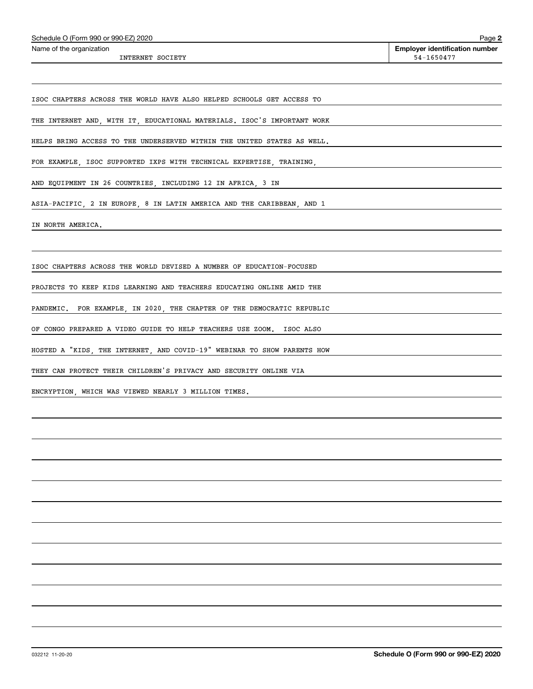| Schedule O (Form 990 or 990-EZ) 2020                                    | Page 2                                              |
|-------------------------------------------------------------------------|-----------------------------------------------------|
| Name of the organization<br>INTERNET SOCIETY                            | <b>Employer identification number</b><br>54-1650477 |
|                                                                         |                                                     |
| ISOC CHAPTERS ACROSS THE WORLD HAVE ALSO HELPED SCHOOLS GET ACCESS TO   |                                                     |
| THE INTERNET AND, WITH IT, EDUCATIONAL MATERIALS. ISOC'S IMPORTANT WORK |                                                     |
| HELPS BRING ACCESS TO THE UNDERSERVED WITHIN THE UNITED STATES AS WELL. |                                                     |
| FOR EXAMPLE, ISOC SUPPORTED IXPS WITH TECHNICAL EXPERTISE, TRAINING,    |                                                     |
| AND EQUIPMENT IN 26 COUNTRIES, INCLUDING 12 IN AFRICA, 3 IN             |                                                     |
| ASIA-PACIFIC, 2 IN EUROPE, 8 IN LATIN AMERICA AND THE CARIBBEAN, AND 1  |                                                     |
| IN NORTH AMERICA.                                                       |                                                     |
|                                                                         |                                                     |
| ISOC CHAPTERS ACROSS THE WORLD DEVISED A NUMBER OF EDUCATION-FOCUSED    |                                                     |
| PROJECTS TO KEEP KIDS LEARNING AND TEACHERS EDUCATING ONLINE AMID THE   |                                                     |
| PANDEMIC. FOR EXAMPLE, IN 2020, THE CHAPTER OF THE DEMOCRATIC REPUBLIC  |                                                     |
| OF CONGO PREPARED A VIDEO GUIDE TO HELP TEACHERS USE ZOOM. ISOC ALSO    |                                                     |
| HOSTED A "KIDS, THE INTERNET, AND COVID-19" WEBINAR TO SHOW PARENTS HOW |                                                     |
| THEY CAN PROTECT THEIR CHILDREN'S PRIVACY AND SECURITY ONLINE VIA       |                                                     |
| ENCRYPTION, WHICH WAS VIEWED NEARLY 3 MILLION TIMES.                    |                                                     |
|                                                                         |                                                     |
|                                                                         |                                                     |
|                                                                         |                                                     |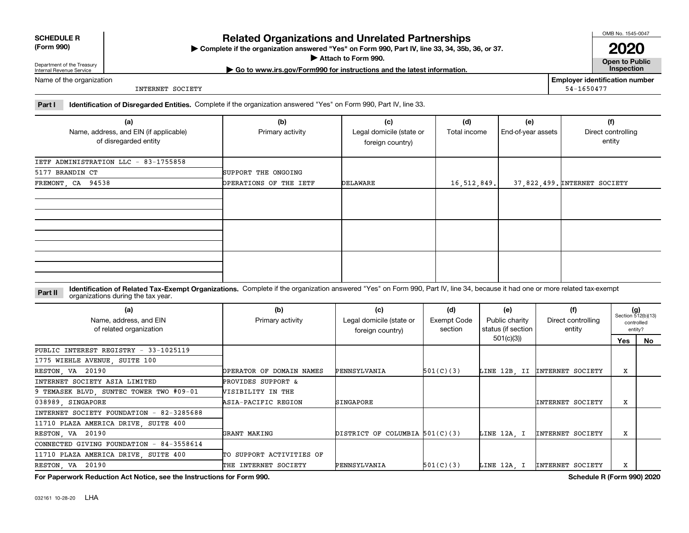| <b>SCHEDULE R</b> |  |
|-------------------|--|
| $(T - 0.00)$      |  |

**(Form 990)**

## **Related Organizations and Unrelated Partnerships**

**Complete if the organization answered "Yes" on Form 990, Part IV, line 33, 34, 35b, 36, or 37.** |

**Attach to Form 990.**  |

OMB No. 1545-0047 **2020**

**Open to Public**

**| Go to www.irs.gov/Form990 for instructions and the latest information. Inspection**

**Employer identification number** 54-1650477

Name of the organization

Department of the Treasury Internal Revenue Service

INTERNET SOCIETY

**Part I Identification of Disregarded Entities.**  Complete if the organization answered "Yes" on Form 990, Part IV, line 33.

| (a)                                    | (b)                    | (c)                      | (d)           | (e)                | (f)                          |
|----------------------------------------|------------------------|--------------------------|---------------|--------------------|------------------------------|
| Name, address, and EIN (if applicable) | Primary activity       | Legal domicile (state or | Total income  | End-of-year assets | Direct controlling           |
| of disregarded entity                  |                        | foreign country)         |               |                    | entity                       |
| IETF ADMINISTRATION LLC - 83-1755858   |                        |                          |               |                    |                              |
| 5177 BRANDIN CT                        | SUPPORT THE ONGOING    |                          |               |                    |                              |
| FREMONT, CA 94538                      | OPERATIONS OF THE IETF | DELAWARE                 | 16, 512, 849. |                    | 37,822,499. INTERNET SOCIETY |
|                                        |                        |                          |               |                    |                              |
|                                        |                        |                          |               |                    |                              |
|                                        |                        |                          |               |                    |                              |
|                                        |                        |                          |               |                    |                              |
|                                        |                        |                          |               |                    |                              |
|                                        |                        |                          |               |                    |                              |
|                                        |                        |                          |               |                    |                              |
|                                        |                        |                          |               |                    |                              |
|                                        |                        |                          |               |                    |                              |

**Identification of Related Tax-Exempt Organizations.** Complete if the organization answered "Yes" on Form 990, Part IV, line 34, because it had one or more related tax-exempt **Part II** organizations during the tax year.

| (a)<br>Name, address, and EIN<br>of related organization | (b)<br>Primary activity  | (c)<br>Legal domicile (state or<br>foreign country) | (d)<br><b>Exempt Code</b><br>section | (e)<br>Public charity<br>status (if section | (f)<br>Direct controlling<br>entity | $(g)$<br>Section 512(b)(13)<br>controlled<br>entity? |    |
|----------------------------------------------------------|--------------------------|-----------------------------------------------------|--------------------------------------|---------------------------------------------|-------------------------------------|------------------------------------------------------|----|
|                                                          |                          |                                                     |                                      | 501(c)(3)                                   |                                     | Yes                                                  | No |
| PUBLIC INTEREST REGISTRY - 33-1025119                    |                          |                                                     |                                      |                                             |                                     |                                                      |    |
| 1775 WIEHLE AVENUE, SUITE 100                            |                          |                                                     |                                      |                                             |                                     |                                                      |    |
| RESTON, VA 20190                                         | OPERATOR OF DOMAIN NAMES | PENNSYLVANIA                                        | 501(C)(3)                            | LINE 12B, II                                | <b>INTERNET SOCIETY</b>             | х                                                    |    |
| INTERNET SOCIETY ASIA LIMITED                            | PROVIDES SUPPORT &       |                                                     |                                      |                                             |                                     |                                                      |    |
| 9 TEMASEK BLVD, SUNTEC TOWER TWO #09-01                  | VISIBILITY IN THE        |                                                     |                                      |                                             |                                     |                                                      |    |
| 038989, SINGAPORE                                        | ASIA-PACIFIC REGION      | <b>SINGAPORE</b>                                    |                                      |                                             | INTERNET SOCIETY                    | x                                                    |    |
| INTERNET SOCIETY FOUNDATION - 82-3285688                 |                          |                                                     |                                      |                                             |                                     |                                                      |    |
| 11710 PLAZA AMERICA DRIVE, SUITE 400                     |                          |                                                     |                                      |                                             |                                     |                                                      |    |
| RESTON, VA 20190                                         | GRANT MAKING             | DISTRICT OF COLUMBIA 501(C)(3)                      |                                      | LINE 12A. I                                 | INTERNET SOCIETY                    | x                                                    |    |
| CONNECTED GIVING FOUNDATION - 84-3558614                 |                          |                                                     |                                      |                                             |                                     |                                                      |    |
| 11710 PLAZA AMERICA DRIVE, SUITE 400                     | TO SUPPORT ACTIVITIES OF |                                                     |                                      |                                             |                                     |                                                      |    |
| RESTON, VA 20190                                         | THE INTERNET SOCIETY     | PENNSYLVANIA                                        | 501(C)(3)                            | LINE 12A. I                                 | INTERNET SOCIETY                    | x                                                    |    |

**For Paperwork Reduction Act Notice, see the Instructions for Form 990. Schedule R (Form 990) 2020**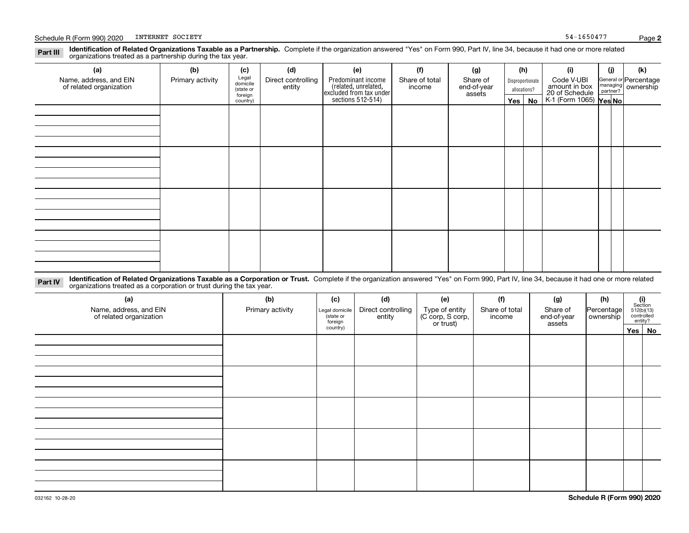#### **Identification of Related Organizations Taxable as a Partnership.** Complete if the organization answered "Yes" on Form 990, Part IV, line 34, because it had one or more related **Part III** organizations treated as a partnership during the tax year.

| (a)                                               | (b)              | (c)                  | (d)                          | (e)                                                                 | (f)                      | (g)                     |            | (h)              | (i)                                                              | (j) | (k)                                                     |
|---------------------------------------------------|------------------|----------------------|------------------------------|---------------------------------------------------------------------|--------------------------|-------------------------|------------|------------------|------------------------------------------------------------------|-----|---------------------------------------------------------|
| Name, address, and EIN<br>of related organization | Primary activity | Legal<br>domicile    | Direct controlling<br>entity | Predominant income                                                  | Share of total<br>income | Share of<br>end-of-year |            | Disproportionate | Code V-UBI                                                       |     | General or Percentage<br>managing ownership<br>partner? |
|                                                   |                  | (state or<br>foreign |                              |                                                                     |                          | assets                  |            | allocations?     |                                                                  |     |                                                         |
|                                                   |                  | country)             |                              | related, unrelated,<br>excluded from tax under<br>sections 512-514) |                          |                         | $Yes \mid$ | No               | amount in box<br>20 of Schedule<br>K-1 (Form 1065) <b>Yes No</b> |     |                                                         |
|                                                   |                  |                      |                              |                                                                     |                          |                         |            |                  |                                                                  |     |                                                         |
|                                                   |                  |                      |                              |                                                                     |                          |                         |            |                  |                                                                  |     |                                                         |
|                                                   |                  |                      |                              |                                                                     |                          |                         |            |                  |                                                                  |     |                                                         |
|                                                   |                  |                      |                              |                                                                     |                          |                         |            |                  |                                                                  |     |                                                         |
|                                                   |                  |                      |                              |                                                                     |                          |                         |            |                  |                                                                  |     |                                                         |
|                                                   |                  |                      |                              |                                                                     |                          |                         |            |                  |                                                                  |     |                                                         |
|                                                   |                  |                      |                              |                                                                     |                          |                         |            |                  |                                                                  |     |                                                         |
|                                                   |                  |                      |                              |                                                                     |                          |                         |            |                  |                                                                  |     |                                                         |
|                                                   |                  |                      |                              |                                                                     |                          |                         |            |                  |                                                                  |     |                                                         |
|                                                   |                  |                      |                              |                                                                     |                          |                         |            |                  |                                                                  |     |                                                         |
|                                                   |                  |                      |                              |                                                                     |                          |                         |            |                  |                                                                  |     |                                                         |
|                                                   |                  |                      |                              |                                                                     |                          |                         |            |                  |                                                                  |     |                                                         |
|                                                   |                  |                      |                              |                                                                     |                          |                         |            |                  |                                                                  |     |                                                         |
|                                                   |                  |                      |                              |                                                                     |                          |                         |            |                  |                                                                  |     |                                                         |
|                                                   |                  |                      |                              |                                                                     |                          |                         |            |                  |                                                                  |     |                                                         |
|                                                   |                  |                      |                              |                                                                     |                          |                         |            |                  |                                                                  |     |                                                         |
|                                                   |                  |                      |                              |                                                                     |                          |                         |            |                  |                                                                  |     |                                                         |

**Identification of Related Organizations Taxable as a Corporation or Trust.** Complete if the organization answered "Yes" on Form 990, Part IV, line 34, because it had one or more related **Part IV** organizations treated as a corporation or trust during the tax year.

| (a)<br>Name, address, and EIN<br>of related organization | (b)<br>Primary activity | (c)<br>Legal domicile<br>state or<br>foreign | (d)<br>Direct controlling<br>entity | (e)<br>Type of entity<br>(C corp, S corp,<br>or trust) | (f)<br>Share of total<br>income | (g)<br>Share of<br>end-of-year<br>assets | (h)<br>Percentage<br>ownership | $\begin{array}{c} \textbf{(i)}\\ \text{Section}\\ 512 \text{(b)} \text{(13)}\\ \text{controlled}\\ \text{entity?} \end{array}$ |
|----------------------------------------------------------|-------------------------|----------------------------------------------|-------------------------------------|--------------------------------------------------------|---------------------------------|------------------------------------------|--------------------------------|--------------------------------------------------------------------------------------------------------------------------------|
|                                                          |                         | country)                                     |                                     |                                                        |                                 |                                          |                                | Yes   No                                                                                                                       |
|                                                          |                         |                                              |                                     |                                                        |                                 |                                          |                                |                                                                                                                                |
|                                                          |                         |                                              |                                     |                                                        |                                 |                                          |                                |                                                                                                                                |
|                                                          |                         |                                              |                                     |                                                        |                                 |                                          |                                |                                                                                                                                |
|                                                          |                         |                                              |                                     |                                                        |                                 |                                          |                                |                                                                                                                                |
|                                                          |                         |                                              |                                     |                                                        |                                 |                                          |                                |                                                                                                                                |
|                                                          |                         |                                              |                                     |                                                        |                                 |                                          |                                |                                                                                                                                |
|                                                          |                         |                                              |                                     |                                                        |                                 |                                          |                                |                                                                                                                                |
|                                                          |                         |                                              |                                     |                                                        |                                 |                                          |                                |                                                                                                                                |
|                                                          |                         |                                              |                                     |                                                        |                                 |                                          |                                |                                                                                                                                |
|                                                          |                         |                                              |                                     |                                                        |                                 |                                          |                                |                                                                                                                                |
|                                                          |                         |                                              |                                     |                                                        |                                 |                                          |                                |                                                                                                                                |
|                                                          |                         |                                              |                                     |                                                        |                                 |                                          |                                |                                                                                                                                |
|                                                          |                         |                                              |                                     |                                                        |                                 |                                          |                                |                                                                                                                                |
|                                                          |                         |                                              |                                     |                                                        |                                 |                                          |                                |                                                                                                                                |
|                                                          |                         |                                              |                                     |                                                        |                                 |                                          |                                |                                                                                                                                |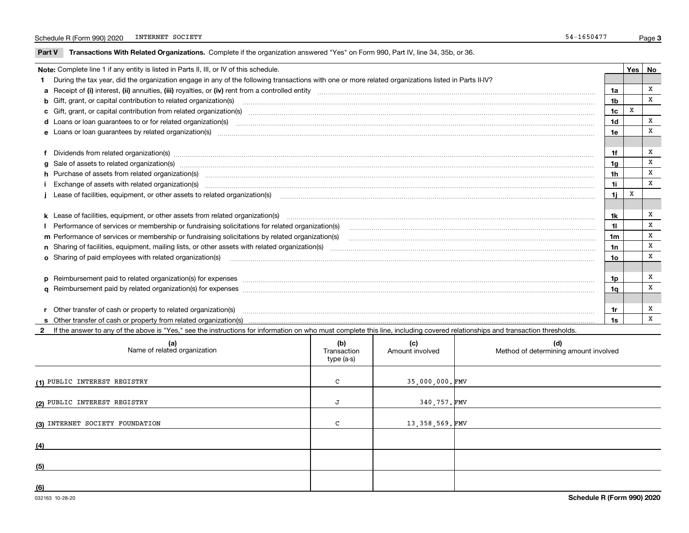$\overline{\phantom{0}}$ 

**Part V** T**ransactions With Related Organizations.** Complete if the organization answered "Yes" on Form 990, Part IV, line 34, 35b, or 36.

| Note: Complete line 1 if any entity is listed in Parts II, III, or IV of this schedule. |                                                                                                                                                                                                                                |                |   |   |  |  |
|-----------------------------------------------------------------------------------------|--------------------------------------------------------------------------------------------------------------------------------------------------------------------------------------------------------------------------------|----------------|---|---|--|--|
|                                                                                         | 1 During the tax year, did the organization engage in any of the following transactions with one or more related organizations listed in Parts II-IV?                                                                          |                |   |   |  |  |
|                                                                                         |                                                                                                                                                                                                                                | 1a             |   | X |  |  |
|                                                                                         | b Gift, grant, or capital contribution to related organization(s) material contracts and contribution to related organization(s)                                                                                               | 1 <sub>b</sub> |   | x |  |  |
|                                                                                         | c Gift, grant, or capital contribution from related organization(s) manufaction(s) and contain an experimental contribution from related organization(s) manufaction contains and contribution from related organization(s) ma | 1c             | x |   |  |  |
|                                                                                         |                                                                                                                                                                                                                                | 1d             |   | х |  |  |
|                                                                                         |                                                                                                                                                                                                                                | 1e             |   | X |  |  |
|                                                                                         |                                                                                                                                                                                                                                |                |   |   |  |  |
|                                                                                         | f Dividends from related organization(s) manufactured contains and contained a state of the contact of the contact of the contact of the contact of the contact of the contact of the contact of the contact of the contact of | 1f             |   | X |  |  |
|                                                                                         |                                                                                                                                                                                                                                | 1g             |   | X |  |  |
|                                                                                         | h Purchase of assets from related organization(s) www.assettion.com/www.assettion.com/www.assettion.com/www.assettion.com/www.assettion.com/www.assettion.com/www.assettion.com/www.assettion.com/www.assettion.com/www.assett | 1h             |   | X |  |  |
|                                                                                         |                                                                                                                                                                                                                                | 11             |   | X |  |  |
|                                                                                         | Lease of facilities, equipment, or other assets to related organization(s) matching material content to content the state of facilities, equipment, or other assets to related organization(s) matching material content conte | 1i.            | x |   |  |  |
|                                                                                         |                                                                                                                                                                                                                                |                |   |   |  |  |
|                                                                                         | k Lease of facilities, equipment, or other assets from related organization(s) manufaction content and content to the content of facilities, equipment, or other assets from related organization(s) manufaction content and c | 1k             |   | Х |  |  |
|                                                                                         | Performance of services or membership or fundraising solicitations for related organization(s)                                                                                                                                 | 11             |   | X |  |  |
|                                                                                         | m Performance of services or membership or fundraising solicitations by related organization(s)                                                                                                                                | 1 <sub>m</sub> |   | х |  |  |
|                                                                                         |                                                                                                                                                                                                                                | 1n             |   | X |  |  |
|                                                                                         |                                                                                                                                                                                                                                | 10             |   | X |  |  |
|                                                                                         |                                                                                                                                                                                                                                |                |   |   |  |  |
|                                                                                         | p Reimbursement paid to related organization(s) for expenses [111] and the material content of the set of the set of the set of the set of the set of the set of the set of the set of the set of the set of the set of the se | 1p             |   | X |  |  |
|                                                                                         |                                                                                                                                                                                                                                | 1q             |   | X |  |  |
|                                                                                         |                                                                                                                                                                                                                                |                |   |   |  |  |
|                                                                                         |                                                                                                                                                                                                                                | 1r             |   | х |  |  |
|                                                                                         |                                                                                                                                                                                                                                | 1s             |   | x |  |  |

**2**If the answer to any of the above is "Yes," see the instructions for information on who must complete this line, including covered relationships and transaction thresholds.

| (a)<br>Name of related organization | (b)<br>Transaction<br>type (a-s) | (c)<br>Amount involved | (d)<br>Method of determining amount involved |
|-------------------------------------|----------------------------------|------------------------|----------------------------------------------|
| (1) PUBLIC INTEREST REGISTRY        | C                                | 35,000,000.FMV         |                                              |
| (2) PUBLIC INTEREST REGISTRY        |                                  | 340,757.FMV            |                                              |
| (3) INTERNET SOCIETY FOUNDATION     | C                                | 13,358,569.FMV         |                                              |
| (4)                                 |                                  |                        |                                              |
| (5)                                 |                                  |                        |                                              |
| (6)                                 |                                  |                        |                                              |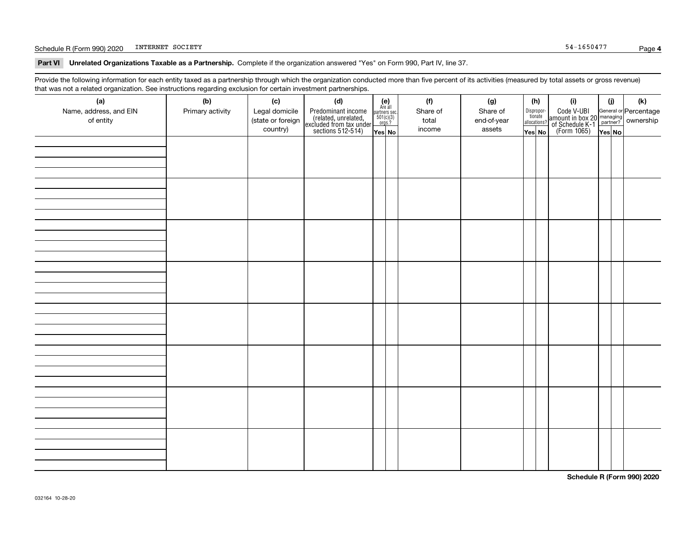### Schedule R (Form 990) 2020 Page INTERNET SOCIETY 54-1650477

**Part VI Unrelated Organizations Taxable as a Partnership. Complete if the organization answered "Yes" on Form 990, Part IV, line 37.** 

Provide the following information for each entity taxed as a partnership through which the organization conducted more than five percent of its activities (measured by total assets or gross revenue) that was not a related organization. See instructions regarding exclusion for certain investment partnerships.

| - - - - -<br>(a)<br>Name, address, and EIN<br>of entity | . - ອ---<br>(b)<br>Primary activity | (c)<br>Legal domicile<br>(state or foreign<br>country) | .<br>(d)<br>Predominant income<br>(related, unrelated,<br>excluded from tax under<br>sections 512-514) | $\begin{array}{c} \textbf{(e)}\\ \text{Area all} \\ \text{partners sec.}\\ 501(c)(3) \\ \text{orgs.?} \end{array}$ | (f)<br>Share of<br>total<br>income | (g)<br>Share of<br>end-of-year<br>assets | (h)<br>Dispropor-<br>tionate<br>allocations? | (i)<br>Code V-UBI<br>amount in box 20 managing<br>of Schedule K-1<br>(Form 1065)<br>$\overline{Yes}$ No | (i)    | (k) |  |
|---------------------------------------------------------|-------------------------------------|--------------------------------------------------------|--------------------------------------------------------------------------------------------------------|--------------------------------------------------------------------------------------------------------------------|------------------------------------|------------------------------------------|----------------------------------------------|---------------------------------------------------------------------------------------------------------|--------|-----|--|
|                                                         |                                     |                                                        |                                                                                                        | Yes No                                                                                                             |                                    |                                          | Yes No                                       |                                                                                                         | Yes No |     |  |
|                                                         |                                     |                                                        |                                                                                                        |                                                                                                                    |                                    |                                          |                                              |                                                                                                         |        |     |  |
|                                                         |                                     |                                                        |                                                                                                        |                                                                                                                    |                                    |                                          |                                              |                                                                                                         |        |     |  |
|                                                         |                                     |                                                        |                                                                                                        |                                                                                                                    |                                    |                                          |                                              |                                                                                                         |        |     |  |
|                                                         |                                     |                                                        |                                                                                                        |                                                                                                                    |                                    |                                          |                                              |                                                                                                         |        |     |  |
|                                                         |                                     |                                                        |                                                                                                        |                                                                                                                    |                                    |                                          |                                              |                                                                                                         |        |     |  |
|                                                         |                                     |                                                        |                                                                                                        |                                                                                                                    |                                    |                                          |                                              |                                                                                                         |        |     |  |
|                                                         |                                     |                                                        |                                                                                                        |                                                                                                                    |                                    |                                          |                                              |                                                                                                         |        |     |  |
|                                                         |                                     |                                                        |                                                                                                        |                                                                                                                    |                                    |                                          |                                              |                                                                                                         |        |     |  |

**Schedule R (Form 990) 2020**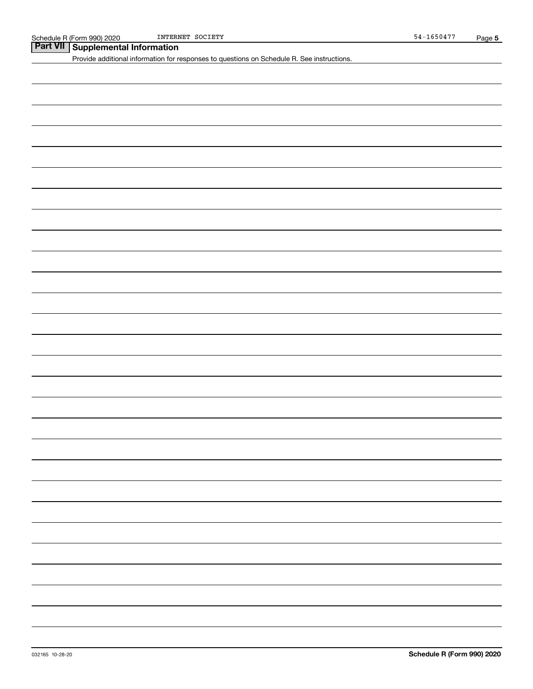# **Part VII Supplemental Information**

Provide additional information for responses to questions on Schedule R. See instructions.